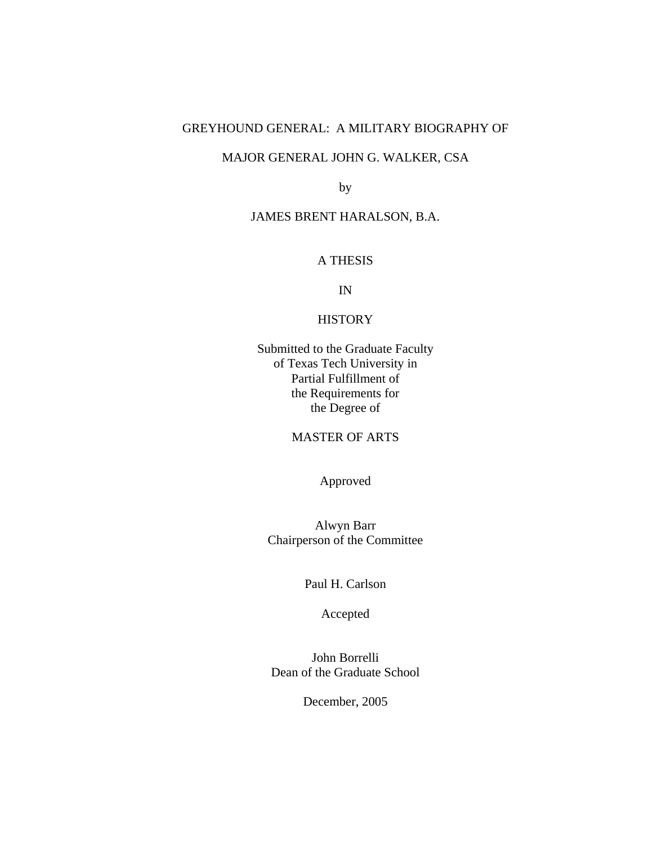# GREYHOUND GENERAL: A MILITARY BIOGRAPHY OF

# MAJOR GENERAL JOHN G. WALKER, CSA

by

# JAMES BRENT HARALSON, B.A.

# A THESIS

IN

# **HISTORY**

Submitted to the Graduate Faculty of Texas Tech University in Partial Fulfillment of the Requirements for the Degree of

### MASTER OF ARTS

Approved

Alwyn Barr Chairperson of the Committee

Paul H. Carlson

Accepted

John Borrelli Dean of the Graduate School

December, 2005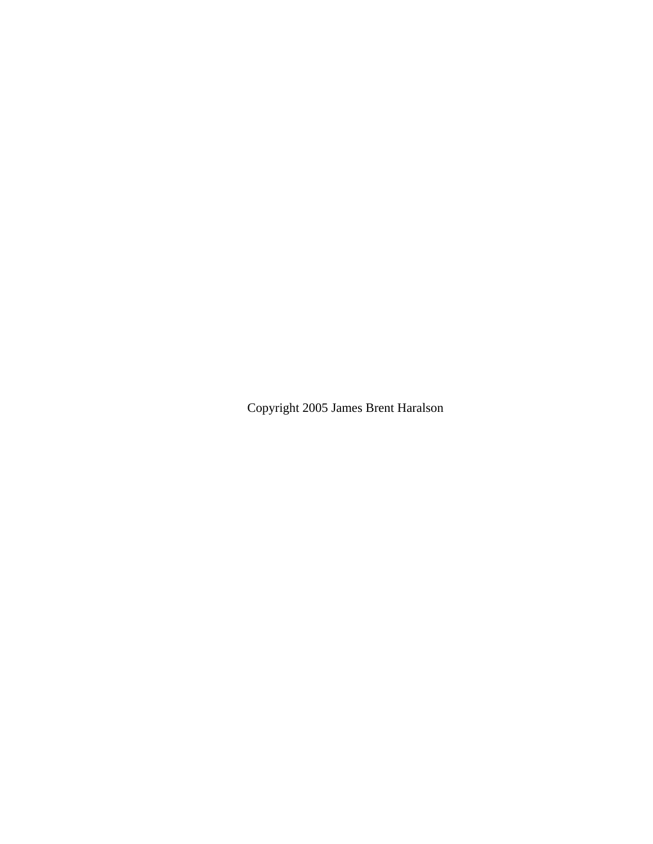Copyright 2005 James Brent Haralson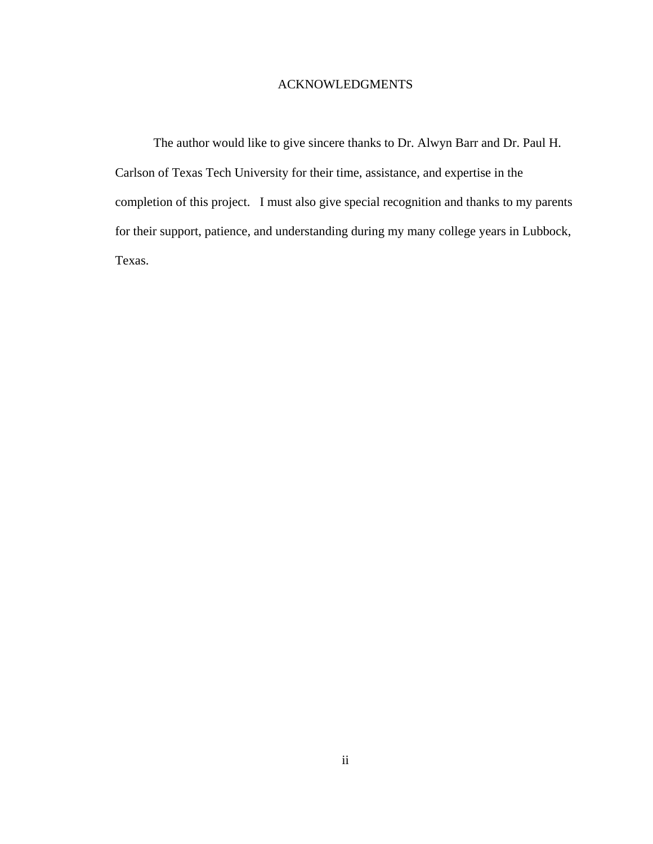# ACKNOWLEDGMENTS

The author would like to give sincere thanks to Dr. Alwyn Barr and Dr. Paul H. Carlson of Texas Tech University for their time, assistance, and expertise in the completion of this project. I must also give special recognition and thanks to my parents for their support, patience, and understanding during my many college years in Lubbock, Texas.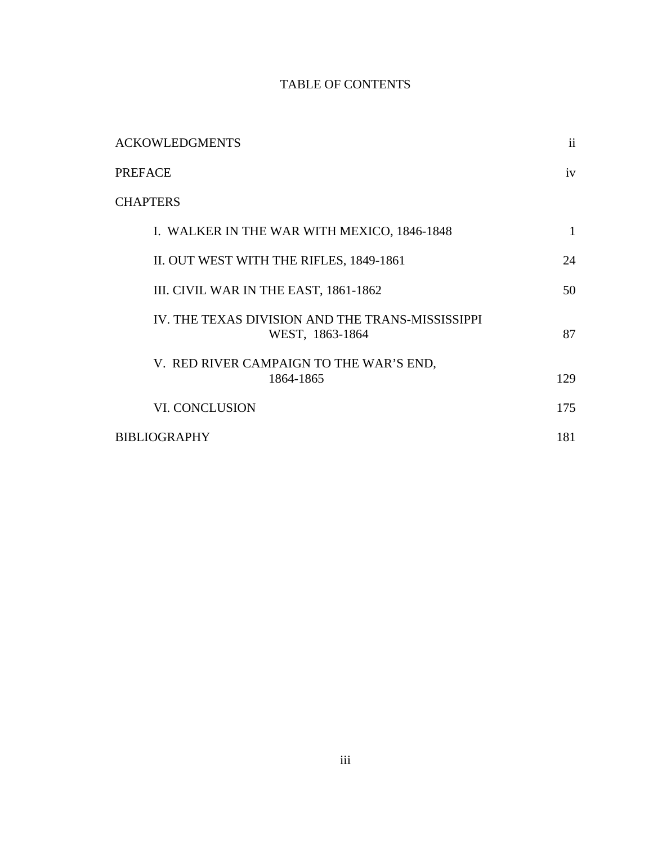# TABLE OF CONTENTS

| <b>ACKOWLEDGMENTS</b>                                               | ii  |
|---------------------------------------------------------------------|-----|
| PREFACE                                                             | iv  |
| <b>CHAPTERS</b>                                                     |     |
| I. WALKER IN THE WAR WITH MEXICO, 1846-1848                         | 1   |
| II. OUT WEST WITH THE RIFLES, 1849-1861                             | 24  |
| III. CIVIL WAR IN THE EAST, 1861-1862                               | 50  |
| IV. THE TEXAS DIVISION AND THE TRANS-MISSISSIPPI<br>WEST, 1863-1864 | 87  |
| V. RED RIVER CAMPAIGN TO THE WAR'S END,<br>1864-1865                | 129 |
| VI. CONCLUSION                                                      | 175 |
| BIBLIOGRAPHY                                                        | 181 |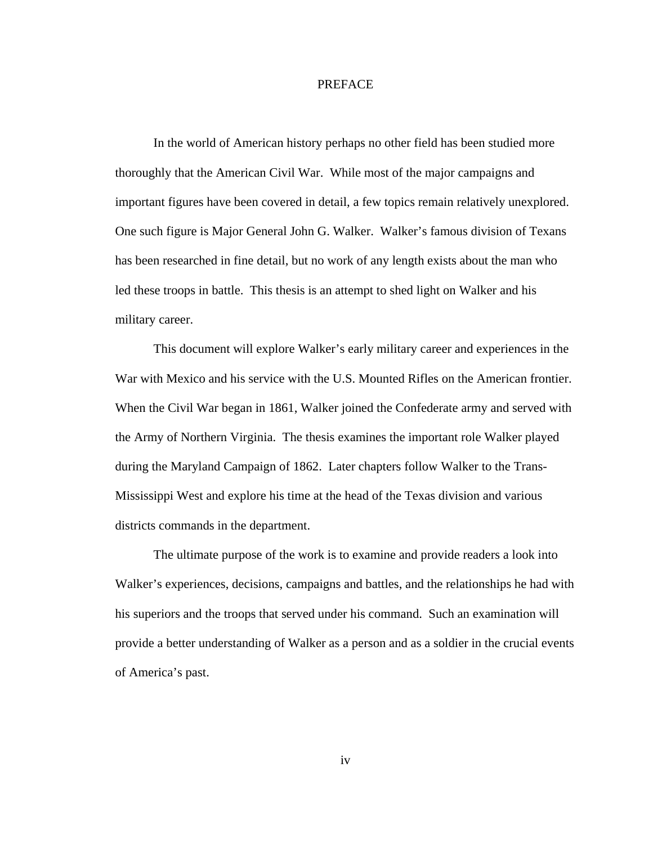### PREFACE

 In the world of American history perhaps no other field has been studied more thoroughly that the American Civil War. While most of the major campaigns and important figures have been covered in detail, a few topics remain relatively unexplored. One such figure is Major General John G. Walker. Walker's famous division of Texans has been researched in fine detail, but no work of any length exists about the man who led these troops in battle. This thesis is an attempt to shed light on Walker and his military career.

 This document will explore Walker's early military career and experiences in the War with Mexico and his service with the U.S. Mounted Rifles on the American frontier. When the Civil War began in 1861, Walker joined the Confederate army and served with the Army of Northern Virginia. The thesis examines the important role Walker played during the Maryland Campaign of 1862. Later chapters follow Walker to the Trans-Mississippi West and explore his time at the head of the Texas division and various districts commands in the department.

 The ultimate purpose of the work is to examine and provide readers a look into Walker's experiences, decisions, campaigns and battles, and the relationships he had with his superiors and the troops that served under his command. Such an examination will provide a better understanding of Walker as a person and as a soldier in the crucial events of America's past.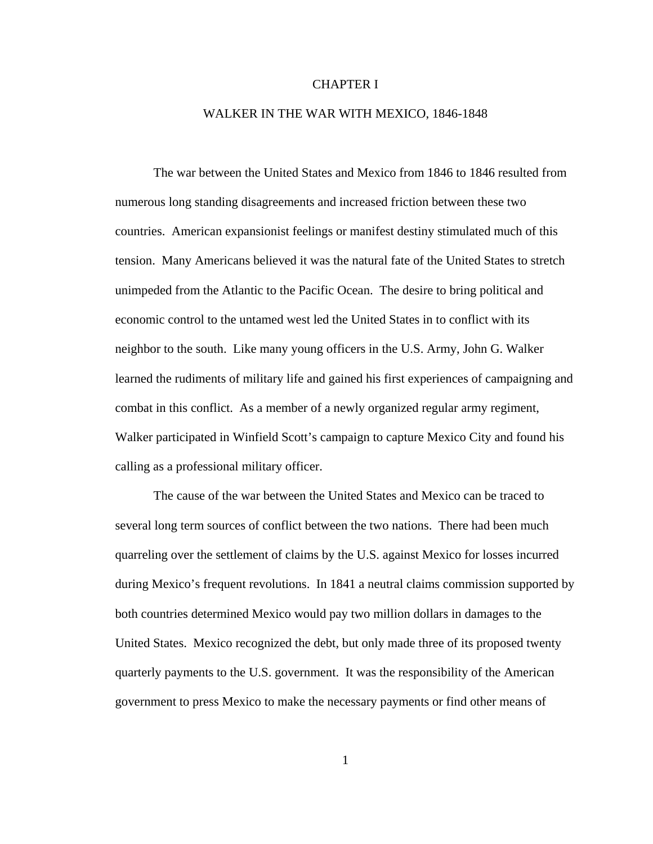### CHAPTER I

### WALKER IN THE WAR WITH MEXICO, 1846-1848

The war between the United States and Mexico from 1846 to 1846 resulted from numerous long standing disagreements and increased friction between these two countries. American expansionist feelings or manifest destiny stimulated much of this tension. Many Americans believed it was the natural fate of the United States to stretch unimpeded from the Atlantic to the Pacific Ocean. The desire to bring political and economic control to the untamed west led the United States in to conflict with its neighbor to the south. Like many young officers in the U.S. Army, John G. Walker learned the rudiments of military life and gained his first experiences of campaigning and combat in this conflict. As a member of a newly organized regular army regiment, Walker participated in Winfield Scott's campaign to capture Mexico City and found his calling as a professional military officer.

 The cause of the war between the United States and Mexico can be traced to several long term sources of conflict between the two nations. There had been much quarreling over the settlement of claims by the U.S. against Mexico for losses incurred during Mexico's frequent revolutions. In 1841 a neutral claims commission supported by both countries determined Mexico would pay two million dollars in damages to the United States. Mexico recognized the debt, but only made three of its proposed twenty quarterly payments to the U.S. government. It was the responsibility of the American government to press Mexico to make the necessary payments or find other means of

1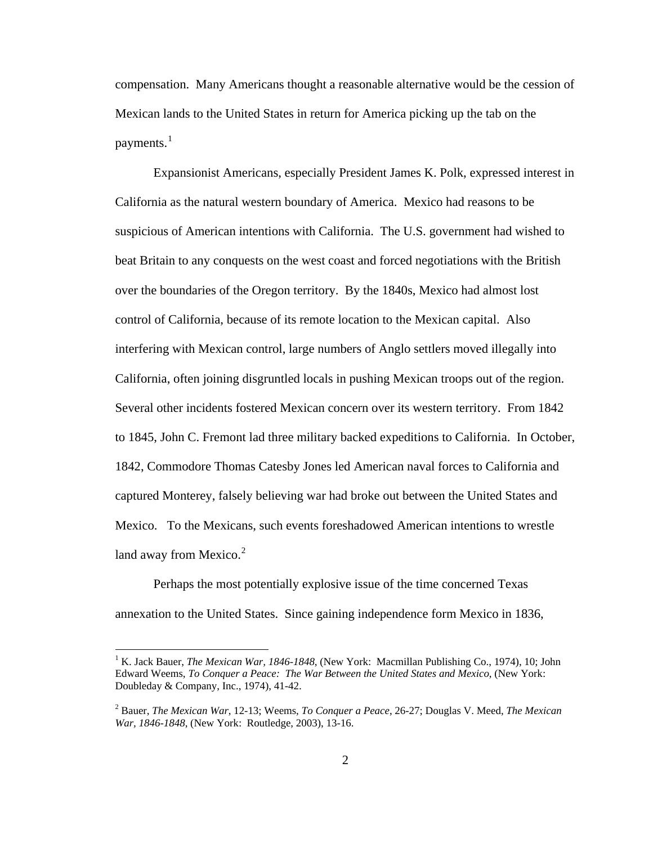compensation. Many Americans thought a reasonable alternative would be the cession of Mexican lands to the United States in return for America picking up the tab on the payments. $<sup>1</sup>$  $<sup>1</sup>$  $<sup>1</sup>$ </sup>

 Expansionist Americans, especially President James K. Polk, expressed interest in California as the natural western boundary of America. Mexico had reasons to be suspicious of American intentions with California. The U.S. government had wished to beat Britain to any conquests on the west coast and forced negotiations with the British over the boundaries of the Oregon territory. By the 1840s, Mexico had almost lost control of California, because of its remote location to the Mexican capital. Also interfering with Mexican control, large numbers of Anglo settlers moved illegally into California, often joining disgruntled locals in pushing Mexican troops out of the region. Several other incidents fostered Mexican concern over its western territory. From 1842 to 1845, John C. Fremont lad three military backed expeditions to California. In October, 1842, Commodore Thomas Catesby Jones led American naval forces to California and captured Monterey, falsely believing war had broke out between the United States and Mexico. To the Mexicans, such events foreshadowed American intentions to wrestle land away from Mexico. $2$ 

 Perhaps the most potentially explosive issue of the time concerned Texas annexation to the United States. Since gaining independence form Mexico in 1836,

<span id="page-6-0"></span><sup>&</sup>lt;sup>1</sup> K. Jack Bauer, *The Mexican War, 1846-1848*, (New York: Macmillan Publishing Co., 1974), 10; John Edward Weems, *To Conquer a Peace: The War Between the United States and Mexico*, (New York: Doubleday & Company, Inc., 1974), 41-42.

<span id="page-6-1"></span><sup>2</sup> Bauer, *The Mexican War*, 12-13; Weems, *To Conquer a Peace*, 26-27; Douglas V. Meed, *The Mexican War, 1846-1848*, (New York: Routledge, 2003), 13-16.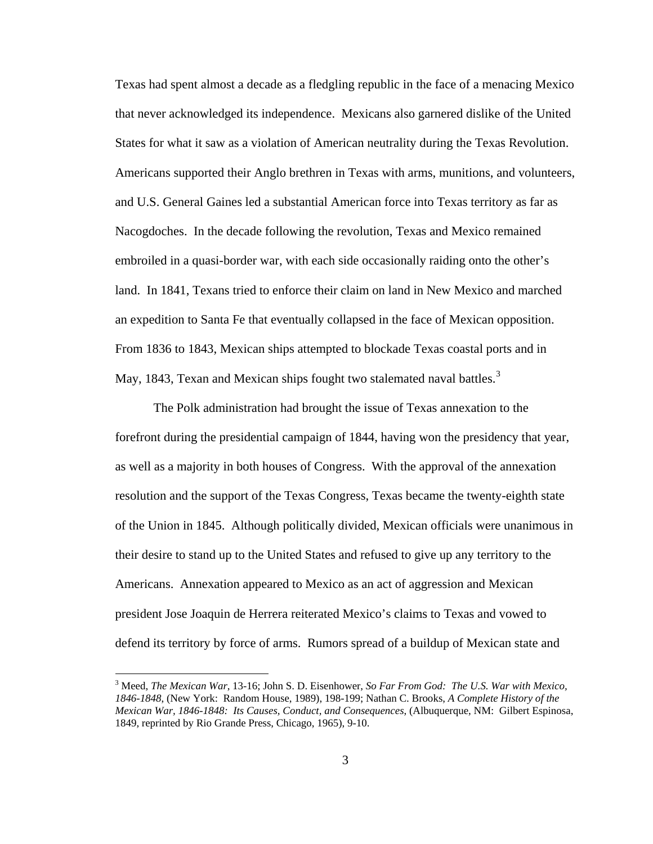Texas had spent almost a decade as a fledgling republic in the face of a menacing Mexico that never acknowledged its independence. Mexicans also garnered dislike of the United States for what it saw as a violation of American neutrality during the Texas Revolution. Americans supported their Anglo brethren in Texas with arms, munitions, and volunteers, and U.S. General Gaines led a substantial American force into Texas territory as far as Nacogdoches. In the decade following the revolution, Texas and Mexico remained embroiled in a quasi-border war, with each side occasionally raiding onto the other's land. In 1841, Texans tried to enforce their claim on land in New Mexico and marched an expedition to Santa Fe that eventually collapsed in the face of Mexican opposition. From 1836 to 1843, Mexican ships attempted to blockade Texas coastal ports and in May, 184[3](#page-7-0), Texan and Mexican ships fought two stalemated naval battles.<sup>3</sup>

 The Polk administration had brought the issue of Texas annexation to the forefront during the presidential campaign of 1844, having won the presidency that year, as well as a majority in both houses of Congress. With the approval of the annexation resolution and the support of the Texas Congress, Texas became the twenty-eighth state of the Union in 1845. Although politically divided, Mexican officials were unanimous in their desire to stand up to the United States and refused to give up any territory to the Americans. Annexation appeared to Mexico as an act of aggression and Mexican president Jose Joaquin de Herrera reiterated Mexico's claims to Texas and vowed to defend its territory by force of arms. Rumors spread of a buildup of Mexican state and

<span id="page-7-0"></span><sup>3</sup> Meed, *The Mexican War*, 13-16; John S. D. Eisenhower, *So Far From God: The U.S. War with Mexico, 1846-1848*, (New York: Random House, 1989), 198-199; Nathan C. Brooks, *A Complete History of the Mexican War, 1846-1848: Its Causes, Conduct, and Consequences*, (Albuquerque, NM: Gilbert Espinosa, 1849, reprinted by Rio Grande Press, Chicago, 1965), 9-10.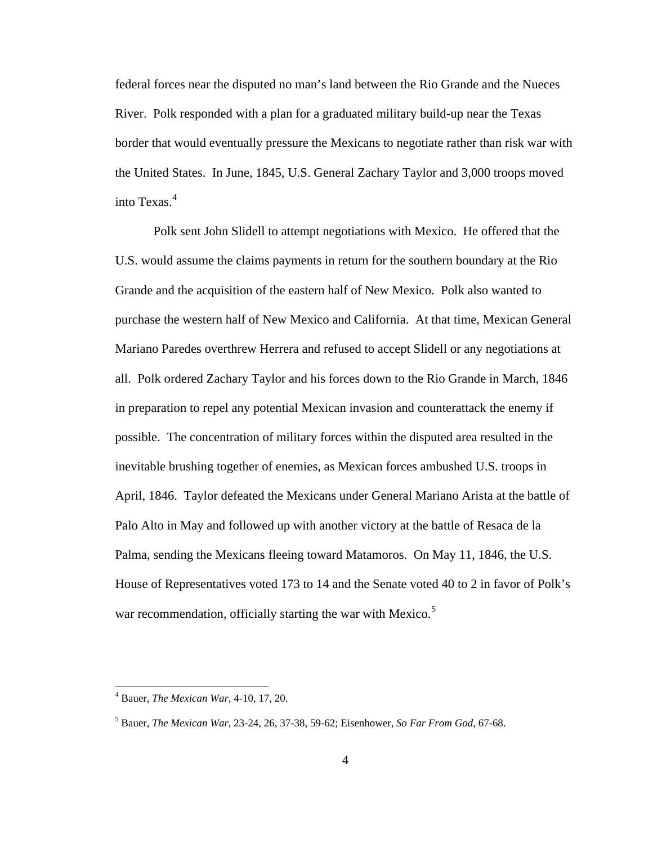federal forces near the disputed no man's land between the Rio Grande and the Nueces River. Polk responded with a plan for a graduated military build-up near the Texas border that would eventually pressure the Mexicans to negotiate rather than risk war with the United States. In June, 1845, U.S. General Zachary Taylor and 3,000 troops moved into Texas.<sup>[4](#page-8-0)</sup>

 Polk sent John Slidell to attempt negotiations with Mexico. He offered that the U.S. would assume the claims payments in return for the southern boundary at the Rio Grande and the acquisition of the eastern half of New Mexico. Polk also wanted to purchase the western half of New Mexico and California. At that time, Mexican General Mariano Paredes overthrew Herrera and refused to accept Slidell or any negotiations at all. Polk ordered Zachary Taylor and his forces down to the Rio Grande in March, 1846 in preparation to repel any potential Mexican invasion and counterattack the enemy if possible. The concentration of military forces within the disputed area resulted in the inevitable brushing together of enemies, as Mexican forces ambushed U.S. troops in April, 1846. Taylor defeated the Mexicans under General Mariano Arista at the battle of Palo Alto in May and followed up with another victory at the battle of Resaca de la Palma, sending the Mexicans fleeing toward Matamoros. On May 11, 1846, the U.S. House of Representatives voted 173 to 14 and the Senate voted 40 to 2 in favor of Polk's war recommendation, officially starting the war with Mexico.<sup>[5](#page-8-1)</sup>

<span id="page-8-0"></span><sup>4</sup> Bauer, *The Mexican War*, 4-10, 17, 20.

<span id="page-8-1"></span><sup>5</sup> Bauer, *The Mexican War*, 23-24, 26, 37-38, 59-62; Eisenhower, *So Far From God*, 67-68.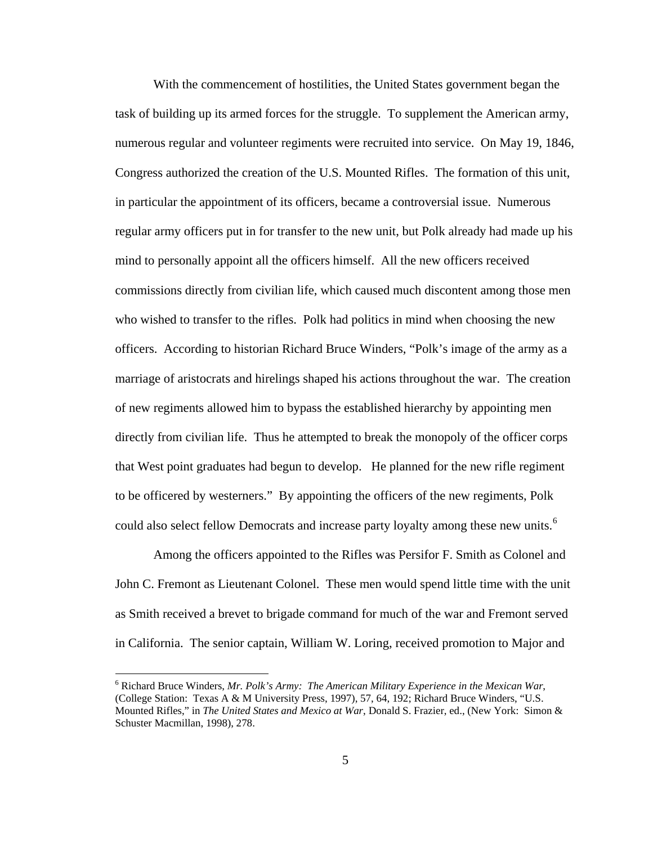With the commencement of hostilities, the United States government began the task of building up its armed forces for the struggle. To supplement the American army, numerous regular and volunteer regiments were recruited into service. On May 19, 1846, Congress authorized the creation of the U.S. Mounted Rifles. The formation of this unit, in particular the appointment of its officers, became a controversial issue. Numerous regular army officers put in for transfer to the new unit, but Polk already had made up his mind to personally appoint all the officers himself. All the new officers received commissions directly from civilian life, which caused much discontent among those men who wished to transfer to the rifles. Polk had politics in mind when choosing the new officers. According to historian Richard Bruce Winders, "Polk's image of the army as a marriage of aristocrats and hirelings shaped his actions throughout the war. The creation of new regiments allowed him to bypass the established hierarchy by appointing men directly from civilian life. Thus he attempted to break the monopoly of the officer corps that West point graduates had begun to develop. He planned for the new rifle regiment to be officered by westerners." By appointing the officers of the new regiments, Polk could also select fellow Democrats and increase party loyalty among these new units.<sup>[6](#page-9-0)</sup>

 Among the officers appointed to the Rifles was Persifor F. Smith as Colonel and John C. Fremont as Lieutenant Colonel. These men would spend little time with the unit as Smith received a brevet to brigade command for much of the war and Fremont served in California. The senior captain, William W. Loring, received promotion to Major and

<span id="page-9-0"></span><sup>6</sup> Richard Bruce Winders, *Mr. Polk's Army: The American Military Experience in the Mexican War*, (College Station: Texas A & M University Press, 1997), 57, 64, 192; Richard Bruce Winders, "U.S. Mounted Rifles," in *The United States and Mexico at War*, Donald S. Frazier, ed., (New York: Simon & Schuster Macmillan, 1998), 278.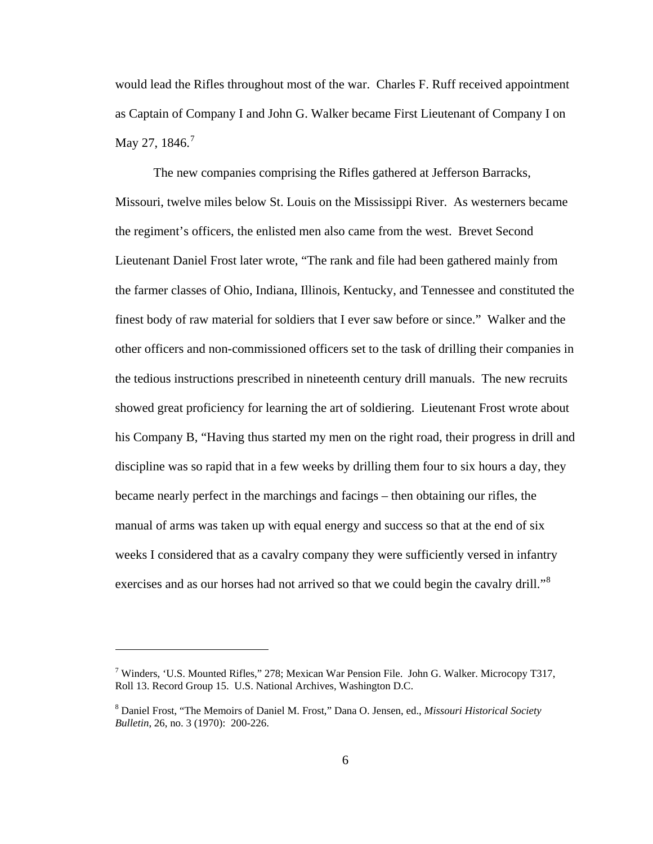would lead the Rifles throughout most of the war. Charles F. Ruff received appointment as Captain of Company I and John G. Walker became First Lieutenant of Company I on May 2[7](#page-10-0), 1846.<sup>7</sup>

 The new companies comprising the Rifles gathered at Jefferson Barracks, Missouri, twelve miles below St. Louis on the Mississippi River. As westerners became the regiment's officers, the enlisted men also came from the west. Brevet Second Lieutenant Daniel Frost later wrote, "The rank and file had been gathered mainly from the farmer classes of Ohio, Indiana, Illinois, Kentucky, and Tennessee and constituted the finest body of raw material for soldiers that I ever saw before or since." Walker and the other officers and non-commissioned officers set to the task of drilling their companies in the tedious instructions prescribed in nineteenth century drill manuals. The new recruits showed great proficiency for learning the art of soldiering. Lieutenant Frost wrote about his Company B, "Having thus started my men on the right road, their progress in drill and discipline was so rapid that in a few weeks by drilling them four to six hours a day, they became nearly perfect in the marchings and facings – then obtaining our rifles, the manual of arms was taken up with equal energy and success so that at the end of six weeks I considered that as a cavalry company they were sufficiently versed in infantry exercises and as our horses had not arrived so that we could begin the cavalry drill."<sup>[8](#page-10-1)</sup>

<span id="page-10-0"></span><sup>&</sup>lt;sup>7</sup> Winders, 'U.S. Mounted Rifles," 278; Mexican War Pension File. John G. Walker. Microcopy T317, Roll 13. Record Group 15. U.S. National Archives, Washington D.C.

<span id="page-10-1"></span><sup>8</sup> Daniel Frost, "The Memoirs of Daniel M. Frost," Dana O. Jensen, ed., *Missouri Historical Society Bulletin*, 26, no. 3 (1970): 200-226.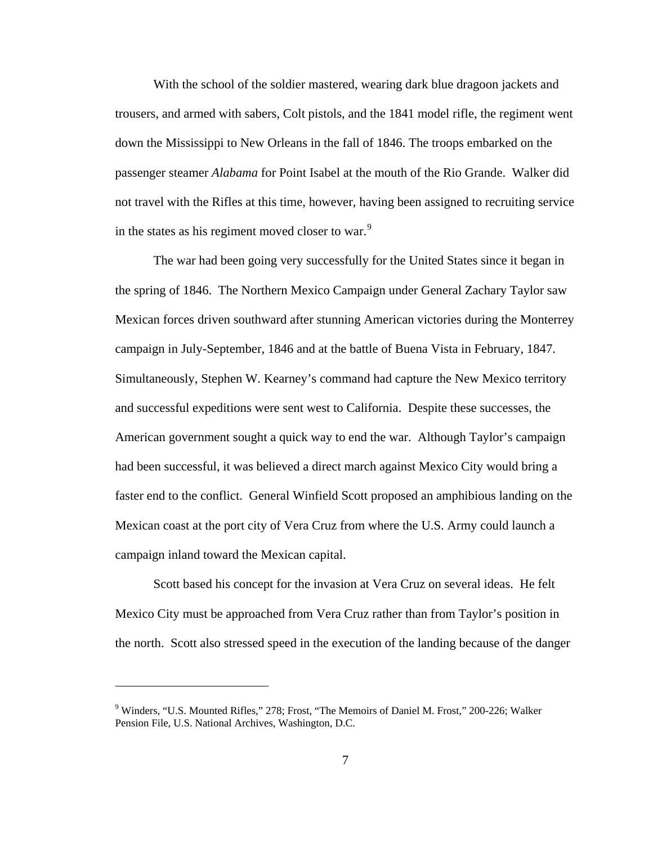With the school of the soldier mastered, wearing dark blue dragoon jackets and trousers, and armed with sabers, Colt pistols, and the 1841 model rifle, the regiment went down the Mississippi to New Orleans in the fall of 1846. The troops embarked on the passenger steamer *Alabama* for Point Isabel at the mouth of the Rio Grande. Walker did not travel with the Rifles at this time, however, having been assigned to recruiting service in the states as his regiment moved closer to war.<sup>[9](#page-11-0)</sup>

 The war had been going very successfully for the United States since it began in the spring of 1846. The Northern Mexico Campaign under General Zachary Taylor saw Mexican forces driven southward after stunning American victories during the Monterrey campaign in July-September, 1846 and at the battle of Buena Vista in February, 1847. Simultaneously, Stephen W. Kearney's command had capture the New Mexico territory and successful expeditions were sent west to California. Despite these successes, the American government sought a quick way to end the war. Although Taylor's campaign had been successful, it was believed a direct march against Mexico City would bring a faster end to the conflict. General Winfield Scott proposed an amphibious landing on the Mexican coast at the port city of Vera Cruz from where the U.S. Army could launch a campaign inland toward the Mexican capital.

 Scott based his concept for the invasion at Vera Cruz on several ideas. He felt Mexico City must be approached from Vera Cruz rather than from Taylor's position in the north. Scott also stressed speed in the execution of the landing because of the danger

<span id="page-11-0"></span><sup>&</sup>lt;sup>9</sup> Winders, "U.S. Mounted Rifles," 278; Frost, "The Memoirs of Daniel M. Frost," 200-226; Walker Pension File, U.S. National Archives, Washington, D.C.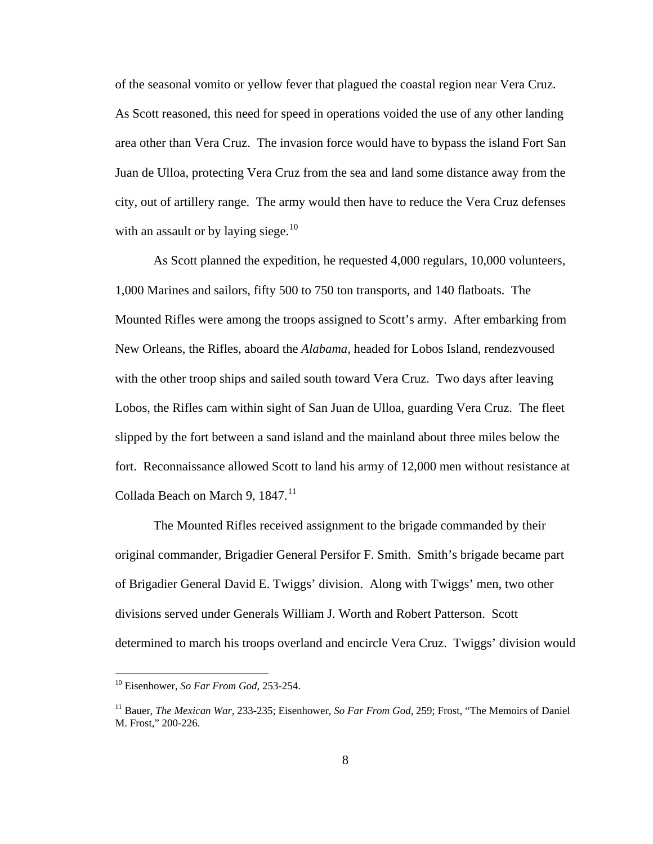of the seasonal vomito or yellow fever that plagued the coastal region near Vera Cruz. As Scott reasoned, this need for speed in operations voided the use of any other landing area other than Vera Cruz. The invasion force would have to bypass the island Fort San Juan de Ulloa, protecting Vera Cruz from the sea and land some distance away from the city, out of artillery range. The army would then have to reduce the Vera Cruz defenses with an assault or by laying siege.<sup>[10](#page-12-0)</sup>

 As Scott planned the expedition, he requested 4,000 regulars, 10,000 volunteers, 1,000 Marines and sailors, fifty 500 to 750 ton transports, and 140 flatboats. The Mounted Rifles were among the troops assigned to Scott's army. After embarking from New Orleans, the Rifles, aboard the *Alabama,* headed for Lobos Island, rendezvoused with the other troop ships and sailed south toward Vera Cruz. Two days after leaving Lobos, the Rifles cam within sight of San Juan de Ulloa, guarding Vera Cruz. The fleet slipped by the fort between a sand island and the mainland about three miles below the fort. Reconnaissance allowed Scott to land his army of 12,000 men without resistance at Collada Beach on March 9, 1847.<sup>[11](#page-12-1)</sup>

 The Mounted Rifles received assignment to the brigade commanded by their original commander, Brigadier General Persifor F. Smith. Smith's brigade became part of Brigadier General David E. Twiggs' division. Along with Twiggs' men, two other divisions served under Generals William J. Worth and Robert Patterson. Scott determined to march his troops overland and encircle Vera Cruz. Twiggs' division would

<span id="page-12-0"></span><sup>10</sup> Eisenhower, *So Far From God*, 253-254.

<span id="page-12-1"></span><sup>11</sup> Bauer, *The Mexican War*, 233-235; Eisenhower, *So Far From God*, 259; Frost, "The Memoirs of Daniel M. Frost," 200-226.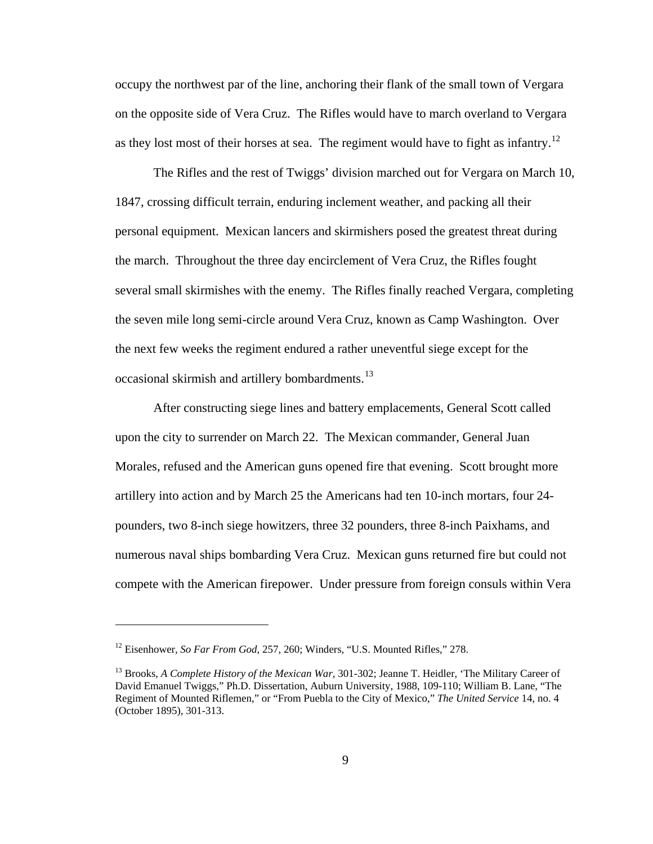occupy the northwest par of the line, anchoring their flank of the small town of Vergara on the opposite side of Vera Cruz. The Rifles would have to march overland to Vergara as they lost most of their horses at sea. The regiment would have to fight as infantry.<sup>[12](#page-13-0)</sup>

 The Rifles and the rest of Twiggs' division marched out for Vergara on March 10, 1847, crossing difficult terrain, enduring inclement weather, and packing all their personal equipment. Mexican lancers and skirmishers posed the greatest threat during the march. Throughout the three day encirclement of Vera Cruz, the Rifles fought several small skirmishes with the enemy. The Rifles finally reached Vergara, completing the seven mile long semi-circle around Vera Cruz, known as Camp Washington. Over the next few weeks the regiment endured a rather uneventful siege except for the occasional skirmish and artillery bombardments.<sup>[13](#page-13-1)</sup>

 After constructing siege lines and battery emplacements, General Scott called upon the city to surrender on March 22. The Mexican commander, General Juan Morales, refused and the American guns opened fire that evening. Scott brought more artillery into action and by March 25 the Americans had ten 10-inch mortars, four 24 pounders, two 8-inch siege howitzers, three 32 pounders, three 8-inch Paixhams, and numerous naval ships bombarding Vera Cruz. Mexican guns returned fire but could not compete with the American firepower. Under pressure from foreign consuls within Vera

<span id="page-13-0"></span><sup>&</sup>lt;sup>12</sup> Eisenhower, *So Far From God*, 257, 260; Winders, "U.S. Mounted Rifles," 278.

<span id="page-13-1"></span><sup>&</sup>lt;sup>13</sup> Brooks, *A Complete History of the Mexican War*, 301-302; Jeanne T. Heidler, 'The Military Career of David Emanuel Twiggs," Ph.D. Dissertation, Auburn University, 1988, 109-110; William B. Lane, "The Regiment of Mounted Riflemen," or "From Puebla to the City of Mexico," *The United Service* 14, no. 4 (October 1895), 301-313.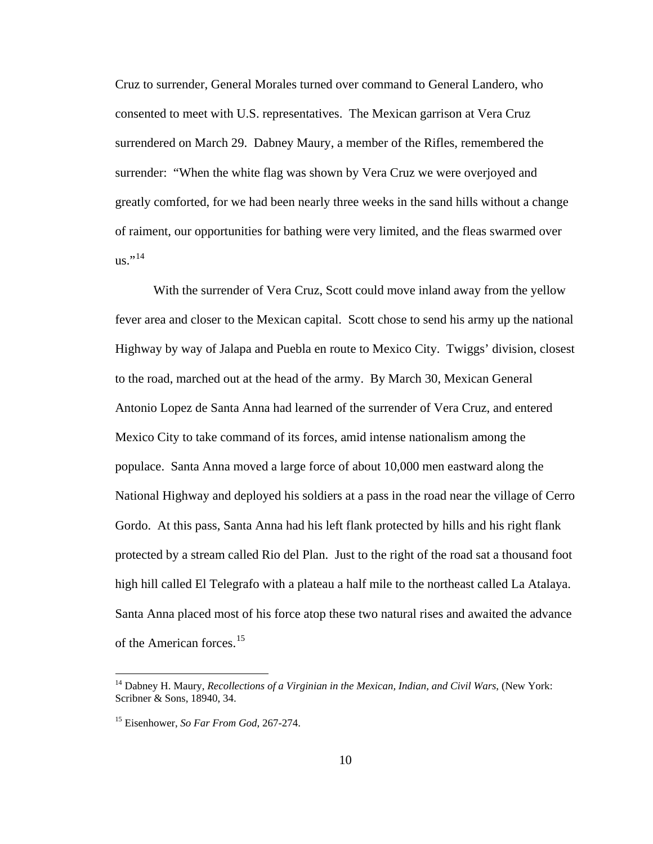Cruz to surrender, General Morales turned over command to General Landero, who consented to meet with U.S. representatives. The Mexican garrison at Vera Cruz surrendered on March 29. Dabney Maury, a member of the Rifles, remembered the surrender: "When the white flag was shown by Vera Cruz we were overjoyed and greatly comforted, for we had been nearly three weeks in the sand hills without a change of raiment, our opportunities for bathing were very limited, and the fleas swarmed over  $us.^{"14}$  $us.^{"14}$  $us.^{"14}$ 

 With the surrender of Vera Cruz, Scott could move inland away from the yellow fever area and closer to the Mexican capital. Scott chose to send his army up the national Highway by way of Jalapa and Puebla en route to Mexico City. Twiggs' division, closest to the road, marched out at the head of the army. By March 30, Mexican General Antonio Lopez de Santa Anna had learned of the surrender of Vera Cruz, and entered Mexico City to take command of its forces, amid intense nationalism among the populace. Santa Anna moved a large force of about 10,000 men eastward along the National Highway and deployed his soldiers at a pass in the road near the village of Cerro Gordo. At this pass, Santa Anna had his left flank protected by hills and his right flank protected by a stream called Rio del Plan. Just to the right of the road sat a thousand foot high hill called El Telegrafo with a plateau a half mile to the northeast called La Atalaya. Santa Anna placed most of his force atop these two natural rises and awaited the advance of the American forces.<sup>[15](#page-14-1)</sup>

<span id="page-14-0"></span><sup>14</sup> Dabney H. Maury, *Recollections of a Virginian in the Mexican, Indian, and Civil Wars*, (New York: Scribner & Sons, 18940, 34.

<span id="page-14-1"></span><sup>15</sup> Eisenhower, *So Far From God*, 267-274.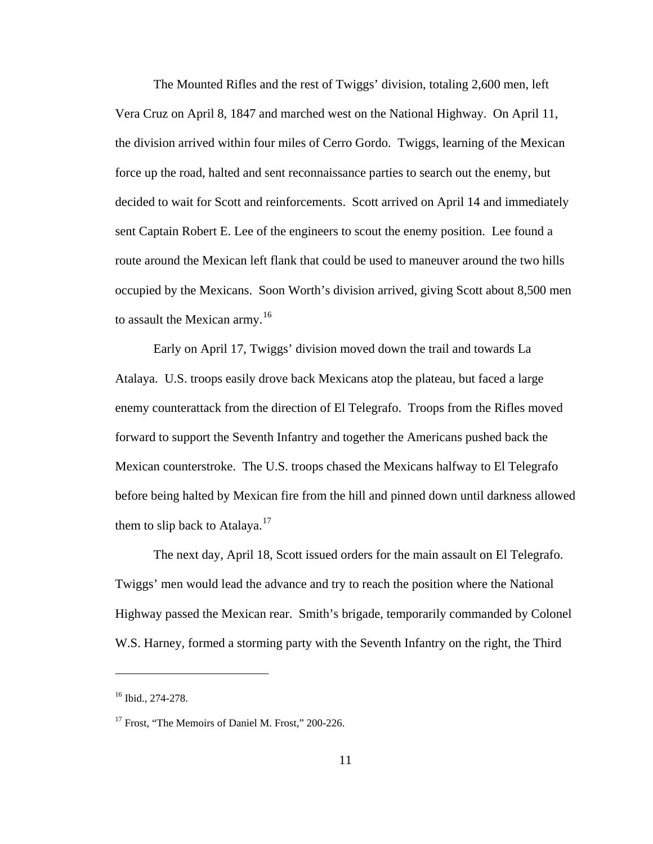The Mounted Rifles and the rest of Twiggs' division, totaling 2,600 men, left Vera Cruz on April 8, 1847 and marched west on the National Highway. On April 11, the division arrived within four miles of Cerro Gordo. Twiggs, learning of the Mexican force up the road, halted and sent reconnaissance parties to search out the enemy, but decided to wait for Scott and reinforcements. Scott arrived on April 14 and immediately sent Captain Robert E. Lee of the engineers to scout the enemy position. Lee found a route around the Mexican left flank that could be used to maneuver around the two hills occupied by the Mexicans. Soon Worth's division arrived, giving Scott about 8,500 men to assault the Mexican army.<sup>[16](#page-15-0)</sup>

 Early on April 17, Twiggs' division moved down the trail and towards La Atalaya. U.S. troops easily drove back Mexicans atop the plateau, but faced a large enemy counterattack from the direction of El Telegrafo. Troops from the Rifles moved forward to support the Seventh Infantry and together the Americans pushed back the Mexican counterstroke. The U.S. troops chased the Mexicans halfway to El Telegrafo before being halted by Mexican fire from the hill and pinned down until darkness allowed them to slip back to Atalaya.<sup>[17](#page-15-1)</sup>

 The next day, April 18, Scott issued orders for the main assault on El Telegrafo. Twiggs' men would lead the advance and try to reach the position where the National Highway passed the Mexican rear. Smith's brigade, temporarily commanded by Colonel W.S. Harney, formed a storming party with the Seventh Infantry on the right, the Third

<span id="page-15-0"></span><sup>16</sup> Ibid., 274-278.

<span id="page-15-1"></span><sup>&</sup>lt;sup>17</sup> Frost, "The Memoirs of Daniel M. Frost," 200-226.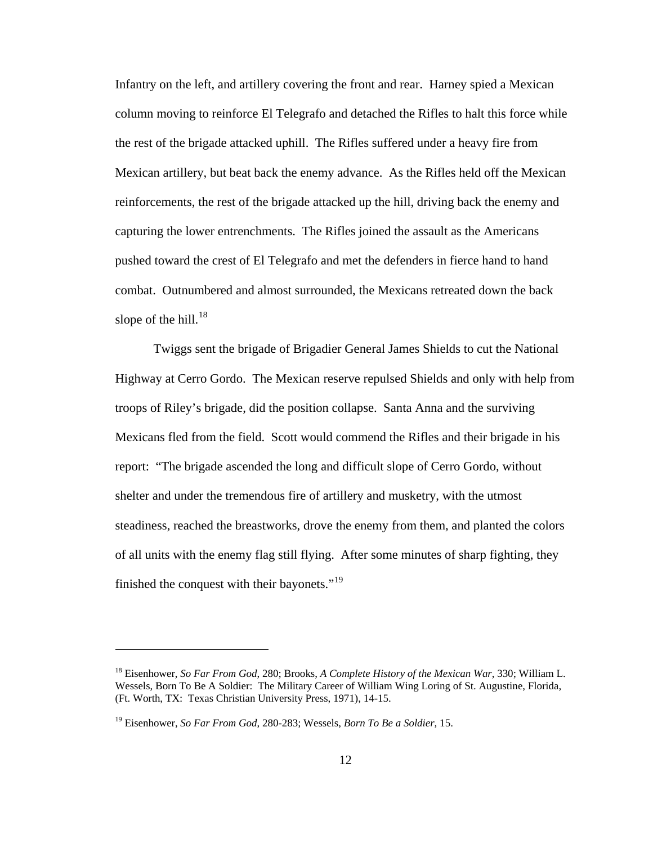Infantry on the left, and artillery covering the front and rear. Harney spied a Mexican column moving to reinforce El Telegrafo and detached the Rifles to halt this force while the rest of the brigade attacked uphill. The Rifles suffered under a heavy fire from Mexican artillery, but beat back the enemy advance. As the Rifles held off the Mexican reinforcements, the rest of the brigade attacked up the hill, driving back the enemy and capturing the lower entrenchments. The Rifles joined the assault as the Americans pushed toward the crest of El Telegrafo and met the defenders in fierce hand to hand combat. Outnumbered and almost surrounded, the Mexicans retreated down the back slope of the hill. $^{18}$  $^{18}$  $^{18}$ 

 Twiggs sent the brigade of Brigadier General James Shields to cut the National Highway at Cerro Gordo. The Mexican reserve repulsed Shields and only with help from troops of Riley's brigade, did the position collapse. Santa Anna and the surviving Mexicans fled from the field. Scott would commend the Rifles and their brigade in his report: "The brigade ascended the long and difficult slope of Cerro Gordo, without shelter and under the tremendous fire of artillery and musketry, with the utmost steadiness, reached the breastworks, drove the enemy from them, and planted the colors of all units with the enemy flag still flying. After some minutes of sharp fighting, they finished the conquest with their bayonets."<sup>[19](#page-16-1)</sup>

<span id="page-16-0"></span><sup>18</sup> Eisenhower, *So Far From God*, 280; Brooks, *A Complete History of the Mexican War*, 330; William L. Wessels, Born To Be A Soldier: The Military Career of William Wing Loring of St. Augustine, Florida, (Ft. Worth, TX: Texas Christian University Press, 1971), 14-15.

<span id="page-16-1"></span><sup>19</sup> Eisenhower, *So Far From God*, 280-283; Wessels, *Born To Be a Soldier*, 15.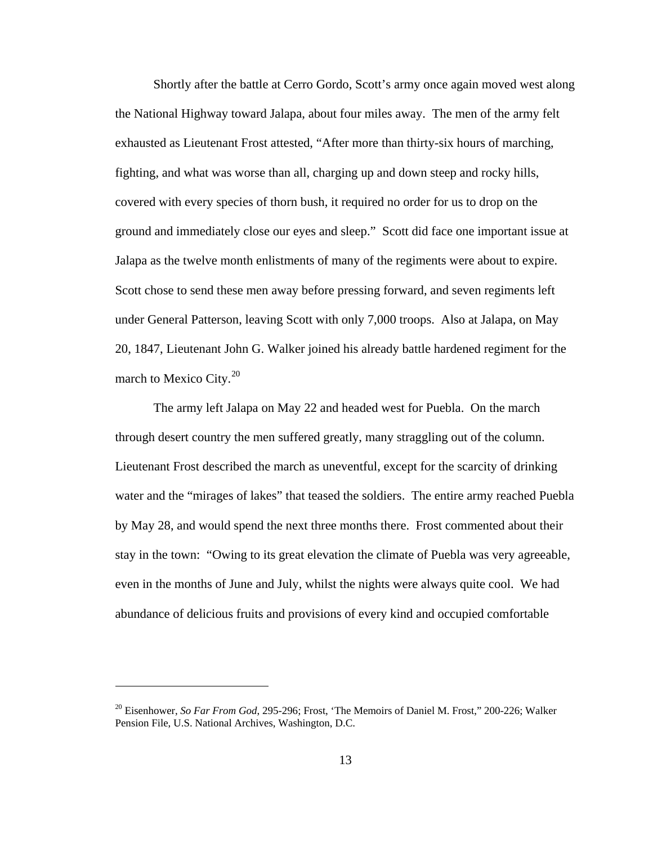Shortly after the battle at Cerro Gordo, Scott's army once again moved west along the National Highway toward Jalapa, about four miles away. The men of the army felt exhausted as Lieutenant Frost attested, "After more than thirty-six hours of marching, fighting, and what was worse than all, charging up and down steep and rocky hills, covered with every species of thorn bush, it required no order for us to drop on the ground and immediately close our eyes and sleep." Scott did face one important issue at Jalapa as the twelve month enlistments of many of the regiments were about to expire. Scott chose to send these men away before pressing forward, and seven regiments left under General Patterson, leaving Scott with only 7,000 troops. Also at Jalapa, on May 20, 1847, Lieutenant John G. Walker joined his already battle hardened regiment for the march to Mexico City.<sup>[20](#page-17-0)</sup>

 The army left Jalapa on May 22 and headed west for Puebla. On the march through desert country the men suffered greatly, many straggling out of the column. Lieutenant Frost described the march as uneventful, except for the scarcity of drinking water and the "mirages of lakes" that teased the soldiers. The entire army reached Puebla by May 28, and would spend the next three months there. Frost commented about their stay in the town: "Owing to its great elevation the climate of Puebla was very agreeable, even in the months of June and July, whilst the nights were always quite cool. We had abundance of delicious fruits and provisions of every kind and occupied comfortable

<span id="page-17-0"></span><sup>20</sup> Eisenhower, *So Far From God*, 295-296; Frost, 'The Memoirs of Daniel M. Frost," 200-226; Walker Pension File, U.S. National Archives, Washington, D.C.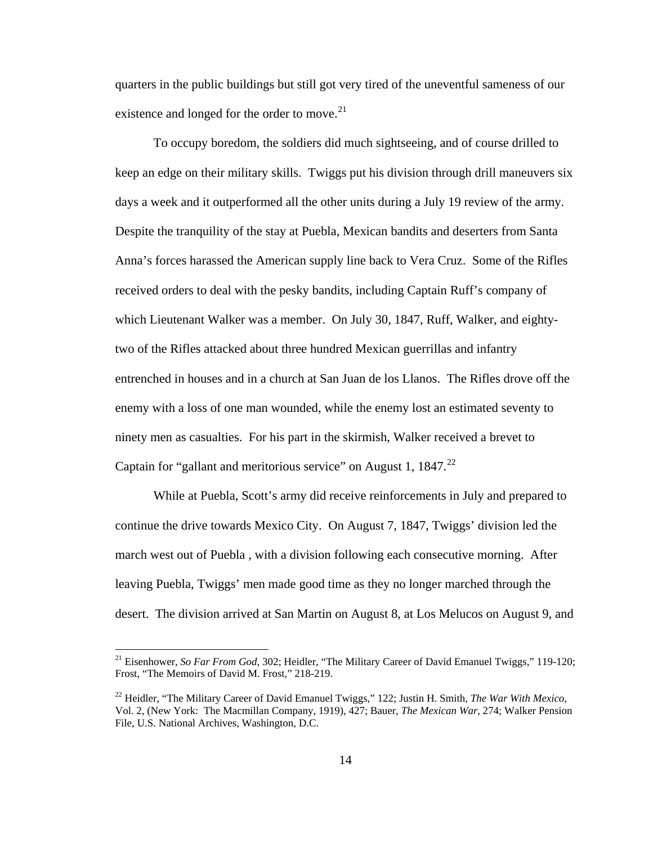quarters in the public buildings but still got very tired of the uneventful sameness of our existence and longed for the order to move.<sup>[21](#page-18-0)</sup>

 To occupy boredom, the soldiers did much sightseeing, and of course drilled to keep an edge on their military skills. Twiggs put his division through drill maneuvers six days a week and it outperformed all the other units during a July 19 review of the army. Despite the tranquility of the stay at Puebla, Mexican bandits and deserters from Santa Anna's forces harassed the American supply line back to Vera Cruz. Some of the Rifles received orders to deal with the pesky bandits, including Captain Ruff's company of which Lieutenant Walker was a member. On July 30, 1847, Ruff, Walker, and eightytwo of the Rifles attacked about three hundred Mexican guerrillas and infantry entrenched in houses and in a church at San Juan de los Llanos. The Rifles drove off the enemy with a loss of one man wounded, while the enemy lost an estimated seventy to ninety men as casualties. For his part in the skirmish, Walker received a brevet to Captain for "gallant and meritorious service" on August 1,  $1847.<sup>22</sup>$  $1847.<sup>22</sup>$  $1847.<sup>22</sup>$ 

 While at Puebla, Scott's army did receive reinforcements in July and prepared to continue the drive towards Mexico City. On August 7, 1847, Twiggs' division led the march west out of Puebla , with a division following each consecutive morning. After leaving Puebla, Twiggs' men made good time as they no longer marched through the desert. The division arrived at San Martin on August 8, at Los Melucos on August 9, and

<span id="page-18-0"></span><sup>21</sup> Eisenhower, *So Far From God*, 302; Heidler, "The Military Career of David Emanuel Twiggs," 119-120; Frost, "The Memoirs of David M. Frost," 218-219.

<span id="page-18-1"></span><sup>22</sup> Heidler, "The Military Career of David Emanuel Twiggs," 122; Justin H. Smith, *The War With Mexico*, Vol. 2, (New York: The Macmillan Company, 1919), 427; Bauer, *The Mexican War*, 274; Walker Pension File, U.S. National Archives, Washington, D.C.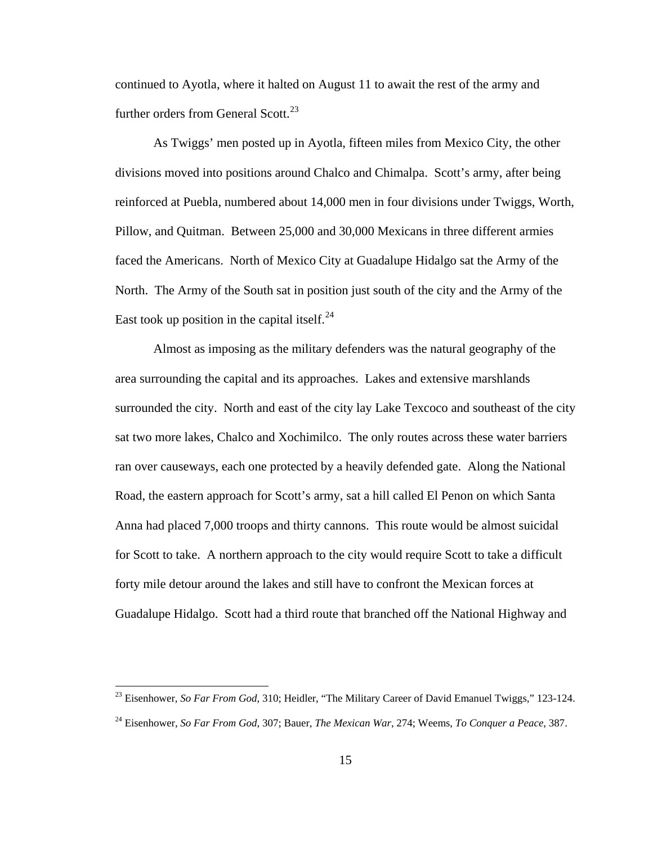continued to Ayotla, where it halted on August 11 to await the rest of the army and further orders from General Scott.<sup>[23](#page-19-0)</sup>

 As Twiggs' men posted up in Ayotla, fifteen miles from Mexico City, the other divisions moved into positions around Chalco and Chimalpa. Scott's army, after being reinforced at Puebla, numbered about 14,000 men in four divisions under Twiggs, Worth, Pillow, and Quitman. Between 25,000 and 30,000 Mexicans in three different armies faced the Americans. North of Mexico City at Guadalupe Hidalgo sat the Army of the North. The Army of the South sat in position just south of the city and the Army of the East took up position in the capital itself. $^{24}$  $^{24}$  $^{24}$ 

 Almost as imposing as the military defenders was the natural geography of the area surrounding the capital and its approaches. Lakes and extensive marshlands surrounded the city. North and east of the city lay Lake Texcoco and southeast of the city sat two more lakes, Chalco and Xochimilco. The only routes across these water barriers ran over causeways, each one protected by a heavily defended gate. Along the National Road, the eastern approach for Scott's army, sat a hill called El Penon on which Santa Anna had placed 7,000 troops and thirty cannons. This route would be almost suicidal for Scott to take. A northern approach to the city would require Scott to take a difficult forty mile detour around the lakes and still have to confront the Mexican forces at Guadalupe Hidalgo. Scott had a third route that branched off the National Highway and

<span id="page-19-0"></span><sup>&</sup>lt;sup>23</sup> Eisenhower, *So Far From God*, 310; Heidler, "The Military Career of David Emanuel Twiggs," 123-124.

<span id="page-19-1"></span><sup>24</sup> Eisenhower, *So Far From God*, 307; Bauer, *The Mexican War*, 274; Weems, *To Conquer a Peace*, 387.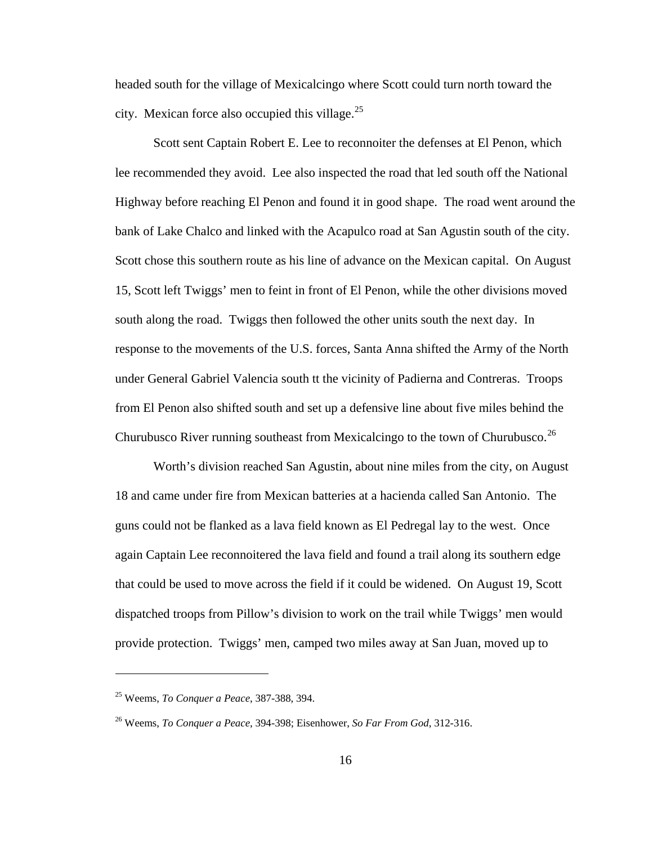headed south for the village of Mexicalcingo where Scott could turn north toward the city. Mexican force also occupied this village. $^{25}$  $^{25}$  $^{25}$ 

 Scott sent Captain Robert E. Lee to reconnoiter the defenses at El Penon, which lee recommended they avoid. Lee also inspected the road that led south off the National Highway before reaching El Penon and found it in good shape. The road went around the bank of Lake Chalco and linked with the Acapulco road at San Agustin south of the city. Scott chose this southern route as his line of advance on the Mexican capital. On August 15, Scott left Twiggs' men to feint in front of El Penon, while the other divisions moved south along the road. Twiggs then followed the other units south the next day. In response to the movements of the U.S. forces, Santa Anna shifted the Army of the North under General Gabriel Valencia south tt the vicinity of Padierna and Contreras. Troops from El Penon also shifted south and set up a defensive line about five miles behind the Churubusco River running southeast from Mexicalcingo to the town of Churubusco.<sup>[26](#page-20-1)</sup>

 Worth's division reached San Agustin, about nine miles from the city, on August 18 and came under fire from Mexican batteries at a hacienda called San Antonio. The guns could not be flanked as a lava field known as El Pedregal lay to the west. Once again Captain Lee reconnoitered the lava field and found a trail along its southern edge that could be used to move across the field if it could be widened. On August 19, Scott dispatched troops from Pillow's division to work on the trail while Twiggs' men would provide protection. Twiggs' men, camped two miles away at San Juan, moved up to

<span id="page-20-0"></span><sup>25</sup> Weems, *To Conquer a Peace*, 387-388, 394.

<span id="page-20-1"></span><sup>26</sup> Weems, *To Conquer a Peace*, 394-398; Eisenhower, *So Far From God*, 312-316.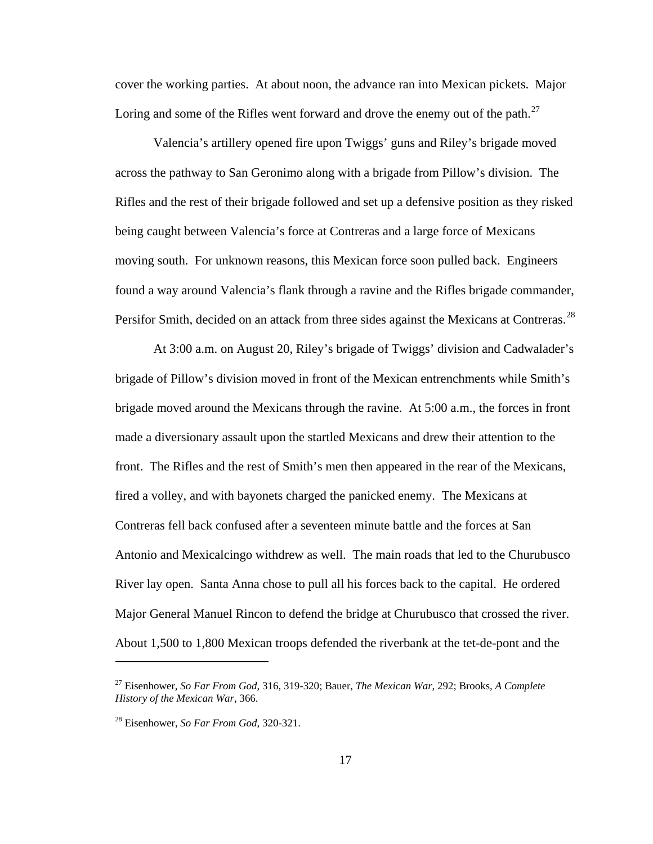cover the working parties. At about noon, the advance ran into Mexican pickets. Major Loring and some of the Rifles went forward and drove the enemy out of the path.<sup>[27](#page-21-0)</sup>

 Valencia's artillery opened fire upon Twiggs' guns and Riley's brigade moved across the pathway to San Geronimo along with a brigade from Pillow's division. The Rifles and the rest of their brigade followed and set up a defensive position as they risked being caught between Valencia's force at Contreras and a large force of Mexicans moving south. For unknown reasons, this Mexican force soon pulled back. Engineers found a way around Valencia's flank through a ravine and the Rifles brigade commander, Persifor Smith, decided on an attack from three sides against the Mexicans at Contreras.<sup>[28](#page-21-1)</sup>

 At 3:00 a.m. on August 20, Riley's brigade of Twiggs' division and Cadwalader's brigade of Pillow's division moved in front of the Mexican entrenchments while Smith's brigade moved around the Mexicans through the ravine. At 5:00 a.m., the forces in front made a diversionary assault upon the startled Mexicans and drew their attention to the front. The Rifles and the rest of Smith's men then appeared in the rear of the Mexicans, fired a volley, and with bayonets charged the panicked enemy. The Mexicans at Contreras fell back confused after a seventeen minute battle and the forces at San Antonio and Mexicalcingo withdrew as well. The main roads that led to the Churubusco River lay open. Santa Anna chose to pull all his forces back to the capital. He ordered Major General Manuel Rincon to defend the bridge at Churubusco that crossed the river. About 1,500 to 1,800 Mexican troops defended the riverbank at the tet-de-pont and the

<span id="page-21-0"></span><sup>27</sup> Eisenhower, *So Far From God*, 316, 319-320; Bauer, *The Mexican War*, 292; Brooks, *A Complete History of the Mexican War*, 366.

<span id="page-21-1"></span><sup>28</sup> Eisenhower, *So Far From God*, 320-321.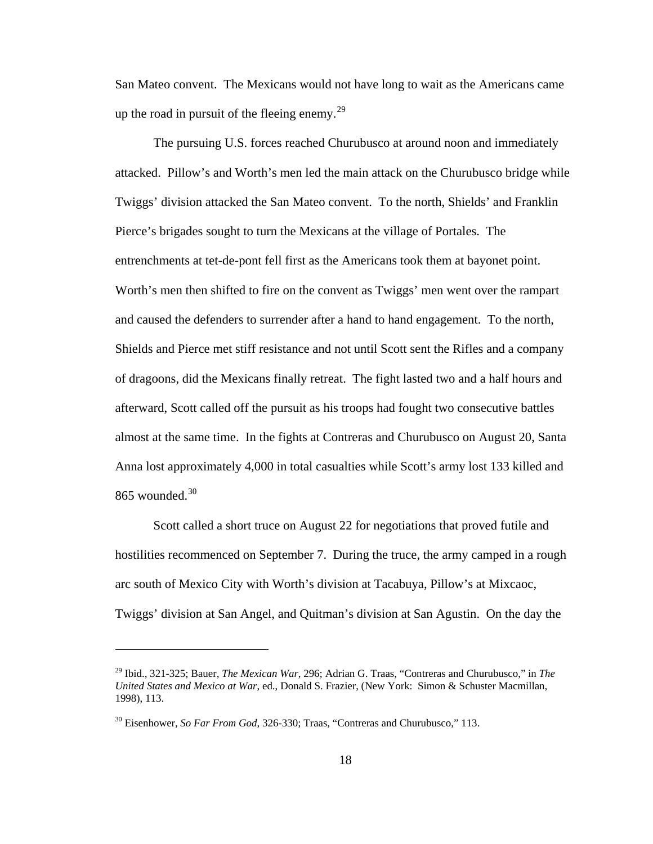San Mateo convent. The Mexicans would not have long to wait as the Americans came up the road in pursuit of the fleeing enemy. $^{29}$  $^{29}$  $^{29}$ 

 The pursuing U.S. forces reached Churubusco at around noon and immediately attacked. Pillow's and Worth's men led the main attack on the Churubusco bridge while Twiggs' division attacked the San Mateo convent. To the north, Shields' and Franklin Pierce's brigades sought to turn the Mexicans at the village of Portales. The entrenchments at tet-de-pont fell first as the Americans took them at bayonet point. Worth's men then shifted to fire on the convent as Twiggs' men went over the rampart and caused the defenders to surrender after a hand to hand engagement. To the north, Shields and Pierce met stiff resistance and not until Scott sent the Rifles and a company of dragoons, did the Mexicans finally retreat. The fight lasted two and a half hours and afterward, Scott called off the pursuit as his troops had fought two consecutive battles almost at the same time. In the fights at Contreras and Churubusco on August 20, Santa Anna lost approximately 4,000 in total casualties while Scott's army lost 133 killed and  $865$  wounded.<sup>[30](#page-22-1)</sup>

 Scott called a short truce on August 22 for negotiations that proved futile and hostilities recommenced on September 7. During the truce, the army camped in a rough arc south of Mexico City with Worth's division at Tacabuya, Pillow's at Mixcaoc, Twiggs' division at San Angel, and Quitman's division at San Agustin. On the day the

<span id="page-22-0"></span><sup>29</sup> Ibid., 321-325; Bauer, *The Mexican War*, 296; Adrian G. Traas, "Contreras and Churubusco," in *The United States and Mexico at War*, ed., Donald S. Frazier, (New York: Simon & Schuster Macmillan, 1998), 113.

<span id="page-22-1"></span><sup>30</sup> Eisenhower, *So Far From God*, 326-330; Traas, "Contreras and Churubusco," 113.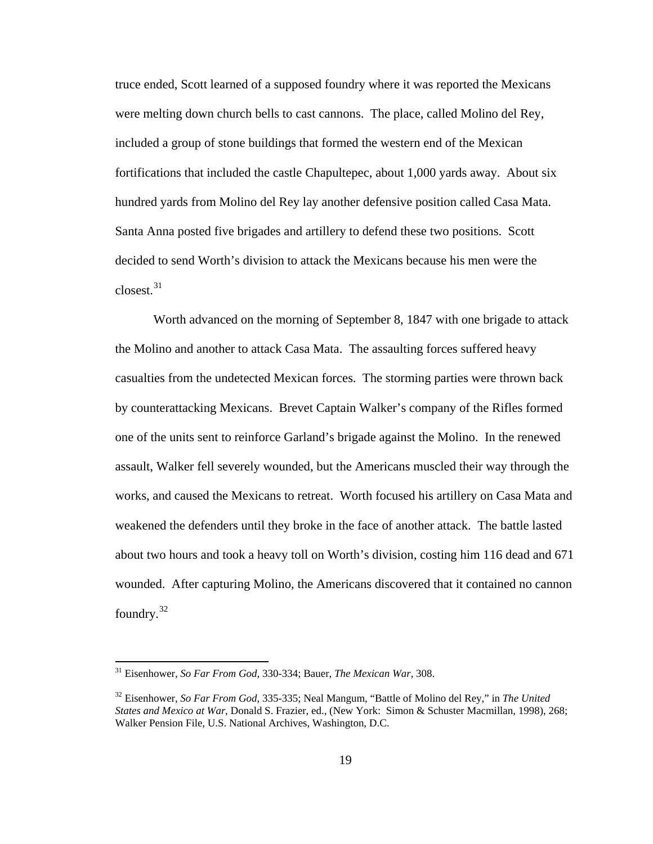truce ended, Scott learned of a supposed foundry where it was reported the Mexicans were melting down church bells to cast cannons. The place, called Molino del Rey, included a group of stone buildings that formed the western end of the Mexican fortifications that included the castle Chapultepec, about 1,000 yards away. About six hundred yards from Molino del Rey lay another defensive position called Casa Mata. Santa Anna posted five brigades and artillery to defend these two positions. Scott decided to send Worth's division to attack the Mexicans because his men were the closest.[31](#page-23-0)

 Worth advanced on the morning of September 8, 1847 with one brigade to attack the Molino and another to attack Casa Mata. The assaulting forces suffered heavy casualties from the undetected Mexican forces. The storming parties were thrown back by counterattacking Mexicans. Brevet Captain Walker's company of the Rifles formed one of the units sent to reinforce Garland's brigade against the Molino. In the renewed assault, Walker fell severely wounded, but the Americans muscled their way through the works, and caused the Mexicans to retreat. Worth focused his artillery on Casa Mata and weakened the defenders until they broke in the face of another attack. The battle lasted about two hours and took a heavy toll on Worth's division, costing him 116 dead and 671 wounded. After capturing Molino, the Americans discovered that it contained no cannon foundry.[32](#page-23-1)

<span id="page-23-0"></span><sup>31</sup> Eisenhower, *So Far From God*, 330-334; Bauer, *The Mexican War*, 308.

<span id="page-23-1"></span><sup>32</sup> Eisenhower, *So Far From God*, 335-335; Neal Mangum, "Battle of Molino del Rey," in *The United States and Mexico at War*, Donald S. Frazier, ed., (New York: Simon & Schuster Macmillan, 1998), 268; Walker Pension File, U.S. National Archives, Washington, D.C.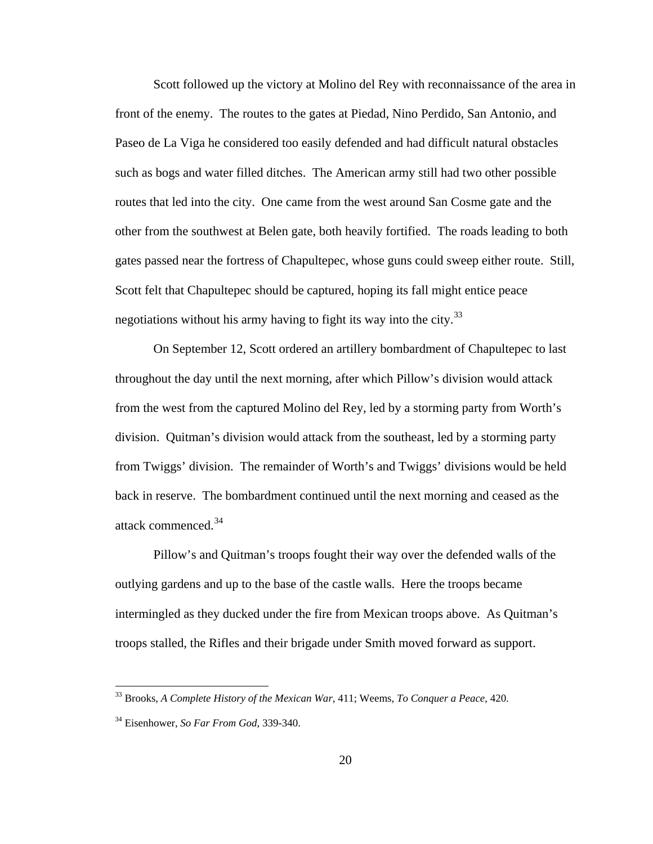Scott followed up the victory at Molino del Rey with reconnaissance of the area in front of the enemy. The routes to the gates at Piedad, Nino Perdido, San Antonio, and Paseo de La Viga he considered too easily defended and had difficult natural obstacles such as bogs and water filled ditches. The American army still had two other possible routes that led into the city. One came from the west around San Cosme gate and the other from the southwest at Belen gate, both heavily fortified. The roads leading to both gates passed near the fortress of Chapultepec, whose guns could sweep either route. Still, Scott felt that Chapultepec should be captured, hoping its fall might entice peace negotiations without his army having to fight its way into the city.<sup>[33](#page-24-0)</sup>

 On September 12, Scott ordered an artillery bombardment of Chapultepec to last throughout the day until the next morning, after which Pillow's division would attack from the west from the captured Molino del Rey, led by a storming party from Worth's division. Quitman's division would attack from the southeast, led by a storming party from Twiggs' division. The remainder of Worth's and Twiggs' divisions would be held back in reserve. The bombardment continued until the next morning and ceased as the attack commenced.<sup>[34](#page-24-1)</sup>

 Pillow's and Quitman's troops fought their way over the defended walls of the outlying gardens and up to the base of the castle walls. Here the troops became intermingled as they ducked under the fire from Mexican troops above. As Quitman's troops stalled, the Rifles and their brigade under Smith moved forward as support.

<span id="page-24-0"></span><sup>33</sup> Brooks, *A Complete History of the Mexican War*, 411; Weems, *To Conquer a Peace*, 420.

<span id="page-24-1"></span><sup>34</sup> Eisenhower, *So Far From God*, 339-340.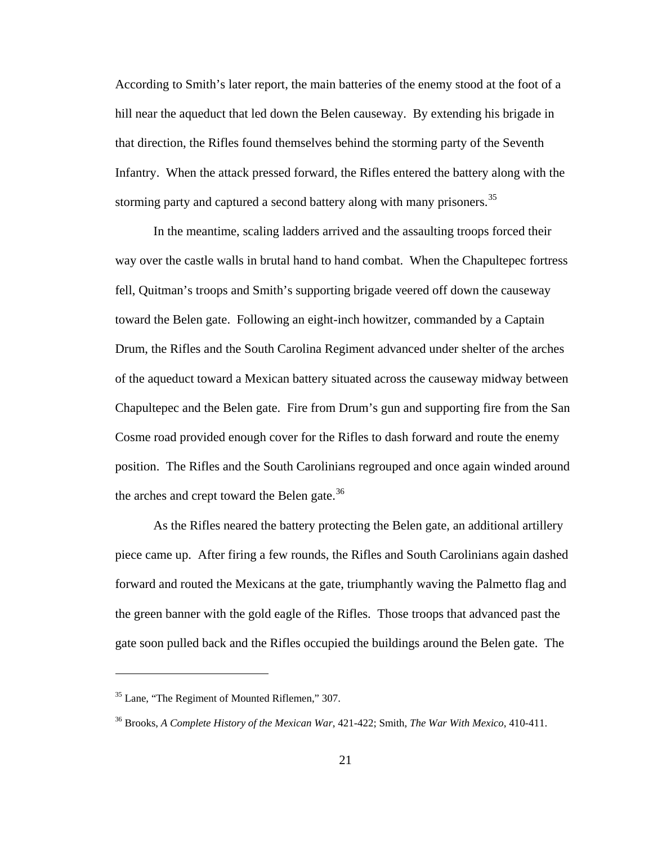According to Smith's later report, the main batteries of the enemy stood at the foot of a hill near the aqueduct that led down the Belen causeway. By extending his brigade in that direction, the Rifles found themselves behind the storming party of the Seventh Infantry. When the attack pressed forward, the Rifles entered the battery along with the storming party and captured a second battery along with many prisoners.<sup>[35](#page-25-0)</sup>

 In the meantime, scaling ladders arrived and the assaulting troops forced their way over the castle walls in brutal hand to hand combat. When the Chapultepec fortress fell, Quitman's troops and Smith's supporting brigade veered off down the causeway toward the Belen gate. Following an eight-inch howitzer, commanded by a Captain Drum, the Rifles and the South Carolina Regiment advanced under shelter of the arches of the aqueduct toward a Mexican battery situated across the causeway midway between Chapultepec and the Belen gate. Fire from Drum's gun and supporting fire from the San Cosme road provided enough cover for the Rifles to dash forward and route the enemy position. The Rifles and the South Carolinians regrouped and once again winded around the arches and crept toward the Belen gate.<sup>[36](#page-25-1)</sup>

 As the Rifles neared the battery protecting the Belen gate, an additional artillery piece came up. After firing a few rounds, the Rifles and South Carolinians again dashed forward and routed the Mexicans at the gate, triumphantly waving the Palmetto flag and the green banner with the gold eagle of the Rifles. Those troops that advanced past the gate soon pulled back and the Rifles occupied the buildings around the Belen gate. The

<span id="page-25-0"></span><sup>&</sup>lt;sup>35</sup> Lane, "The Regiment of Mounted Riflemen," 307.

<span id="page-25-1"></span><sup>36</sup> Brooks, *A Complete History of the Mexican War*, 421-422; Smith, *The War With Mexico*, 410-411.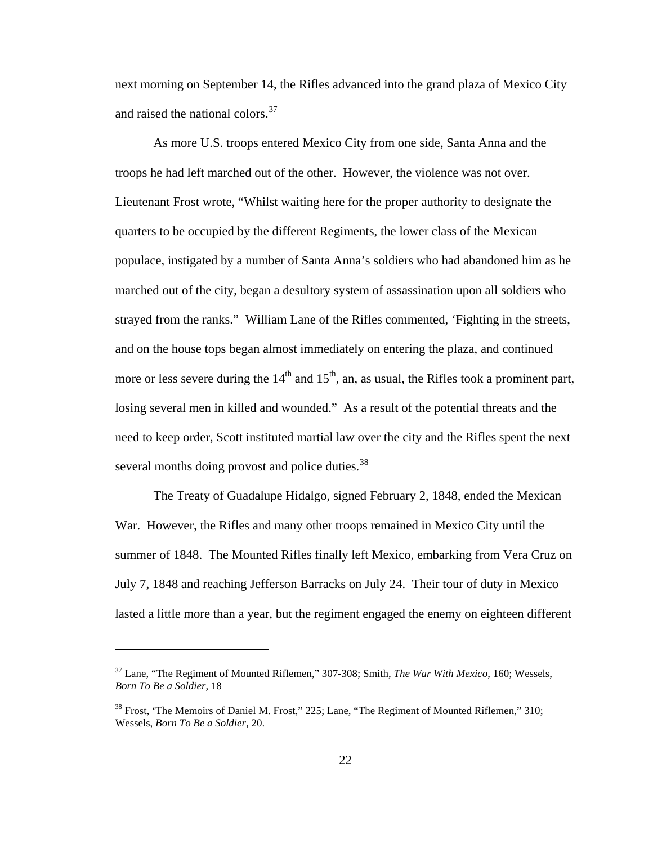next morning on September 14, the Rifles advanced into the grand plaza of Mexico City and raised the national colors.<sup>[37](#page-26-0)</sup>

 As more U.S. troops entered Mexico City from one side, Santa Anna and the troops he had left marched out of the other. However, the violence was not over. Lieutenant Frost wrote, "Whilst waiting here for the proper authority to designate the quarters to be occupied by the different Regiments, the lower class of the Mexican populace, instigated by a number of Santa Anna's soldiers who had abandoned him as he marched out of the city, began a desultory system of assassination upon all soldiers who strayed from the ranks." William Lane of the Rifles commented, 'Fighting in the streets, and on the house tops began almost immediately on entering the plaza, and continued more or less severe during the  $14<sup>th</sup>$  and  $15<sup>th</sup>$ , an, as usual, the Rifles took a prominent part, losing several men in killed and wounded." As a result of the potential threats and the need to keep order, Scott instituted martial law over the city and the Rifles spent the next several months doing provost and police duties.<sup>[38](#page-26-1)</sup>

 The Treaty of Guadalupe Hidalgo, signed February 2, 1848, ended the Mexican War. However, the Rifles and many other troops remained in Mexico City until the summer of 1848. The Mounted Rifles finally left Mexico, embarking from Vera Cruz on July 7, 1848 and reaching Jefferson Barracks on July 24. Their tour of duty in Mexico lasted a little more than a year, but the regiment engaged the enemy on eighteen different

<span id="page-26-0"></span><sup>37</sup> Lane, "The Regiment of Mounted Riflemen," 307-308; Smith, *The War With Mexico*, 160; Wessels, *Born To Be a Soldier*, 18

<span id="page-26-1"></span> $38$  Frost, 'The Memoirs of Daniel M. Frost," 225; Lane, "The Regiment of Mounted Riflemen," 310; Wessels, *Born To Be a Soldier*, 20.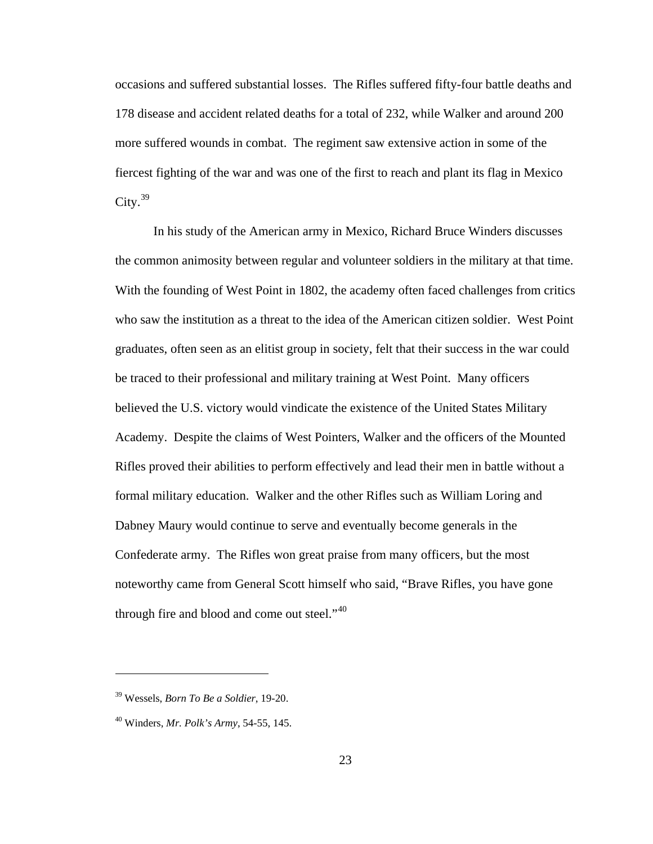occasions and suffered substantial losses. The Rifles suffered fifty-four battle deaths and 178 disease and accident related deaths for a total of 232, while Walker and around 200 more suffered wounds in combat. The regiment saw extensive action in some of the fiercest fighting of the war and was one of the first to reach and plant its flag in Mexico  $City.<sup>39</sup>$  $City.<sup>39</sup>$  $City.<sup>39</sup>$ 

 In his study of the American army in Mexico, Richard Bruce Winders discusses the common animosity between regular and volunteer soldiers in the military at that time. With the founding of West Point in 1802, the academy often faced challenges from critics who saw the institution as a threat to the idea of the American citizen soldier. West Point graduates, often seen as an elitist group in society, felt that their success in the war could be traced to their professional and military training at West Point. Many officers believed the U.S. victory would vindicate the existence of the United States Military Academy. Despite the claims of West Pointers, Walker and the officers of the Mounted Rifles proved their abilities to perform effectively and lead their men in battle without a formal military education. Walker and the other Rifles such as William Loring and Dabney Maury would continue to serve and eventually become generals in the Confederate army. The Rifles won great praise from many officers, but the most noteworthy came from General Scott himself who said, "Brave Rifles, you have gone through fire and blood and come out steel." $40$ 

<span id="page-27-0"></span><sup>39</sup> Wessels, *Born To Be a Soldier*, 19-20.

<span id="page-27-1"></span><sup>40</sup> Winders, *Mr. Polk's Army*, 54-55, 145.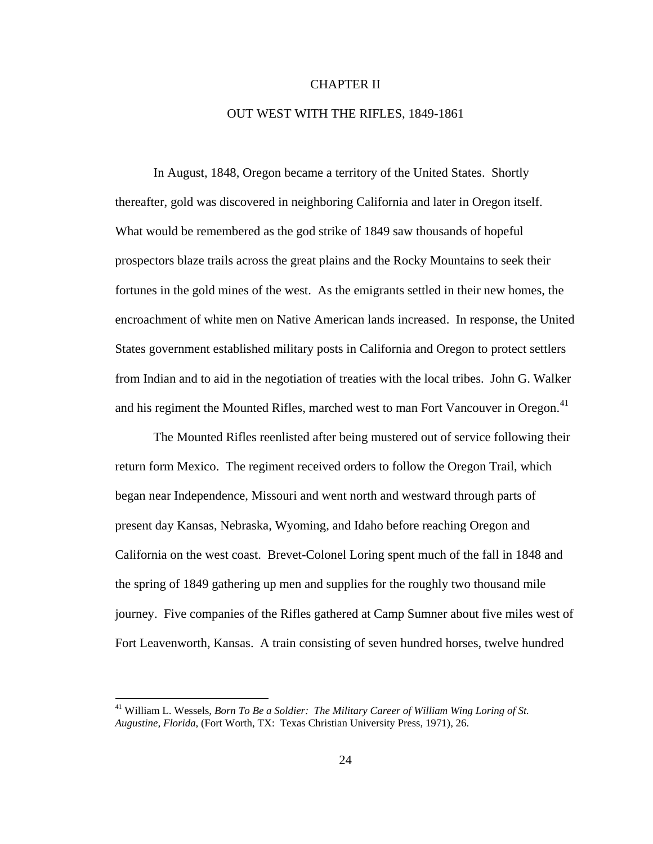### CHAPTER II

### OUT WEST WITH THE RIFLES, 1849-1861

In August, 1848, Oregon became a territory of the United States. Shortly thereafter, gold was discovered in neighboring California and later in Oregon itself. What would be remembered as the god strike of 1849 saw thousands of hopeful prospectors blaze trails across the great plains and the Rocky Mountains to seek their fortunes in the gold mines of the west. As the emigrants settled in their new homes, the encroachment of white men on Native American lands increased. In response, the United States government established military posts in California and Oregon to protect settlers from Indian and to aid in the negotiation of treaties with the local tribes. John G. Walker and his regiment the Mounted Rifles, marched west to man Fort Vancouver in Oregon.<sup>[41](#page-28-0)</sup>

 The Mounted Rifles reenlisted after being mustered out of service following their return form Mexico. The regiment received orders to follow the Oregon Trail, which began near Independence, Missouri and went north and westward through parts of present day Kansas, Nebraska, Wyoming, and Idaho before reaching Oregon and California on the west coast. Brevet-Colonel Loring spent much of the fall in 1848 and the spring of 1849 gathering up men and supplies for the roughly two thousand mile journey. Five companies of the Rifles gathered at Camp Sumner about five miles west of Fort Leavenworth, Kansas. A train consisting of seven hundred horses, twelve hundred

<span id="page-28-0"></span><sup>41</sup> William L. Wessels, *Born To Be a Soldier: The Military Career of William Wing Loring of St. Augustine, Florida*, (Fort Worth, TX: Texas Christian University Press, 1971), 26.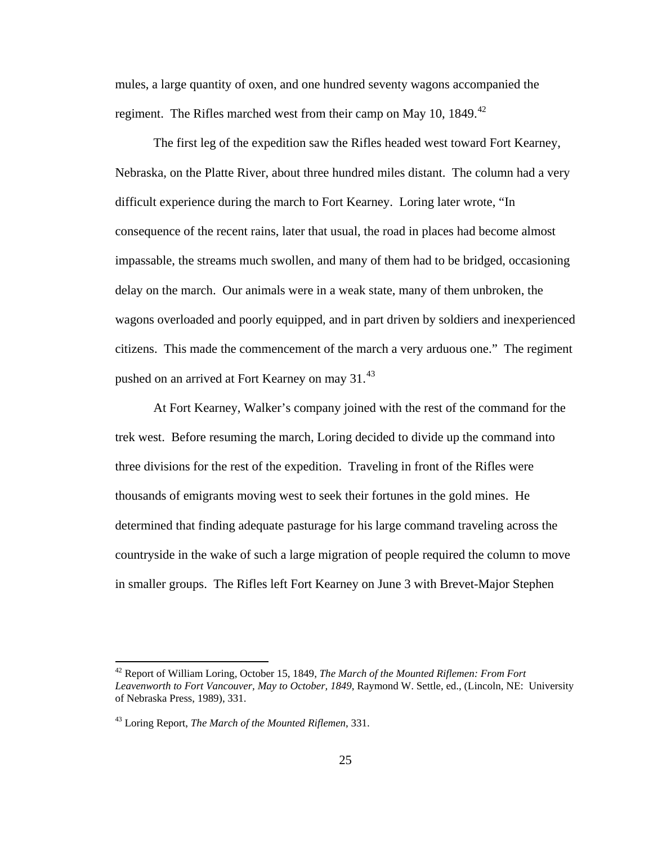mules, a large quantity of oxen, and one hundred seventy wagons accompanied the regiment. The Rifles marched west from their camp on May 10, 1849.<sup>[42](#page-29-0)</sup>

 The first leg of the expedition saw the Rifles headed west toward Fort Kearney, Nebraska, on the Platte River, about three hundred miles distant. The column had a very difficult experience during the march to Fort Kearney. Loring later wrote, "In consequence of the recent rains, later that usual, the road in places had become almost impassable, the streams much swollen, and many of them had to be bridged, occasioning delay on the march. Our animals were in a weak state, many of them unbroken, the wagons overloaded and poorly equipped, and in part driven by soldiers and inexperienced citizens. This made the commencement of the march a very arduous one." The regiment pushed on an arrived at Fort Kearney on may 31.<sup>[43](#page-29-1)</sup>

 At Fort Kearney, Walker's company joined with the rest of the command for the trek west. Before resuming the march, Loring decided to divide up the command into three divisions for the rest of the expedition. Traveling in front of the Rifles were thousands of emigrants moving west to seek their fortunes in the gold mines. He determined that finding adequate pasturage for his large command traveling across the countryside in the wake of such a large migration of people required the column to move in smaller groups. The Rifles left Fort Kearney on June 3 with Brevet-Major Stephen

<span id="page-29-0"></span><sup>42</sup> Report of William Loring, October 15, 1849, *The March of the Mounted Riflemen: From Fort Leavenworth to Fort Vancouver, May to October, 1849*, Raymond W. Settle, ed., (Lincoln, NE: University of Nebraska Press, 1989), 331.

<span id="page-29-1"></span><sup>43</sup> Loring Report, *The March of the Mounted Riflemen*, 331.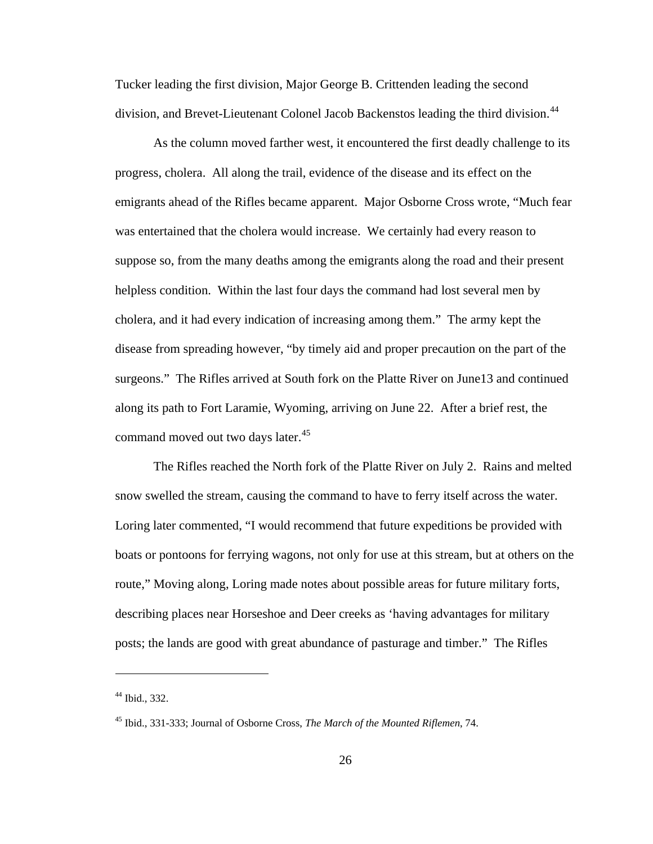Tucker leading the first division, Major George B. Crittenden leading the second division, and Brevet-Lieutenant Colonel Jacob Backenstos leading the third division.<sup>[44](#page-30-0)</sup>

 As the column moved farther west, it encountered the first deadly challenge to its progress, cholera. All along the trail, evidence of the disease and its effect on the emigrants ahead of the Rifles became apparent. Major Osborne Cross wrote, "Much fear was entertained that the cholera would increase. We certainly had every reason to suppose so, from the many deaths among the emigrants along the road and their present helpless condition. Within the last four days the command had lost several men by cholera, and it had every indication of increasing among them." The army kept the disease from spreading however, "by timely aid and proper precaution on the part of the surgeons." The Rifles arrived at South fork on the Platte River on June13 and continued along its path to Fort Laramie, Wyoming, arriving on June 22. After a brief rest, the command moved out two days later.<sup>[45](#page-30-1)</sup>

 The Rifles reached the North fork of the Platte River on July 2. Rains and melted snow swelled the stream, causing the command to have to ferry itself across the water. Loring later commented, "I would recommend that future expeditions be provided with boats or pontoons for ferrying wagons, not only for use at this stream, but at others on the route," Moving along, Loring made notes about possible areas for future military forts, describing places near Horseshoe and Deer creeks as 'having advantages for military posts; the lands are good with great abundance of pasturage and timber." The Rifles

<span id="page-30-0"></span><sup>44</sup> Ibid., 332.

<span id="page-30-1"></span><sup>45</sup> Ibid., 331-333; Journal of Osborne Cross, *The March of the Mounted Riflemen*, 74.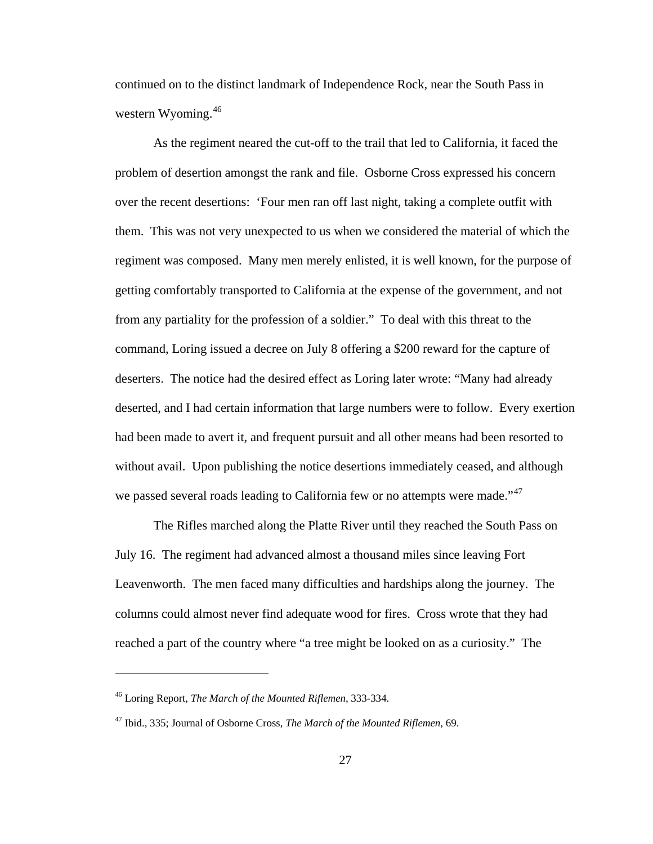continued on to the distinct landmark of Independence Rock, near the South Pass in western Wyoming.<sup>[46](#page-31-0)</sup>

 As the regiment neared the cut-off to the trail that led to California, it faced the problem of desertion amongst the rank and file. Osborne Cross expressed his concern over the recent desertions: 'Four men ran off last night, taking a complete outfit with them. This was not very unexpected to us when we considered the material of which the regiment was composed. Many men merely enlisted, it is well known, for the purpose of getting comfortably transported to California at the expense of the government, and not from any partiality for the profession of a soldier." To deal with this threat to the command, Loring issued a decree on July 8 offering a \$200 reward for the capture of deserters. The notice had the desired effect as Loring later wrote: "Many had already deserted, and I had certain information that large numbers were to follow. Every exertion had been made to avert it, and frequent pursuit and all other means had been resorted to without avail. Upon publishing the notice desertions immediately ceased, and although we passed several roads leading to California few or no attempts were made."<sup>[47](#page-31-1)</sup>

 The Rifles marched along the Platte River until they reached the South Pass on July 16. The regiment had advanced almost a thousand miles since leaving Fort Leavenworth. The men faced many difficulties and hardships along the journey. The columns could almost never find adequate wood for fires. Cross wrote that they had reached a part of the country where "a tree might be looked on as a curiosity." The

<span id="page-31-0"></span><sup>46</sup> Loring Report, *The March of the Mounted Riflemen*, 333-334.

<span id="page-31-1"></span><sup>47</sup> Ibid., 335; Journal of Osborne Cross, *The March of the Mounted Riflemen*, 69.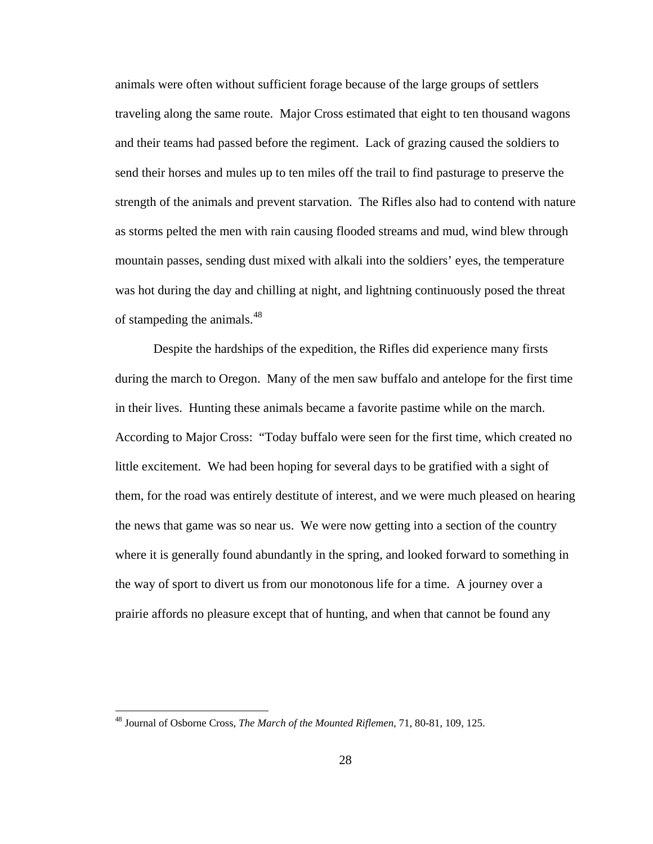animals were often without sufficient forage because of the large groups of settlers traveling along the same route. Major Cross estimated that eight to ten thousand wagons and their teams had passed before the regiment. Lack of grazing caused the soldiers to send their horses and mules up to ten miles off the trail to find pasturage to preserve the strength of the animals and prevent starvation. The Rifles also had to contend with nature as storms pelted the men with rain causing flooded streams and mud, wind blew through mountain passes, sending dust mixed with alkali into the soldiers' eyes, the temperature was hot during the day and chilling at night, and lightning continuously posed the threat of stampeding the animals.<sup>[48](#page-32-0)</sup>

 Despite the hardships of the expedition, the Rifles did experience many firsts during the march to Oregon. Many of the men saw buffalo and antelope for the first time in their lives. Hunting these animals became a favorite pastime while on the march. According to Major Cross: "Today buffalo were seen for the first time, which created no little excitement. We had been hoping for several days to be gratified with a sight of them, for the road was entirely destitute of interest, and we were much pleased on hearing the news that game was so near us. We were now getting into a section of the country where it is generally found abundantly in the spring, and looked forward to something in the way of sport to divert us from our monotonous life for a time. A journey over a prairie affords no pleasure except that of hunting, and when that cannot be found any

<span id="page-32-0"></span><sup>48</sup> Journal of Osborne Cross, *The March of the Mounted Riflemen*, 71, 80-81, 109, 125.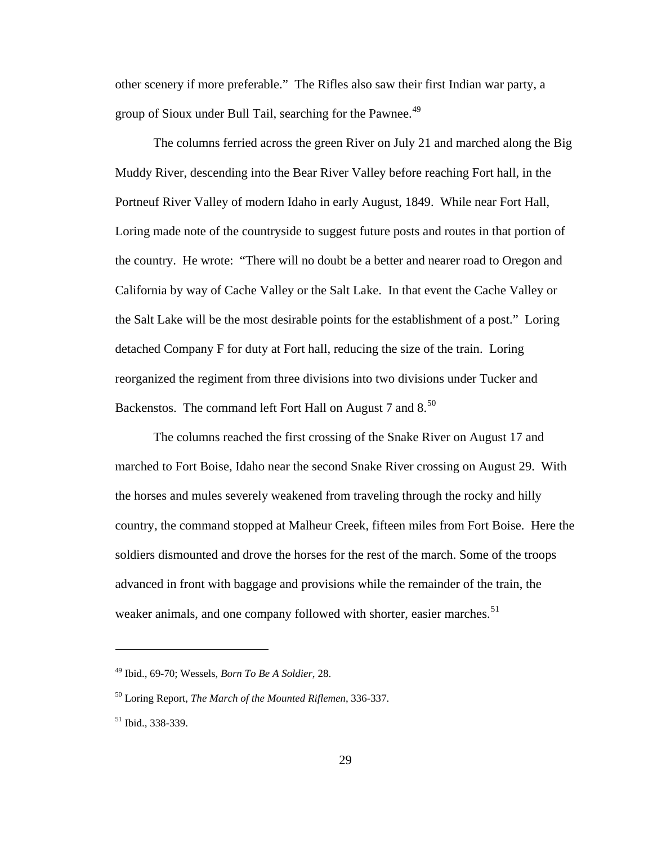other scenery if more preferable." The Rifles also saw their first Indian war party, a group of Sioux under Bull Tail, searching for the Pawnee.<sup>[49](#page-33-0)</sup>

 The columns ferried across the green River on July 21 and marched along the Big Muddy River, descending into the Bear River Valley before reaching Fort hall, in the Portneuf River Valley of modern Idaho in early August, 1849. While near Fort Hall, Loring made note of the countryside to suggest future posts and routes in that portion of the country. He wrote: "There will no doubt be a better and nearer road to Oregon and California by way of Cache Valley or the Salt Lake. In that event the Cache Valley or the Salt Lake will be the most desirable points for the establishment of a post." Loring detached Company F for duty at Fort hall, reducing the size of the train. Loring reorganized the regiment from three divisions into two divisions under Tucker and Backenstos. The command left Fort Hall on August 7 and  $8^{50}$  $8^{50}$  $8^{50}$ .

 The columns reached the first crossing of the Snake River on August 17 and marched to Fort Boise, Idaho near the second Snake River crossing on August 29. With the horses and mules severely weakened from traveling through the rocky and hilly country, the command stopped at Malheur Creek, fifteen miles from Fort Boise. Here the soldiers dismounted and drove the horses for the rest of the march. Some of the troops advanced in front with baggage and provisions while the remainder of the train, the weaker animals, and one company followed with shorter, easier marches.<sup>[51](#page-33-2)</sup>

<span id="page-33-0"></span><sup>49</sup> Ibid., 69-70; Wessels, *Born To Be A Soldier*, 28.

<span id="page-33-1"></span><sup>50</sup> Loring Report, *The March of the Mounted Riflemen*, 336-337.

<span id="page-33-2"></span><sup>51</sup> Ibid., 338-339.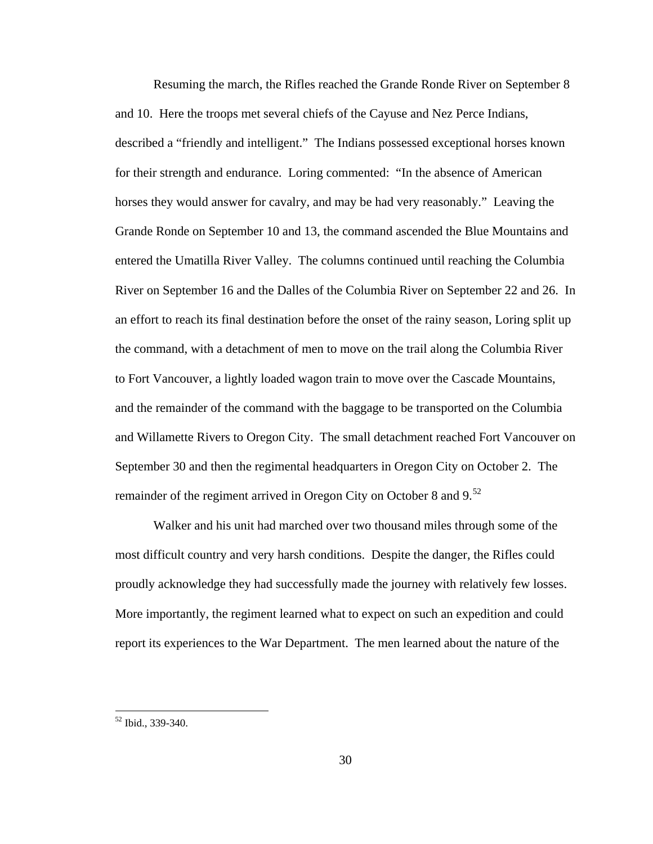Resuming the march, the Rifles reached the Grande Ronde River on September 8 and 10. Here the troops met several chiefs of the Cayuse and Nez Perce Indians, described a "friendly and intelligent." The Indians possessed exceptional horses known for their strength and endurance. Loring commented: "In the absence of American horses they would answer for cavalry, and may be had very reasonably." Leaving the Grande Ronde on September 10 and 13, the command ascended the Blue Mountains and entered the Umatilla River Valley. The columns continued until reaching the Columbia River on September 16 and the Dalles of the Columbia River on September 22 and 26. In an effort to reach its final destination before the onset of the rainy season, Loring split up the command, with a detachment of men to move on the trail along the Columbia River to Fort Vancouver, a lightly loaded wagon train to move over the Cascade Mountains, and the remainder of the command with the baggage to be transported on the Columbia and Willamette Rivers to Oregon City. The small detachment reached Fort Vancouver on September 30 and then the regimental headquarters in Oregon City on October 2. The remainder of the regiment arrived in Oregon City on October 8 and  $9.52$  $9.52$ 

 Walker and his unit had marched over two thousand miles through some of the most difficult country and very harsh conditions. Despite the danger, the Rifles could proudly acknowledge they had successfully made the journey with relatively few losses. More importantly, the regiment learned what to expect on such an expedition and could report its experiences to the War Department. The men learned about the nature of the

<span id="page-34-0"></span><sup>52</sup> Ibid., 339-340.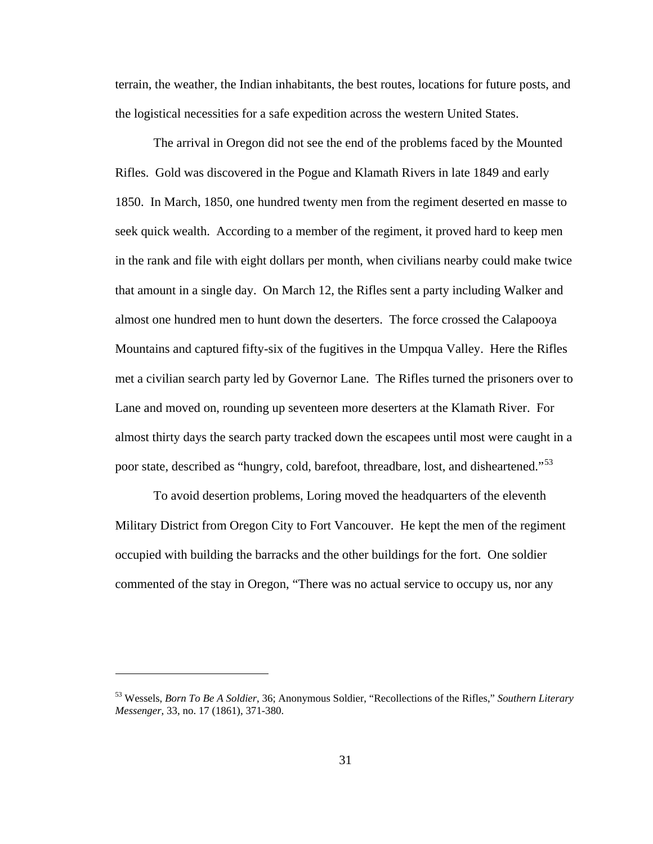terrain, the weather, the Indian inhabitants, the best routes, locations for future posts, and the logistical necessities for a safe expedition across the western United States.

 The arrival in Oregon did not see the end of the problems faced by the Mounted Rifles. Gold was discovered in the Pogue and Klamath Rivers in late 1849 and early 1850. In March, 1850, one hundred twenty men from the regiment deserted en masse to seek quick wealth. According to a member of the regiment, it proved hard to keep men in the rank and file with eight dollars per month, when civilians nearby could make twice that amount in a single day. On March 12, the Rifles sent a party including Walker and almost one hundred men to hunt down the deserters. The force crossed the Calapooya Mountains and captured fifty-six of the fugitives in the Umpqua Valley. Here the Rifles met a civilian search party led by Governor Lane. The Rifles turned the prisoners over to Lane and moved on, rounding up seventeen more deserters at the Klamath River. For almost thirty days the search party tracked down the escapees until most were caught in a poor state, described as "hungry, cold, barefoot, threadbare, lost, and disheartened."<sup>[53](#page-35-0)</sup>

 To avoid desertion problems, Loring moved the headquarters of the eleventh Military District from Oregon City to Fort Vancouver. He kept the men of the regiment occupied with building the barracks and the other buildings for the fort. One soldier commented of the stay in Oregon, "There was no actual service to occupy us, nor any

<span id="page-35-0"></span><sup>53</sup> Wessels, *Born To Be A Soldier*, 36; Anonymous Soldier, "Recollections of the Rifles," *Southern Literary Messenger*, 33, no. 17 (1861), 371-380.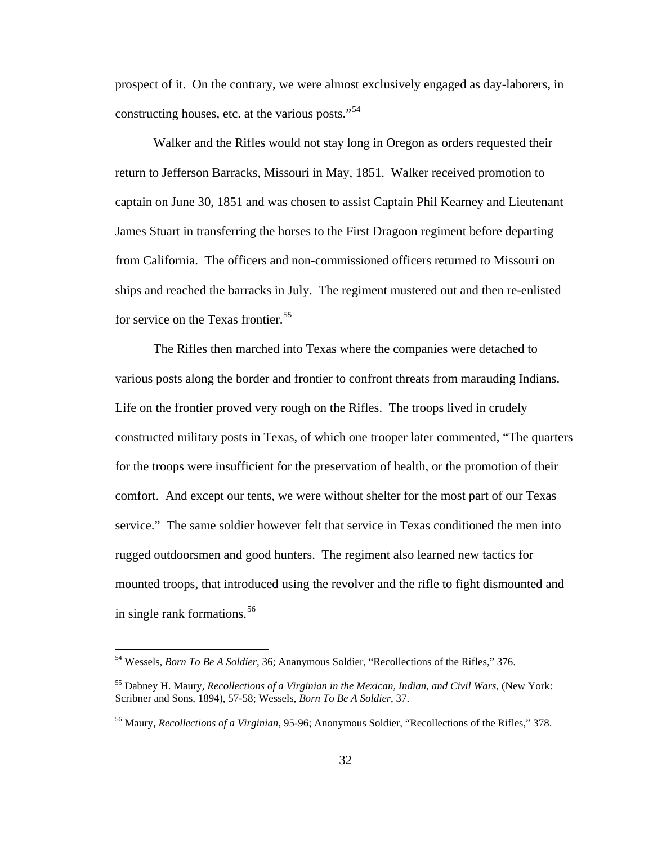prospect of it. On the contrary, we were almost exclusively engaged as day-laborers, in constructing houses, etc. at the various posts."<sup>[54](#page-36-0)</sup>

 Walker and the Rifles would not stay long in Oregon as orders requested their return to Jefferson Barracks, Missouri in May, 1851. Walker received promotion to captain on June 30, 1851 and was chosen to assist Captain Phil Kearney and Lieutenant James Stuart in transferring the horses to the First Dragoon regiment before departing from California. The officers and non-commissioned officers returned to Missouri on ships and reached the barracks in July. The regiment mustered out and then re-enlisted for service on the Texas frontier.<sup>[55](#page-36-1)</sup>

 The Rifles then marched into Texas where the companies were detached to various posts along the border and frontier to confront threats from marauding Indians. Life on the frontier proved very rough on the Rifles. The troops lived in crudely constructed military posts in Texas, of which one trooper later commented, "The quarters for the troops were insufficient for the preservation of health, or the promotion of their comfort. And except our tents, we were without shelter for the most part of our Texas service." The same soldier however felt that service in Texas conditioned the men into rugged outdoorsmen and good hunters. The regiment also learned new tactics for mounted troops, that introduced using the revolver and the rifle to fight dismounted and in single rank formations.<sup>[56](#page-36-2)</sup>

<span id="page-36-0"></span><sup>54</sup> Wessels, *Born To Be A Soldier*, 36; Ananymous Soldier, "Recollections of the Rifles," 376.

<span id="page-36-1"></span><sup>55</sup> Dabney H. Maury, *Recollections of a Virginian in the Mexican, Indian, and Civil Wars*, (New York: Scribner and Sons, 1894), 57-58; Wessels, *Born To Be A Soldier*, 37.

<span id="page-36-2"></span><sup>56</sup> Maury, *Recollections of a Virginian*, 95-96; Anonymous Soldier, "Recollections of the Rifles," 378.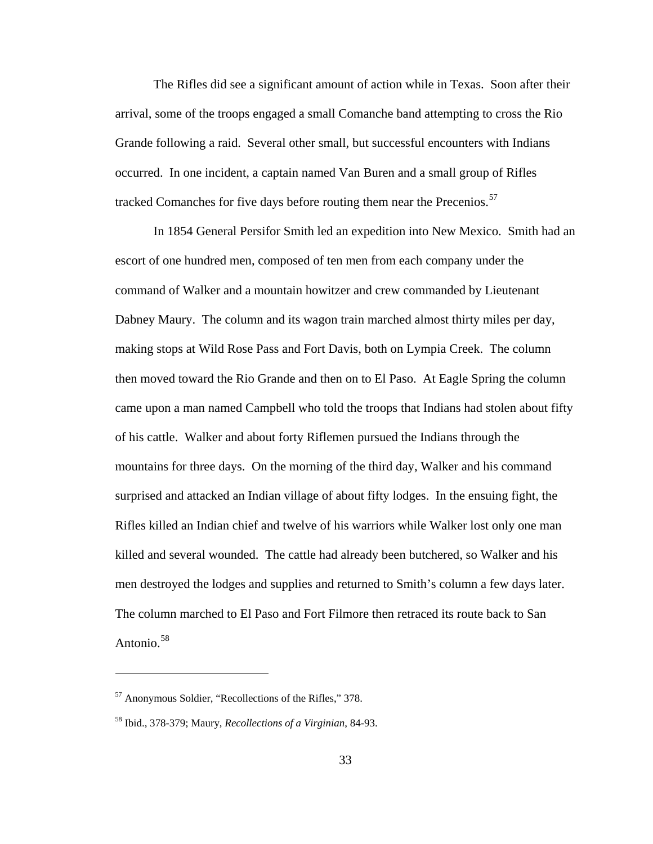The Rifles did see a significant amount of action while in Texas. Soon after their arrival, some of the troops engaged a small Comanche band attempting to cross the Rio Grande following a raid. Several other small, but successful encounters with Indians occurred. In one incident, a captain named Van Buren and a small group of Rifles tracked Comanches for five days before routing them near the Precenios.<sup>[57](#page-37-0)</sup>

 In 1854 General Persifor Smith led an expedition into New Mexico. Smith had an escort of one hundred men, composed of ten men from each company under the command of Walker and a mountain howitzer and crew commanded by Lieutenant Dabney Maury. The column and its wagon train marched almost thirty miles per day, making stops at Wild Rose Pass and Fort Davis, both on Lympia Creek. The column then moved toward the Rio Grande and then on to El Paso. At Eagle Spring the column came upon a man named Campbell who told the troops that Indians had stolen about fifty of his cattle. Walker and about forty Riflemen pursued the Indians through the mountains for three days. On the morning of the third day, Walker and his command surprised and attacked an Indian village of about fifty lodges. In the ensuing fight, the Rifles killed an Indian chief and twelve of his warriors while Walker lost only one man killed and several wounded. The cattle had already been butchered, so Walker and his men destroyed the lodges and supplies and returned to Smith's column a few days later. The column marched to El Paso and Fort Filmore then retraced its route back to San Antonio.<sup>[58](#page-37-1)</sup>

<span id="page-37-0"></span><sup>57</sup> Anonymous Soldier, "Recollections of the Rifles," 378.

<span id="page-37-1"></span><sup>58</sup> Ibid., 378-379; Maury, *Recollections of a Virginian*, 84-93.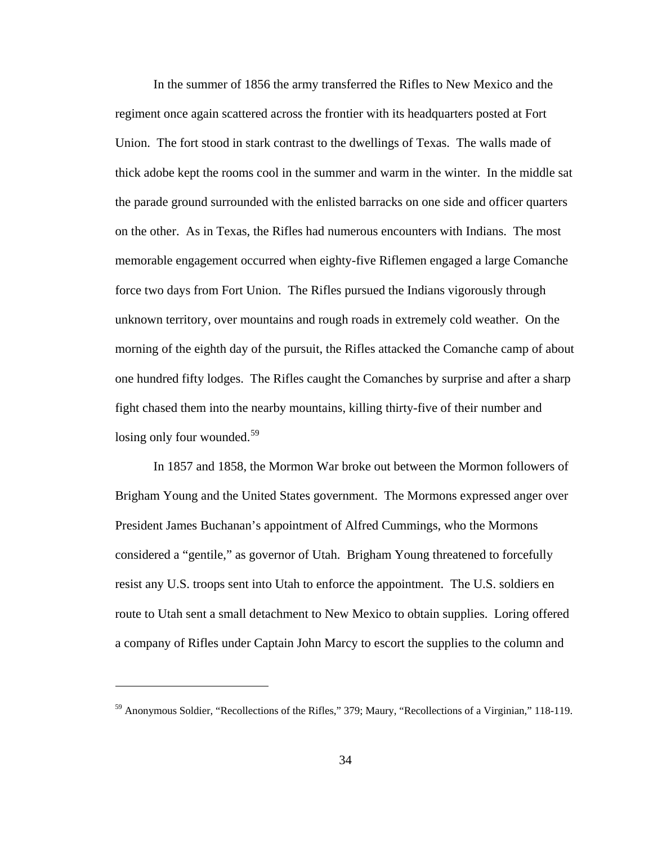In the summer of 1856 the army transferred the Rifles to New Mexico and the regiment once again scattered across the frontier with its headquarters posted at Fort Union. The fort stood in stark contrast to the dwellings of Texas. The walls made of thick adobe kept the rooms cool in the summer and warm in the winter. In the middle sat the parade ground surrounded with the enlisted barracks on one side and officer quarters on the other. As in Texas, the Rifles had numerous encounters with Indians. The most memorable engagement occurred when eighty-five Riflemen engaged a large Comanche force two days from Fort Union. The Rifles pursued the Indians vigorously through unknown territory, over mountains and rough roads in extremely cold weather. On the morning of the eighth day of the pursuit, the Rifles attacked the Comanche camp of about one hundred fifty lodges. The Rifles caught the Comanches by surprise and after a sharp fight chased them into the nearby mountains, killing thirty-five of their number and losing only four wounded.<sup>[59](#page-38-0)</sup>

 In 1857 and 1858, the Mormon War broke out between the Mormon followers of Brigham Young and the United States government. The Mormons expressed anger over President James Buchanan's appointment of Alfred Cummings, who the Mormons considered a "gentile," as governor of Utah. Brigham Young threatened to forcefully resist any U.S. troops sent into Utah to enforce the appointment. The U.S. soldiers en route to Utah sent a small detachment to New Mexico to obtain supplies. Loring offered a company of Rifles under Captain John Marcy to escort the supplies to the column and

<span id="page-38-0"></span><sup>59</sup> Anonymous Soldier, "Recollections of the Rifles," 379; Maury, "Recollections of a Virginian," 118-119.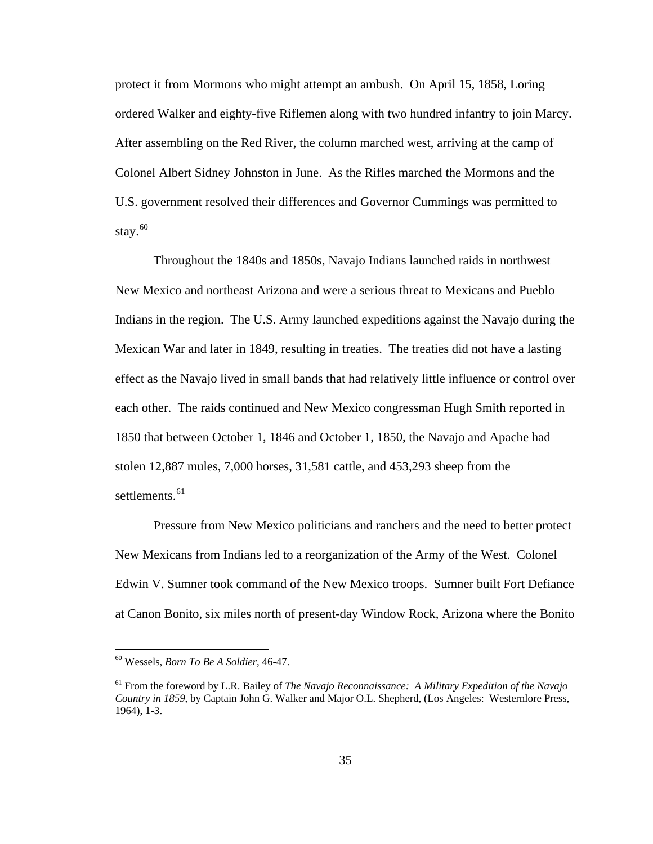protect it from Mormons who might attempt an ambush. On April 15, 1858, Loring ordered Walker and eighty-five Riflemen along with two hundred infantry to join Marcy. After assembling on the Red River, the column marched west, arriving at the camp of Colonel Albert Sidney Johnston in June. As the Rifles marched the Mormons and the U.S. government resolved their differences and Governor Cummings was permitted to stay.<sup>[60](#page-39-0)</sup>

 Throughout the 1840s and 1850s, Navajo Indians launched raids in northwest New Mexico and northeast Arizona and were a serious threat to Mexicans and Pueblo Indians in the region. The U.S. Army launched expeditions against the Navajo during the Mexican War and later in 1849, resulting in treaties. The treaties did not have a lasting effect as the Navajo lived in small bands that had relatively little influence or control over each other. The raids continued and New Mexico congressman Hugh Smith reported in 1850 that between October 1, 1846 and October 1, 1850, the Navajo and Apache had stolen 12,887 mules, 7,000 horses, 31,581 cattle, and 453,293 sheep from the settlements.<sup>[61](#page-39-1)</sup>

 Pressure from New Mexico politicians and ranchers and the need to better protect New Mexicans from Indians led to a reorganization of the Army of the West. Colonel Edwin V. Sumner took command of the New Mexico troops. Sumner built Fort Defiance at Canon Bonito, six miles north of present-day Window Rock, Arizona where the Bonito

<span id="page-39-0"></span><sup>60</sup> Wessels, *Born To Be A Soldier*, 46-47.

<span id="page-39-1"></span><sup>61</sup> From the foreword by L.R. Bailey of *The Navajo Reconnaissance: A Military Expedition of the Navajo Country in 1859*, by Captain John G. Walker and Major O.L. Shepherd, (Los Angeles: Westernlore Press, 1964), 1-3.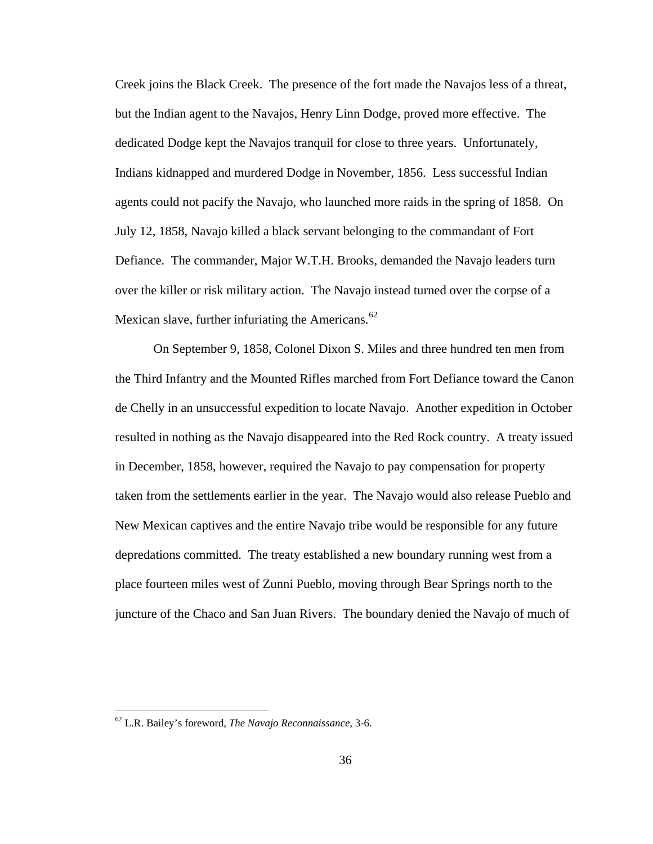Creek joins the Black Creek. The presence of the fort made the Navajos less of a threat, but the Indian agent to the Navajos, Henry Linn Dodge, proved more effective. The dedicated Dodge kept the Navajos tranquil for close to three years. Unfortunately, Indians kidnapped and murdered Dodge in November, 1856. Less successful Indian agents could not pacify the Navajo, who launched more raids in the spring of 1858. On July 12, 1858, Navajo killed a black servant belonging to the commandant of Fort Defiance. The commander, Major W.T.H. Brooks, demanded the Navajo leaders turn over the killer or risk military action. The Navajo instead turned over the corpse of a Mexican slave, further infuriating the Americans. $62$ 

 On September 9, 1858, Colonel Dixon S. Miles and three hundred ten men from the Third Infantry and the Mounted Rifles marched from Fort Defiance toward the Canon de Chelly in an unsuccessful expedition to locate Navajo. Another expedition in October resulted in nothing as the Navajo disappeared into the Red Rock country. A treaty issued in December, 1858, however, required the Navajo to pay compensation for property taken from the settlements earlier in the year. The Navajo would also release Pueblo and New Mexican captives and the entire Navajo tribe would be responsible for any future depredations committed. The treaty established a new boundary running west from a place fourteen miles west of Zunni Pueblo, moving through Bear Springs north to the juncture of the Chaco and San Juan Rivers. The boundary denied the Navajo of much of

<span id="page-40-0"></span><sup>62</sup> L.R. Bailey's foreword, *The Navajo Reconnaissance*, 3-6.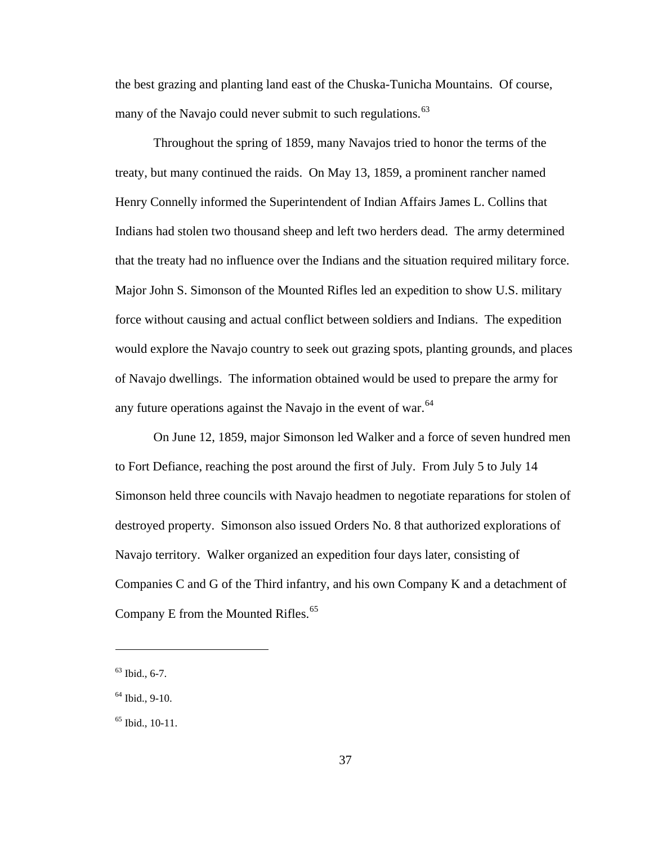the best grazing and planting land east of the Chuska-Tunicha Mountains. Of course, many of the Navajo could never submit to such regulations.<sup>[63](#page-41-0)</sup>

 Throughout the spring of 1859, many Navajos tried to honor the terms of the treaty, but many continued the raids. On May 13, 1859, a prominent rancher named Henry Connelly informed the Superintendent of Indian Affairs James L. Collins that Indians had stolen two thousand sheep and left two herders dead. The army determined that the treaty had no influence over the Indians and the situation required military force. Major John S. Simonson of the Mounted Rifles led an expedition to show U.S. military force without causing and actual conflict between soldiers and Indians. The expedition would explore the Navajo country to seek out grazing spots, planting grounds, and places of Navajo dwellings. The information obtained would be used to prepare the army for any future operations against the Navajo in the event of war.<sup>[64](#page-41-1)</sup>

 On June 12, 1859, major Simonson led Walker and a force of seven hundred men to Fort Defiance, reaching the post around the first of July. From July 5 to July 14 Simonson held three councils with Navajo headmen to negotiate reparations for stolen of destroyed property. Simonson also issued Orders No. 8 that authorized explorations of Navajo territory. Walker organized an expedition four days later, consisting of Companies C and G of the Third infantry, and his own Company K and a detachment of Company E from the Mounted Rifles.<sup>[65](#page-41-2)</sup>

<span id="page-41-0"></span> $63$  Ibid., 6-7.

<span id="page-41-1"></span> $64$  Ibid., 9-10.

<span id="page-41-2"></span> $65$  Ibid., 10-11.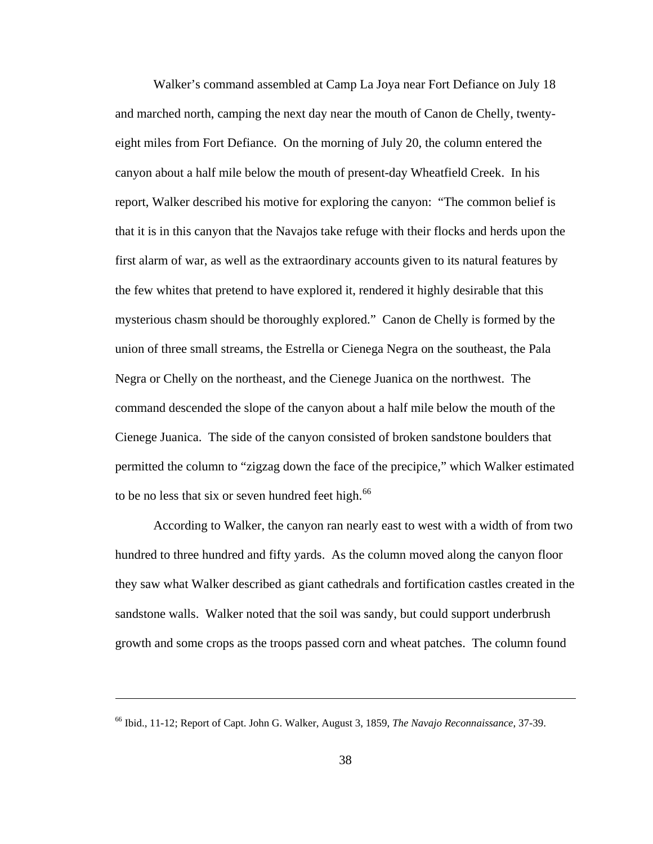Walker's command assembled at Camp La Joya near Fort Defiance on July 18 and marched north, camping the next day near the mouth of Canon de Chelly, twentyeight miles from Fort Defiance. On the morning of July 20, the column entered the canyon about a half mile below the mouth of present-day Wheatfield Creek. In his report, Walker described his motive for exploring the canyon: "The common belief is that it is in this canyon that the Navajos take refuge with their flocks and herds upon the first alarm of war, as well as the extraordinary accounts given to its natural features by the few whites that pretend to have explored it, rendered it highly desirable that this mysterious chasm should be thoroughly explored." Canon de Chelly is formed by the union of three small streams, the Estrella or Cienega Negra on the southeast, the Pala Negra or Chelly on the northeast, and the Cienege Juanica on the northwest. The command descended the slope of the canyon about a half mile below the mouth of the Cienege Juanica. The side of the canyon consisted of broken sandstone boulders that permitted the column to "zigzag down the face of the precipice," which Walker estimated to be no less that six or seven hundred feet high. $^{66}$  $^{66}$  $^{66}$ 

 According to Walker, the canyon ran nearly east to west with a width of from two hundred to three hundred and fifty yards. As the column moved along the canyon floor they saw what Walker described as giant cathedrals and fortification castles created in the sandstone walls. Walker noted that the soil was sandy, but could support underbrush growth and some crops as the troops passed corn and wheat patches. The column found

<span id="page-42-0"></span><sup>66</sup> Ibid., 11-12; Report of Capt. John G. Walker, August 3, 1859, *The Navajo Reconnaissance*, 37-39.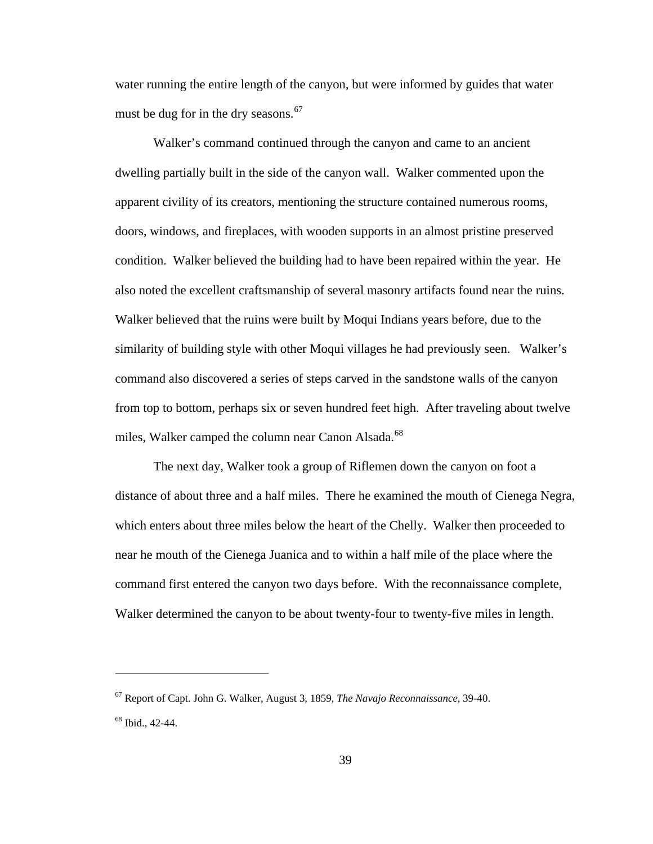water running the entire length of the canyon, but were informed by guides that water must be dug for in the dry seasons. $67$ 

 Walker's command continued through the canyon and came to an ancient dwelling partially built in the side of the canyon wall. Walker commented upon the apparent civility of its creators, mentioning the structure contained numerous rooms, doors, windows, and fireplaces, with wooden supports in an almost pristine preserved condition. Walker believed the building had to have been repaired within the year. He also noted the excellent craftsmanship of several masonry artifacts found near the ruins. Walker believed that the ruins were built by Moqui Indians years before, due to the similarity of building style with other Moqui villages he had previously seen. Walker's command also discovered a series of steps carved in the sandstone walls of the canyon from top to bottom, perhaps six or seven hundred feet high. After traveling about twelve miles, Walker camped the column near Canon Alsada.<sup>[68](#page-43-1)</sup>

 The next day, Walker took a group of Riflemen down the canyon on foot a distance of about three and a half miles. There he examined the mouth of Cienega Negra, which enters about three miles below the heart of the Chelly. Walker then proceeded to near he mouth of the Cienega Juanica and to within a half mile of the place where the command first entered the canyon two days before. With the reconnaissance complete, Walker determined the canyon to be about twenty-four to twenty-five miles in length.

<span id="page-43-0"></span><sup>67</sup> Report of Capt. John G. Walker, August 3, 1859, *The Navajo Reconnaissance*, 39-40.

<span id="page-43-1"></span><sup>68</sup> Ibid., 42-44.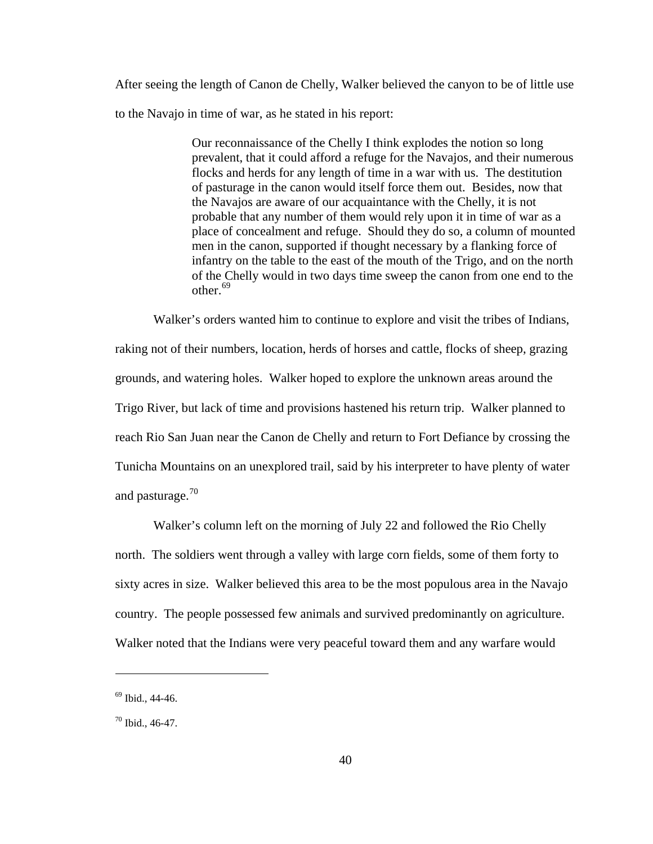After seeing the length of Canon de Chelly, Walker believed the canyon to be of little use to the Navajo in time of war, as he stated in his report:

> Our reconnaissance of the Chelly I think explodes the notion so long prevalent, that it could afford a refuge for the Navajos, and their numerous flocks and herds for any length of time in a war with us. The destitution of pasturage in the canon would itself force them out. Besides, now that the Navajos are aware of our acquaintance with the Chelly, it is not probable that any number of them would rely upon it in time of war as a place of concealment and refuge. Should they do so, a column of mounted men in the canon, supported if thought necessary by a flanking force of infantry on the table to the east of the mouth of the Trigo, and on the north of the Chelly would in two days time sweep the canon from one end to the other.  $69$

 Walker's orders wanted him to continue to explore and visit the tribes of Indians, raking not of their numbers, location, herds of horses and cattle, flocks of sheep, grazing grounds, and watering holes. Walker hoped to explore the unknown areas around the Trigo River, but lack of time and provisions hastened his return trip. Walker planned to reach Rio San Juan near the Canon de Chelly and return to Fort Defiance by crossing the Tunicha Mountains on an unexplored trail, said by his interpreter to have plenty of water and pasturage.<sup>[70](#page-44-1)</sup>

 Walker's column left on the morning of July 22 and followed the Rio Chelly north. The soldiers went through a valley with large corn fields, some of them forty to sixty acres in size. Walker believed this area to be the most populous area in the Navajo country. The people possessed few animals and survived predominantly on agriculture. Walker noted that the Indians were very peaceful toward them and any warfare would

<span id="page-44-0"></span><sup>69</sup> Ibid., 44-46.

<span id="page-44-1"></span> $70$  Ibid., 46-47.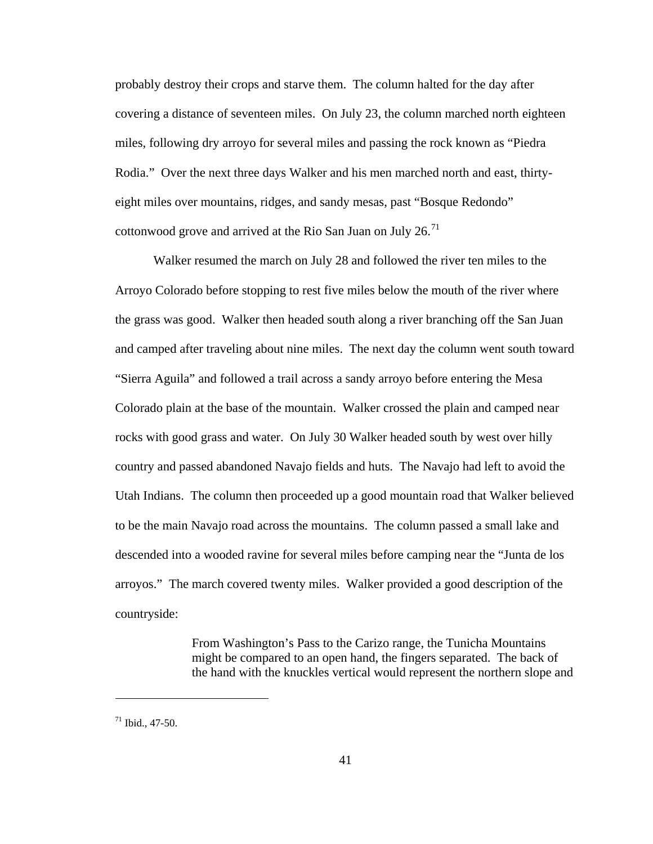probably destroy their crops and starve them. The column halted for the day after covering a distance of seventeen miles. On July 23, the column marched north eighteen miles, following dry arroyo for several miles and passing the rock known as "Piedra Rodia." Over the next three days Walker and his men marched north and east, thirtyeight miles over mountains, ridges, and sandy mesas, past "Bosque Redondo" cottonwood grove and arrived at the Rio San Juan on July  $26$ .<sup>[71](#page-45-0)</sup>

 Walker resumed the march on July 28 and followed the river ten miles to the Arroyo Colorado before stopping to rest five miles below the mouth of the river where the grass was good. Walker then headed south along a river branching off the San Juan and camped after traveling about nine miles. The next day the column went south toward "Sierra Aguila" and followed a trail across a sandy arroyo before entering the Mesa Colorado plain at the base of the mountain. Walker crossed the plain and camped near rocks with good grass and water. On July 30 Walker headed south by west over hilly country and passed abandoned Navajo fields and huts. The Navajo had left to avoid the Utah Indians. The column then proceeded up a good mountain road that Walker believed to be the main Navajo road across the mountains. The column passed a small lake and descended into a wooded ravine for several miles before camping near the "Junta de los arroyos." The march covered twenty miles. Walker provided a good description of the countryside:

> From Washington's Pass to the Carizo range, the Tunicha Mountains might be compared to an open hand, the fingers separated. The back of the hand with the knuckles vertical would represent the northern slope and

<span id="page-45-0"></span> $71$  Ibid., 47-50.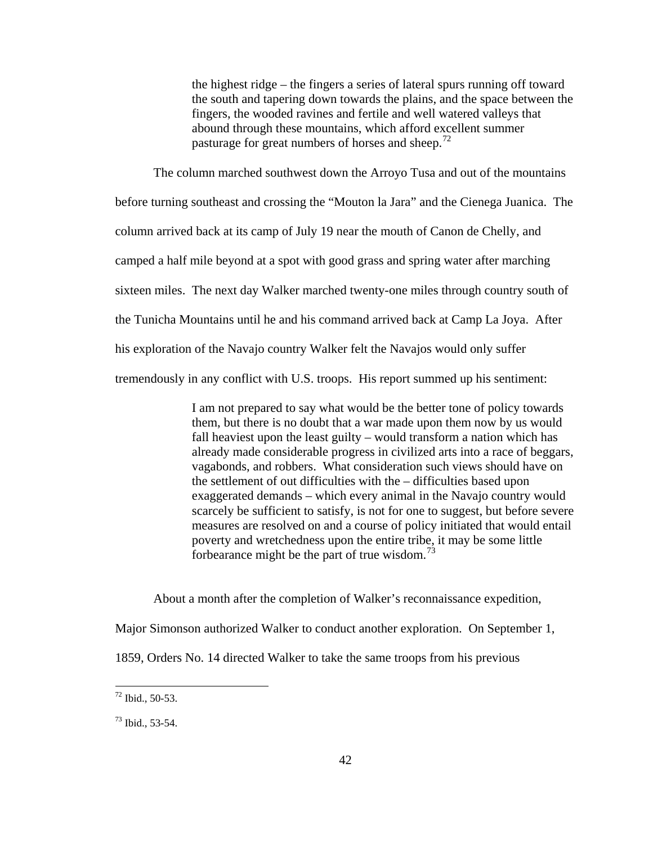the highest ridge – the fingers a series of lateral spurs running off toward the south and tapering down towards the plains, and the space between the fingers, the wooded ravines and fertile and well watered valleys that abound through these mountains, which afford excellent summer pasturage for great numbers of horses and sheep.<sup>[72](#page-46-0)</sup>

 The column marched southwest down the Arroyo Tusa and out of the mountains before turning southeast and crossing the "Mouton la Jara" and the Cienega Juanica. The column arrived back at its camp of July 19 near the mouth of Canon de Chelly, and camped a half mile beyond at a spot with good grass and spring water after marching sixteen miles. The next day Walker marched twenty-one miles through country south of the Tunicha Mountains until he and his command arrived back at Camp La Joya. After his exploration of the Navajo country Walker felt the Navajos would only suffer tremendously in any conflict with U.S. troops. His report summed up his sentiment:

> I am not prepared to say what would be the better tone of policy towards them, but there is no doubt that a war made upon them now by us would fall heaviest upon the least guilty – would transform a nation which has already made considerable progress in civilized arts into a race of beggars, vagabonds, and robbers. What consideration such views should have on the settlement of out difficulties with the – difficulties based upon exaggerated demands – which every animal in the Navajo country would scarcely be sufficient to satisfy, is not for one to suggest, but before severe measures are resolved on and a course of policy initiated that would entail poverty and wretchedness upon the entire tribe, it may be some little forbearance might be the part of true wisdom. $^{73}$  $^{73}$  $^{73}$

About a month after the completion of Walker's reconnaissance expedition,

Major Simonson authorized Walker to conduct another exploration. On September 1,

1859, Orders No. 14 directed Walker to take the same troops from his previous

<span id="page-46-0"></span> $72$  Ibid., 50-53.

<span id="page-46-1"></span><sup>73</sup> Ibid., 53-54.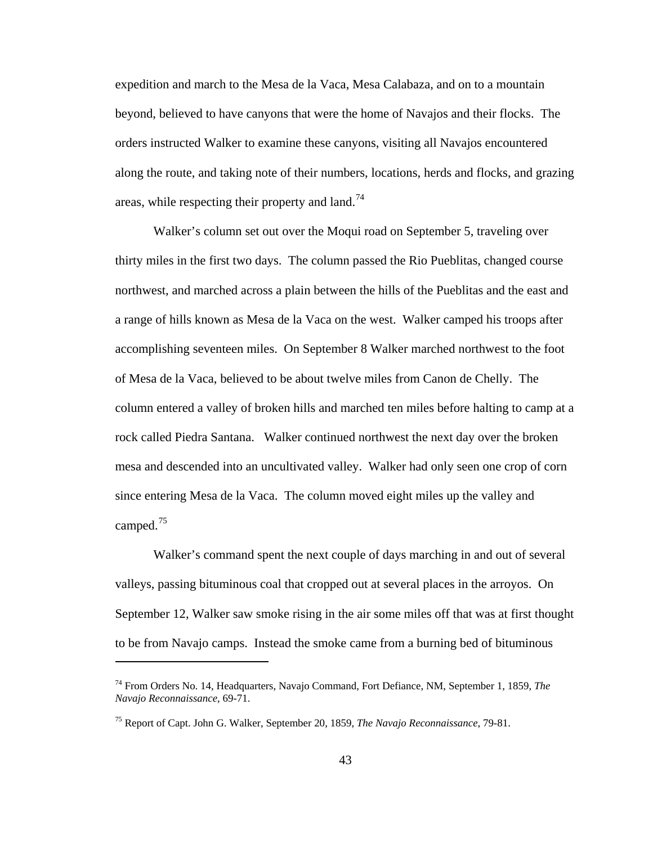expedition and march to the Mesa de la Vaca, Mesa Calabaza, and on to a mountain beyond, believed to have canyons that were the home of Navajos and their flocks. The orders instructed Walker to examine these canyons, visiting all Navajos encountered along the route, and taking note of their numbers, locations, herds and flocks, and grazing areas, while respecting their property and  $tan^{-1/4}$ 

 Walker's column set out over the Moqui road on September 5, traveling over thirty miles in the first two days. The column passed the Rio Pueblitas, changed course northwest, and marched across a plain between the hills of the Pueblitas and the east and a range of hills known as Mesa de la Vaca on the west. Walker camped his troops after accomplishing seventeen miles. On September 8 Walker marched northwest to the foot of Mesa de la Vaca, believed to be about twelve miles from Canon de Chelly. The column entered a valley of broken hills and marched ten miles before halting to camp at a rock called Piedra Santana. Walker continued northwest the next day over the broken mesa and descended into an uncultivated valley. Walker had only seen one crop of corn since entering Mesa de la Vaca. The column moved eight miles up the valley and camped.<sup>[75](#page-47-1)</sup>

 Walker's command spent the next couple of days marching in and out of several valleys, passing bituminous coal that cropped out at several places in the arroyos. On September 12, Walker saw smoke rising in the air some miles off that was at first thought to be from Navajo camps. Instead the smoke came from a burning bed of bituminous

<span id="page-47-0"></span><sup>74</sup> From Orders No. 14, Headquarters, Navajo Command, Fort Defiance, NM, September 1, 1859, *The Navajo Reconnaissance*, 69-71.

<span id="page-47-1"></span><sup>75</sup> Report of Capt. John G. Walker, September 20, 1859, *The Navajo Reconnaissance*, 79-81.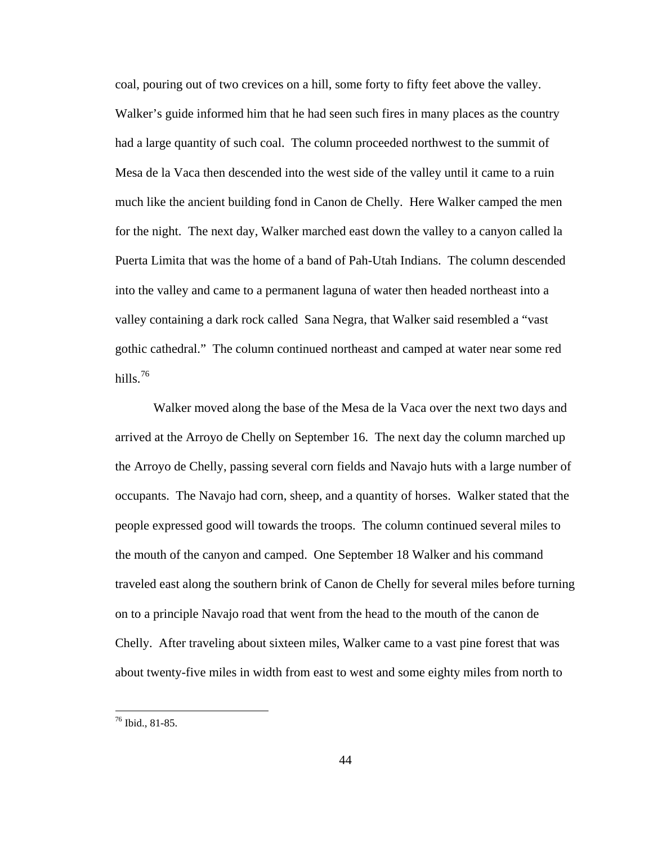coal, pouring out of two crevices on a hill, some forty to fifty feet above the valley. Walker's guide informed him that he had seen such fires in many places as the country had a large quantity of such coal. The column proceeded northwest to the summit of Mesa de la Vaca then descended into the west side of the valley until it came to a ruin much like the ancient building fond in Canon de Chelly. Here Walker camped the men for the night. The next day, Walker marched east down the valley to a canyon called la Puerta Limita that was the home of a band of Pah-Utah Indians. The column descended into the valley and came to a permanent laguna of water then headed northeast into a valley containing a dark rock called Sana Negra, that Walker said resembled a "vast gothic cathedral." The column continued northeast and camped at water near some red hills. $76$ 

 Walker moved along the base of the Mesa de la Vaca over the next two days and arrived at the Arroyo de Chelly on September 16. The next day the column marched up the Arroyo de Chelly, passing several corn fields and Navajo huts with a large number of occupants. The Navajo had corn, sheep, and a quantity of horses. Walker stated that the people expressed good will towards the troops. The column continued several miles to the mouth of the canyon and camped. One September 18 Walker and his command traveled east along the southern brink of Canon de Chelly for several miles before turning on to a principle Navajo road that went from the head to the mouth of the canon de Chelly. After traveling about sixteen miles, Walker came to a vast pine forest that was about twenty-five miles in width from east to west and some eighty miles from north to

<span id="page-48-0"></span><sup>76</sup> Ibid., 81-85.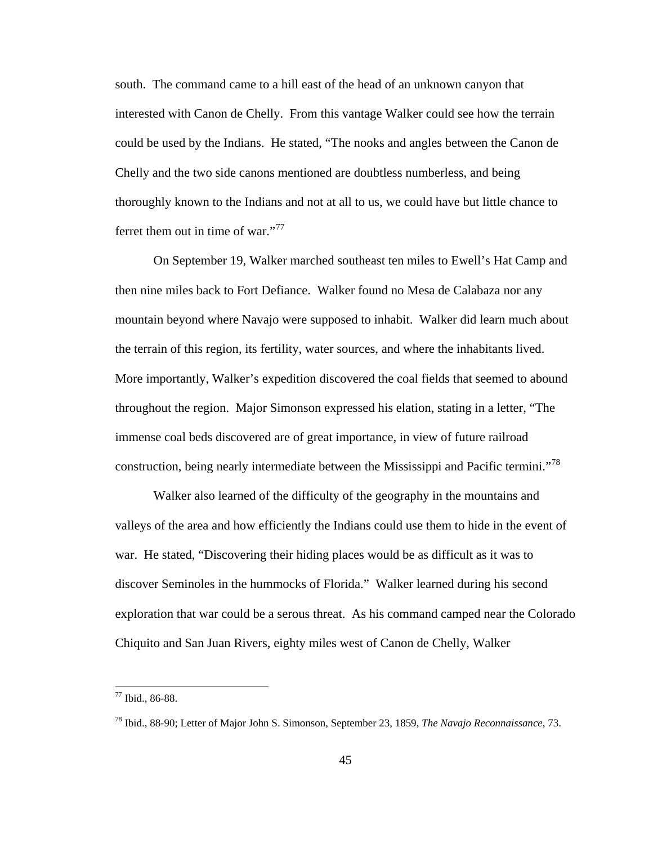south. The command came to a hill east of the head of an unknown canyon that interested with Canon de Chelly. From this vantage Walker could see how the terrain could be used by the Indians. He stated, "The nooks and angles between the Canon de Chelly and the two side canons mentioned are doubtless numberless, and being thoroughly known to the Indians and not at all to us, we could have but little chance to ferret them out in time of war."<sup>[77](#page-49-0)</sup>

 On September 19, Walker marched southeast ten miles to Ewell's Hat Camp and then nine miles back to Fort Defiance. Walker found no Mesa de Calabaza nor any mountain beyond where Navajo were supposed to inhabit. Walker did learn much about the terrain of this region, its fertility, water sources, and where the inhabitants lived. More importantly, Walker's expedition discovered the coal fields that seemed to abound throughout the region. Major Simonson expressed his elation, stating in a letter, "The immense coal beds discovered are of great importance, in view of future railroad construction, being nearly intermediate between the Mississippi and Pacific termini."<sup>[78](#page-49-1)</sup>

 Walker also learned of the difficulty of the geography in the mountains and valleys of the area and how efficiently the Indians could use them to hide in the event of war. He stated, "Discovering their hiding places would be as difficult as it was to discover Seminoles in the hummocks of Florida." Walker learned during his second exploration that war could be a serous threat. As his command camped near the Colorado Chiquito and San Juan Rivers, eighty miles west of Canon de Chelly, Walker

<span id="page-49-0"></span><sup>77</sup> Ibid., 86-88.

<span id="page-49-1"></span><sup>78</sup> Ibid., 88-90; Letter of Major John S. Simonson, September 23, 1859, *The Navajo Reconnaissance*, 73.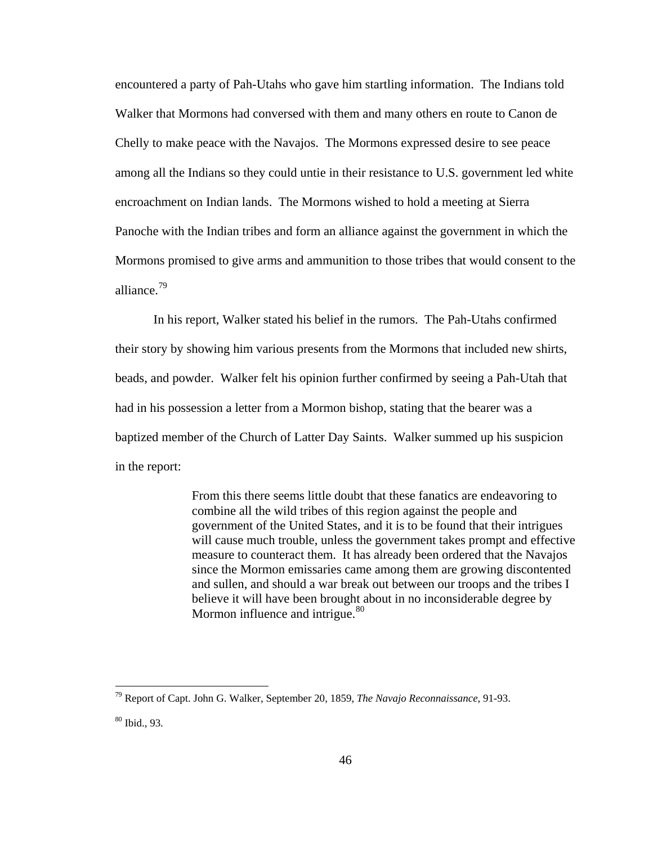encountered a party of Pah-Utahs who gave him startling information. The Indians told Walker that Mormons had conversed with them and many others en route to Canon de Chelly to make peace with the Navajos. The Mormons expressed desire to see peace among all the Indians so they could untie in their resistance to U.S. government led white encroachment on Indian lands. The Mormons wished to hold a meeting at Sierra Panoche with the Indian tribes and form an alliance against the government in which the Mormons promised to give arms and ammunition to those tribes that would consent to the alliance.<sup>[79](#page-50-0)</sup>

 In his report, Walker stated his belief in the rumors. The Pah-Utahs confirmed their story by showing him various presents from the Mormons that included new shirts, beads, and powder. Walker felt his opinion further confirmed by seeing a Pah-Utah that had in his possession a letter from a Mormon bishop, stating that the bearer was a baptized member of the Church of Latter Day Saints. Walker summed up his suspicion in the report:

> From this there seems little doubt that these fanatics are endeavoring to combine all the wild tribes of this region against the people and government of the United States, and it is to be found that their intrigues will cause much trouble, unless the government takes prompt and effective measure to counteract them. It has already been ordered that the Navajos since the Mormon emissaries came among them are growing discontented and sullen, and should a war break out between our troops and the tribes I believe it will have been brought about in no inconsiderable degree by Mormon influence and intrigue.<sup>[80](#page-50-1)</sup>

<span id="page-50-0"></span><sup>79</sup> Report of Capt. John G. Walker, September 20, 1859, *The Navajo Reconnaissance*, 91-93.

<span id="page-50-1"></span><sup>80</sup> Ibid., 93.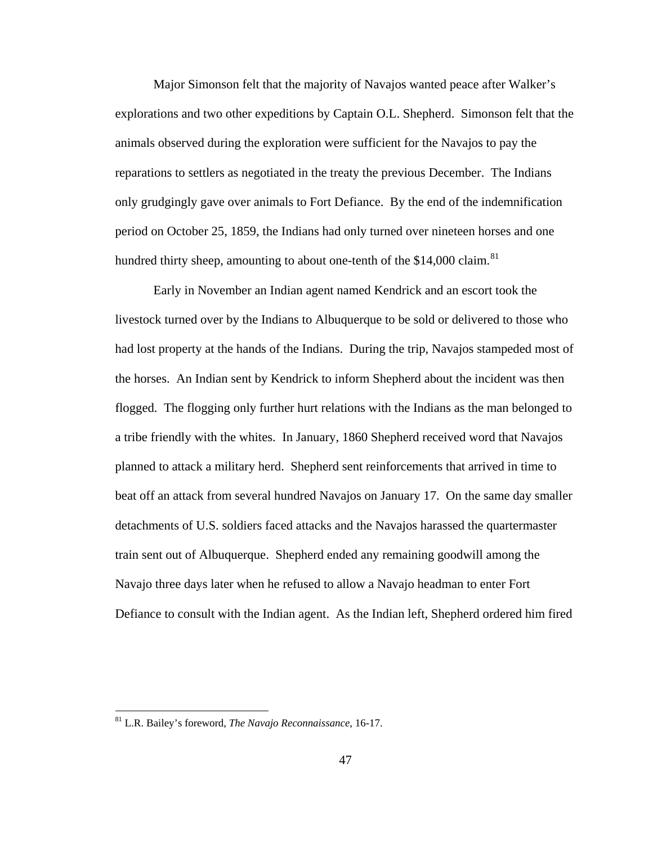Major Simonson felt that the majority of Navajos wanted peace after Walker's explorations and two other expeditions by Captain O.L. Shepherd. Simonson felt that the animals observed during the exploration were sufficient for the Navajos to pay the reparations to settlers as negotiated in the treaty the previous December. The Indians only grudgingly gave over animals to Fort Defiance. By the end of the indemnification period on October 25, 1859, the Indians had only turned over nineteen horses and one hundred thirty sheep, amounting to about one-tenth of the \$14,000 claim.<sup>[81](#page-51-0)</sup>

 Early in November an Indian agent named Kendrick and an escort took the livestock turned over by the Indians to Albuquerque to be sold or delivered to those who had lost property at the hands of the Indians. During the trip, Navajos stampeded most of the horses. An Indian sent by Kendrick to inform Shepherd about the incident was then flogged. The flogging only further hurt relations with the Indians as the man belonged to a tribe friendly with the whites. In January, 1860 Shepherd received word that Navajos planned to attack a military herd. Shepherd sent reinforcements that arrived in time to beat off an attack from several hundred Navajos on January 17. On the same day smaller detachments of U.S. soldiers faced attacks and the Navajos harassed the quartermaster train sent out of Albuquerque. Shepherd ended any remaining goodwill among the Navajo three days later when he refused to allow a Navajo headman to enter Fort Defiance to consult with the Indian agent. As the Indian left, Shepherd ordered him fired

<span id="page-51-0"></span><sup>81</sup> L.R. Bailey's foreword, *The Navajo Reconnaissance*, 16-17.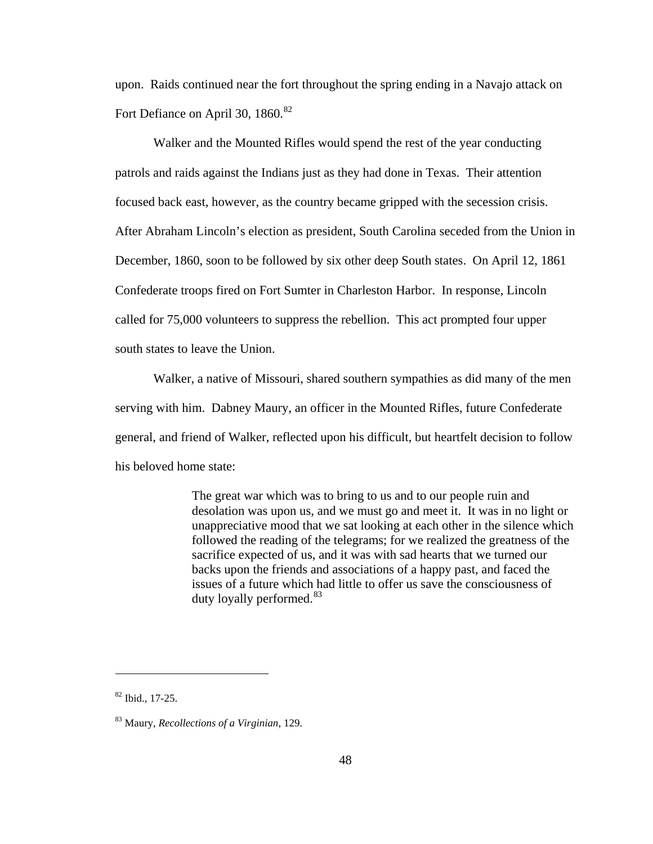upon. Raids continued near the fort throughout the spring ending in a Navajo attack on Fort Defiance on April 30, 1860.<sup>[82](#page-52-0)</sup>

 Walker and the Mounted Rifles would spend the rest of the year conducting patrols and raids against the Indians just as they had done in Texas. Their attention focused back east, however, as the country became gripped with the secession crisis. After Abraham Lincoln's election as president, South Carolina seceded from the Union in December, 1860, soon to be followed by six other deep South states. On April 12, 1861 Confederate troops fired on Fort Sumter in Charleston Harbor. In response, Lincoln called for 75,000 volunteers to suppress the rebellion. This act prompted four upper south states to leave the Union.

 Walker, a native of Missouri, shared southern sympathies as did many of the men serving with him. Dabney Maury, an officer in the Mounted Rifles, future Confederate general, and friend of Walker, reflected upon his difficult, but heartfelt decision to follow his beloved home state:

> The great war which was to bring to us and to our people ruin and desolation was upon us, and we must go and meet it. It was in no light or unappreciative mood that we sat looking at each other in the silence which followed the reading of the telegrams; for we realized the greatness of the sacrifice expected of us, and it was with sad hearts that we turned our backs upon the friends and associations of a happy past, and faced the issues of a future which had little to offer us save the consciousness of duty loyally performed.<sup>[83](#page-52-1)</sup>

<span id="page-52-0"></span><sup>82</sup> Ibid., 17-25.

<span id="page-52-1"></span><sup>83</sup> Maury, *Recollections of a Virginian*, 129.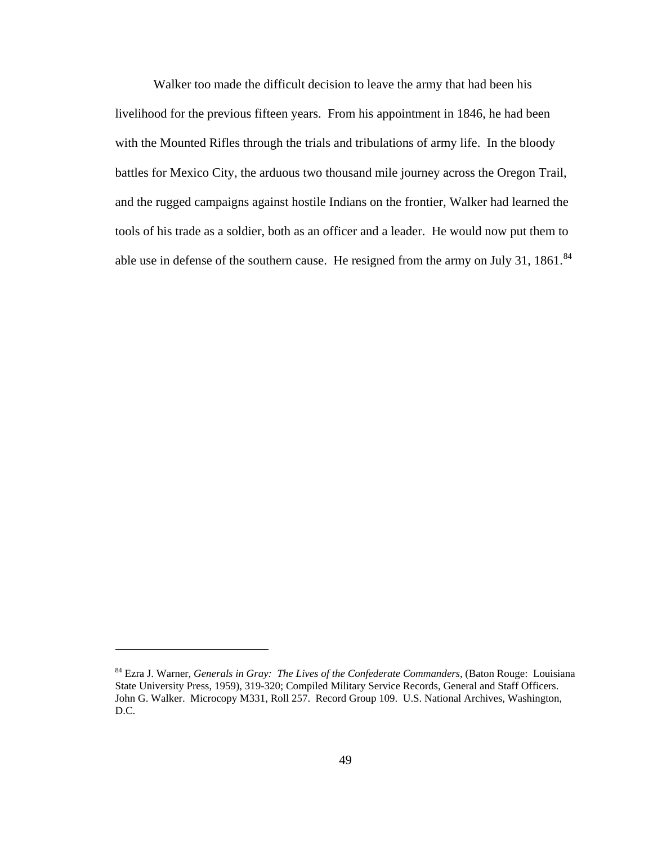Walker too made the difficult decision to leave the army that had been his livelihood for the previous fifteen years. From his appointment in 1846, he had been with the Mounted Rifles through the trials and tribulations of army life. In the bloody battles for Mexico City, the arduous two thousand mile journey across the Oregon Trail, and the rugged campaigns against hostile Indians on the frontier, Walker had learned the tools of his trade as a soldier, both as an officer and a leader. He would now put them to able use in defense of the southern cause. He resigned from the army on July 31, 1861.<sup>[84](#page-53-0)</sup>

<span id="page-53-0"></span><sup>84</sup> Ezra J. Warner, *Generals in Gray: The Lives of the Confederate Commanders*, (Baton Rouge: Louisiana State University Press, 1959), 319-320; Compiled Military Service Records, General and Staff Officers. John G. Walker. Microcopy M331, Roll 257. Record Group 109. U.S. National Archives, Washington, D.C.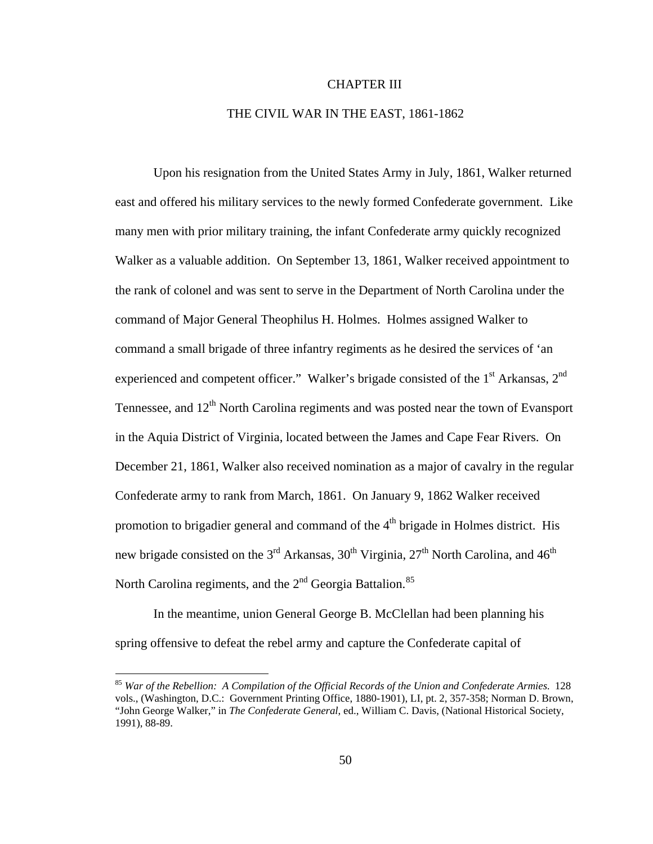## CHAPTER III

## THE CIVIL WAR IN THE EAST, 1861-1862

Upon his resignation from the United States Army in July, 1861, Walker returned east and offered his military services to the newly formed Confederate government. Like many men with prior military training, the infant Confederate army quickly recognized Walker as a valuable addition. On September 13, 1861, Walker received appointment to the rank of colonel and was sent to serve in the Department of North Carolina under the command of Major General Theophilus H. Holmes. Holmes assigned Walker to command a small brigade of three infantry regiments as he desired the services of 'an experienced and competent officer." Walker's brigade consisted of the 1<sup>st</sup> Arkansas, 2<sup>nd</sup> Tennessee, and  $12<sup>th</sup>$  North Carolina regiments and was posted near the town of Evansport in the Aquia District of Virginia, located between the James and Cape Fear Rivers. On December 21, 1861, Walker also received nomination as a major of cavalry in the regular Confederate army to rank from March, 1861. On January 9, 1862 Walker received promotion to brigadier general and command of the  $4<sup>th</sup>$  brigade in Holmes district. His new brigade consisted on the  $3<sup>rd</sup>$  Arkansas,  $30<sup>th</sup>$  Virginia,  $27<sup>th</sup>$  North Carolina, and  $46<sup>th</sup>$ North Carolina regiments, and the  $2<sup>nd</sup>$  Georgia Battalion.<sup>[85](#page-54-0)</sup>

 In the meantime, union General George B. McClellan had been planning his spring offensive to defeat the rebel army and capture the Confederate capital of

<span id="page-54-0"></span><sup>85</sup> *War of the Rebellion: A Compilation of the Official Records of the Union and Confederate Armies*. 128 vols., (Washington, D.C.: Government Printing Office, 1880-1901), LI, pt. 2, 357-358; Norman D. Brown, "John George Walker," in *The Confederate General*, ed., William C. Davis, (National Historical Society, 1991), 88-89.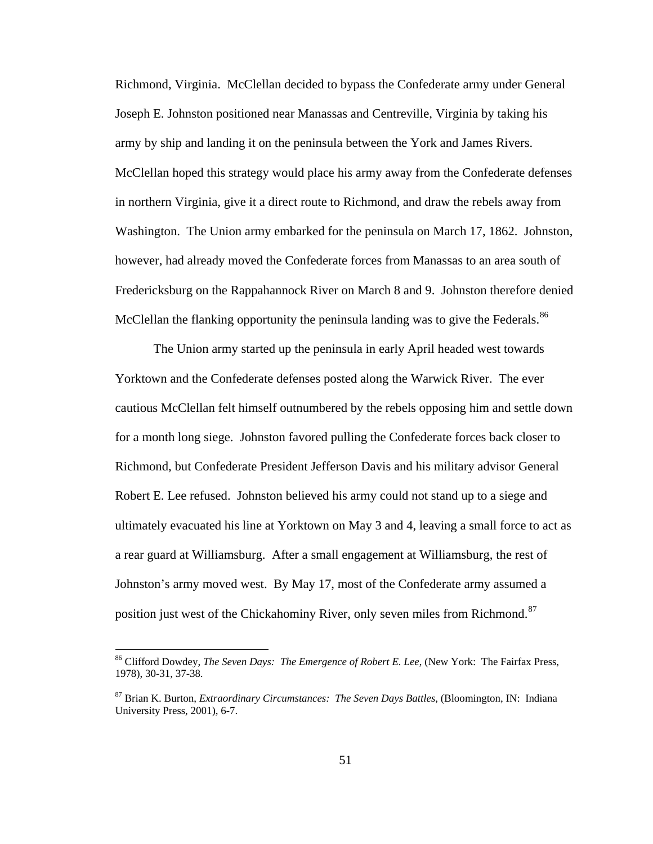Richmond, Virginia. McClellan decided to bypass the Confederate army under General Joseph E. Johnston positioned near Manassas and Centreville, Virginia by taking his army by ship and landing it on the peninsula between the York and James Rivers. McClellan hoped this strategy would place his army away from the Confederate defenses in northern Virginia, give it a direct route to Richmond, and draw the rebels away from Washington. The Union army embarked for the peninsula on March 17, 1862. Johnston, however, had already moved the Confederate forces from Manassas to an area south of Fredericksburg on the Rappahannock River on March 8 and 9. Johnston therefore denied McClellan the flanking opportunity the peninsula landing was to give the Federals.<sup>[86](#page-55-0)</sup>

 The Union army started up the peninsula in early April headed west towards Yorktown and the Confederate defenses posted along the Warwick River. The ever cautious McClellan felt himself outnumbered by the rebels opposing him and settle down for a month long siege. Johnston favored pulling the Confederate forces back closer to Richmond, but Confederate President Jefferson Davis and his military advisor General Robert E. Lee refused. Johnston believed his army could not stand up to a siege and ultimately evacuated his line at Yorktown on May 3 and 4, leaving a small force to act as a rear guard at Williamsburg. After a small engagement at Williamsburg, the rest of Johnston's army moved west. By May 17, most of the Confederate army assumed a position just west of the Chickahominy River, only seven miles from Richmond.<sup>[87](#page-55-1)</sup>

<span id="page-55-0"></span><sup>86</sup> Clifford Dowdey, *The Seven Days: The Emergence of Robert E. Lee*, (New York: The Fairfax Press, 1978), 30-31, 37-38.

<span id="page-55-1"></span><sup>87</sup> Brian K. Burton, *Extraordinary Circumstances: The Seven Days Battles*, (Bloomington, IN: Indiana University Press, 2001), 6-7.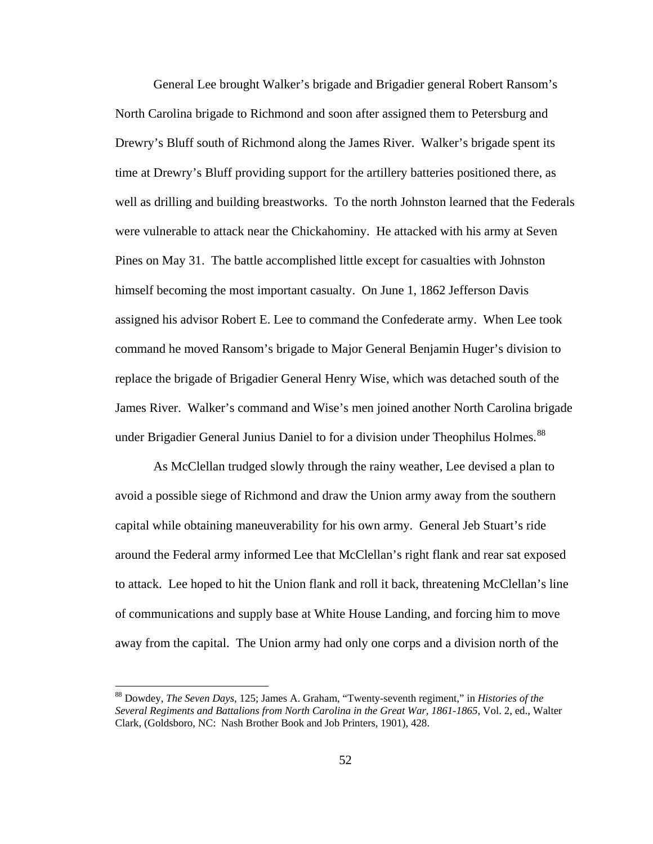General Lee brought Walker's brigade and Brigadier general Robert Ransom's North Carolina brigade to Richmond and soon after assigned them to Petersburg and Drewry's Bluff south of Richmond along the James River. Walker's brigade spent its time at Drewry's Bluff providing support for the artillery batteries positioned there, as well as drilling and building breastworks. To the north Johnston learned that the Federals were vulnerable to attack near the Chickahominy. He attacked with his army at Seven Pines on May 31. The battle accomplished little except for casualties with Johnston himself becoming the most important casualty. On June 1, 1862 Jefferson Davis assigned his advisor Robert E. Lee to command the Confederate army. When Lee took command he moved Ransom's brigade to Major General Benjamin Huger's division to replace the brigade of Brigadier General Henry Wise, which was detached south of the James River. Walker's command and Wise's men joined another North Carolina brigade under Brigadier General Junius Daniel to for a division under Theophilus Holmes.<sup>[88](#page-56-0)</sup>

 As McClellan trudged slowly through the rainy weather, Lee devised a plan to avoid a possible siege of Richmond and draw the Union army away from the southern capital while obtaining maneuverability for his own army. General Jeb Stuart's ride around the Federal army informed Lee that McClellan's right flank and rear sat exposed to attack. Lee hoped to hit the Union flank and roll it back, threatening McClellan's line of communications and supply base at White House Landing, and forcing him to move away from the capital. The Union army had only one corps and a division north of the

<span id="page-56-0"></span><sup>88</sup> Dowdey, *The Seven Days*, 125; James A. Graham, "Twenty-seventh regiment," in *Histories of the Several Regiments and Battalions from North Carolina in the Great War, 1861-1865*, Vol. 2, ed., Walter Clark, (Goldsboro, NC: Nash Brother Book and Job Printers, 1901), 428.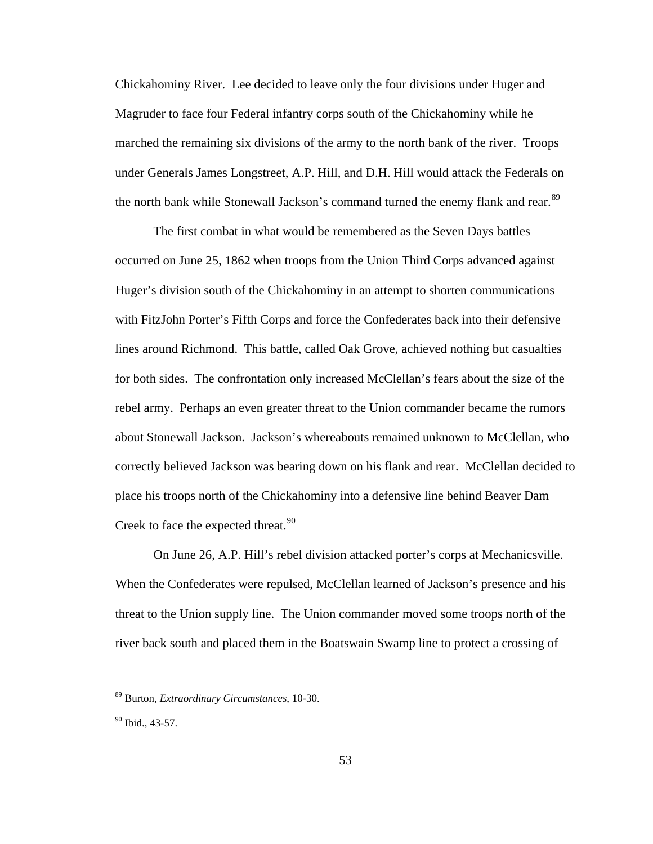Chickahominy River. Lee decided to leave only the four divisions under Huger and Magruder to face four Federal infantry corps south of the Chickahominy while he marched the remaining six divisions of the army to the north bank of the river. Troops under Generals James Longstreet, A.P. Hill, and D.H. Hill would attack the Federals on the north bank while Stonewall Jackson's command turned the enemy flank and rear.<sup>[89](#page-57-0)</sup>

 The first combat in what would be remembered as the Seven Days battles occurred on June 25, 1862 when troops from the Union Third Corps advanced against Huger's division south of the Chickahominy in an attempt to shorten communications with FitzJohn Porter's Fifth Corps and force the Confederates back into their defensive lines around Richmond. This battle, called Oak Grove, achieved nothing but casualties for both sides. The confrontation only increased McClellan's fears about the size of the rebel army. Perhaps an even greater threat to the Union commander became the rumors about Stonewall Jackson. Jackson's whereabouts remained unknown to McClellan, who correctly believed Jackson was bearing down on his flank and rear. McClellan decided to place his troops north of the Chickahominy into a defensive line behind Beaver Dam Creek to face the expected threat.<sup>[90](#page-57-1)</sup>

 On June 26, A.P. Hill's rebel division attacked porter's corps at Mechanicsville. When the Confederates were repulsed, McClellan learned of Jackson's presence and his threat to the Union supply line. The Union commander moved some troops north of the river back south and placed them in the Boatswain Swamp line to protect a crossing of

<span id="page-57-0"></span><sup>89</sup> Burton, *Extraordinary Circumstances*, 10-30.

<span id="page-57-1"></span><sup>&</sup>lt;sup>90</sup> Ibid., 43-57.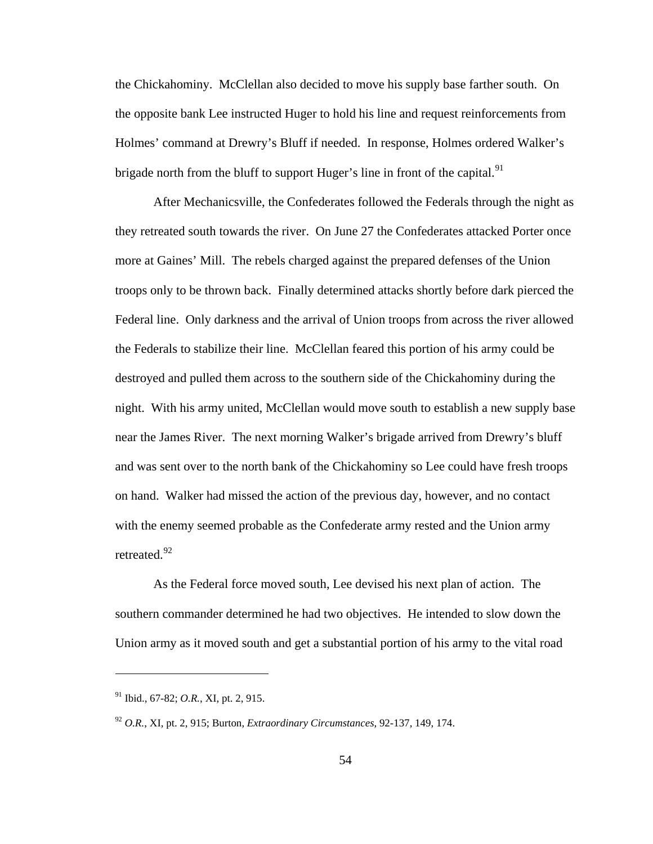the Chickahominy. McClellan also decided to move his supply base farther south. On the opposite bank Lee instructed Huger to hold his line and request reinforcements from Holmes' command at Drewry's Bluff if needed. In response, Holmes ordered Walker's brigade north from the bluff to support Huger's line in front of the capital. $91$ 

 After Mechanicsville, the Confederates followed the Federals through the night as they retreated south towards the river. On June 27 the Confederates attacked Porter once more at Gaines' Mill. The rebels charged against the prepared defenses of the Union troops only to be thrown back. Finally determined attacks shortly before dark pierced the Federal line. Only darkness and the arrival of Union troops from across the river allowed the Federals to stabilize their line. McClellan feared this portion of his army could be destroyed and pulled them across to the southern side of the Chickahominy during the night. With his army united, McClellan would move south to establish a new supply base near the James River. The next morning Walker's brigade arrived from Drewry's bluff and was sent over to the north bank of the Chickahominy so Lee could have fresh troops on hand. Walker had missed the action of the previous day, however, and no contact with the enemy seemed probable as the Confederate army rested and the Union army retreated.<sup>[92](#page-58-1)</sup>

 As the Federal force moved south, Lee devised his next plan of action. The southern commander determined he had two objectives. He intended to slow down the Union army as it moved south and get a substantial portion of his army to the vital road

<span id="page-58-0"></span><sup>91</sup> Ibid., 67-82; *O.R.*, XI, pt. 2, 915.

<span id="page-58-1"></span><sup>92</sup> *O.R.*, XI, pt. 2, 915; Burton, *Extraordinary Circumstances*, 92-137, 149, 174.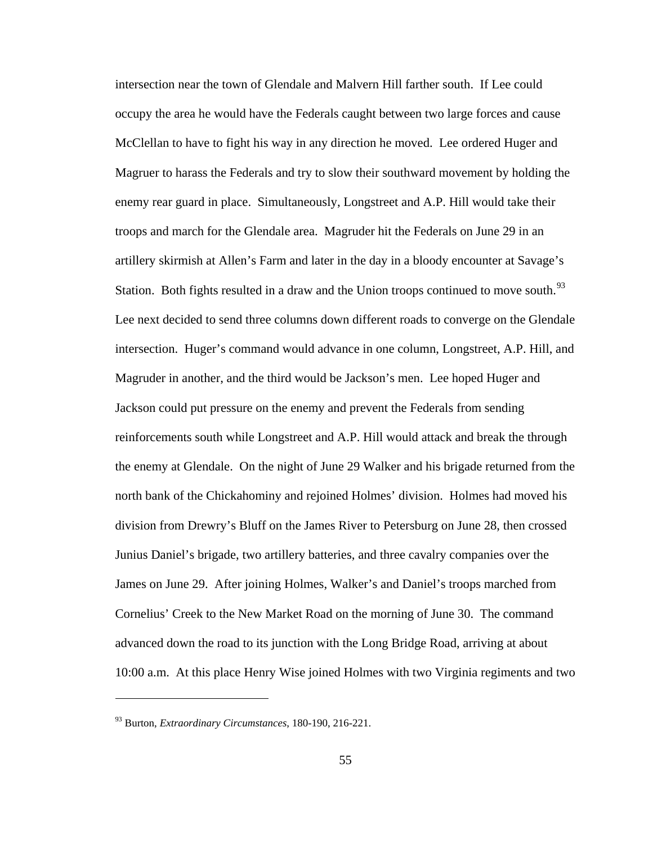intersection near the town of Glendale and Malvern Hill farther south. If Lee could occupy the area he would have the Federals caught between two large forces and cause McClellan to have to fight his way in any direction he moved. Lee ordered Huger and Magruer to harass the Federals and try to slow their southward movement by holding the enemy rear guard in place. Simultaneously, Longstreet and A.P. Hill would take their troops and march for the Glendale area. Magruder hit the Federals on June 29 in an artillery skirmish at Allen's Farm and later in the day in a bloody encounter at Savage's Station. Both fights resulted in a draw and the Union troops continued to move south.<sup>[93](#page-59-0)</sup> Lee next decided to send three columns down different roads to converge on the Glendale intersection. Huger's command would advance in one column, Longstreet, A.P. Hill, and Magruder in another, and the third would be Jackson's men. Lee hoped Huger and Jackson could put pressure on the enemy and prevent the Federals from sending reinforcements south while Longstreet and A.P. Hill would attack and break the through the enemy at Glendale. On the night of June 29 Walker and his brigade returned from the north bank of the Chickahominy and rejoined Holmes' division. Holmes had moved his division from Drewry's Bluff on the James River to Petersburg on June 28, then crossed Junius Daniel's brigade, two artillery batteries, and three cavalry companies over the James on June 29. After joining Holmes, Walker's and Daniel's troops marched from Cornelius' Creek to the New Market Road on the morning of June 30. The command advanced down the road to its junction with the Long Bridge Road, arriving at about 10:00 a.m. At this place Henry Wise joined Holmes with two Virginia regiments and two

<span id="page-59-0"></span><sup>93</sup> Burton, *Extraordinary Circumstances*, 180-190, 216-221.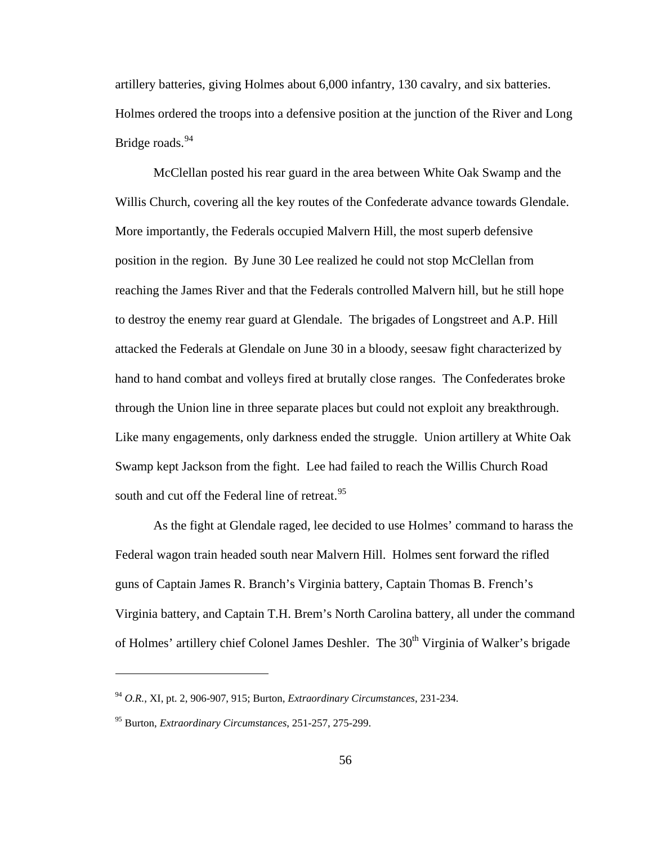artillery batteries, giving Holmes about 6,000 infantry, 130 cavalry, and six batteries. Holmes ordered the troops into a defensive position at the junction of the River and Long Bridge roads.<sup>[94](#page-60-0)</sup>

 McClellan posted his rear guard in the area between White Oak Swamp and the Willis Church, covering all the key routes of the Confederate advance towards Glendale. More importantly, the Federals occupied Malvern Hill, the most superb defensive position in the region. By June 30 Lee realized he could not stop McClellan from reaching the James River and that the Federals controlled Malvern hill, but he still hope to destroy the enemy rear guard at Glendale. The brigades of Longstreet and A.P. Hill attacked the Federals at Glendale on June 30 in a bloody, seesaw fight characterized by hand to hand combat and volleys fired at brutally close ranges. The Confederates broke through the Union line in three separate places but could not exploit any breakthrough. Like many engagements, only darkness ended the struggle. Union artillery at White Oak Swamp kept Jackson from the fight. Lee had failed to reach the Willis Church Road south and cut off the Federal line of retreat.<sup>[95](#page-60-1)</sup>

 As the fight at Glendale raged, lee decided to use Holmes' command to harass the Federal wagon train headed south near Malvern Hill. Holmes sent forward the rifled guns of Captain James R. Branch's Virginia battery, Captain Thomas B. French's Virginia battery, and Captain T.H. Brem's North Carolina battery, all under the command of Holmes' artillery chief Colonel James Deshler. The 30<sup>th</sup> Virginia of Walker's brigade

<span id="page-60-0"></span><sup>94</sup> *O.R.*, XI, pt. 2, 906-907, 915; Burton, *Extraordinary Circumstances*, 231-234.

<span id="page-60-1"></span><sup>95</sup> Burton, *Extraordinary Circumstances*, 251-257, 275-299.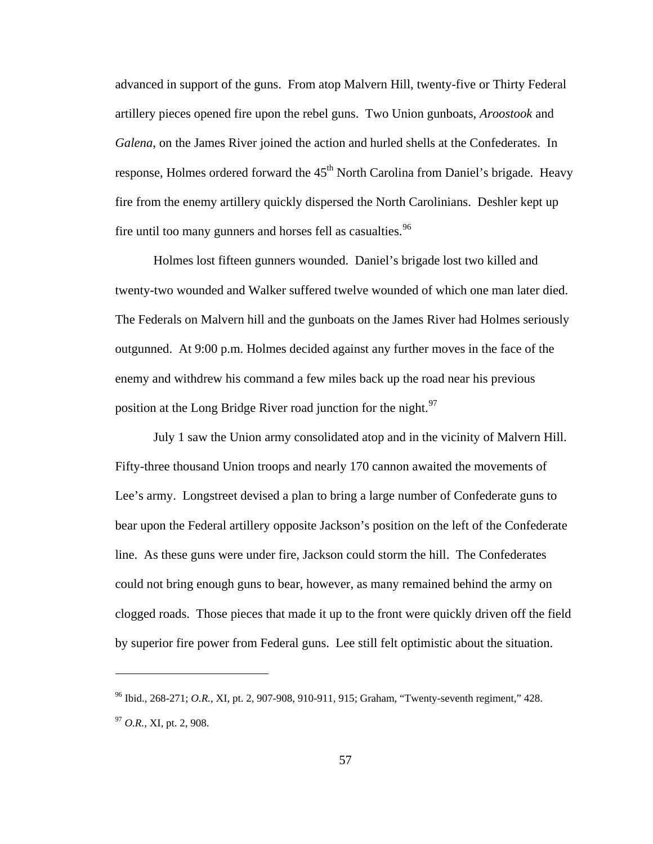advanced in support of the guns. From atop Malvern Hill, twenty-five or Thirty Federal artillery pieces opened fire upon the rebel guns. Two Union gunboats, *Aroostook* and *Galena*, on the James River joined the action and hurled shells at the Confederates. In response, Holmes ordered forward the 45<sup>th</sup> North Carolina from Daniel's brigade. Heavy fire from the enemy artillery quickly dispersed the North Carolinians. Deshler kept up fire until too many gunners and horses fell as casualties.<sup>[96](#page-61-0)</sup>

 Holmes lost fifteen gunners wounded. Daniel's brigade lost two killed and twenty-two wounded and Walker suffered twelve wounded of which one man later died. The Federals on Malvern hill and the gunboats on the James River had Holmes seriously outgunned. At 9:00 p.m. Holmes decided against any further moves in the face of the enemy and withdrew his command a few miles back up the road near his previous position at the Long Bridge River road junction for the night.<sup>[97](#page-61-1)</sup>

 July 1 saw the Union army consolidated atop and in the vicinity of Malvern Hill. Fifty-three thousand Union troops and nearly 170 cannon awaited the movements of Lee's army. Longstreet devised a plan to bring a large number of Confederate guns to bear upon the Federal artillery opposite Jackson's position on the left of the Confederate line. As these guns were under fire, Jackson could storm the hill. The Confederates could not bring enough guns to bear, however, as many remained behind the army on clogged roads. Those pieces that made it up to the front were quickly driven off the field by superior fire power from Federal guns. Lee still felt optimistic about the situation.

<span id="page-61-1"></span><span id="page-61-0"></span><sup>96</sup> Ibid., 268-271; *O.R.*, XI, pt. 2, 907-908, 910-911, 915; Graham, "Twenty-seventh regiment," 428. <sup>97</sup> *O.R.*, XI, pt. 2, 908.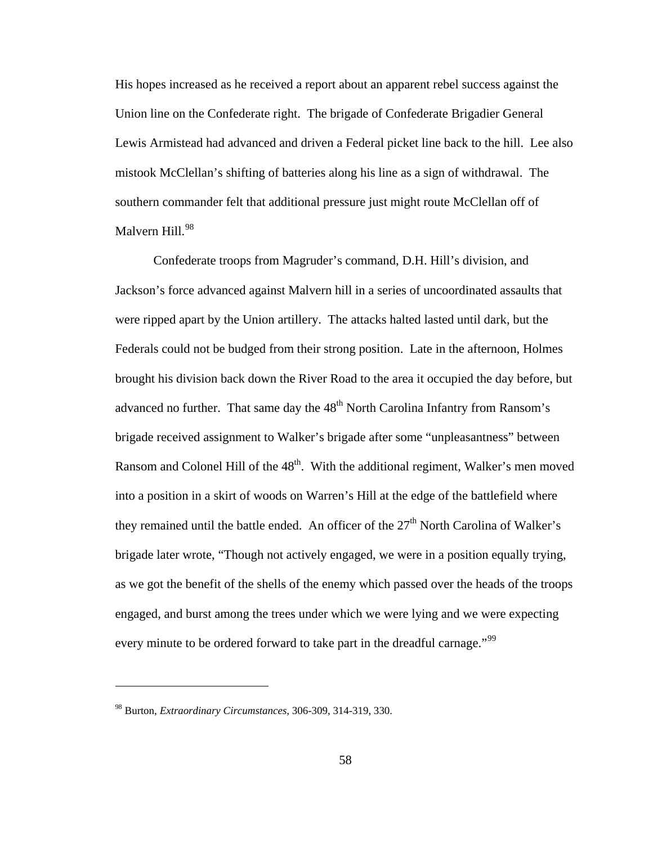His hopes increased as he received a report about an apparent rebel success against the Union line on the Confederate right. The brigade of Confederate Brigadier General Lewis Armistead had advanced and driven a Federal picket line back to the hill. Lee also mistook McClellan's shifting of batteries along his line as a sign of withdrawal. The southern commander felt that additional pressure just might route McClellan off of Malvern Hill.<sup>[98](#page-62-0)</sup>

 Confederate troops from Magruder's command, D.H. Hill's division, and Jackson's force advanced against Malvern hill in a series of uncoordinated assaults that were ripped apart by the Union artillery. The attacks halted lasted until dark, but the Federals could not be budged from their strong position. Late in the afternoon, Holmes brought his division back down the River Road to the area it occupied the day before, but advanced no further. That same day the 48<sup>th</sup> North Carolina Infantry from Ransom's brigade received assignment to Walker's brigade after some "unpleasantness" between Ransom and Colonel Hill of the 48<sup>th</sup>. With the additional regiment, Walker's men moved into a position in a skirt of woods on Warren's Hill at the edge of the battlefield where they remained until the battle ended. An officer of the  $27<sup>th</sup>$  North Carolina of Walker's brigade later wrote, "Though not actively engaged, we were in a position equally trying, as we got the benefit of the shells of the enemy which passed over the heads of the troops engaged, and burst among the trees under which we were lying and we were expecting every minute to be ordered forward to take part in the dreadful carnage."<sup>[99](#page-62-1)</sup>

<span id="page-62-1"></span><span id="page-62-0"></span><sup>98</sup> Burton, *Extraordinary Circumstances*, 306-309, 314-319, 330.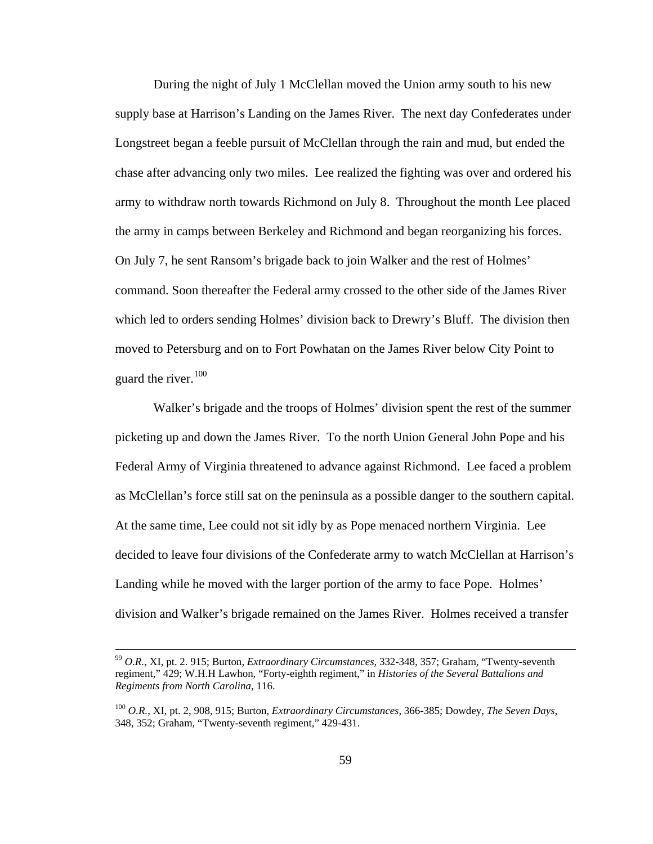During the night of July 1 McClellan moved the Union army south to his new supply base at Harrison's Landing on the James River. The next day Confederates under Longstreet began a feeble pursuit of McClellan through the rain and mud, but ended the chase after advancing only two miles. Lee realized the fighting was over and ordered his army to withdraw north towards Richmond on July 8. Throughout the month Lee placed the army in camps between Berkeley and Richmond and began reorganizing his forces. On July 7, he sent Ransom's brigade back to join Walker and the rest of Holmes' command. Soon thereafter the Federal army crossed to the other side of the James River which led to orders sending Holmes' division back to Drewry's Bluff. The division then moved to Petersburg and on to Fort Powhatan on the James River below City Point to guard the river. $100$ 

 Walker's brigade and the troops of Holmes' division spent the rest of the summer picketing up and down the James River. To the north Union General John Pope and his Federal Army of Virginia threatened to advance against Richmond. Lee faced a problem as McClellan's force still sat on the peninsula as a possible danger to the southern capital. At the same time, Lee could not sit idly by as Pope menaced northern Virginia. Lee decided to leave four divisions of the Confederate army to watch McClellan at Harrison's Landing while he moved with the larger portion of the army to face Pope. Holmes' division and Walker's brigade remained on the James River. Holmes received a transfer

 <sup>99</sup> *O.R.*, XI, pt. 2. 915; Burton, *Extraordinary Circumstances*, 332-348, 357; Graham, "Twenty-seventh regiment," 429; W.H.H Lawhon, "Forty-eighth regiment," in *Histories of the Several Battalions and Regiments from North Carolina*, 116.

<span id="page-63-0"></span><sup>100</sup> *O.R.*, XI, pt. 2, 908, 915; Burton, *Extraordinary Circumstances*, 366-385; Dowdey, *The Seven Days*, 348, 352; Graham, "Twenty-seventh regiment," 429-431.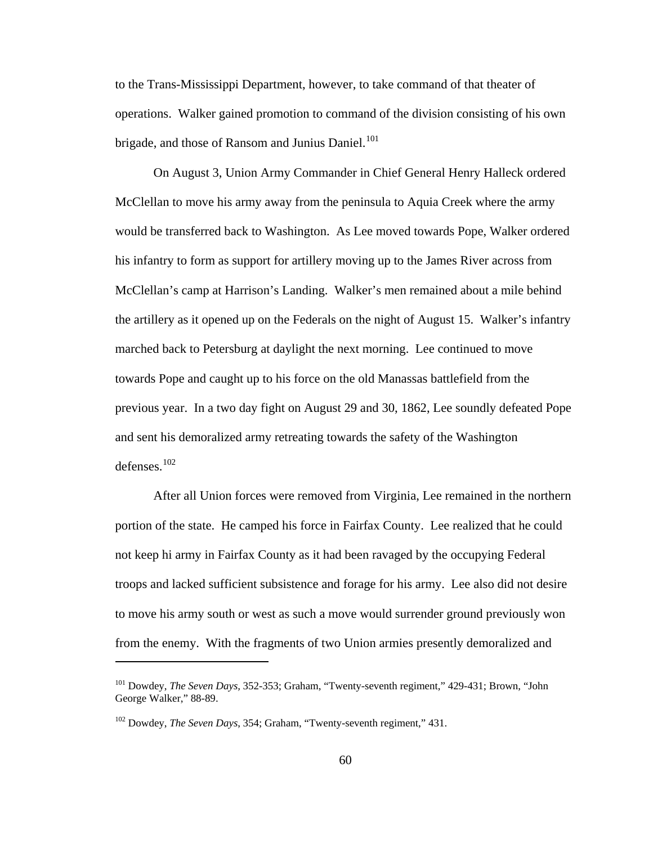to the Trans-Mississippi Department, however, to take command of that theater of operations. Walker gained promotion to command of the division consisting of his own brigade, and those of Ransom and Junius Daniel.<sup>[101](#page-64-0)</sup>

 On August 3, Union Army Commander in Chief General Henry Halleck ordered McClellan to move his army away from the peninsula to Aquia Creek where the army would be transferred back to Washington. As Lee moved towards Pope, Walker ordered his infantry to form as support for artillery moving up to the James River across from McClellan's camp at Harrison's Landing. Walker's men remained about a mile behind the artillery as it opened up on the Federals on the night of August 15. Walker's infantry marched back to Petersburg at daylight the next morning. Lee continued to move towards Pope and caught up to his force on the old Manassas battlefield from the previous year. In a two day fight on August 29 and 30, 1862, Lee soundly defeated Pope and sent his demoralized army retreating towards the safety of the Washington defenses.[102](#page-64-1)

 After all Union forces were removed from Virginia, Lee remained in the northern portion of the state. He camped his force in Fairfax County. Lee realized that he could not keep hi army in Fairfax County as it had been ravaged by the occupying Federal troops and lacked sufficient subsistence and forage for his army. Lee also did not desire to move his army south or west as such a move would surrender ground previously won from the enemy. With the fragments of two Union armies presently demoralized and

<span id="page-64-0"></span><sup>101</sup> Dowdey, *The Seven Days,* 352-353; Graham, "Twenty-seventh regiment," 429-431; Brown, "John George Walker," 88-89.

<span id="page-64-1"></span><sup>102</sup> Dowdey, *The Seven Days*, 354; Graham, "Twenty-seventh regiment," 431.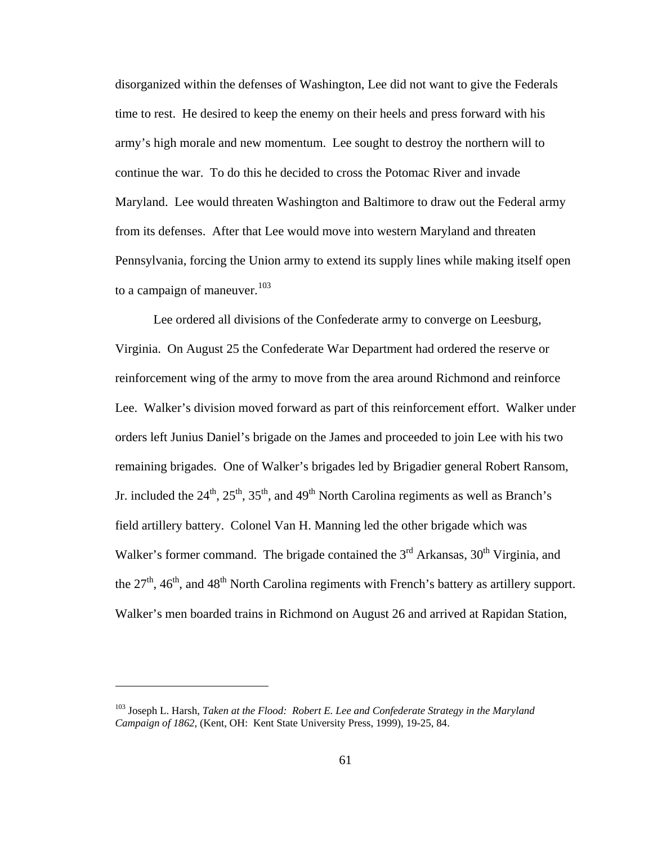disorganized within the defenses of Washington, Lee did not want to give the Federals time to rest. He desired to keep the enemy on their heels and press forward with his army's high morale and new momentum. Lee sought to destroy the northern will to continue the war. To do this he decided to cross the Potomac River and invade Maryland. Lee would threaten Washington and Baltimore to draw out the Federal army from its defenses. After that Lee would move into western Maryland and threaten Pennsylvania, forcing the Union army to extend its supply lines while making itself open to a campaign of maneuver.<sup>[103](#page-65-0)</sup>

 Lee ordered all divisions of the Confederate army to converge on Leesburg, Virginia. On August 25 the Confederate War Department had ordered the reserve or reinforcement wing of the army to move from the area around Richmond and reinforce Lee. Walker's division moved forward as part of this reinforcement effort. Walker under orders left Junius Daniel's brigade on the James and proceeded to join Lee with his two remaining brigades. One of Walker's brigades led by Brigadier general Robert Ransom, Jr. included the  $24^{\text{th}}$ ,  $25^{\text{th}}$ ,  $35^{\text{th}}$ , and  $49^{\text{th}}$  North Carolina regiments as well as Branch's field artillery battery. Colonel Van H. Manning led the other brigade which was Walker's former command. The brigade contained the  $3<sup>rd</sup>$  Arkansas,  $30<sup>th</sup>$  Virginia, and the  $27<sup>th</sup>$ ,  $46<sup>th</sup>$ , and  $48<sup>th</sup>$  North Carolina regiments with French's battery as artillery support. Walker's men boarded trains in Richmond on August 26 and arrived at Rapidan Station,

<span id="page-65-0"></span><sup>103</sup> Joseph L. Harsh, *Taken at the Flood: Robert E. Lee and Confederate Strategy in the Maryland Campaign of 1862*, (Kent, OH: Kent State University Press, 1999), 19-25, 84.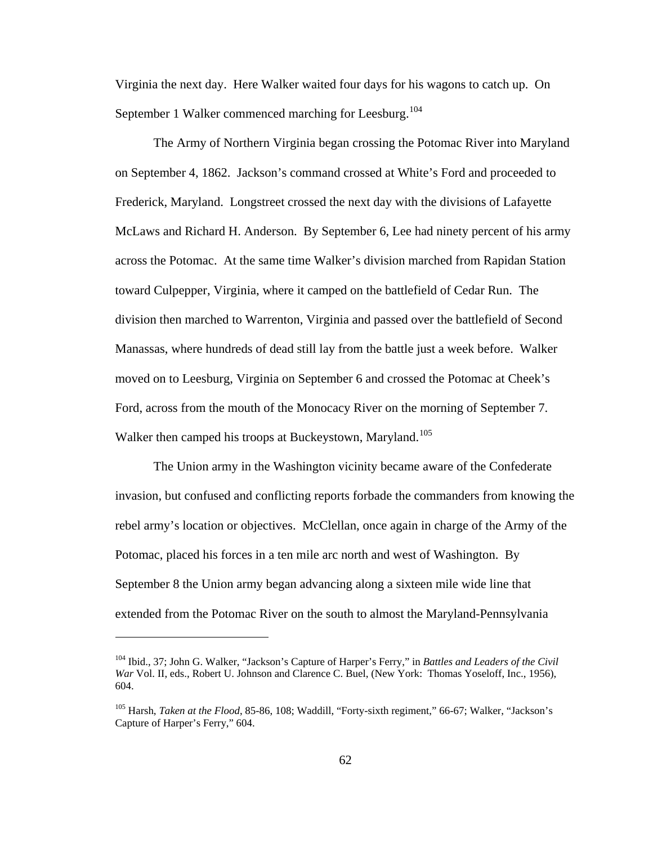Virginia the next day. Here Walker waited four days for his wagons to catch up. On September 1 Walker commenced marching for Leesburg.<sup>[104](#page-66-0)</sup>

 The Army of Northern Virginia began crossing the Potomac River into Maryland on September 4, 1862. Jackson's command crossed at White's Ford and proceeded to Frederick, Maryland. Longstreet crossed the next day with the divisions of Lafayette McLaws and Richard H. Anderson. By September 6, Lee had ninety percent of his army across the Potomac. At the same time Walker's division marched from Rapidan Station toward Culpepper, Virginia, where it camped on the battlefield of Cedar Run. The division then marched to Warrenton, Virginia and passed over the battlefield of Second Manassas, where hundreds of dead still lay from the battle just a week before. Walker moved on to Leesburg, Virginia on September 6 and crossed the Potomac at Cheek's Ford, across from the mouth of the Monocacy River on the morning of September 7. Walker then camped his troops at Buckeystown, Maryland.<sup>[105](#page-66-1)</sup>

 The Union army in the Washington vicinity became aware of the Confederate invasion, but confused and conflicting reports forbade the commanders from knowing the rebel army's location or objectives. McClellan, once again in charge of the Army of the Potomac, placed his forces in a ten mile arc north and west of Washington. By September 8 the Union army began advancing along a sixteen mile wide line that extended from the Potomac River on the south to almost the Maryland-Pennsylvania

<span id="page-66-0"></span><sup>104</sup> Ibid., 37; John G. Walker, "Jackson's Capture of Harper's Ferry," in *Battles and Leaders of the Civil War* Vol. II, eds., Robert U. Johnson and Clarence C. Buel, (New York: Thomas Yoseloff, Inc., 1956), 604.

<span id="page-66-1"></span><sup>&</sup>lt;sup>105</sup> Harsh, *Taken at the Flood*, 85-86, 108; Waddill, "Forty-sixth regiment," 66-67; Walker, "Jackson's Capture of Harper's Ferry," 604.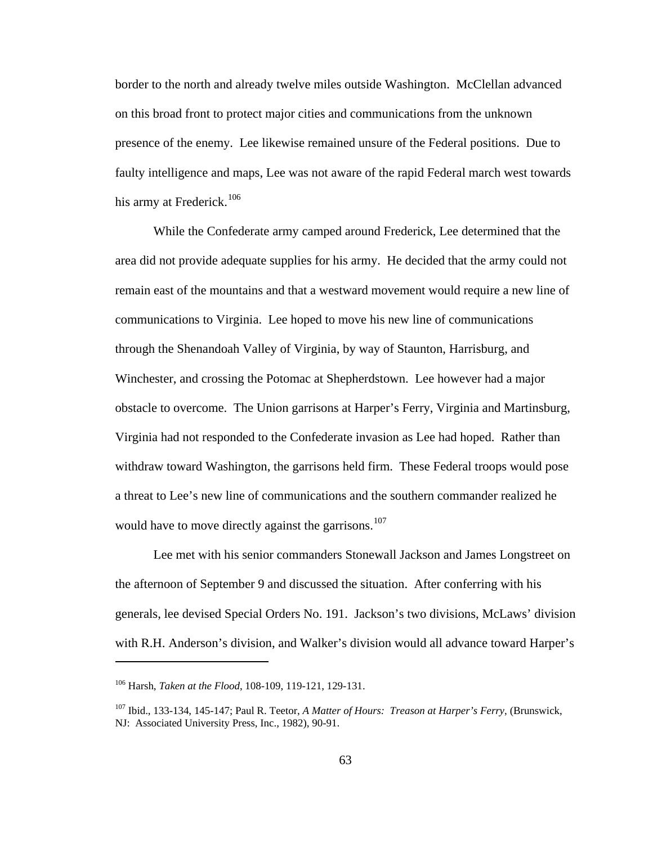border to the north and already twelve miles outside Washington. McClellan advanced on this broad front to protect major cities and communications from the unknown presence of the enemy. Lee likewise remained unsure of the Federal positions. Due to faulty intelligence and maps, Lee was not aware of the rapid Federal march west towards his army at Frederick.<sup>[106](#page-67-0)</sup>

 While the Confederate army camped around Frederick, Lee determined that the area did not provide adequate supplies for his army. He decided that the army could not remain east of the mountains and that a westward movement would require a new line of communications to Virginia. Lee hoped to move his new line of communications through the Shenandoah Valley of Virginia, by way of Staunton, Harrisburg, and Winchester, and crossing the Potomac at Shepherdstown. Lee however had a major obstacle to overcome. The Union garrisons at Harper's Ferry, Virginia and Martinsburg, Virginia had not responded to the Confederate invasion as Lee had hoped. Rather than withdraw toward Washington, the garrisons held firm. These Federal troops would pose a threat to Lee's new line of communications and the southern commander realized he would have to move directly against the garrisons.<sup>[107](#page-67-1)</sup>

 Lee met with his senior commanders Stonewall Jackson and James Longstreet on the afternoon of September 9 and discussed the situation. After conferring with his generals, lee devised Special Orders No. 191. Jackson's two divisions, McLaws' division with R.H. Anderson's division, and Walker's division would all advance toward Harper's

<span id="page-67-0"></span><sup>106</sup> Harsh, *Taken at the Flood*, 108-109, 119-121, 129-131.

<span id="page-67-1"></span><sup>107</sup> Ibid., 133-134, 145-147; Paul R. Teetor, *A Matter of Hours: Treason at Harper's Ferry*, (Brunswick, NJ: Associated University Press, Inc., 1982), 90-91.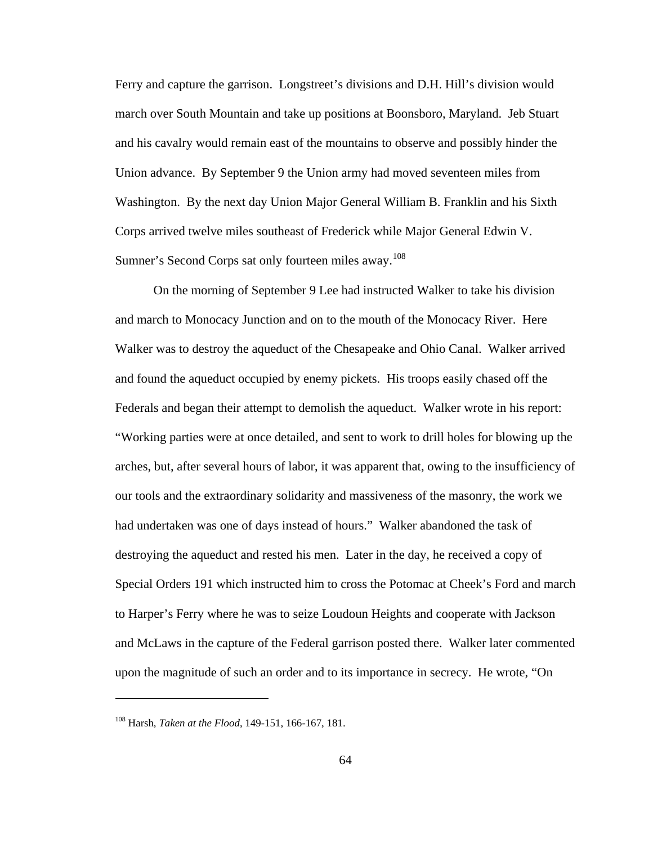Ferry and capture the garrison. Longstreet's divisions and D.H. Hill's division would march over South Mountain and take up positions at Boonsboro, Maryland. Jeb Stuart and his cavalry would remain east of the mountains to observe and possibly hinder the Union advance. By September 9 the Union army had moved seventeen miles from Washington. By the next day Union Major General William B. Franklin and his Sixth Corps arrived twelve miles southeast of Frederick while Major General Edwin V. Sumner's Second Corps sat only fourteen miles away.<sup>[108](#page-68-0)</sup>

 On the morning of September 9 Lee had instructed Walker to take his division and march to Monocacy Junction and on to the mouth of the Monocacy River. Here Walker was to destroy the aqueduct of the Chesapeake and Ohio Canal. Walker arrived and found the aqueduct occupied by enemy pickets. His troops easily chased off the Federals and began their attempt to demolish the aqueduct. Walker wrote in his report: "Working parties were at once detailed, and sent to work to drill holes for blowing up the arches, but, after several hours of labor, it was apparent that, owing to the insufficiency of our tools and the extraordinary solidarity and massiveness of the masonry, the work we had undertaken was one of days instead of hours." Walker abandoned the task of destroying the aqueduct and rested his men. Later in the day, he received a copy of Special Orders 191 which instructed him to cross the Potomac at Cheek's Ford and march to Harper's Ferry where he was to seize Loudoun Heights and cooperate with Jackson and McLaws in the capture of the Federal garrison posted there. Walker later commented upon the magnitude of such an order and to its importance in secrecy. He wrote, "On

<span id="page-68-0"></span><sup>108</sup> Harsh, *Taken at the Flood*, 149-151, 166-167, 181.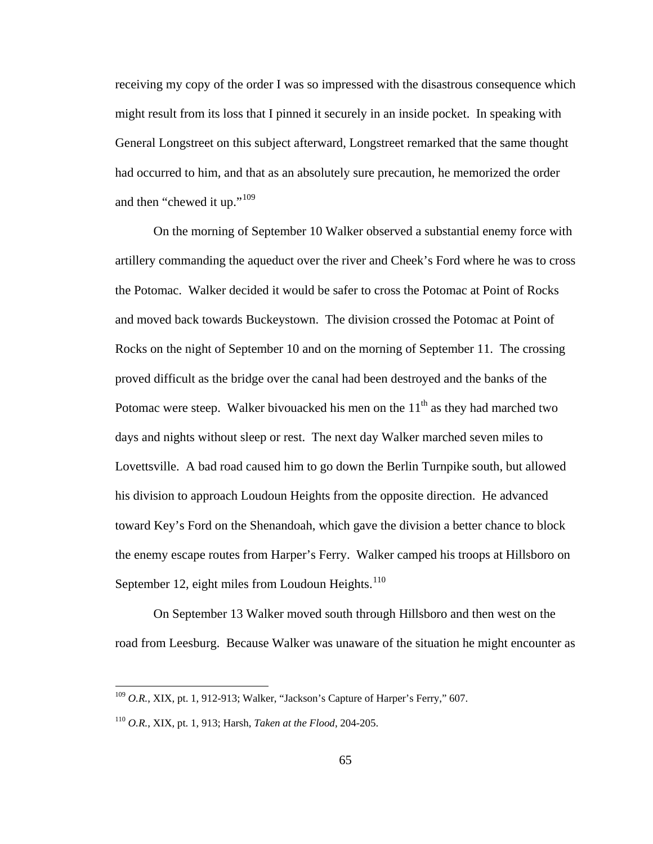receiving my copy of the order I was so impressed with the disastrous consequence which might result from its loss that I pinned it securely in an inside pocket. In speaking with General Longstreet on this subject afterward, Longstreet remarked that the same thought had occurred to him, and that as an absolutely sure precaution, he memorized the order and then "chewed it up."<sup>[109](#page-69-0)</sup>

 On the morning of September 10 Walker observed a substantial enemy force with artillery commanding the aqueduct over the river and Cheek's Ford where he was to cross the Potomac. Walker decided it would be safer to cross the Potomac at Point of Rocks and moved back towards Buckeystown. The division crossed the Potomac at Point of Rocks on the night of September 10 and on the morning of September 11. The crossing proved difficult as the bridge over the canal had been destroyed and the banks of the Potomac were steep. Walker bivouacked his men on the  $11<sup>th</sup>$  as they had marched two days and nights without sleep or rest. The next day Walker marched seven miles to Lovettsville. A bad road caused him to go down the Berlin Turnpike south, but allowed his division to approach Loudoun Heights from the opposite direction. He advanced toward Key's Ford on the Shenandoah, which gave the division a better chance to block the enemy escape routes from Harper's Ferry. Walker camped his troops at Hillsboro on September 12, eight miles from Loudoun Heights. $110$ 

 On September 13 Walker moved south through Hillsboro and then west on the road from Leesburg. Because Walker was unaware of the situation he might encounter as

<span id="page-69-0"></span><sup>109</sup> *O.R.*, XIX, pt. 1, 912-913; Walker, "Jackson's Capture of Harper's Ferry," 607.

<span id="page-69-1"></span><sup>110</sup> *O.R.*, XIX, pt. 1, 913; Harsh, *Taken at the Flood*, 204-205.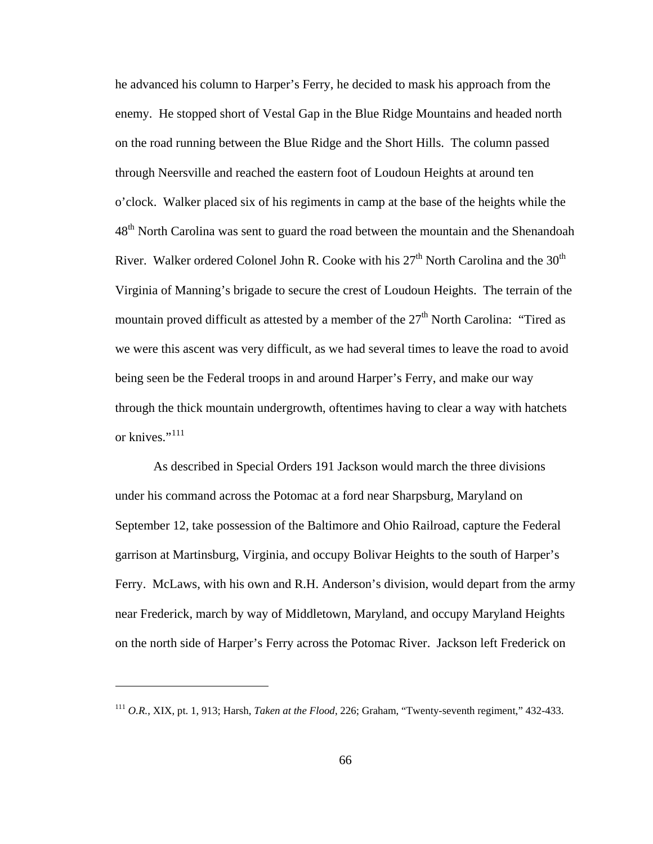he advanced his column to Harper's Ferry, he decided to mask his approach from the enemy. He stopped short of Vestal Gap in the Blue Ridge Mountains and headed north on the road running between the Blue Ridge and the Short Hills. The column passed through Neersville and reached the eastern foot of Loudoun Heights at around ten o'clock. Walker placed six of his regiments in camp at the base of the heights while the 48<sup>th</sup> North Carolina was sent to guard the road between the mountain and the Shenandoah River. Walker ordered Colonel John R. Cooke with his  $27<sup>th</sup>$  North Carolina and the  $30<sup>th</sup>$ Virginia of Manning's brigade to secure the crest of Loudoun Heights. The terrain of the mountain proved difficult as attested by a member of the  $27<sup>th</sup>$  North Carolina: "Tired as we were this ascent was very difficult, as we had several times to leave the road to avoid being seen be the Federal troops in and around Harper's Ferry, and make our way through the thick mountain undergrowth, oftentimes having to clear a way with hatchets or knives."<sup>[111](#page-70-0)</sup>

 As described in Special Orders 191 Jackson would march the three divisions under his command across the Potomac at a ford near Sharpsburg, Maryland on September 12, take possession of the Baltimore and Ohio Railroad, capture the Federal garrison at Martinsburg, Virginia, and occupy Bolivar Heights to the south of Harper's Ferry. McLaws, with his own and R.H. Anderson's division, would depart from the army near Frederick, march by way of Middletown, Maryland, and occupy Maryland Heights on the north side of Harper's Ferry across the Potomac River. Jackson left Frederick on

<span id="page-70-0"></span><sup>111</sup> *O.R.*, XIX, pt. 1, 913; Harsh, *Taken at the Flood*, 226; Graham, "Twenty-seventh regiment," 432-433.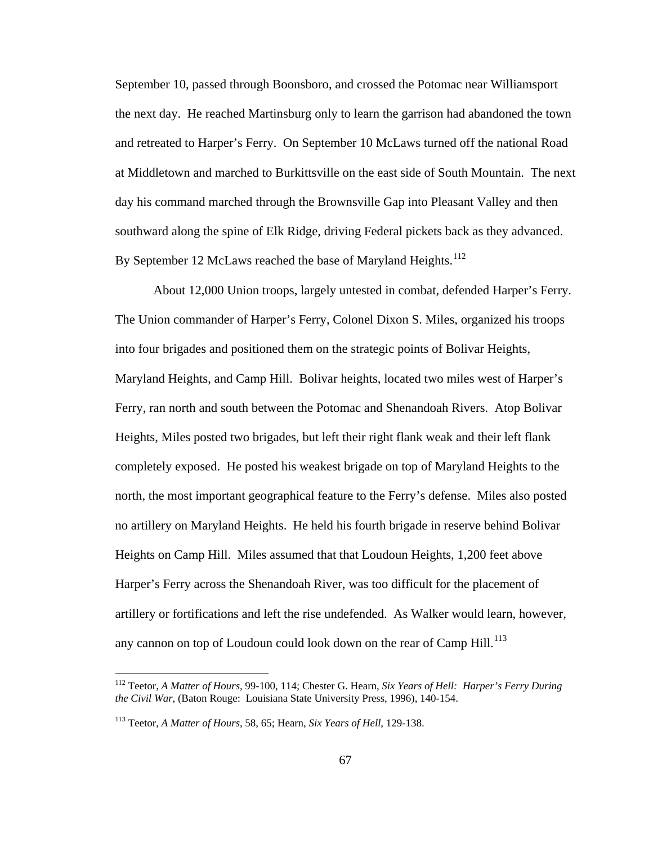September 10, passed through Boonsboro, and crossed the Potomac near Williamsport the next day. He reached Martinsburg only to learn the garrison had abandoned the town and retreated to Harper's Ferry. On September 10 McLaws turned off the national Road at Middletown and marched to Burkittsville on the east side of South Mountain. The next day his command marched through the Brownsville Gap into Pleasant Valley and then southward along the spine of Elk Ridge, driving Federal pickets back as they advanced. By September 12 McLaws reached the base of Maryland Heights.<sup>[112](#page-71-0)</sup>

 About 12,000 Union troops, largely untested in combat, defended Harper's Ferry. The Union commander of Harper's Ferry, Colonel Dixon S. Miles, organized his troops into four brigades and positioned them on the strategic points of Bolivar Heights, Maryland Heights, and Camp Hill. Bolivar heights, located two miles west of Harper's Ferry, ran north and south between the Potomac and Shenandoah Rivers. Atop Bolivar Heights, Miles posted two brigades, but left their right flank weak and their left flank completely exposed. He posted his weakest brigade on top of Maryland Heights to the north, the most important geographical feature to the Ferry's defense. Miles also posted no artillery on Maryland Heights. He held his fourth brigade in reserve behind Bolivar Heights on Camp Hill. Miles assumed that that Loudoun Heights, 1,200 feet above Harper's Ferry across the Shenandoah River, was too difficult for the placement of artillery or fortifications and left the rise undefended. As Walker would learn, however, any cannon on top of Loudoun could look down on the rear of Camp Hill.<sup>[113](#page-71-1)</sup>

<span id="page-71-0"></span><sup>112</sup> Teetor, *A Matter of Hours*, 99-100, 114; Chester G. Hearn, *Six Years of Hell: Harper's Ferry During the Civil War*, (Baton Rouge: Louisiana State University Press, 1996), 140-154.

<span id="page-71-1"></span><sup>113</sup> Teetor, *A Matter of Hours*, 58, 65; Hearn, *Six Years of Hell*, 129-138.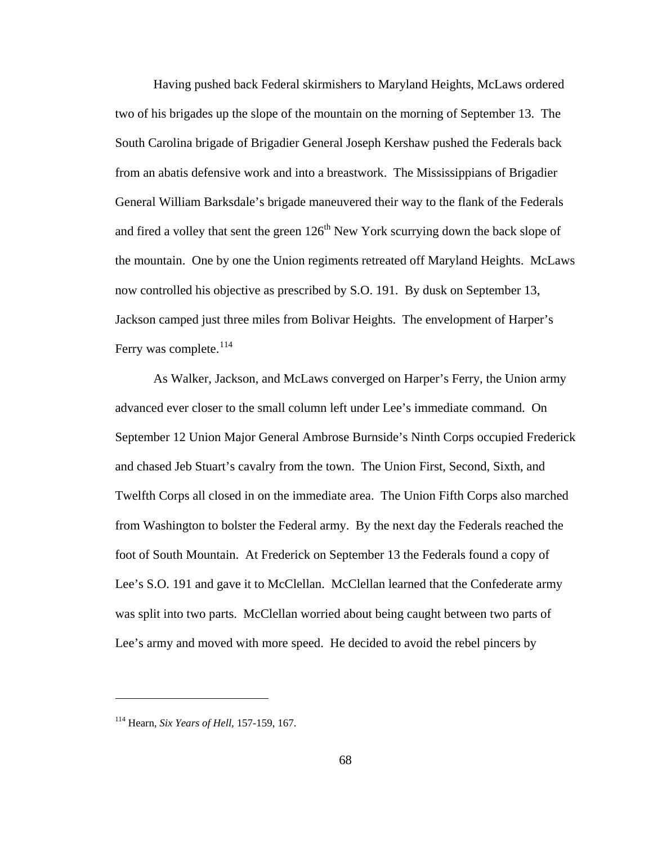Having pushed back Federal skirmishers to Maryland Heights, McLaws ordered two of his brigades up the slope of the mountain on the morning of September 13. The South Carolina brigade of Brigadier General Joseph Kershaw pushed the Federals back from an abatis defensive work and into a breastwork. The Mississippians of Brigadier General William Barksdale's brigade maneuvered their way to the flank of the Federals and fired a volley that sent the green  $126<sup>th</sup>$  New York scurrying down the back slope of the mountain. One by one the Union regiments retreated off Maryland Heights. McLaws now controlled his objective as prescribed by S.O. 191. By dusk on September 13, Jackson camped just three miles from Bolivar Heights. The envelopment of Harper's Ferry was complete.<sup>[114](#page-72-0)</sup>

 As Walker, Jackson, and McLaws converged on Harper's Ferry, the Union army advanced ever closer to the small column left under Lee's immediate command. On September 12 Union Major General Ambrose Burnside's Ninth Corps occupied Frederick and chased Jeb Stuart's cavalry from the town. The Union First, Second, Sixth, and Twelfth Corps all closed in on the immediate area. The Union Fifth Corps also marched from Washington to bolster the Federal army. By the next day the Federals reached the foot of South Mountain. At Frederick on September 13 the Federals found a copy of Lee's S.O. 191 and gave it to McClellan. McClellan learned that the Confederate army was split into two parts. McClellan worried about being caught between two parts of Lee's army and moved with more speed. He decided to avoid the rebel pincers by

<span id="page-72-0"></span><sup>114</sup> Hearn, *Six Years of Hell*, 157-159, 167.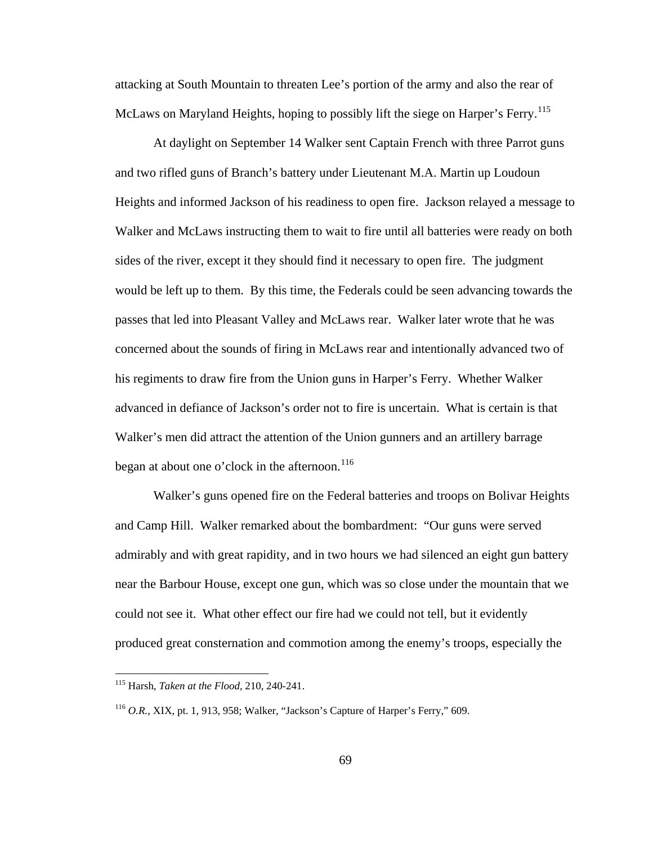attacking at South Mountain to threaten Lee's portion of the army and also the rear of McLaws on Maryland Heights, hoping to possibly lift the siege on Harper's Ferry.<sup>[115](#page-73-0)</sup>

 At daylight on September 14 Walker sent Captain French with three Parrot guns and two rifled guns of Branch's battery under Lieutenant M.A. Martin up Loudoun Heights and informed Jackson of his readiness to open fire. Jackson relayed a message to Walker and McLaws instructing them to wait to fire until all batteries were ready on both sides of the river, except it they should find it necessary to open fire. The judgment would be left up to them. By this time, the Federals could be seen advancing towards the passes that led into Pleasant Valley and McLaws rear. Walker later wrote that he was concerned about the sounds of firing in McLaws rear and intentionally advanced two of his regiments to draw fire from the Union guns in Harper's Ferry. Whether Walker advanced in defiance of Jackson's order not to fire is uncertain. What is certain is that Walker's men did attract the attention of the Union gunners and an artillery barrage began at about one o'clock in the afternoon.<sup>[116](#page-73-1)</sup>

 Walker's guns opened fire on the Federal batteries and troops on Bolivar Heights and Camp Hill. Walker remarked about the bombardment: "Our guns were served admirably and with great rapidity, and in two hours we had silenced an eight gun battery near the Barbour House, except one gun, which was so close under the mountain that we could not see it. What other effect our fire had we could not tell, but it evidently produced great consternation and commotion among the enemy's troops, especially the

<span id="page-73-0"></span><sup>115</sup> Harsh, *Taken at the Flood*, 210, 240-241.

<span id="page-73-1"></span><sup>116</sup> *O.R.*, XIX, pt. 1, 913, 958; Walker, "Jackson's Capture of Harper's Ferry," 609.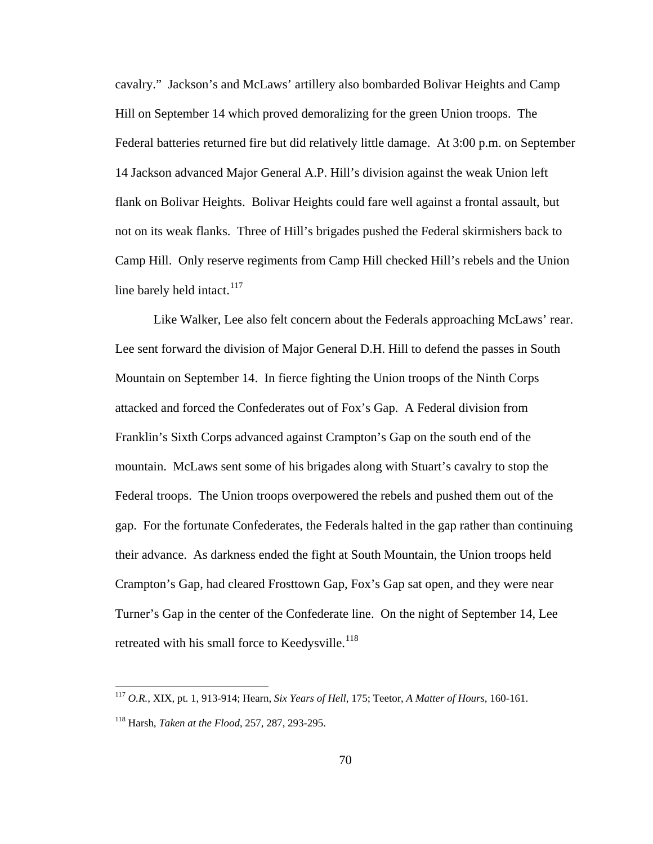cavalry." Jackson's and McLaws' artillery also bombarded Bolivar Heights and Camp Hill on September 14 which proved demoralizing for the green Union troops. The Federal batteries returned fire but did relatively little damage. At 3:00 p.m. on September 14 Jackson advanced Major General A.P. Hill's division against the weak Union left flank on Bolivar Heights. Bolivar Heights could fare well against a frontal assault, but not on its weak flanks. Three of Hill's brigades pushed the Federal skirmishers back to Camp Hill. Only reserve regiments from Camp Hill checked Hill's rebels and the Union line barely held intact. $117$ 

 Like Walker, Lee also felt concern about the Federals approaching McLaws' rear. Lee sent forward the division of Major General D.H. Hill to defend the passes in South Mountain on September 14. In fierce fighting the Union troops of the Ninth Corps attacked and forced the Confederates out of Fox's Gap. A Federal division from Franklin's Sixth Corps advanced against Crampton's Gap on the south end of the mountain. McLaws sent some of his brigades along with Stuart's cavalry to stop the Federal troops. The Union troops overpowered the rebels and pushed them out of the gap. For the fortunate Confederates, the Federals halted in the gap rather than continuing their advance. As darkness ended the fight at South Mountain, the Union troops held Crampton's Gap, had cleared Frosttown Gap, Fox's Gap sat open, and they were near Turner's Gap in the center of the Confederate line. On the night of September 14, Lee retreated with his small force to Keedysville.<sup>[118](#page-74-1)</sup>

<span id="page-74-0"></span><sup>117</sup> *O.R.*, XIX, pt. 1, 913-914; Hearn, *Six Years of Hell*, 175; Teetor, *A Matter of Hours*, 160-161.

<span id="page-74-1"></span><sup>118</sup> Harsh, *Taken at the Flood*, 257, 287, 293-295.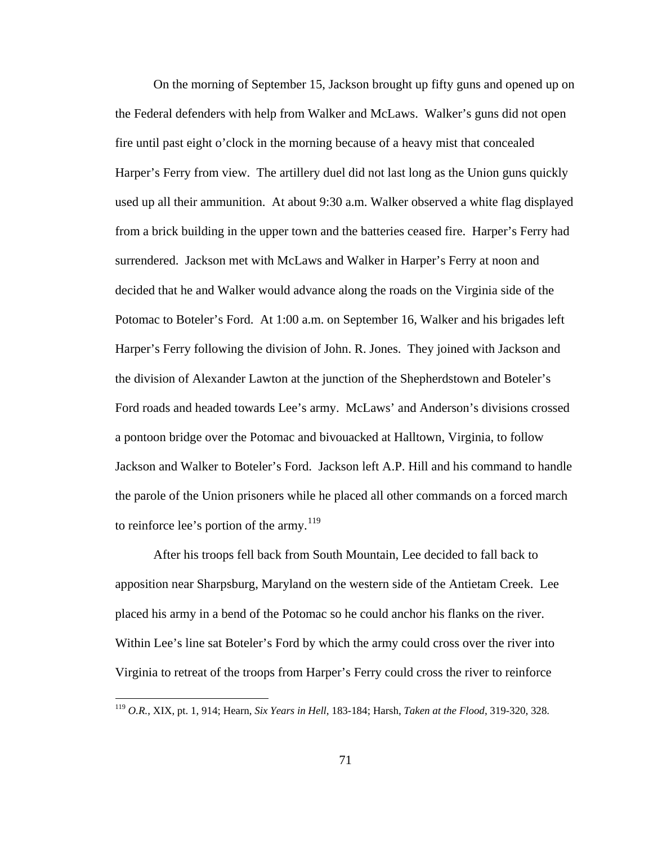On the morning of September 15, Jackson brought up fifty guns and opened up on the Federal defenders with help from Walker and McLaws. Walker's guns did not open fire until past eight o'clock in the morning because of a heavy mist that concealed Harper's Ferry from view. The artillery duel did not last long as the Union guns quickly used up all their ammunition. At about 9:30 a.m. Walker observed a white flag displayed from a brick building in the upper town and the batteries ceased fire. Harper's Ferry had surrendered. Jackson met with McLaws and Walker in Harper's Ferry at noon and decided that he and Walker would advance along the roads on the Virginia side of the Potomac to Boteler's Ford. At 1:00 a.m. on September 16, Walker and his brigades left Harper's Ferry following the division of John. R. Jones. They joined with Jackson and the division of Alexander Lawton at the junction of the Shepherdstown and Boteler's Ford roads and headed towards Lee's army. McLaws' and Anderson's divisions crossed a pontoon bridge over the Potomac and bivouacked at Halltown, Virginia, to follow Jackson and Walker to Boteler's Ford. Jackson left A.P. Hill and his command to handle the parole of the Union prisoners while he placed all other commands on a forced march to reinforce lee's portion of the army.<sup>[119](#page-75-0)</sup>

 After his troops fell back from South Mountain, Lee decided to fall back to apposition near Sharpsburg, Maryland on the western side of the Antietam Creek. Lee placed his army in a bend of the Potomac so he could anchor his flanks on the river. Within Lee's line sat Boteler's Ford by which the army could cross over the river into Virginia to retreat of the troops from Harper's Ferry could cross the river to reinforce

<span id="page-75-0"></span><sup>119</sup> *O.R.*, XIX, pt. 1, 914; Hearn, *Six Years in Hell*, 183-184; Harsh, *Taken at the Flood*, 319-320, 328.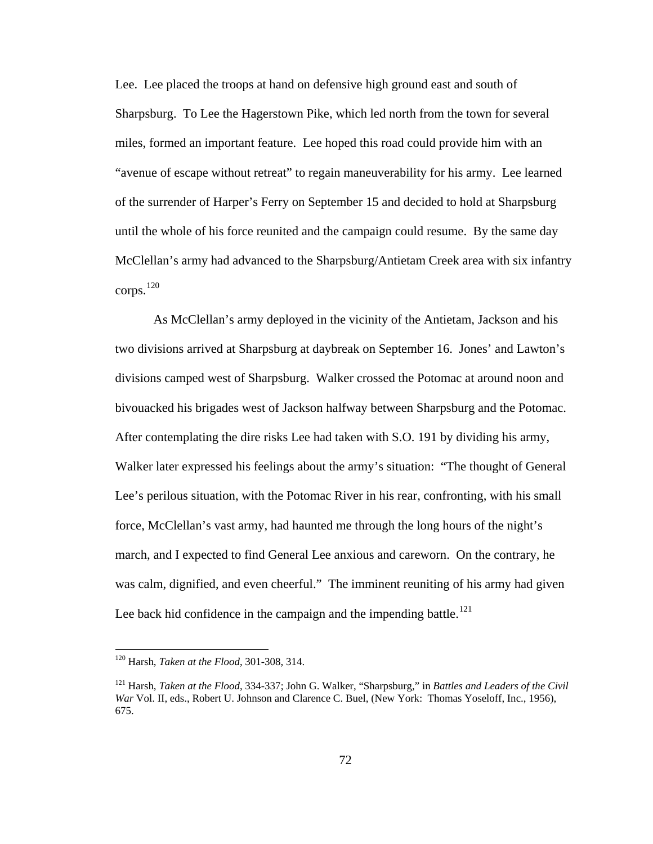Lee. Lee placed the troops at hand on defensive high ground east and south of Sharpsburg. To Lee the Hagerstown Pike, which led north from the town for several miles, formed an important feature. Lee hoped this road could provide him with an "avenue of escape without retreat" to regain maneuverability for his army. Lee learned of the surrender of Harper's Ferry on September 15 and decided to hold at Sharpsburg until the whole of his force reunited and the campaign could resume. By the same day McClellan's army had advanced to the Sharpsburg/Antietam Creek area with six infantry corps. $120$ 

 As McClellan's army deployed in the vicinity of the Antietam, Jackson and his two divisions arrived at Sharpsburg at daybreak on September 16. Jones' and Lawton's divisions camped west of Sharpsburg. Walker crossed the Potomac at around noon and bivouacked his brigades west of Jackson halfway between Sharpsburg and the Potomac. After contemplating the dire risks Lee had taken with S.O. 191 by dividing his army, Walker later expressed his feelings about the army's situation: "The thought of General Lee's perilous situation, with the Potomac River in his rear, confronting, with his small force, McClellan's vast army, had haunted me through the long hours of the night's march, and I expected to find General Lee anxious and careworn. On the contrary, he was calm, dignified, and even cheerful." The imminent reuniting of his army had given Lee back hid confidence in the campaign and the impending battle.<sup>[121](#page-76-1)</sup>

<span id="page-76-0"></span><sup>120</sup> Harsh, *Taken at the Flood*, 301-308, 314.

<span id="page-76-1"></span><sup>121</sup> Harsh, *Taken at the Flood*, 334-337; John G. Walker, "Sharpsburg," in *Battles and Leaders of the Civil War* Vol. II, eds., Robert U. Johnson and Clarence C. Buel, (New York: Thomas Yoseloff, Inc., 1956), 675.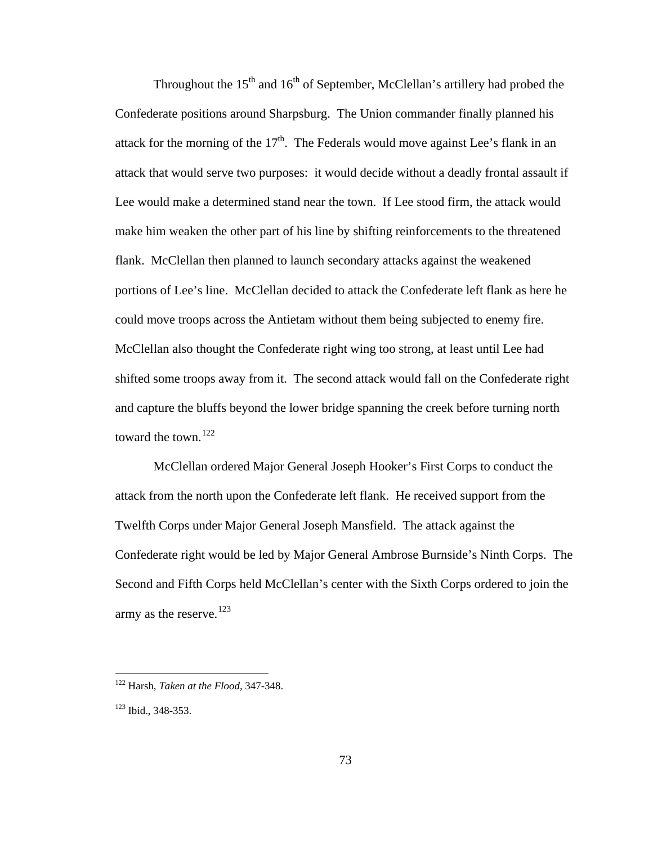Throughout the  $15<sup>th</sup>$  and  $16<sup>th</sup>$  of September, McClellan's artillery had probed the Confederate positions around Sharpsburg. The Union commander finally planned his attack for the morning of the  $17<sup>th</sup>$ . The Federals would move against Lee's flank in an attack that would serve two purposes: it would decide without a deadly frontal assault if Lee would make a determined stand near the town. If Lee stood firm, the attack would make him weaken the other part of his line by shifting reinforcements to the threatened flank. McClellan then planned to launch secondary attacks against the weakened portions of Lee's line. McClellan decided to attack the Confederate left flank as here he could move troops across the Antietam without them being subjected to enemy fire. McClellan also thought the Confederate right wing too strong, at least until Lee had shifted some troops away from it. The second attack would fall on the Confederate right and capture the bluffs beyond the lower bridge spanning the creek before turning north toward the town.<sup>[122](#page-77-0)</sup>

 McClellan ordered Major General Joseph Hooker's First Corps to conduct the attack from the north upon the Confederate left flank. He received support from the Twelfth Corps under Major General Joseph Mansfield. The attack against the Confederate right would be led by Major General Ambrose Burnside's Ninth Corps. The Second and Fifth Corps held McClellan's center with the Sixth Corps ordered to join the army as the reserve.<sup>[123](#page-77-1)</sup>

<span id="page-77-0"></span><sup>122</sup> Harsh, *Taken at the Flood*, 347-348.

<span id="page-77-1"></span><sup>123</sup> Ibid., 348-353.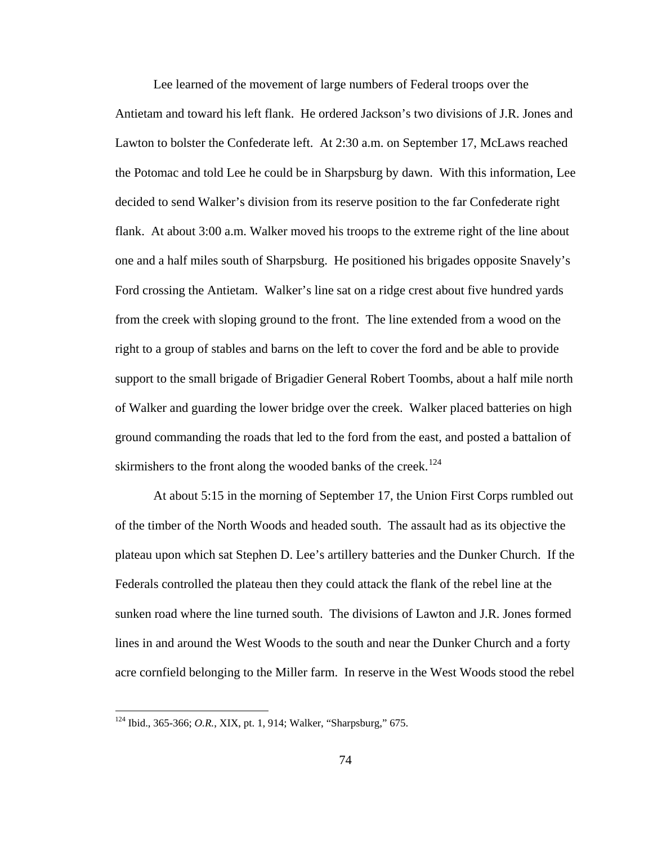Lee learned of the movement of large numbers of Federal troops over the Antietam and toward his left flank. He ordered Jackson's two divisions of J.R. Jones and Lawton to bolster the Confederate left. At 2:30 a.m. on September 17, McLaws reached the Potomac and told Lee he could be in Sharpsburg by dawn. With this information, Lee decided to send Walker's division from its reserve position to the far Confederate right flank. At about 3:00 a.m. Walker moved his troops to the extreme right of the line about one and a half miles south of Sharpsburg. He positioned his brigades opposite Snavely's Ford crossing the Antietam. Walker's line sat on a ridge crest about five hundred yards from the creek with sloping ground to the front. The line extended from a wood on the right to a group of stables and barns on the left to cover the ford and be able to provide support to the small brigade of Brigadier General Robert Toombs, about a half mile north of Walker and guarding the lower bridge over the creek. Walker placed batteries on high ground commanding the roads that led to the ford from the east, and posted a battalion of skirmishers to the front along the wooded banks of the creek.<sup>[124](#page-78-0)</sup>

 At about 5:15 in the morning of September 17, the Union First Corps rumbled out of the timber of the North Woods and headed south. The assault had as its objective the plateau upon which sat Stephen D. Lee's artillery batteries and the Dunker Church. If the Federals controlled the plateau then they could attack the flank of the rebel line at the sunken road where the line turned south. The divisions of Lawton and J.R. Jones formed lines in and around the West Woods to the south and near the Dunker Church and a forty acre cornfield belonging to the Miller farm. In reserve in the West Woods stood the rebel

<span id="page-78-0"></span><sup>124</sup> Ibid., 365-366; *O.R.*, XIX, pt. 1, 914; Walker, "Sharpsburg," 675.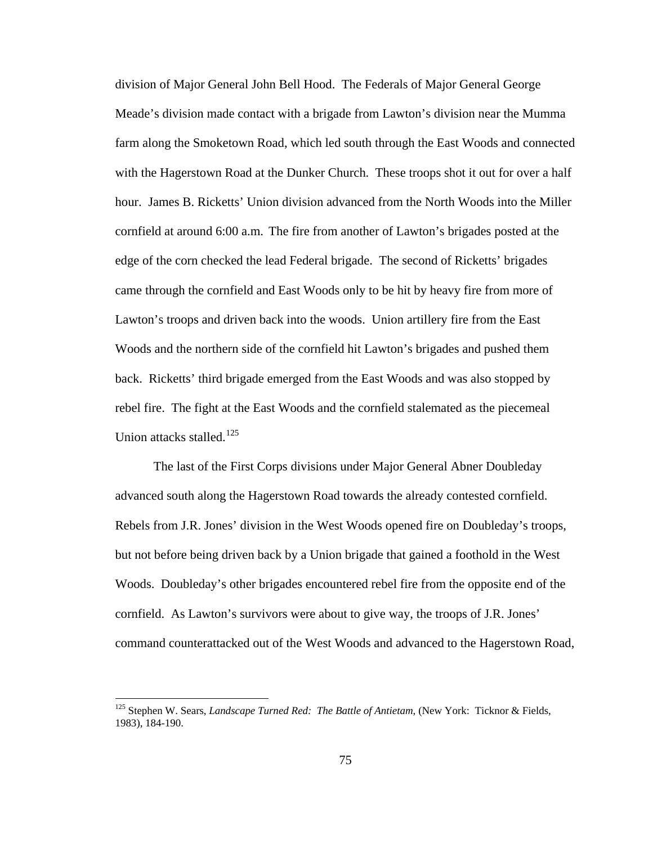division of Major General John Bell Hood. The Federals of Major General George Meade's division made contact with a brigade from Lawton's division near the Mumma farm along the Smoketown Road, which led south through the East Woods and connected with the Hagerstown Road at the Dunker Church. These troops shot it out for over a half hour. James B. Ricketts' Union division advanced from the North Woods into the Miller cornfield at around 6:00 a.m. The fire from another of Lawton's brigades posted at the edge of the corn checked the lead Federal brigade. The second of Ricketts' brigades came through the cornfield and East Woods only to be hit by heavy fire from more of Lawton's troops and driven back into the woods. Union artillery fire from the East Woods and the northern side of the cornfield hit Lawton's brigades and pushed them back. Ricketts' third brigade emerged from the East Woods and was also stopped by rebel fire. The fight at the East Woods and the cornfield stalemated as the piecemeal Union attacks stalled.<sup>[125](#page-79-0)</sup>

 The last of the First Corps divisions under Major General Abner Doubleday advanced south along the Hagerstown Road towards the already contested cornfield. Rebels from J.R. Jones' division in the West Woods opened fire on Doubleday's troops, but not before being driven back by a Union brigade that gained a foothold in the West Woods. Doubleday's other brigades encountered rebel fire from the opposite end of the cornfield. As Lawton's survivors were about to give way, the troops of J.R. Jones' command counterattacked out of the West Woods and advanced to the Hagerstown Road,

<span id="page-79-0"></span><sup>125</sup> Stephen W. Sears, *Landscape Turned Red: The Battle of Antietam*, (New York: Ticknor & Fields, 1983), 184-190.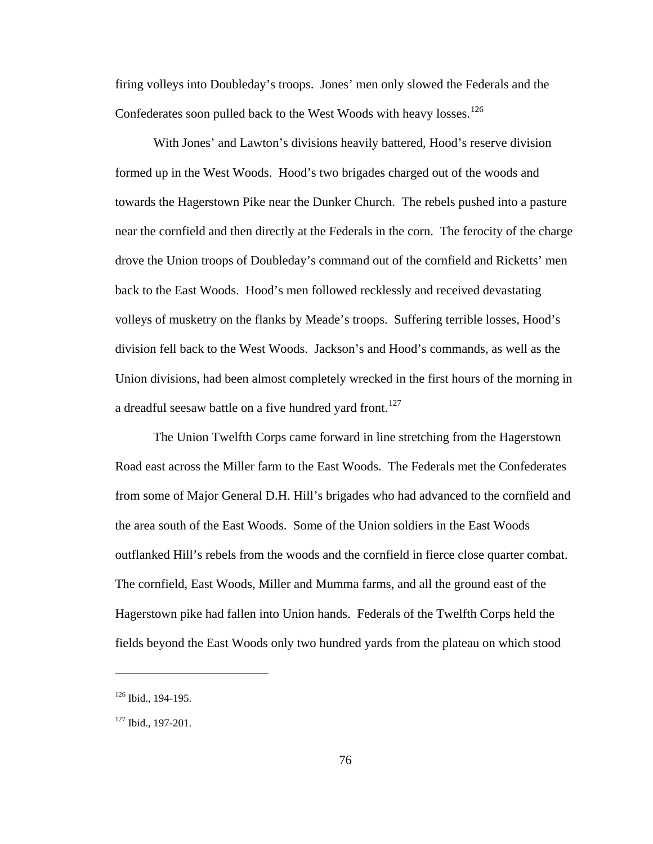firing volleys into Doubleday's troops. Jones' men only slowed the Federals and the Confederates soon pulled back to the West Woods with heavy losses.<sup>[126](#page-80-0)</sup>

 With Jones' and Lawton's divisions heavily battered, Hood's reserve division formed up in the West Woods. Hood's two brigades charged out of the woods and towards the Hagerstown Pike near the Dunker Church. The rebels pushed into a pasture near the cornfield and then directly at the Federals in the corn. The ferocity of the charge drove the Union troops of Doubleday's command out of the cornfield and Ricketts' men back to the East Woods. Hood's men followed recklessly and received devastating volleys of musketry on the flanks by Meade's troops. Suffering terrible losses, Hood's division fell back to the West Woods. Jackson's and Hood's commands, as well as the Union divisions, had been almost completely wrecked in the first hours of the morning in a dreadful seesaw battle on a five hundred yard front.<sup>[127](#page-80-1)</sup>

 The Union Twelfth Corps came forward in line stretching from the Hagerstown Road east across the Miller farm to the East Woods. The Federals met the Confederates from some of Major General D.H. Hill's brigades who had advanced to the cornfield and the area south of the East Woods. Some of the Union soldiers in the East Woods outflanked Hill's rebels from the woods and the cornfield in fierce close quarter combat. The cornfield, East Woods, Miller and Mumma farms, and all the ground east of the Hagerstown pike had fallen into Union hands. Federals of the Twelfth Corps held the fields beyond the East Woods only two hundred yards from the plateau on which stood

<span id="page-80-0"></span><sup>&</sup>lt;sup>126</sup> Ibid., 194-195.

<span id="page-80-1"></span><sup>&</sup>lt;sup>127</sup> Ibid., 197-201.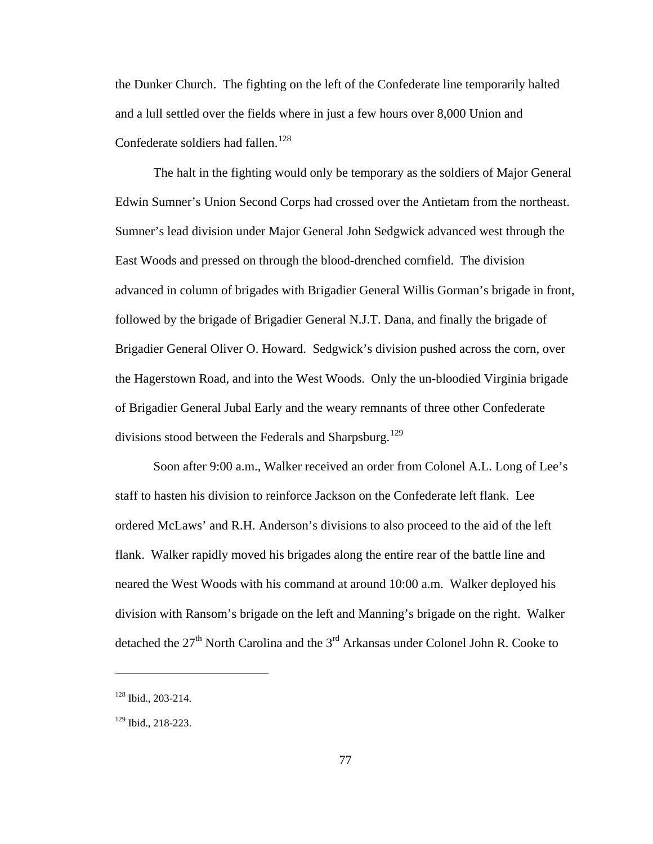the Dunker Church. The fighting on the left of the Confederate line temporarily halted and a lull settled over the fields where in just a few hours over 8,000 Union and Confederate soldiers had fallen.<sup>[128](#page-81-0)</sup>

 The halt in the fighting would only be temporary as the soldiers of Major General Edwin Sumner's Union Second Corps had crossed over the Antietam from the northeast. Sumner's lead division under Major General John Sedgwick advanced west through the East Woods and pressed on through the blood-drenched cornfield. The division advanced in column of brigades with Brigadier General Willis Gorman's brigade in front, followed by the brigade of Brigadier General N.J.T. Dana, and finally the brigade of Brigadier General Oliver O. Howard. Sedgwick's division pushed across the corn, over the Hagerstown Road, and into the West Woods. Only the un-bloodied Virginia brigade of Brigadier General Jubal Early and the weary remnants of three other Confederate divisions stood between the Federals and Sharpsburg.<sup>[129](#page-81-1)</sup>

 Soon after 9:00 a.m., Walker received an order from Colonel A.L. Long of Lee's staff to hasten his division to reinforce Jackson on the Confederate left flank. Lee ordered McLaws' and R.H. Anderson's divisions to also proceed to the aid of the left flank. Walker rapidly moved his brigades along the entire rear of the battle line and neared the West Woods with his command at around 10:00 a.m. Walker deployed his division with Ransom's brigade on the left and Manning's brigade on the right. Walker detached the  $27<sup>th</sup>$  North Carolina and the  $3<sup>rd</sup>$  Arkansas under Colonel John R. Cooke to

<span id="page-81-0"></span><sup>128</sup> Ibid., 203-214.

<span id="page-81-1"></span><sup>129</sup> Ibid., 218-223.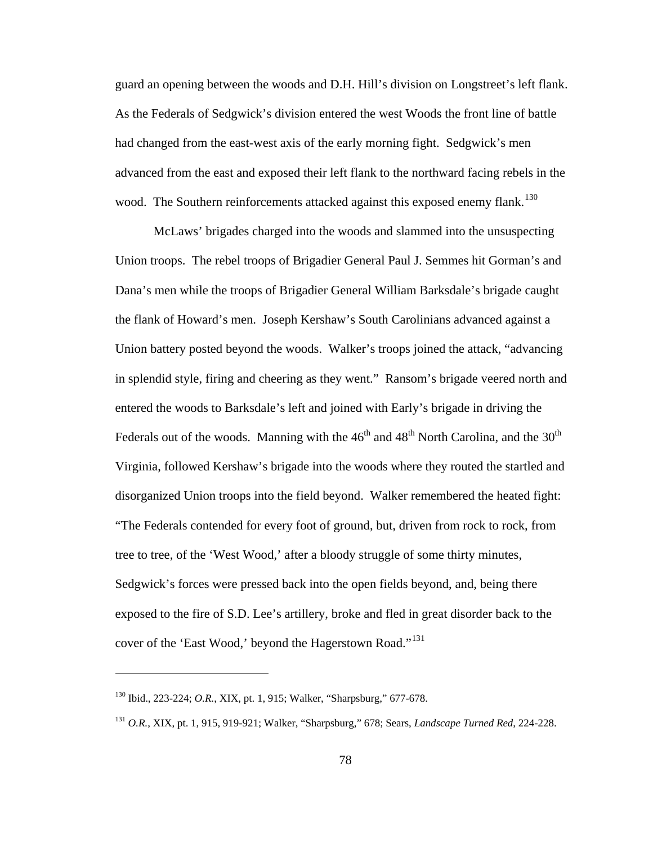guard an opening between the woods and D.H. Hill's division on Longstreet's left flank. As the Federals of Sedgwick's division entered the west Woods the front line of battle had changed from the east-west axis of the early morning fight. Sedgwick's men advanced from the east and exposed their left flank to the northward facing rebels in the wood. The Southern reinforcements attacked against this exposed enemy flank.<sup>[130](#page-82-0)</sup>

 McLaws' brigades charged into the woods and slammed into the unsuspecting Union troops. The rebel troops of Brigadier General Paul J. Semmes hit Gorman's and Dana's men while the troops of Brigadier General William Barksdale's brigade caught the flank of Howard's men. Joseph Kershaw's South Carolinians advanced against a Union battery posted beyond the woods. Walker's troops joined the attack, "advancing in splendid style, firing and cheering as they went." Ransom's brigade veered north and entered the woods to Barksdale's left and joined with Early's brigade in driving the Federals out of the woods. Manning with the  $46<sup>th</sup>$  and  $48<sup>th</sup>$  North Carolina, and the  $30<sup>th</sup>$ Virginia, followed Kershaw's brigade into the woods where they routed the startled and disorganized Union troops into the field beyond. Walker remembered the heated fight: "The Federals contended for every foot of ground, but, driven from rock to rock, from tree to tree, of the 'West Wood,' after a bloody struggle of some thirty minutes, Sedgwick's forces were pressed back into the open fields beyond, and, being there exposed to the fire of S.D. Lee's artillery, broke and fled in great disorder back to the cover of the 'East Wood,' beyond the Hagerstown Road."<sup>[131](#page-82-1)</sup>

<span id="page-82-0"></span><sup>130</sup> Ibid., 223-224; *O.R.*, XIX, pt. 1, 915; Walker, "Sharpsburg," 677-678.

<span id="page-82-1"></span><sup>131</sup> *O.R.*, XIX, pt. 1, 915, 919-921; Walker, "Sharpsburg," 678; Sears, *Landscape Turned Red*, 224-228.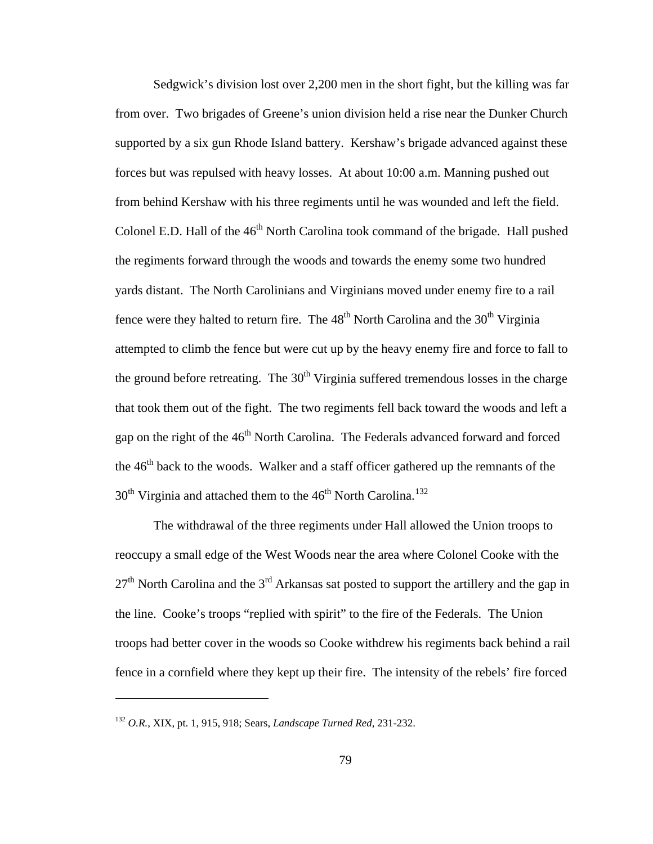Sedgwick's division lost over 2,200 men in the short fight, but the killing was far from over. Two brigades of Greene's union division held a rise near the Dunker Church supported by a six gun Rhode Island battery. Kershaw's brigade advanced against these forces but was repulsed with heavy losses. At about 10:00 a.m. Manning pushed out from behind Kershaw with his three regiments until he was wounded and left the field. Colonel E.D. Hall of the  $46<sup>th</sup>$  North Carolina took command of the brigade. Hall pushed the regiments forward through the woods and towards the enemy some two hundred yards distant. The North Carolinians and Virginians moved under enemy fire to a rail fence were they halted to return fire. The  $48<sup>th</sup>$  North Carolina and the  $30<sup>th</sup>$  Virginia attempted to climb the fence but were cut up by the heavy enemy fire and force to fall to the ground before retreating. The  $30<sup>th</sup>$  Virginia suffered tremendous losses in the charge that took them out of the fight. The two regiments fell back toward the woods and left a gap on the right of the 46<sup>th</sup> North Carolina. The Federals advanced forward and forced the  $46<sup>th</sup>$  back to the woods. Walker and a staff officer gathered up the remnants of the  $30<sup>th</sup>$  Virginia and attached them to the  $46<sup>th</sup>$  North Carolina.<sup>[132](#page-83-0)</sup>

 The withdrawal of the three regiments under Hall allowed the Union troops to reoccupy a small edge of the West Woods near the area where Colonel Cooke with the  $27<sup>th</sup>$  North Carolina and the  $3<sup>rd</sup>$  Arkansas sat posted to support the artillery and the gap in the line. Cooke's troops "replied with spirit" to the fire of the Federals. The Union troops had better cover in the woods so Cooke withdrew his regiments back behind a rail fence in a cornfield where they kept up their fire. The intensity of the rebels' fire forced

<span id="page-83-0"></span><sup>132</sup> *O.R.*, XIX, pt. 1, 915, 918; Sears, *Landscape Turned Red*, 231-232.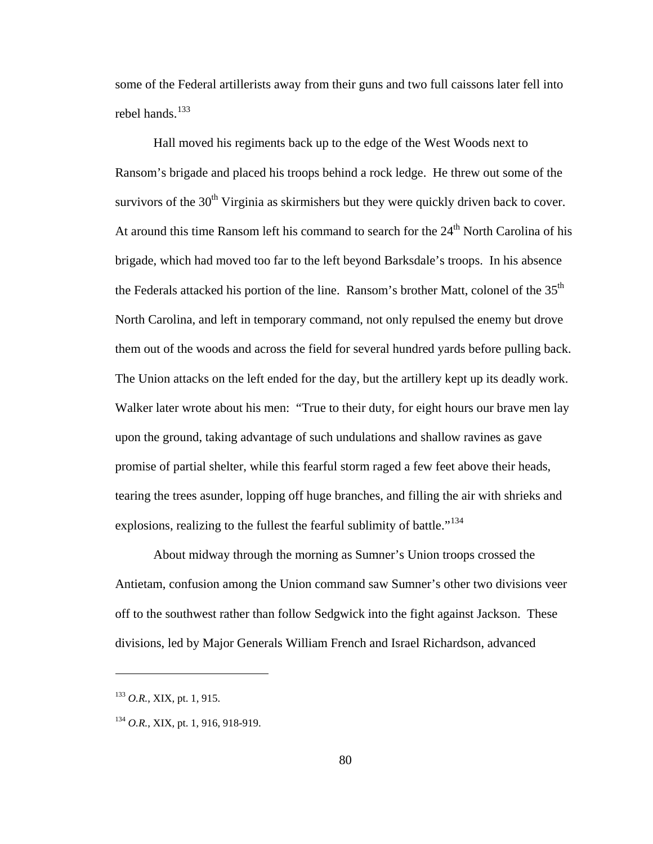some of the Federal artillerists away from their guns and two full caissons later fell into rebel hands.<sup>[133](#page-84-0)</sup>

 Hall moved his regiments back up to the edge of the West Woods next to Ransom's brigade and placed his troops behind a rock ledge. He threw out some of the survivors of the  $30<sup>th</sup>$  Virginia as skirmishers but they were quickly driven back to cover. At around this time Ransom left his command to search for the 24<sup>th</sup> North Carolina of his brigade, which had moved too far to the left beyond Barksdale's troops. In his absence the Federals attacked his portion of the line. Ransom's brother Matt, colonel of the  $35<sup>th</sup>$ North Carolina, and left in temporary command, not only repulsed the enemy but drove them out of the woods and across the field for several hundred yards before pulling back. The Union attacks on the left ended for the day, but the artillery kept up its deadly work. Walker later wrote about his men: "True to their duty, for eight hours our brave men lay upon the ground, taking advantage of such undulations and shallow ravines as gave promise of partial shelter, while this fearful storm raged a few feet above their heads, tearing the trees asunder, lopping off huge branches, and filling the air with shrieks and explosions, realizing to the fullest the fearful sublimity of battle."<sup>[134](#page-84-1)</sup>

 About midway through the morning as Sumner's Union troops crossed the Antietam, confusion among the Union command saw Sumner's other two divisions veer off to the southwest rather than follow Sedgwick into the fight against Jackson. These divisions, led by Major Generals William French and Israel Richardson, advanced

<span id="page-84-0"></span><sup>133</sup> *O.R.*, XIX, pt. 1, 915.

<span id="page-84-1"></span><sup>&</sup>lt;sup>134</sup> O.R., XIX, pt. 1, 916, 918-919.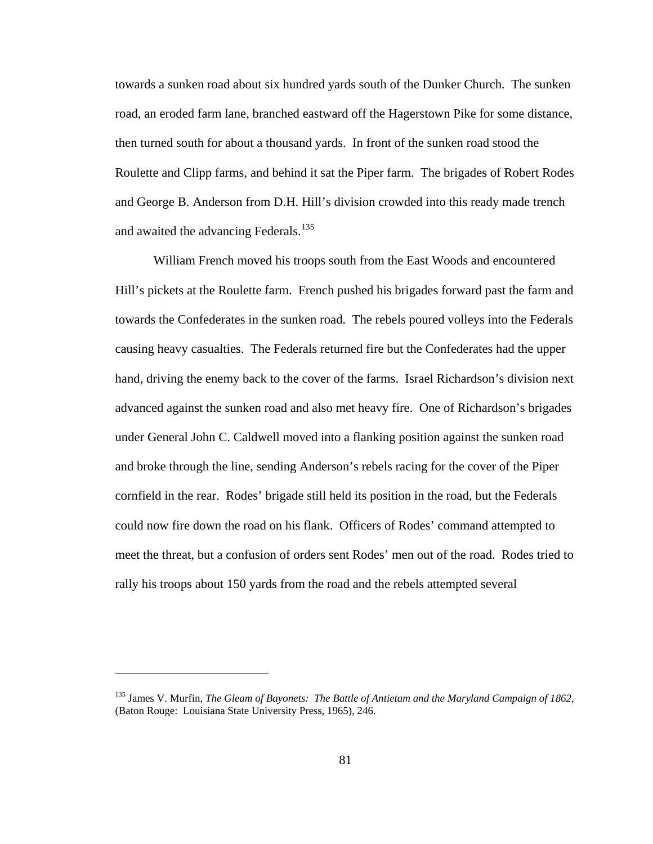towards a sunken road about six hundred yards south of the Dunker Church. The sunken road, an eroded farm lane, branched eastward off the Hagerstown Pike for some distance, then turned south for about a thousand yards. In front of the sunken road stood the Roulette and Clipp farms, and behind it sat the Piper farm. The brigades of Robert Rodes and George B. Anderson from D.H. Hill's division crowded into this ready made trench and awaited the advancing Federals.<sup>[135](#page-85-0)</sup>

 William French moved his troops south from the East Woods and encountered Hill's pickets at the Roulette farm. French pushed his brigades forward past the farm and towards the Confederates in the sunken road. The rebels poured volleys into the Federals causing heavy casualties. The Federals returned fire but the Confederates had the upper hand, driving the enemy back to the cover of the farms. Israel Richardson's division next advanced against the sunken road and also met heavy fire. One of Richardson's brigades under General John C. Caldwell moved into a flanking position against the sunken road and broke through the line, sending Anderson's rebels racing for the cover of the Piper cornfield in the rear. Rodes' brigade still held its position in the road, but the Federals could now fire down the road on his flank. Officers of Rodes' command attempted to meet the threat, but a confusion of orders sent Rodes' men out of the road. Rodes tried to rally his troops about 150 yards from the road and the rebels attempted several

<span id="page-85-0"></span><sup>135</sup> James V. Murfin, *The Gleam of Bayonets: The Battle of Antietam and the Maryland Campaign of 1862*, (Baton Rouge: Louisiana State University Press, 1965), 246.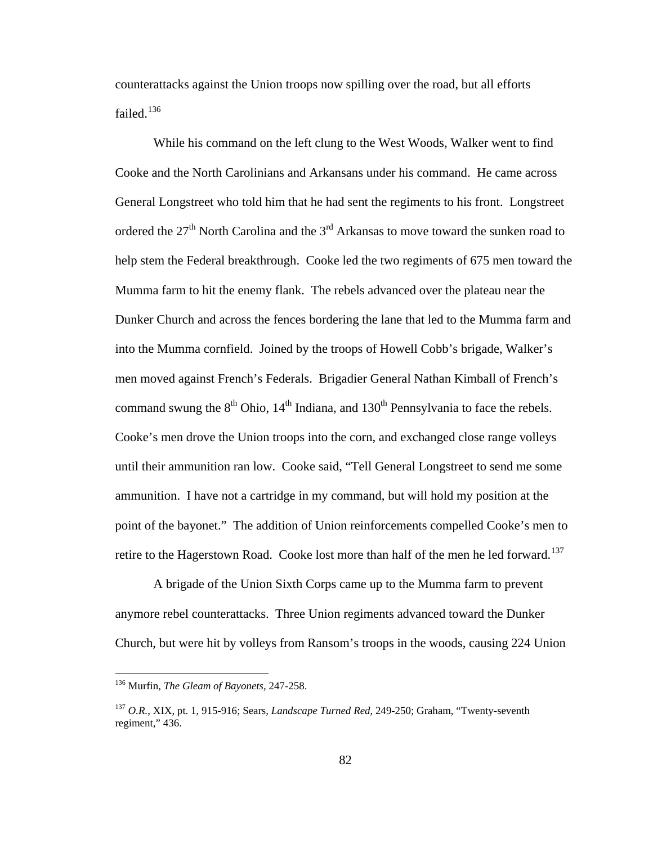counterattacks against the Union troops now spilling over the road, but all efforts failed.<sup>[136](#page-86-0)</sup>

 While his command on the left clung to the West Woods, Walker went to find Cooke and the North Carolinians and Arkansans under his command. He came across General Longstreet who told him that he had sent the regiments to his front. Longstreet ordered the  $27<sup>th</sup>$  North Carolina and the  $3<sup>rd</sup>$  Arkansas to move toward the sunken road to help stem the Federal breakthrough. Cooke led the two regiments of 675 men toward the Mumma farm to hit the enemy flank. The rebels advanced over the plateau near the Dunker Church and across the fences bordering the lane that led to the Mumma farm and into the Mumma cornfield. Joined by the troops of Howell Cobb's brigade, Walker's men moved against French's Federals. Brigadier General Nathan Kimball of French's command swung the  $8<sup>th</sup>$  Ohio,  $14<sup>th</sup>$  Indiana, and  $130<sup>th</sup>$  Pennsylvania to face the rebels. Cooke's men drove the Union troops into the corn, and exchanged close range volleys until their ammunition ran low. Cooke said, "Tell General Longstreet to send me some ammunition. I have not a cartridge in my command, but will hold my position at the point of the bayonet." The addition of Union reinforcements compelled Cooke's men to retire to the Hagerstown Road. Cooke lost more than half of the men he led forward.<sup>[137](#page-86-1)</sup>

 A brigade of the Union Sixth Corps came up to the Mumma farm to prevent anymore rebel counterattacks. Three Union regiments advanced toward the Dunker Church, but were hit by volleys from Ransom's troops in the woods, causing 224 Union

<span id="page-86-0"></span><sup>136</sup> Murfin, *The Gleam of Bayonets*, 247-258.

<span id="page-86-1"></span><sup>137</sup> *O.R.*, XIX, pt. 1, 915-916; Sears, *Landscape Turned Red*, 249-250; Graham, "Twenty-seventh regiment," 436.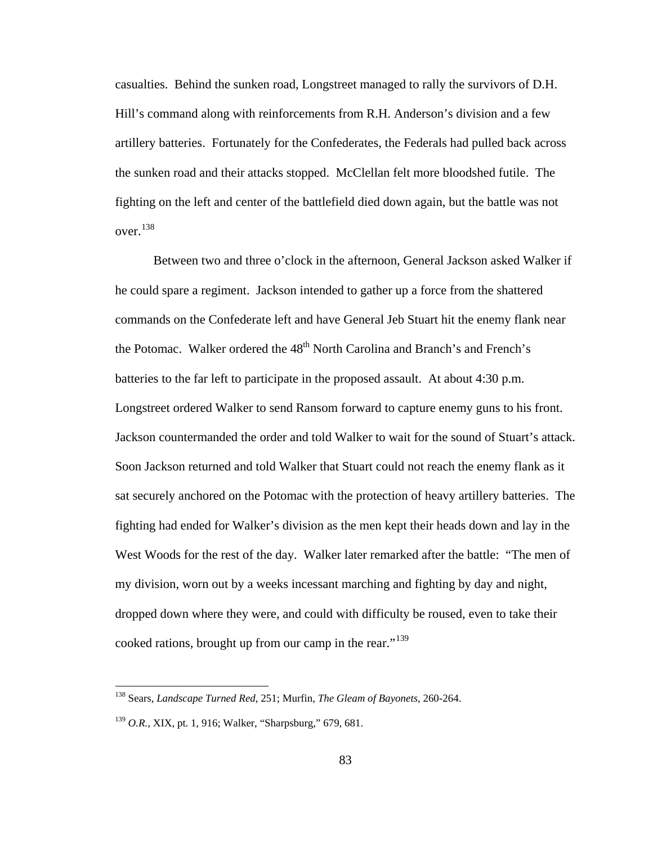casualties. Behind the sunken road, Longstreet managed to rally the survivors of D.H. Hill's command along with reinforcements from R.H. Anderson's division and a few artillery batteries. Fortunately for the Confederates, the Federals had pulled back across the sunken road and their attacks stopped. McClellan felt more bloodshed futile. The fighting on the left and center of the battlefield died down again, but the battle was not over.[138](#page-87-0)

 Between two and three o'clock in the afternoon, General Jackson asked Walker if he could spare a regiment. Jackson intended to gather up a force from the shattered commands on the Confederate left and have General Jeb Stuart hit the enemy flank near the Potomac. Walker ordered the 48<sup>th</sup> North Carolina and Branch's and French's batteries to the far left to participate in the proposed assault. At about 4:30 p.m. Longstreet ordered Walker to send Ransom forward to capture enemy guns to his front. Jackson countermanded the order and told Walker to wait for the sound of Stuart's attack. Soon Jackson returned and told Walker that Stuart could not reach the enemy flank as it sat securely anchored on the Potomac with the protection of heavy artillery batteries. The fighting had ended for Walker's division as the men kept their heads down and lay in the West Woods for the rest of the day. Walker later remarked after the battle: "The men of my division, worn out by a weeks incessant marching and fighting by day and night, dropped down where they were, and could with difficulty be roused, even to take their cooked rations, brought up from our camp in the rear."<sup>[139](#page-87-1)</sup>

<span id="page-87-0"></span><sup>138</sup> Sears, *Landscape Turned Red*, 251; Murfin, *The Gleam of Bayonets*, 260-264.

<span id="page-87-1"></span><sup>139</sup> *O.R.*, XIX, pt. 1, 916; Walker, "Sharpsburg," 679, 681.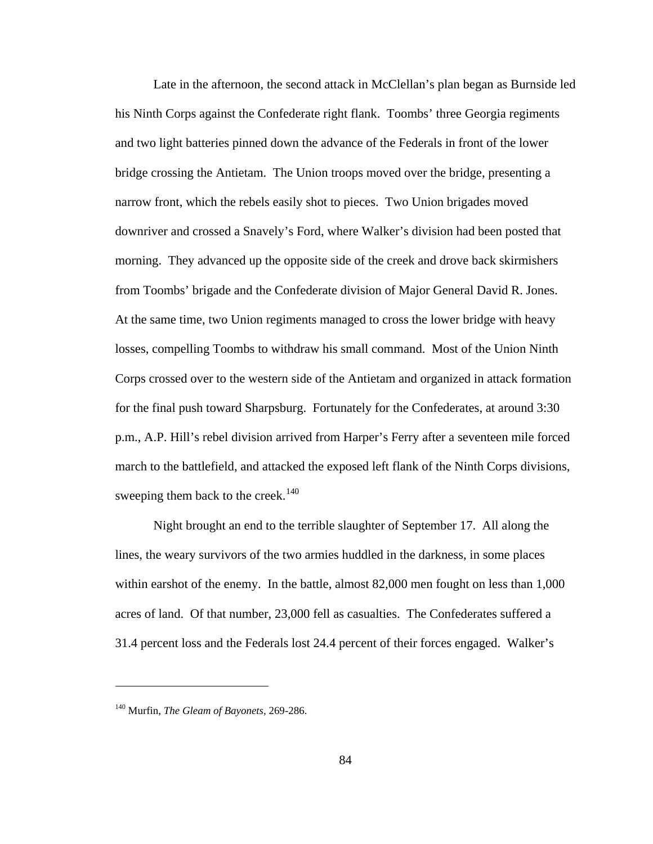Late in the afternoon, the second attack in McClellan's plan began as Burnside led his Ninth Corps against the Confederate right flank. Toombs' three Georgia regiments and two light batteries pinned down the advance of the Federals in front of the lower bridge crossing the Antietam. The Union troops moved over the bridge, presenting a narrow front, which the rebels easily shot to pieces. Two Union brigades moved downriver and crossed a Snavely's Ford, where Walker's division had been posted that morning. They advanced up the opposite side of the creek and drove back skirmishers from Toombs' brigade and the Confederate division of Major General David R. Jones. At the same time, two Union regiments managed to cross the lower bridge with heavy losses, compelling Toombs to withdraw his small command. Most of the Union Ninth Corps crossed over to the western side of the Antietam and organized in attack formation for the final push toward Sharpsburg. Fortunately for the Confederates, at around 3:30 p.m., A.P. Hill's rebel division arrived from Harper's Ferry after a seventeen mile forced march to the battlefield, and attacked the exposed left flank of the Ninth Corps divisions, sweeping them back to the creek.<sup>[140](#page-88-0)</sup>

 Night brought an end to the terrible slaughter of September 17. All along the lines, the weary survivors of the two armies huddled in the darkness, in some places within earshot of the enemy. In the battle, almost 82,000 men fought on less than 1,000 acres of land. Of that number, 23,000 fell as casualties. The Confederates suffered a 31.4 percent loss and the Federals lost 24.4 percent of their forces engaged. Walker's

<span id="page-88-0"></span><sup>140</sup> Murfin, *The Gleam of Bayonets*, 269-286.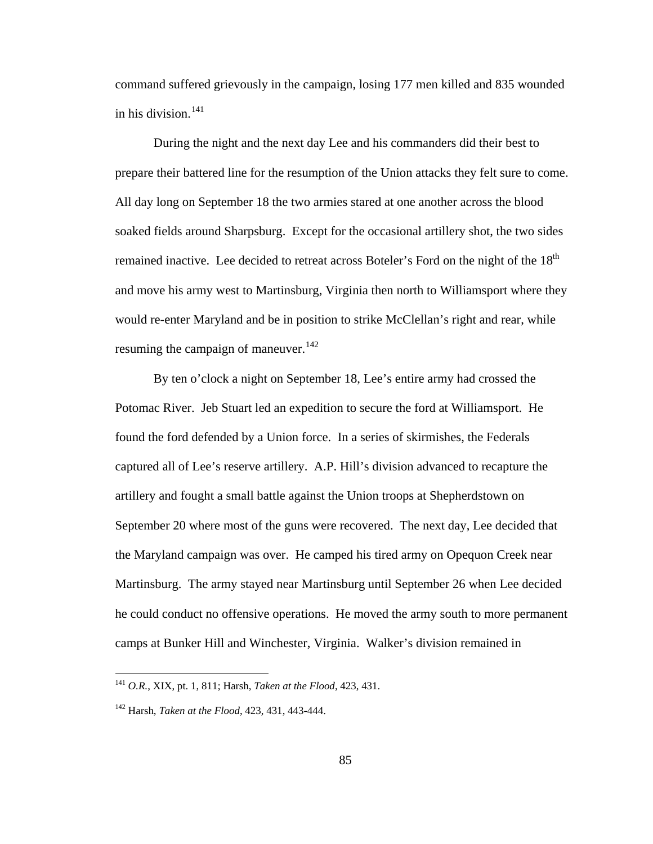command suffered grievously in the campaign, losing 177 men killed and 835 wounded in his division.<sup>[141](#page-89-0)</sup>

 During the night and the next day Lee and his commanders did their best to prepare their battered line for the resumption of the Union attacks they felt sure to come. All day long on September 18 the two armies stared at one another across the blood soaked fields around Sharpsburg. Except for the occasional artillery shot, the two sides remained inactive. Lee decided to retreat across Boteler's Ford on the night of the 18<sup>th</sup> and move his army west to Martinsburg, Virginia then north to Williamsport where they would re-enter Maryland and be in position to strike McClellan's right and rear, while resuming the campaign of maneuver.<sup>[142](#page-89-1)</sup>

 By ten o'clock a night on September 18, Lee's entire army had crossed the Potomac River. Jeb Stuart led an expedition to secure the ford at Williamsport. He found the ford defended by a Union force. In a series of skirmishes, the Federals captured all of Lee's reserve artillery. A.P. Hill's division advanced to recapture the artillery and fought a small battle against the Union troops at Shepherdstown on September 20 where most of the guns were recovered. The next day, Lee decided that the Maryland campaign was over. He camped his tired army on Opequon Creek near Martinsburg. The army stayed near Martinsburg until September 26 when Lee decided he could conduct no offensive operations. He moved the army south to more permanent camps at Bunker Hill and Winchester, Virginia. Walker's division remained in

<span id="page-89-0"></span><sup>141</sup> *O.R.*, XIX, pt. 1, 811; Harsh, *Taken at the Flood*, 423, 431.

<span id="page-89-1"></span><sup>142</sup> Harsh, *Taken at the Flood*, 423, 431, 443-444.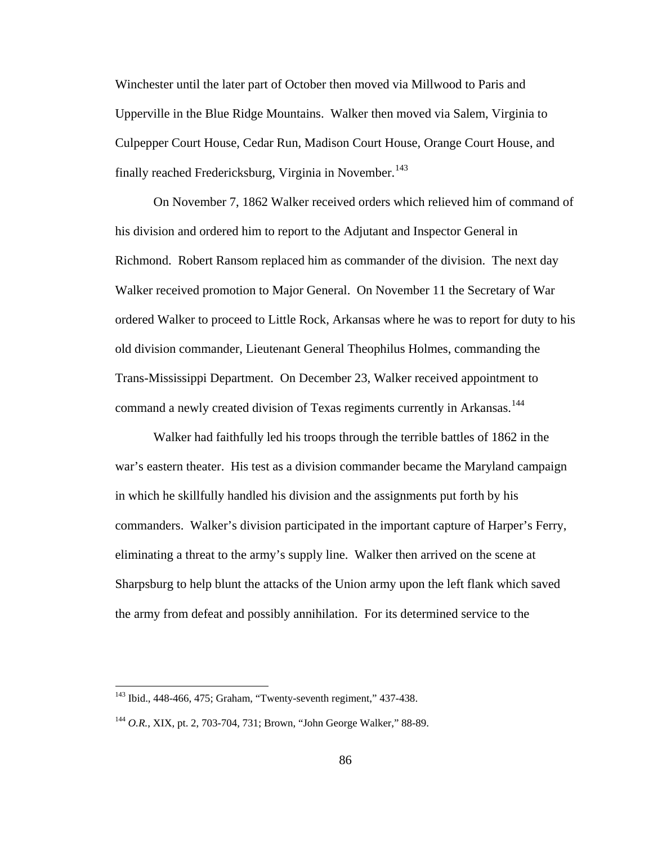Winchester until the later part of October then moved via Millwood to Paris and Upperville in the Blue Ridge Mountains. Walker then moved via Salem, Virginia to Culpepper Court House, Cedar Run, Madison Court House, Orange Court House, and finally reached Fredericksburg, Virginia in November.<sup>[143](#page-90-0)</sup>

 On November 7, 1862 Walker received orders which relieved him of command of his division and ordered him to report to the Adjutant and Inspector General in Richmond. Robert Ransom replaced him as commander of the division. The next day Walker received promotion to Major General. On November 11 the Secretary of War ordered Walker to proceed to Little Rock, Arkansas where he was to report for duty to his old division commander, Lieutenant General Theophilus Holmes, commanding the Trans-Mississippi Department. On December 23, Walker received appointment to command a newly created division of Texas regiments currently in Arkansas.<sup>[144](#page-90-1)</sup>

 Walker had faithfully led his troops through the terrible battles of 1862 in the war's eastern theater. His test as a division commander became the Maryland campaign in which he skillfully handled his division and the assignments put forth by his commanders. Walker's division participated in the important capture of Harper's Ferry, eliminating a threat to the army's supply line. Walker then arrived on the scene at Sharpsburg to help blunt the attacks of the Union army upon the left flank which saved the army from defeat and possibly annihilation. For its determined service to the

<span id="page-90-0"></span><sup>143</sup> Ibid., 448-466, 475; Graham, "Twenty-seventh regiment," 437-438.

<span id="page-90-1"></span><sup>144</sup> *O.R.*, XIX, pt. 2, 703-704, 731; Brown, "John George Walker," 88-89.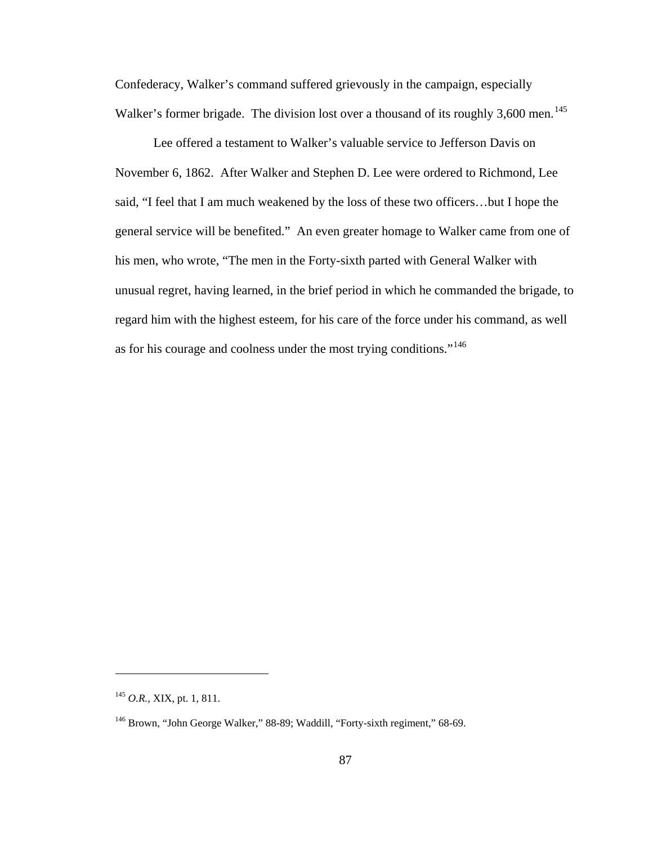Confederacy, Walker's command suffered grievously in the campaign, especially Walker's former brigade. The division lost over a thousand of its roughly 3,600 men.<sup>[145](#page-91-0)</sup>

 Lee offered a testament to Walker's valuable service to Jefferson Davis on November 6, 1862. After Walker and Stephen D. Lee were ordered to Richmond, Lee said, "I feel that I am much weakened by the loss of these two officers…but I hope the general service will be benefited." An even greater homage to Walker came from one of his men, who wrote, "The men in the Forty-sixth parted with General Walker with unusual regret, having learned, in the brief period in which he commanded the brigade, to regard him with the highest esteem, for his care of the force under his command, as well as for his courage and coolness under the most trying conditions."[146](#page-91-1)

<span id="page-91-0"></span><sup>145</sup> *O.R.*, XIX, pt. 1, 811.

<span id="page-91-1"></span><sup>&</sup>lt;sup>146</sup> Brown, "John George Walker," 88-89; Waddill, "Forty-sixth regiment," 68-69.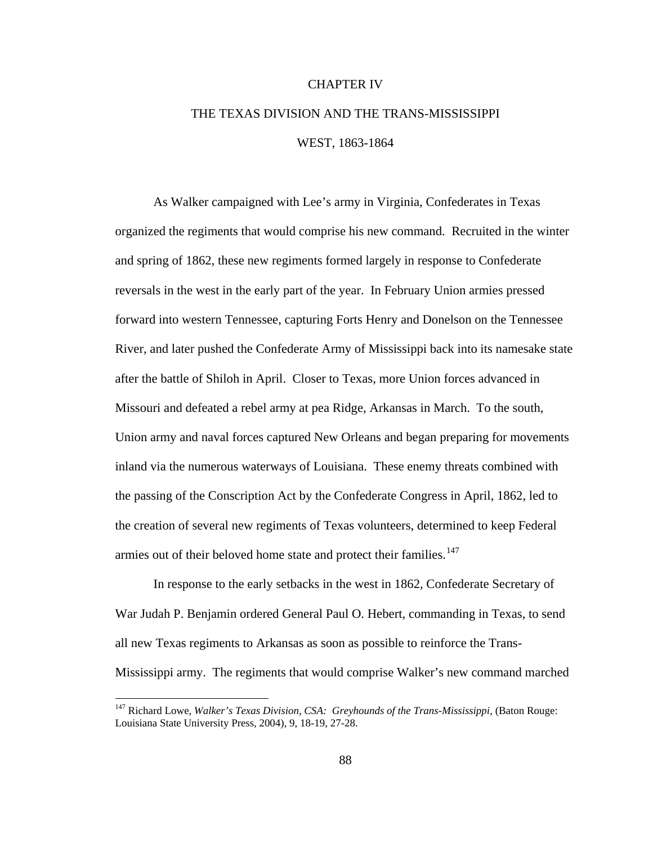## CHAPTER IV

## THE TEXAS DIVISION AND THE TRANS-MISSISSIPPI WEST, 1863-1864

As Walker campaigned with Lee's army in Virginia, Confederates in Texas organized the regiments that would comprise his new command. Recruited in the winter and spring of 1862, these new regiments formed largely in response to Confederate reversals in the west in the early part of the year. In February Union armies pressed forward into western Tennessee, capturing Forts Henry and Donelson on the Tennessee River, and later pushed the Confederate Army of Mississippi back into its namesake state after the battle of Shiloh in April. Closer to Texas, more Union forces advanced in Missouri and defeated a rebel army at pea Ridge, Arkansas in March. To the south, Union army and naval forces captured New Orleans and began preparing for movements inland via the numerous waterways of Louisiana. These enemy threats combined with the passing of the Conscription Act by the Confederate Congress in April, 1862, led to the creation of several new regiments of Texas volunteers, determined to keep Federal armies out of their beloved home state and protect their families.<sup>[147](#page-92-0)</sup>

In response to the early setbacks in the west in 1862, Confederate Secretary of War Judah P. Benjamin ordered General Paul O. Hebert, commanding in Texas, to send all new Texas regiments to Arkansas as soon as possible to reinforce the Trans-Mississippi army. The regiments that would comprise Walker's new command marched

<span id="page-92-0"></span><sup>&</sup>lt;sup>147</sup> Richard Lowe, *Walker's Texas Division, CSA: Greyhounds of the Trans-Mississippi*, (Baton Rouge: Louisiana State University Press, 2004), 9, 18-19, 27-28.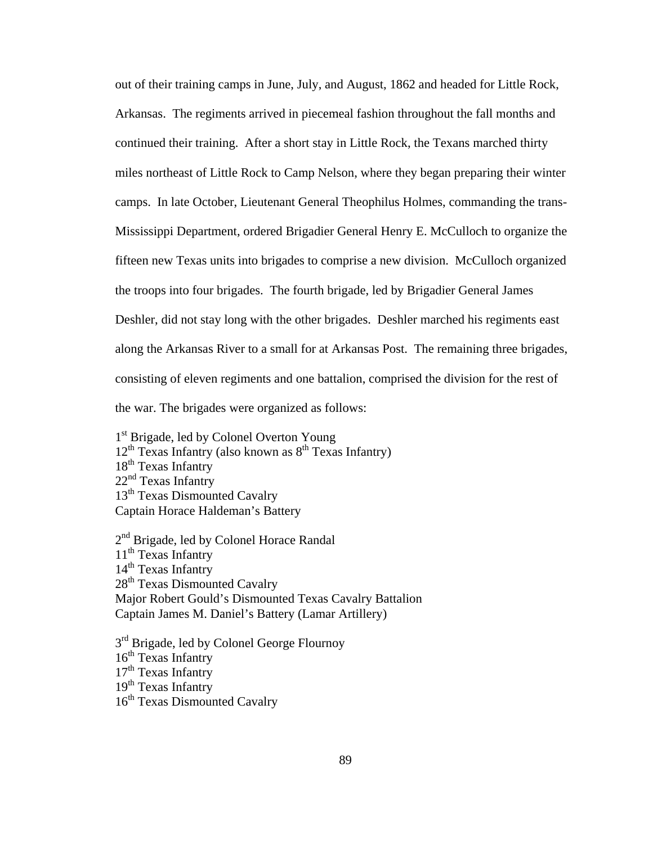out of their training camps in June, July, and August, 1862 and headed for Little Rock, Arkansas. The regiments arrived in piecemeal fashion throughout the fall months and continued their training. After a short stay in Little Rock, the Texans marched thirty miles northeast of Little Rock to Camp Nelson, where they began preparing their winter camps. In late October, Lieutenant General Theophilus Holmes, commanding the trans-Mississippi Department, ordered Brigadier General Henry E. McCulloch to organize the fifteen new Texas units into brigades to comprise a new division. McCulloch organized the troops into four brigades. The fourth brigade, led by Brigadier General James Deshler, did not stay long with the other brigades. Deshler marched his regiments east along the Arkansas River to a small for at Arkansas Post. The remaining three brigades, consisting of eleven regiments and one battalion, comprised the division for the rest of the war. The brigades were organized as follows:

1<sup>st</sup> Brigade, led by Colonel Overton Young  $12<sup>th</sup>$  Texas Infantry (also known as  $8<sup>th</sup>$  Texas Infantry) 18<sup>th</sup> Texas Infantry  $22<sup>nd</sup>$  Texas Infantry 13<sup>th</sup> Texas Dismounted Cavalry Captain Horace Haldeman's Battery

2<sup>nd</sup> Brigade, led by Colonel Horace Randal  $11<sup>th</sup>$  Texas Infantry 14<sup>th</sup> Texas Infantry 28<sup>th</sup> Texas Dismounted Cavalry Major Robert Gould's Dismounted Texas Cavalry Battalion Captain James M. Daniel's Battery (Lamar Artillery)

3<sup>rd</sup> Brigade, led by Colonel George Flournoy  $16<sup>th</sup>$  Texas Infantry  $17<sup>th</sup>$  Texas Infantry  $19<sup>th</sup>$  Texas Infantry 16<sup>th</sup> Texas Dismounted Cavalry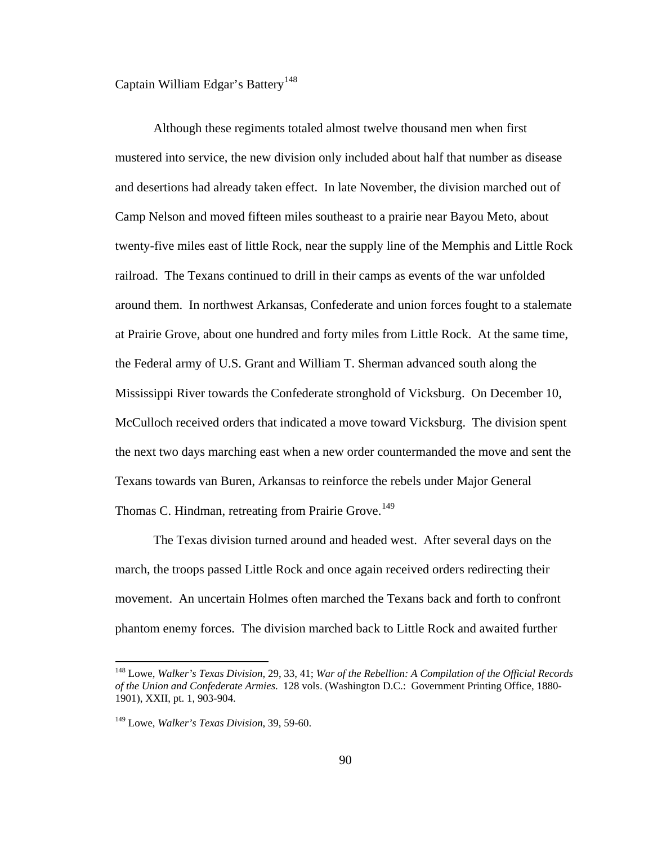Captain William Edgar's Battery<sup>[148](#page-94-0)</sup>

 Although these regiments totaled almost twelve thousand men when first mustered into service, the new division only included about half that number as disease and desertions had already taken effect. In late November, the division marched out of Camp Nelson and moved fifteen miles southeast to a prairie near Bayou Meto, about twenty-five miles east of little Rock, near the supply line of the Memphis and Little Rock railroad. The Texans continued to drill in their camps as events of the war unfolded around them. In northwest Arkansas, Confederate and union forces fought to a stalemate at Prairie Grove, about one hundred and forty miles from Little Rock. At the same time, the Federal army of U.S. Grant and William T. Sherman advanced south along the Mississippi River towards the Confederate stronghold of Vicksburg. On December 10, McCulloch received orders that indicated a move toward Vicksburg. The division spent the next two days marching east when a new order countermanded the move and sent the Texans towards van Buren, Arkansas to reinforce the rebels under Major General Thomas C. Hindman, retreating from Prairie Grove.<sup>[149](#page-94-1)</sup>

 The Texas division turned around and headed west. After several days on the march, the troops passed Little Rock and once again received orders redirecting their movement. An uncertain Holmes often marched the Texans back and forth to confront phantom enemy forces. The division marched back to Little Rock and awaited further

<span id="page-94-0"></span><sup>148</sup> Lowe, *Walker's Texas Division*, 29, 33, 41; *War of the Rebellion: A Compilation of the Official Records of the Union and Confederate Armies*. 128 vols. (Washington D.C.: Government Printing Office, 1880- 1901), XXII, pt. 1, 903-904.

<span id="page-94-1"></span><sup>149</sup> Lowe, *Walker's Texas Division*, 39, 59-60.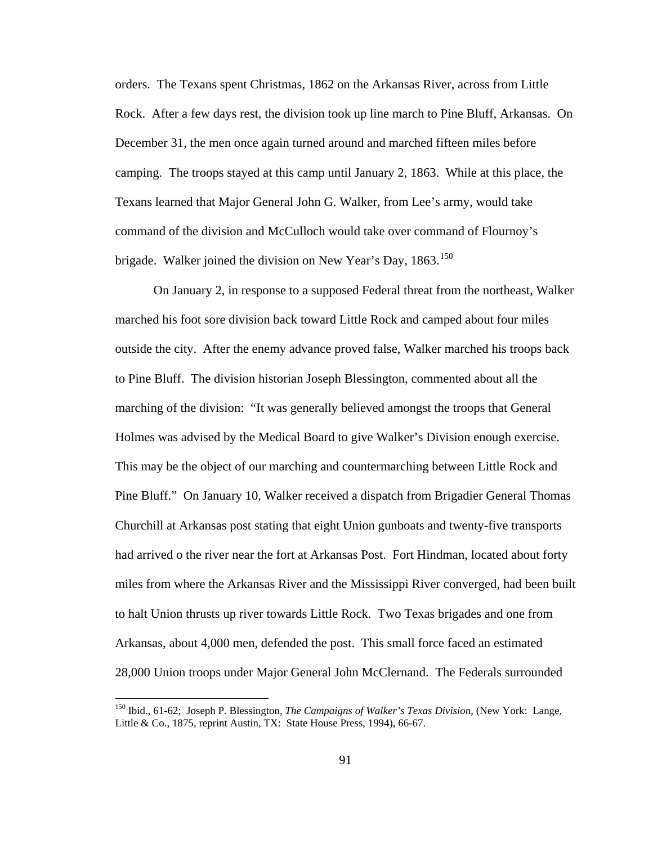orders. The Texans spent Christmas, 1862 on the Arkansas River, across from Little Rock. After a few days rest, the division took up line march to Pine Bluff, Arkansas. On December 31, the men once again turned around and marched fifteen miles before camping. The troops stayed at this camp until January 2, 1863. While at this place, the Texans learned that Major General John G. Walker, from Lee's army, would take command of the division and McCulloch would take over command of Flournoy's brigade. Walker joined the division on New Year's Day,  $1863$ <sup>[150](#page-95-0)</sup>

 On January 2, in response to a supposed Federal threat from the northeast, Walker marched his foot sore division back toward Little Rock and camped about four miles outside the city. After the enemy advance proved false, Walker marched his troops back to Pine Bluff. The division historian Joseph Blessington, commented about all the marching of the division: "It was generally believed amongst the troops that General Holmes was advised by the Medical Board to give Walker's Division enough exercise. This may be the object of our marching and countermarching between Little Rock and Pine Bluff." On January 10, Walker received a dispatch from Brigadier General Thomas Churchill at Arkansas post stating that eight Union gunboats and twenty-five transports had arrived o the river near the fort at Arkansas Post. Fort Hindman, located about forty miles from where the Arkansas River and the Mississippi River converged, had been built to halt Union thrusts up river towards Little Rock. Two Texas brigades and one from Arkansas, about 4,000 men, defended the post. This small force faced an estimated 28,000 Union troops under Major General John McClernand. The Federals surrounded

<span id="page-95-0"></span><sup>150</sup> Ibid., 61-62; Joseph P. Blessington, *The Campaigns of Walker's Texas Division*, (New York: Lange, Little & Co., 1875, reprint Austin, TX: State House Press, 1994), 66-67.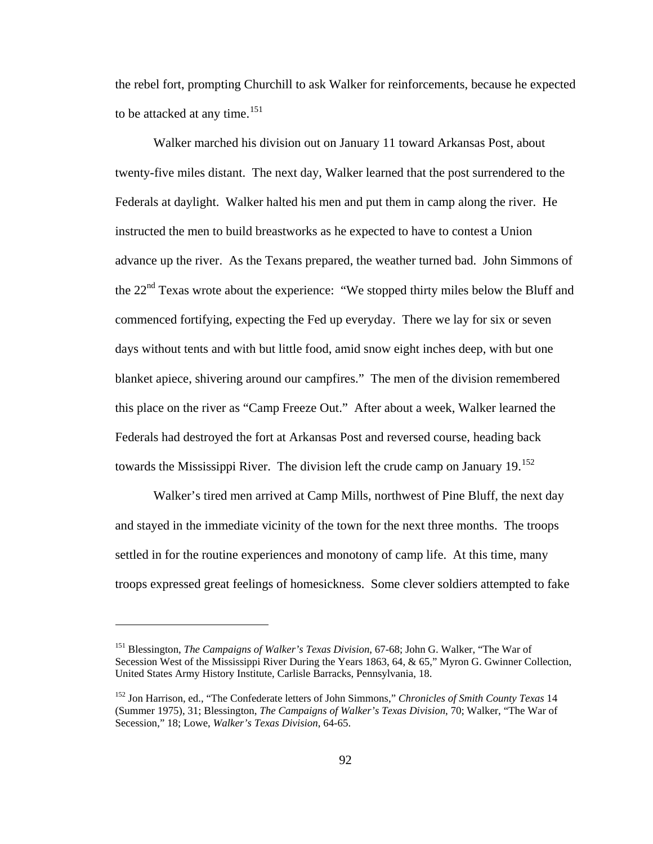the rebel fort, prompting Churchill to ask Walker for reinforcements, because he expected to be attacked at any time.<sup>[151](#page-96-0)</sup>

 Walker marched his division out on January 11 toward Arkansas Post, about twenty-five miles distant. The next day, Walker learned that the post surrendered to the Federals at daylight. Walker halted his men and put them in camp along the river. He instructed the men to build breastworks as he expected to have to contest a Union advance up the river. As the Texans prepared, the weather turned bad. John Simmons of the 22<sup>nd</sup> Texas wrote about the experience: "We stopped thirty miles below the Bluff and commenced fortifying, expecting the Fed up everyday. There we lay for six or seven days without tents and with but little food, amid snow eight inches deep, with but one blanket apiece, shivering around our campfires." The men of the division remembered this place on the river as "Camp Freeze Out." After about a week, Walker learned the Federals had destroyed the fort at Arkansas Post and reversed course, heading back towards the Mississippi River. The division left the crude camp on January  $19$ <sup>[152](#page-96-1)</sup>

 Walker's tired men arrived at Camp Mills, northwest of Pine Bluff, the next day and stayed in the immediate vicinity of the town for the next three months. The troops settled in for the routine experiences and monotony of camp life. At this time, many troops expressed great feelings of homesickness. Some clever soldiers attempted to fake

<span id="page-96-0"></span><sup>151</sup> Blessington, *The Campaigns of Walker's Texas Division*, 67-68; John G. Walker, "The War of Secession West of the Mississippi River During the Years 1863, 64, & 65," Myron G. Gwinner Collection, United States Army History Institute, Carlisle Barracks, Pennsylvania, 18.

<span id="page-96-1"></span><sup>152</sup> Jon Harrison, ed., "The Confederate letters of John Simmons," *Chronicles of Smith County Texas* 14 (Summer 1975), 31; Blessington, *The Campaigns of Walker's Texas Division*, 70; Walker, "The War of Secession," 18; Lowe, *Walker's Texas Division*, 64-65.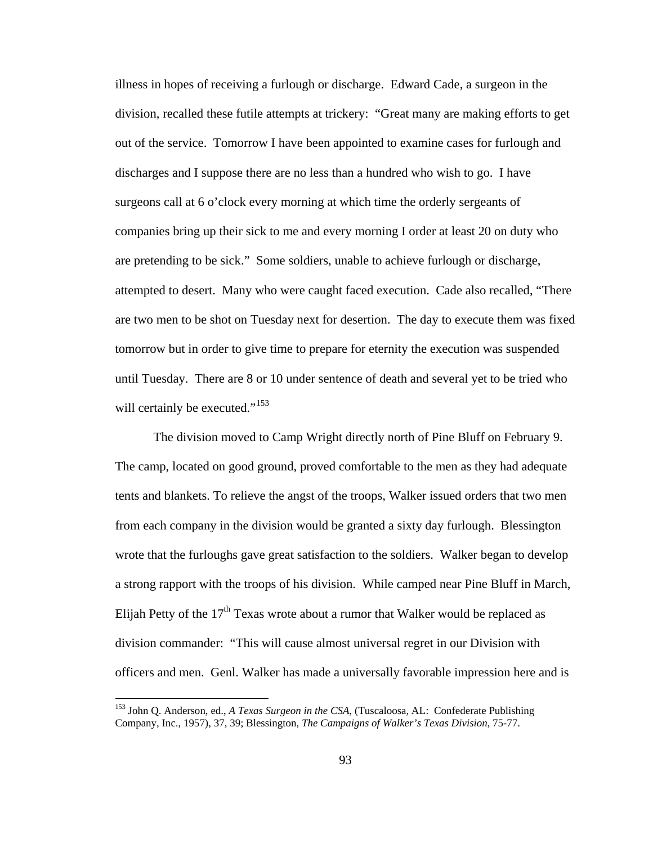illness in hopes of receiving a furlough or discharge. Edward Cade, a surgeon in the division, recalled these futile attempts at trickery: "Great many are making efforts to get out of the service. Tomorrow I have been appointed to examine cases for furlough and discharges and I suppose there are no less than a hundred who wish to go. I have surgeons call at 6 o'clock every morning at which time the orderly sergeants of companies bring up their sick to me and every morning I order at least 20 on duty who are pretending to be sick." Some soldiers, unable to achieve furlough or discharge, attempted to desert. Many who were caught faced execution. Cade also recalled, "There are two men to be shot on Tuesday next for desertion. The day to execute them was fixed tomorrow but in order to give time to prepare for eternity the execution was suspended until Tuesday. There are 8 or 10 under sentence of death and several yet to be tried who will certainly be executed."<sup>[153](#page-97-0)</sup>

 The division moved to Camp Wright directly north of Pine Bluff on February 9. The camp, located on good ground, proved comfortable to the men as they had adequate tents and blankets. To relieve the angst of the troops, Walker issued orders that two men from each company in the division would be granted a sixty day furlough. Blessington wrote that the furloughs gave great satisfaction to the soldiers. Walker began to develop a strong rapport with the troops of his division. While camped near Pine Bluff in March, Elijah Petty of the  $17<sup>th</sup>$  Texas wrote about a rumor that Walker would be replaced as division commander: "This will cause almost universal regret in our Division with officers and men. Genl. Walker has made a universally favorable impression here and is

<span id="page-97-0"></span><sup>153</sup> John Q. Anderson, ed., *A Texas Surgeon in the CSA*, (Tuscaloosa, AL: Confederate Publishing Company, Inc., 1957), 37, 39; Blessington, *The Campaigns of Walker's Texas Division*, 75-77.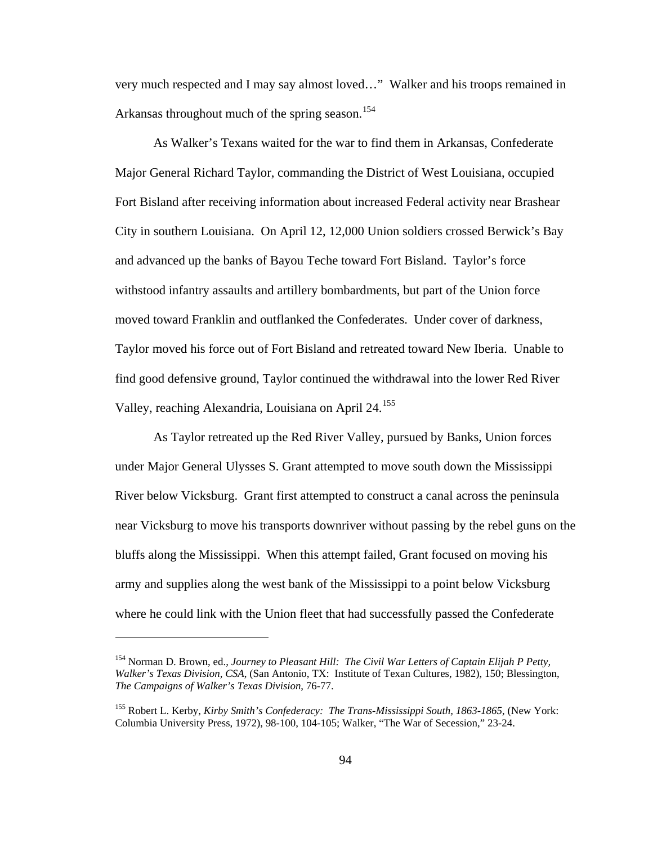very much respected and I may say almost loved…" Walker and his troops remained in Arkansas throughout much of the spring season.<sup>[154](#page-98-0)</sup>

 As Walker's Texans waited for the war to find them in Arkansas, Confederate Major General Richard Taylor, commanding the District of West Louisiana, occupied Fort Bisland after receiving information about increased Federal activity near Brashear City in southern Louisiana. On April 12, 12,000 Union soldiers crossed Berwick's Bay and advanced up the banks of Bayou Teche toward Fort Bisland. Taylor's force withstood infantry assaults and artillery bombardments, but part of the Union force moved toward Franklin and outflanked the Confederates. Under cover of darkness, Taylor moved his force out of Fort Bisland and retreated toward New Iberia. Unable to find good defensive ground, Taylor continued the withdrawal into the lower Red River Valley, reaching Alexandria, Louisiana on April 24.<sup>[155](#page-98-1)</sup>

 As Taylor retreated up the Red River Valley, pursued by Banks, Union forces under Major General Ulysses S. Grant attempted to move south down the Mississippi River below Vicksburg. Grant first attempted to construct a canal across the peninsula near Vicksburg to move his transports downriver without passing by the rebel guns on the bluffs along the Mississippi. When this attempt failed, Grant focused on moving his army and supplies along the west bank of the Mississippi to a point below Vicksburg where he could link with the Union fleet that had successfully passed the Confederate

<span id="page-98-0"></span><sup>154</sup> Norman D. Brown, ed., *Journey to Pleasant Hill: The Civil War Letters of Captain Elijah P Petty, Walker's Texas Division, CSA*, (San Antonio, TX: Institute of Texan Cultures, 1982), 150; Blessington, *The Campaigns of Walker's Texas Division*, 76-77.

<span id="page-98-1"></span><sup>155</sup> Robert L. Kerby, *Kirby Smith's Confederacy: The Trans-Mississippi South, 1863-1865*, (New York: Columbia University Press, 1972), 98-100, 104-105; Walker, "The War of Secession," 23-24.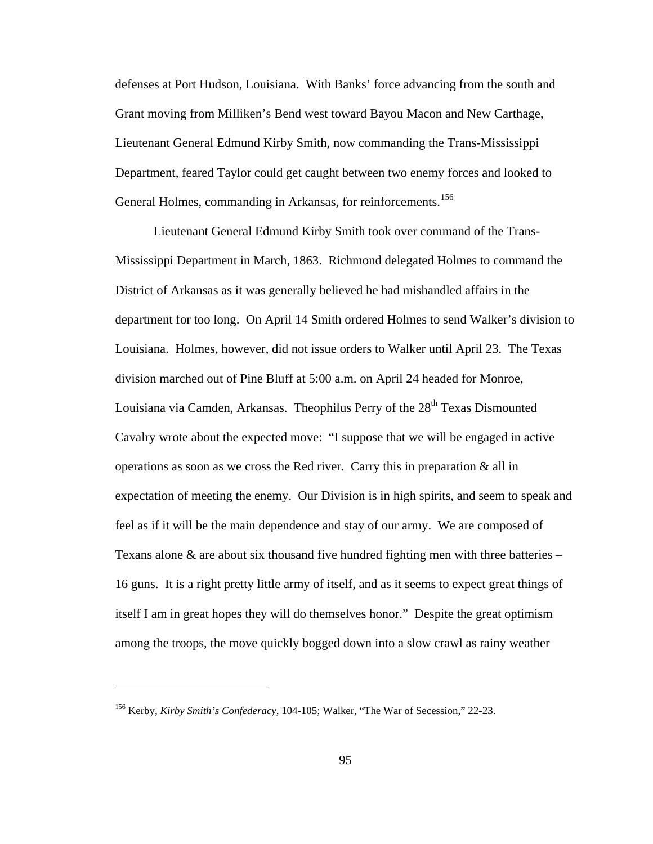defenses at Port Hudson, Louisiana. With Banks' force advancing from the south and Grant moving from Milliken's Bend west toward Bayou Macon and New Carthage, Lieutenant General Edmund Kirby Smith, now commanding the Trans-Mississippi Department, feared Taylor could get caught between two enemy forces and looked to General Holmes, commanding in Arkansas, for reinforcements.<sup>[156](#page-99-0)</sup>

 Lieutenant General Edmund Kirby Smith took over command of the Trans-Mississippi Department in March, 1863. Richmond delegated Holmes to command the District of Arkansas as it was generally believed he had mishandled affairs in the department for too long. On April 14 Smith ordered Holmes to send Walker's division to Louisiana. Holmes, however, did not issue orders to Walker until April 23. The Texas division marched out of Pine Bluff at 5:00 a.m. on April 24 headed for Monroe, Louisiana via Camden, Arkansas. Theophilus Perry of the  $28<sup>th</sup>$  Texas Dismounted Cavalry wrote about the expected move: "I suppose that we will be engaged in active operations as soon as we cross the Red river. Carry this in preparation  $\&$  all in expectation of meeting the enemy. Our Division is in high spirits, and seem to speak and feel as if it will be the main dependence and stay of our army. We are composed of Texans alone  $\&$  are about six thousand five hundred fighting men with three batteries – 16 guns. It is a right pretty little army of itself, and as it seems to expect great things of itself I am in great hopes they will do themselves honor." Despite the great optimism among the troops, the move quickly bogged down into a slow crawl as rainy weather

<span id="page-99-0"></span><sup>156</sup> Kerby, *Kirby Smith's Confederacy*, 104-105; Walker, "The War of Secession," 22-23.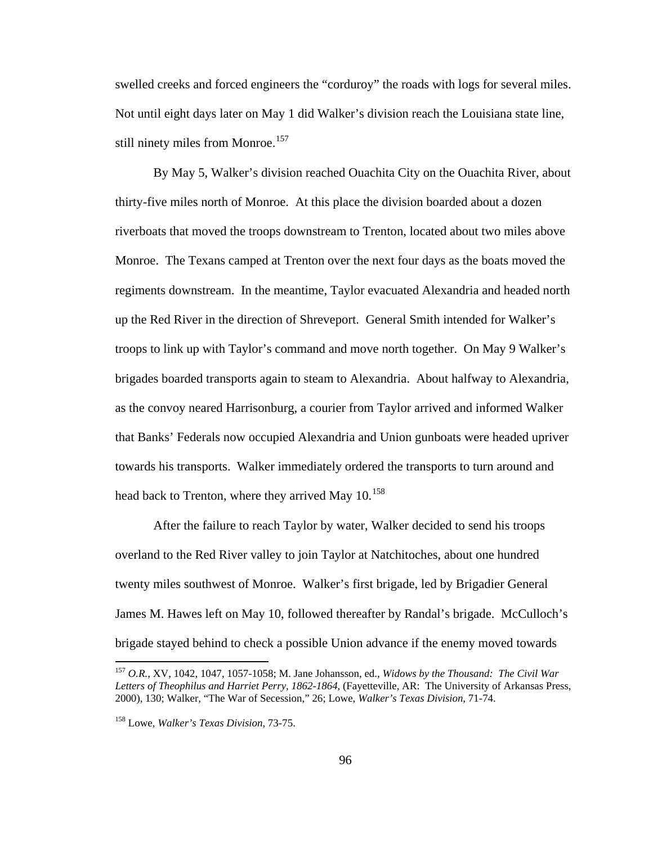swelled creeks and forced engineers the "corduroy" the roads with logs for several miles. Not until eight days later on May 1 did Walker's division reach the Louisiana state line, still ninety miles from Monroe.<sup>[157](#page-100-0)</sup>

 By May 5, Walker's division reached Ouachita City on the Ouachita River, about thirty-five miles north of Monroe. At this place the division boarded about a dozen riverboats that moved the troops downstream to Trenton, located about two miles above Monroe. The Texans camped at Trenton over the next four days as the boats moved the regiments downstream. In the meantime, Taylor evacuated Alexandria and headed north up the Red River in the direction of Shreveport. General Smith intended for Walker's troops to link up with Taylor's command and move north together. On May 9 Walker's brigades boarded transports again to steam to Alexandria. About halfway to Alexandria, as the convoy neared Harrisonburg, a courier from Taylor arrived and informed Walker that Banks' Federals now occupied Alexandria and Union gunboats were headed upriver towards his transports. Walker immediately ordered the transports to turn around and head back to Trenton, where they arrived May 10.<sup>[158](#page-100-1)</sup>

 After the failure to reach Taylor by water, Walker decided to send his troops overland to the Red River valley to join Taylor at Natchitoches, about one hundred twenty miles southwest of Monroe. Walker's first brigade, led by Brigadier General James M. Hawes left on May 10, followed thereafter by Randal's brigade. McCulloch's brigade stayed behind to check a possible Union advance if the enemy moved towards

<span id="page-100-0"></span><sup>157</sup> *O.R.*, XV, 1042, 1047, 1057-1058; M. Jane Johansson, ed., *Widows by the Thousand: The Civil War Letters of Theophilus and Harriet Perry, 1862-1864*, (Fayetteville, AR: The University of Arkansas Press, 2000), 130; Walker, "The War of Secession," 26; Lowe, *Walker's Texas Division*, 71-74.

<span id="page-100-1"></span><sup>158</sup> Lowe, *Walker's Texas Division*, 73-75.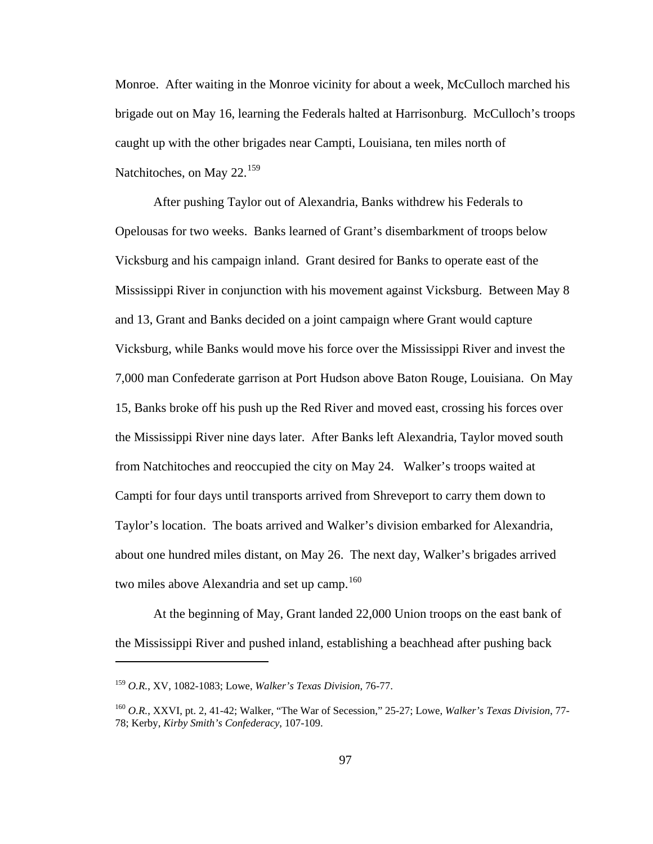Monroe. After waiting in the Monroe vicinity for about a week, McCulloch marched his brigade out on May 16, learning the Federals halted at Harrisonburg. McCulloch's troops caught up with the other brigades near Campti, Louisiana, ten miles north of Natchitoches, on May 22.<sup>[159](#page-101-0)</sup>

 After pushing Taylor out of Alexandria, Banks withdrew his Federals to Opelousas for two weeks. Banks learned of Grant's disembarkment of troops below Vicksburg and his campaign inland. Grant desired for Banks to operate east of the Mississippi River in conjunction with his movement against Vicksburg. Between May 8 and 13, Grant and Banks decided on a joint campaign where Grant would capture Vicksburg, while Banks would move his force over the Mississippi River and invest the 7,000 man Confederate garrison at Port Hudson above Baton Rouge, Louisiana. On May 15, Banks broke off his push up the Red River and moved east, crossing his forces over the Mississippi River nine days later. After Banks left Alexandria, Taylor moved south from Natchitoches and reoccupied the city on May 24. Walker's troops waited at Campti for four days until transports arrived from Shreveport to carry them down to Taylor's location. The boats arrived and Walker's division embarked for Alexandria, about one hundred miles distant, on May 26. The next day, Walker's brigades arrived two miles above Alexandria and set up camp.<sup>[160](#page-101-1)</sup>

 At the beginning of May, Grant landed 22,000 Union troops on the east bank of the Mississippi River and pushed inland, establishing a beachhead after pushing back

<span id="page-101-0"></span><sup>159</sup> *O.R.*, XV, 1082-1083; Lowe, *Walker's Texas Division*, 76-77.

<span id="page-101-1"></span><sup>160</sup> *O.R.*, XXVI, pt. 2, 41-42; Walker, "The War of Secession," 25-27; Lowe, *Walker's Texas Division*, 77- 78; Kerby, *Kirby Smith's Confederacy*, 107-109.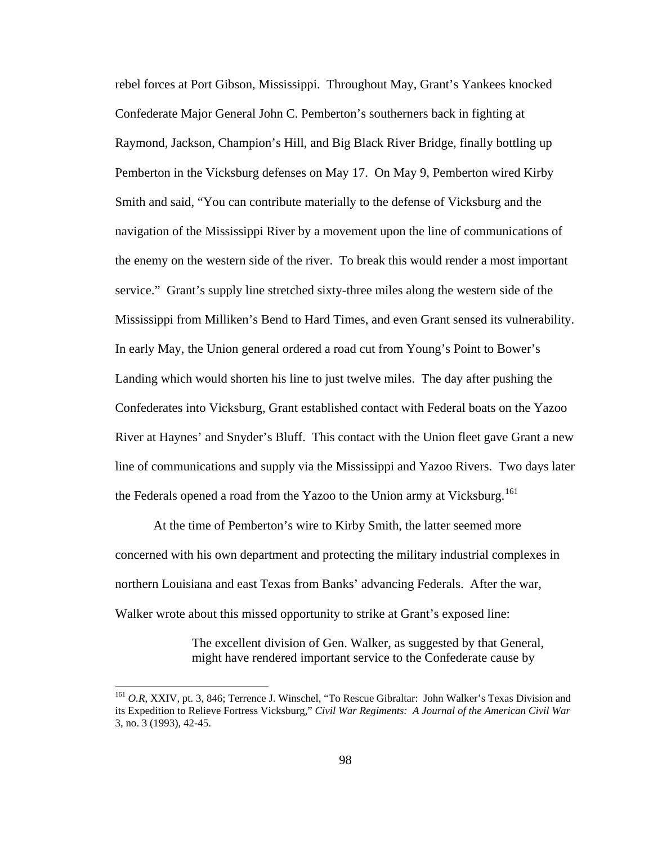rebel forces at Port Gibson, Mississippi. Throughout May, Grant's Yankees knocked Confederate Major General John C. Pemberton's southerners back in fighting at Raymond, Jackson, Champion's Hill, and Big Black River Bridge, finally bottling up Pemberton in the Vicksburg defenses on May 17. On May 9, Pemberton wired Kirby Smith and said, "You can contribute materially to the defense of Vicksburg and the navigation of the Mississippi River by a movement upon the line of communications of the enemy on the western side of the river. To break this would render a most important service." Grant's supply line stretched sixty-three miles along the western side of the Mississippi from Milliken's Bend to Hard Times, and even Grant sensed its vulnerability. In early May, the Union general ordered a road cut from Young's Point to Bower's Landing which would shorten his line to just twelve miles. The day after pushing the Confederates into Vicksburg, Grant established contact with Federal boats on the Yazoo River at Haynes' and Snyder's Bluff. This contact with the Union fleet gave Grant a new line of communications and supply via the Mississippi and Yazoo Rivers. Two days later the Federals opened a road from the Yazoo to the Union army at Vicksburg.<sup>[161](#page-102-0)</sup>

 At the time of Pemberton's wire to Kirby Smith, the latter seemed more concerned with his own department and protecting the military industrial complexes in northern Louisiana and east Texas from Banks' advancing Federals. After the war, Walker wrote about this missed opportunity to strike at Grant's exposed line:

> The excellent division of Gen. Walker, as suggested by that General, might have rendered important service to the Confederate cause by

<span id="page-102-0"></span><sup>&</sup>lt;sup>161</sup> O.R, XXIV, pt. 3, 846; Terrence J. Winschel, "To Rescue Gibraltar: John Walker's Texas Division and its Expedition to Relieve Fortress Vicksburg," *Civil War Regiments: A Journal of the American Civil War* 3, no. 3 (1993), 42-45.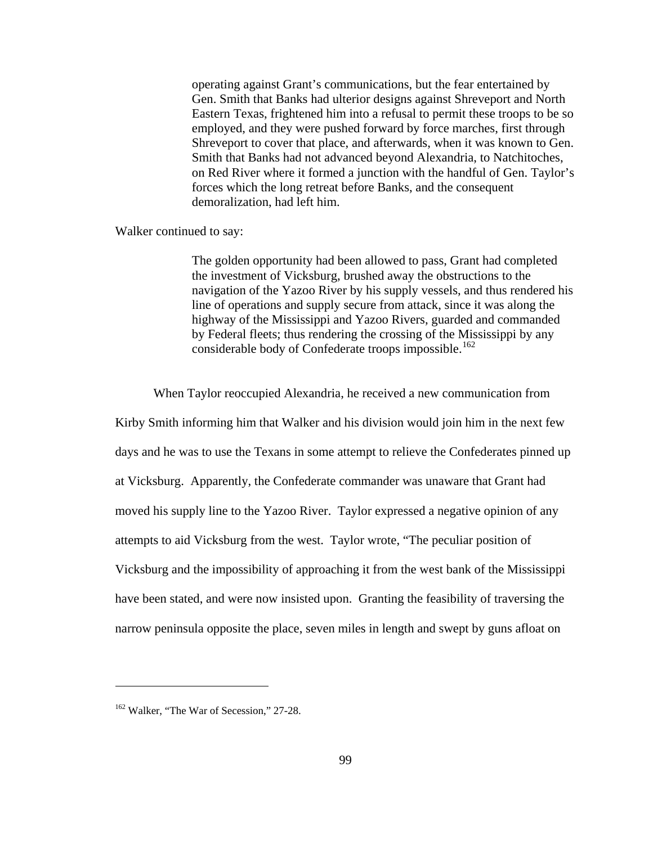operating against Grant's communications, but the fear entertained by Gen. Smith that Banks had ulterior designs against Shreveport and North Eastern Texas, frightened him into a refusal to permit these troops to be so employed, and they were pushed forward by force marches, first through Shreveport to cover that place, and afterwards, when it was known to Gen. Smith that Banks had not advanced beyond Alexandria, to Natchitoches, on Red River where it formed a junction with the handful of Gen. Taylor's forces which the long retreat before Banks, and the consequent demoralization, had left him.

Walker continued to say:

The golden opportunity had been allowed to pass, Grant had completed the investment of Vicksburg, brushed away the obstructions to the navigation of the Yazoo River by his supply vessels, and thus rendered his line of operations and supply secure from attack, since it was along the highway of the Mississippi and Yazoo Rivers, guarded and commanded by Federal fleets; thus rendering the crossing of the Mississippi by any considerable body of Confederate troops impossible.<sup>[162](#page-103-0)</sup>

When Taylor reoccupied Alexandria, he received a new communication from

Kirby Smith informing him that Walker and his division would join him in the next few days and he was to use the Texans in some attempt to relieve the Confederates pinned up at Vicksburg. Apparently, the Confederate commander was unaware that Grant had moved his supply line to the Yazoo River. Taylor expressed a negative opinion of any attempts to aid Vicksburg from the west. Taylor wrote, "The peculiar position of Vicksburg and the impossibility of approaching it from the west bank of the Mississippi have been stated, and were now insisted upon. Granting the feasibility of traversing the narrow peninsula opposite the place, seven miles in length and swept by guns afloat on

<span id="page-103-0"></span><sup>&</sup>lt;sup>162</sup> Walker, "The War of Secession," 27-28.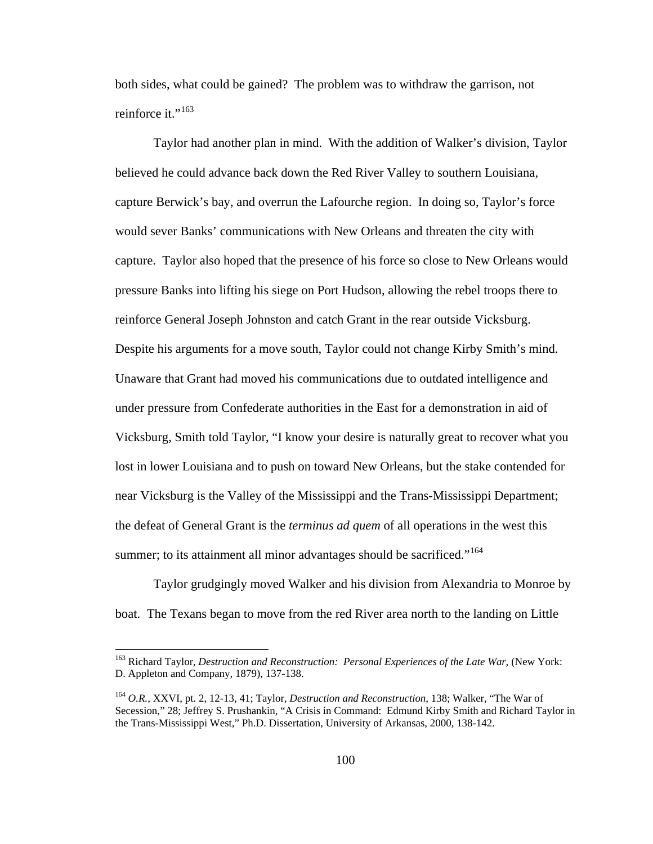both sides, what could be gained? The problem was to withdraw the garrison, not reinforce it."<sup>[163](#page-104-0)</sup>

 Taylor had another plan in mind. With the addition of Walker's division, Taylor believed he could advance back down the Red River Valley to southern Louisiana, capture Berwick's bay, and overrun the Lafourche region. In doing so, Taylor's force would sever Banks' communications with New Orleans and threaten the city with capture. Taylor also hoped that the presence of his force so close to New Orleans would pressure Banks into lifting his siege on Port Hudson, allowing the rebel troops there to reinforce General Joseph Johnston and catch Grant in the rear outside Vicksburg. Despite his arguments for a move south, Taylor could not change Kirby Smith's mind. Unaware that Grant had moved his communications due to outdated intelligence and under pressure from Confederate authorities in the East for a demonstration in aid of Vicksburg, Smith told Taylor, "I know your desire is naturally great to recover what you lost in lower Louisiana and to push on toward New Orleans, but the stake contended for near Vicksburg is the Valley of the Mississippi and the Trans-Mississippi Department; the defeat of General Grant is the *terminus ad quem* of all operations in the west this summer; to its attainment all minor advantages should be sacrificed."<sup>[164](#page-104-1)</sup>

 Taylor grudgingly moved Walker and his division from Alexandria to Monroe by boat. The Texans began to move from the red River area north to the landing on Little

<span id="page-104-0"></span><sup>163</sup> Richard Taylor, *Destruction and Reconstruction: Personal Experiences of the Late War*, (New York: D. Appleton and Company, 1879), 137-138.

<span id="page-104-1"></span><sup>164</sup> *O.R.*, XXVI, pt. 2, 12-13, 41; Taylor, *Destruction and Reconstruction*, 138; Walker, "The War of Secession," 28; Jeffrey S. Prushankin, "A Crisis in Command: Edmund Kirby Smith and Richard Taylor in the Trans-Mississippi West," Ph.D. Dissertation, University of Arkansas, 2000, 138-142.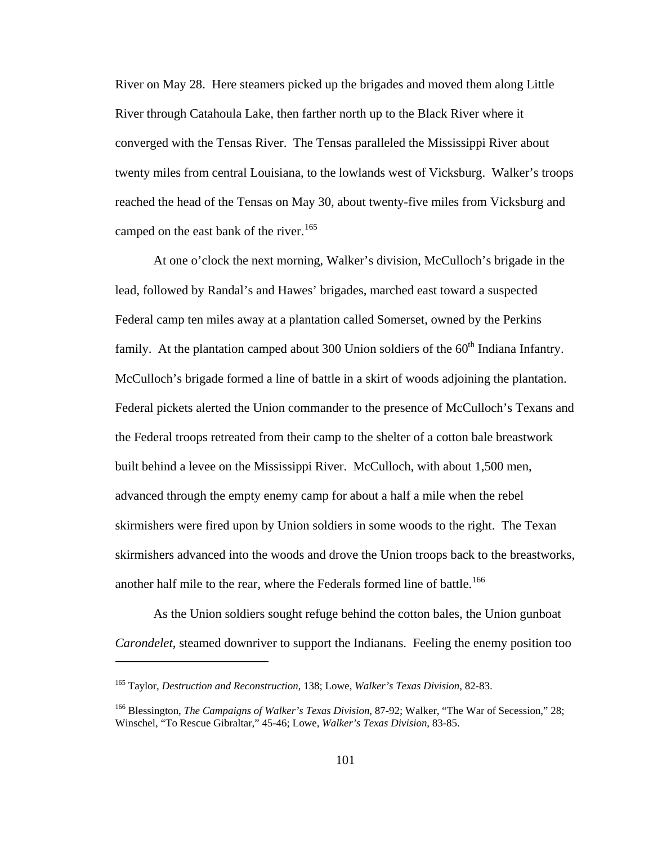River on May 28. Here steamers picked up the brigades and moved them along Little River through Catahoula Lake, then farther north up to the Black River where it converged with the Tensas River. The Tensas paralleled the Mississippi River about twenty miles from central Louisiana, to the lowlands west of Vicksburg. Walker's troops reached the head of the Tensas on May 30, about twenty-five miles from Vicksburg and camped on the east bank of the river.<sup>[165](#page-105-0)</sup>

 At one o'clock the next morning, Walker's division, McCulloch's brigade in the lead, followed by Randal's and Hawes' brigades, marched east toward a suspected Federal camp ten miles away at a plantation called Somerset, owned by the Perkins family. At the plantation camped about 300 Union soldiers of the  $60<sup>th</sup>$  Indiana Infantry. McCulloch's brigade formed a line of battle in a skirt of woods adjoining the plantation. Federal pickets alerted the Union commander to the presence of McCulloch's Texans and the Federal troops retreated from their camp to the shelter of a cotton bale breastwork built behind a levee on the Mississippi River. McCulloch, with about 1,500 men, advanced through the empty enemy camp for about a half a mile when the rebel skirmishers were fired upon by Union soldiers in some woods to the right. The Texan skirmishers advanced into the woods and drove the Union troops back to the breastworks, another half mile to the rear, where the Federals formed line of battle.<sup>[166](#page-105-1)</sup>

 As the Union soldiers sought refuge behind the cotton bales, the Union gunboat *Carondelet*, steamed downriver to support the Indianans. Feeling the enemy position too

<span id="page-105-0"></span><sup>165</sup> Taylor, *Destruction and Reconstruction*, 138; Lowe, *Walker's Texas Division*, 82-83.

<span id="page-105-1"></span><sup>166</sup> Blessington, *The Campaigns of Walker's Texas Division*, 87-92; Walker, "The War of Secession," 28; Winschel, "To Rescue Gibraltar," 45-46; Lowe, *Walker's Texas Division*, 83-85.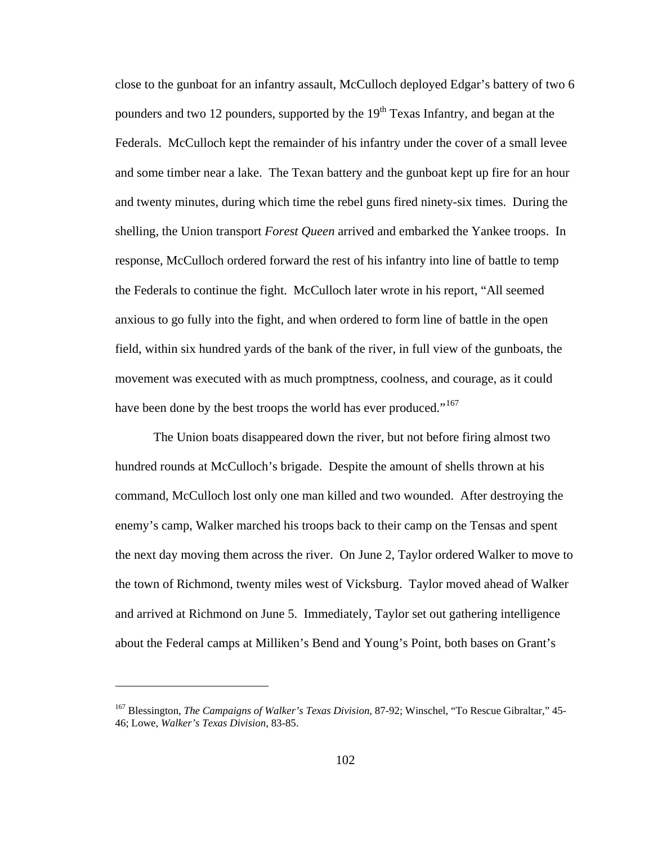close to the gunboat for an infantry assault, McCulloch deployed Edgar's battery of two 6 pounders and two 12 pounders, supported by the  $19<sup>th</sup>$  Texas Infantry, and began at the Federals. McCulloch kept the remainder of his infantry under the cover of a small levee and some timber near a lake. The Texan battery and the gunboat kept up fire for an hour and twenty minutes, during which time the rebel guns fired ninety-six times. During the shelling, the Union transport *Forest Queen* arrived and embarked the Yankee troops. In response, McCulloch ordered forward the rest of his infantry into line of battle to temp the Federals to continue the fight. McCulloch later wrote in his report, "All seemed anxious to go fully into the fight, and when ordered to form line of battle in the open field, within six hundred yards of the bank of the river, in full view of the gunboats, the movement was executed with as much promptness, coolness, and courage, as it could have been done by the best troops the world has ever produced."<sup>[167](#page-106-0)</sup>

 The Union boats disappeared down the river, but not before firing almost two hundred rounds at McCulloch's brigade. Despite the amount of shells thrown at his command, McCulloch lost only one man killed and two wounded. After destroying the enemy's camp, Walker marched his troops back to their camp on the Tensas and spent the next day moving them across the river. On June 2, Taylor ordered Walker to move to the town of Richmond, twenty miles west of Vicksburg. Taylor moved ahead of Walker and arrived at Richmond on June 5. Immediately, Taylor set out gathering intelligence about the Federal camps at Milliken's Bend and Young's Point, both bases on Grant's

<span id="page-106-0"></span><sup>167</sup> Blessington, *The Campaigns of Walker's Texas Division*, 87-92; Winschel, "To Rescue Gibraltar," 45- 46; Lowe, *Walker's Texas Division*, 83-85.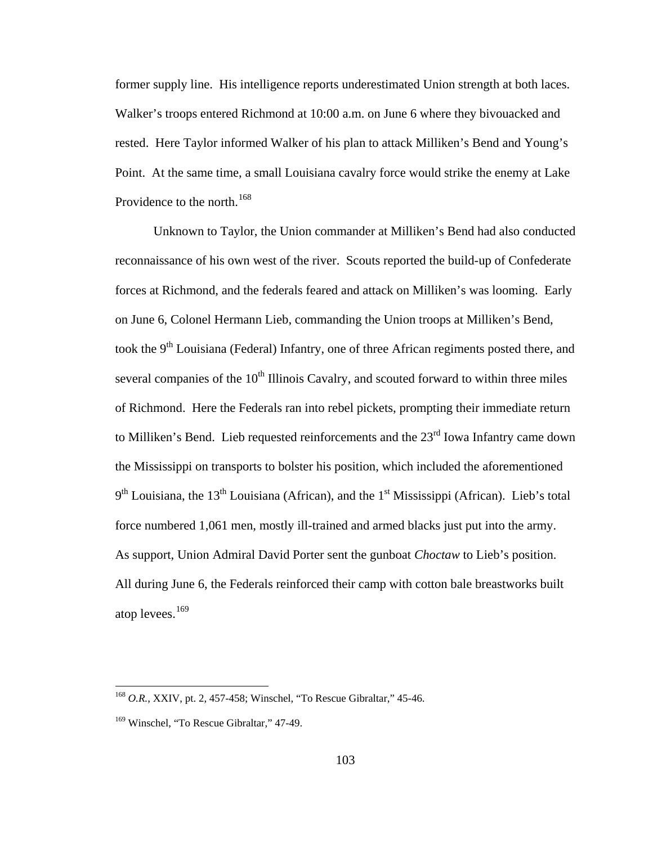former supply line. His intelligence reports underestimated Union strength at both laces. Walker's troops entered Richmond at 10:00 a.m. on June 6 where they bivouacked and rested. Here Taylor informed Walker of his plan to attack Milliken's Bend and Young's Point. At the same time, a small Louisiana cavalry force would strike the enemy at Lake Providence to the north.<sup>[168](#page-107-0)</sup>

 Unknown to Taylor, the Union commander at Milliken's Bend had also conducted reconnaissance of his own west of the river. Scouts reported the build-up of Confederate forces at Richmond, and the federals feared and attack on Milliken's was looming. Early on June 6, Colonel Hermann Lieb, commanding the Union troops at Milliken's Bend, took the  $9<sup>th</sup>$  Louisiana (Federal) Infantry, one of three African regiments posted there, and several companies of the  $10<sup>th</sup>$  Illinois Cavalry, and scouted forward to within three miles of Richmond. Here the Federals ran into rebel pickets, prompting their immediate return to Milliken's Bend. Lieb requested reinforcements and the 23<sup>rd</sup> Iowa Infantry came down the Mississippi on transports to bolster his position, which included the aforementioned 9<sup>th</sup> Louisiana, the 13<sup>th</sup> Louisiana (African), and the 1<sup>st</sup> Mississippi (African). Lieb's total force numbered 1,061 men, mostly ill-trained and armed blacks just put into the army. As support, Union Admiral David Porter sent the gunboat *Choctaw* to Lieb's position. All during June 6, the Federals reinforced their camp with cotton bale breastworks built atop levees.<sup>[169](#page-107-1)</sup>

<span id="page-107-0"></span><sup>168</sup> *O.R.*, XXIV, pt. 2, 457-458; Winschel, "To Rescue Gibraltar," 45-46.

<span id="page-107-1"></span><sup>&</sup>lt;sup>169</sup> Winschel, "To Rescue Gibraltar," 47-49.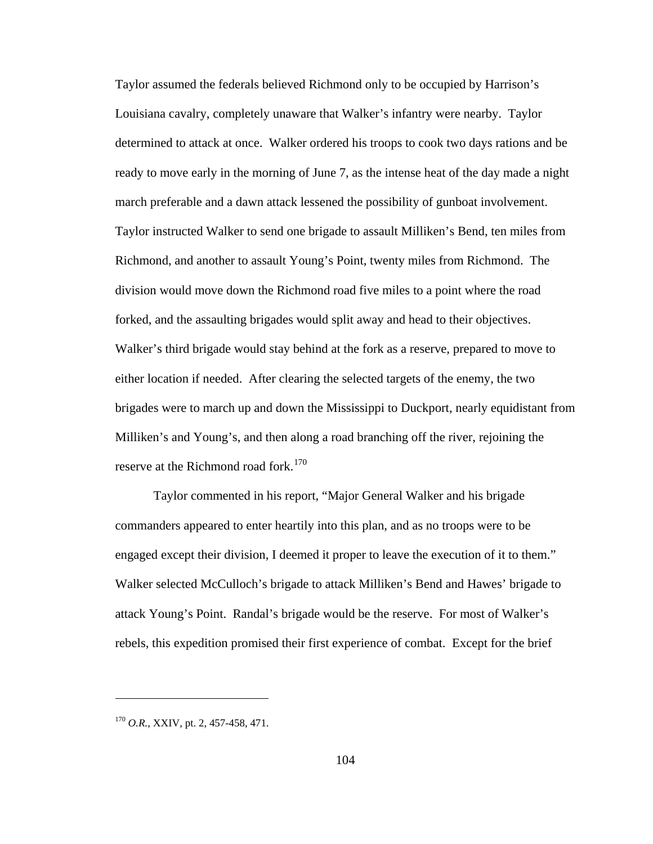Taylor assumed the federals believed Richmond only to be occupied by Harrison's Louisiana cavalry, completely unaware that Walker's infantry were nearby. Taylor determined to attack at once. Walker ordered his troops to cook two days rations and be ready to move early in the morning of June 7, as the intense heat of the day made a night march preferable and a dawn attack lessened the possibility of gunboat involvement. Taylor instructed Walker to send one brigade to assault Milliken's Bend, ten miles from Richmond, and another to assault Young's Point, twenty miles from Richmond. The division would move down the Richmond road five miles to a point where the road forked, and the assaulting brigades would split away and head to their objectives. Walker's third brigade would stay behind at the fork as a reserve, prepared to move to either location if needed. After clearing the selected targets of the enemy, the two brigades were to march up and down the Mississippi to Duckport, nearly equidistant from Milliken's and Young's, and then along a road branching off the river, rejoining the reserve at the Richmond road fork.<sup>[170](#page-108-0)</sup>

 Taylor commented in his report, "Major General Walker and his brigade commanders appeared to enter heartily into this plan, and as no troops were to be engaged except their division, I deemed it proper to leave the execution of it to them." Walker selected McCulloch's brigade to attack Milliken's Bend and Hawes' brigade to attack Young's Point. Randal's brigade would be the reserve. For most of Walker's rebels, this expedition promised their first experience of combat. Except for the brief

<span id="page-108-0"></span><sup>&</sup>lt;sup>170</sup> O.R., XXIV, pt. 2, 457-458, 471.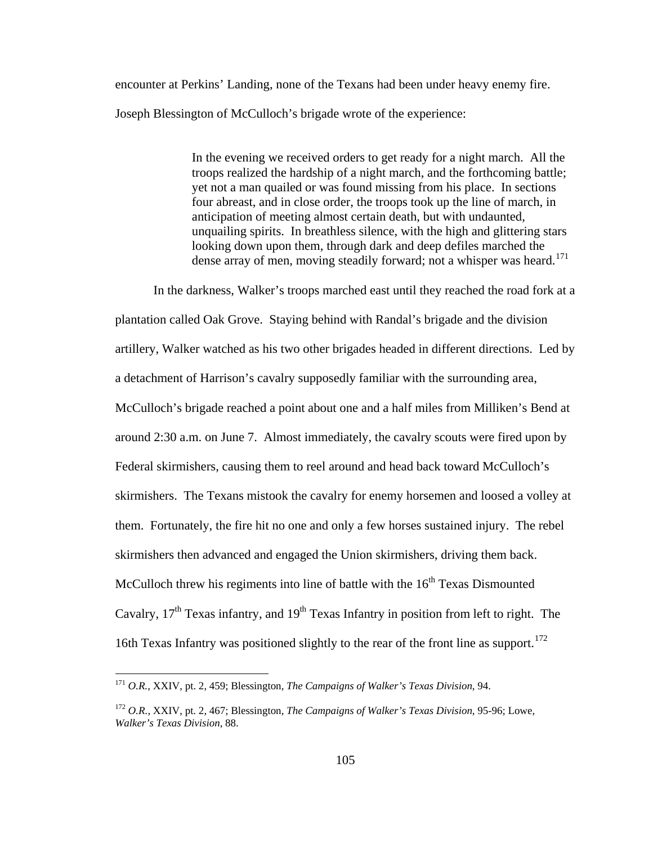encounter at Perkins' Landing, none of the Texans had been under heavy enemy fire. Joseph Blessington of McCulloch's brigade wrote of the experience:

> In the evening we received orders to get ready for a night march. All the troops realized the hardship of a night march, and the forthcoming battle; yet not a man quailed or was found missing from his place. In sections four abreast, and in close order, the troops took up the line of march, in anticipation of meeting almost certain death, but with undaunted, unquailing spirits. In breathless silence, with the high and glittering stars looking down upon them, through dark and deep defiles marched the dense array of men, moving steadily forward; not a whisper was heard.<sup>[171](#page-109-0)</sup>

In the darkness, Walker's troops marched east until they reached the road fork at a plantation called Oak Grove. Staying behind with Randal's brigade and the division artillery, Walker watched as his two other brigades headed in different directions. Led by a detachment of Harrison's cavalry supposedly familiar with the surrounding area, McCulloch's brigade reached a point about one and a half miles from Milliken's Bend at around 2:30 a.m. on June 7. Almost immediately, the cavalry scouts were fired upon by Federal skirmishers, causing them to reel around and head back toward McCulloch's skirmishers. The Texans mistook the cavalry for enemy horsemen and loosed a volley at them. Fortunately, the fire hit no one and only a few horses sustained injury. The rebel skirmishers then advanced and engaged the Union skirmishers, driving them back. McCulloch threw his regiments into line of battle with the  $16<sup>th</sup>$  Texas Dismounted Cavalry,  $17<sup>th</sup>$  Texas infantry, and  $19<sup>th</sup>$  Texas Infantry in position from left to right. The 16th Texas Infantry was positioned slightly to the rear of the front line as support.<sup>[172](#page-109-1)</sup>

<span id="page-109-0"></span><sup>171</sup> *O.R.*, XXIV, pt. 2, 459; Blessington, *The Campaigns of Walker's Texas Division*, 94.

<span id="page-109-1"></span><sup>172</sup> *O.R.,* XXIV, pt. 2, 467; Blessington, *The Campaigns of Walker's Texas Division*, 95-96; Lowe, *Walker's Texas Division*, 88.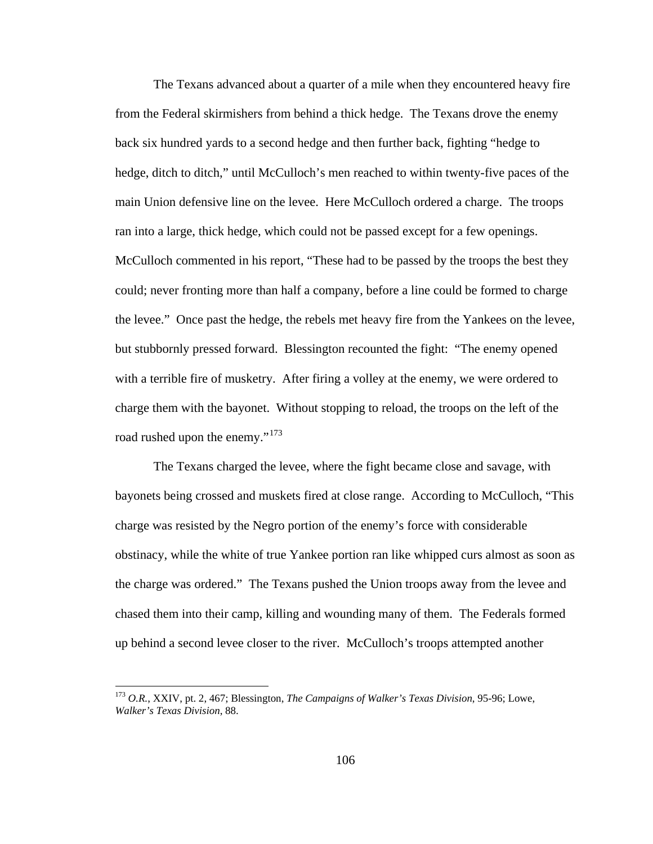The Texans advanced about a quarter of a mile when they encountered heavy fire from the Federal skirmishers from behind a thick hedge. The Texans drove the enemy back six hundred yards to a second hedge and then further back, fighting "hedge to hedge, ditch to ditch," until McCulloch's men reached to within twenty-five paces of the main Union defensive line on the levee. Here McCulloch ordered a charge. The troops ran into a large, thick hedge, which could not be passed except for a few openings. McCulloch commented in his report, "These had to be passed by the troops the best they could; never fronting more than half a company, before a line could be formed to charge the levee." Once past the hedge, the rebels met heavy fire from the Yankees on the levee, but stubbornly pressed forward. Blessington recounted the fight: "The enemy opened with a terrible fire of musketry. After firing a volley at the enemy, we were ordered to charge them with the bayonet. Without stopping to reload, the troops on the left of the road rushed upon the enemy."<sup>[173](#page-110-0)</sup>

The Texans charged the levee, where the fight became close and savage, with bayonets being crossed and muskets fired at close range. According to McCulloch, "This charge was resisted by the Negro portion of the enemy's force with considerable obstinacy, while the white of true Yankee portion ran like whipped curs almost as soon as the charge was ordered." The Texans pushed the Union troops away from the levee and chased them into their camp, killing and wounding many of them. The Federals formed up behind a second levee closer to the river. McCulloch's troops attempted another

<span id="page-110-0"></span><sup>173</sup> *O.R.*, XXIV, pt. 2, 467; Blessington, *The Campaigns of Walker's Texas Division*, 95-96; Lowe, *Walker's Texas Division*, 88.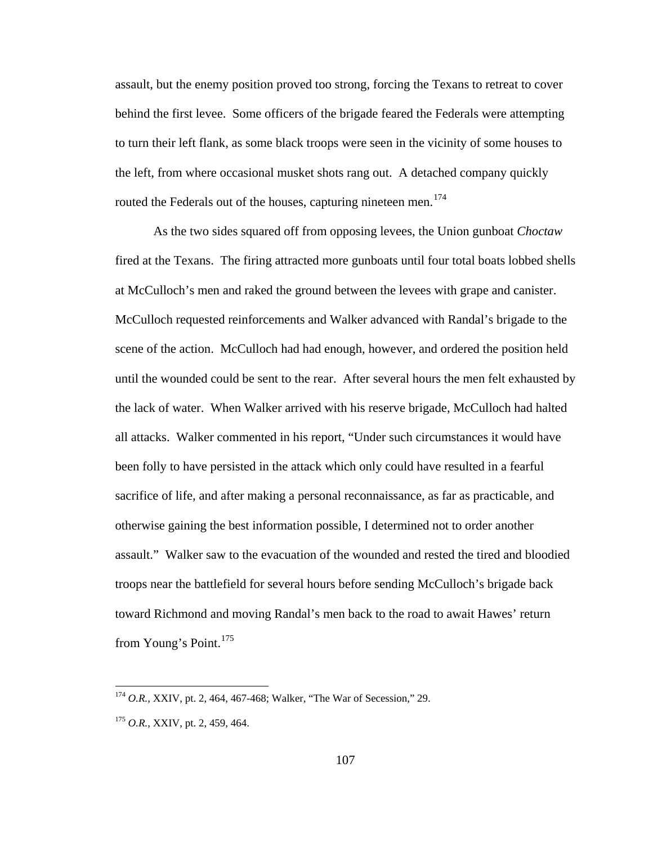assault, but the enemy position proved too strong, forcing the Texans to retreat to cover behind the first levee. Some officers of the brigade feared the Federals were attempting to turn their left flank, as some black troops were seen in the vicinity of some houses to the left, from where occasional musket shots rang out. A detached company quickly routed the Federals out of the houses, capturing nineteen men.<sup>[174](#page-111-0)</sup>

As the two sides squared off from opposing levees, the Union gunboat *Choctaw* fired at the Texans. The firing attracted more gunboats until four total boats lobbed shells at McCulloch's men and raked the ground between the levees with grape and canister. McCulloch requested reinforcements and Walker advanced with Randal's brigade to the scene of the action. McCulloch had had enough, however, and ordered the position held until the wounded could be sent to the rear. After several hours the men felt exhausted by the lack of water. When Walker arrived with his reserve brigade, McCulloch had halted all attacks. Walker commented in his report, "Under such circumstances it would have been folly to have persisted in the attack which only could have resulted in a fearful sacrifice of life, and after making a personal reconnaissance, as far as practicable, and otherwise gaining the best information possible, I determined not to order another assault." Walker saw to the evacuation of the wounded and rested the tired and bloodied troops near the battlefield for several hours before sending McCulloch's brigade back toward Richmond and moving Randal's men back to the road to await Hawes' return from Young's Point.<sup>[175](#page-111-1)</sup>

<span id="page-111-0"></span><sup>174</sup> *O.R.*, XXIV, pt. 2, 464, 467-468; Walker, "The War of Secession," 29.

<span id="page-111-1"></span><sup>175</sup> *O.R.*, XXIV, pt. 2, 459, 464.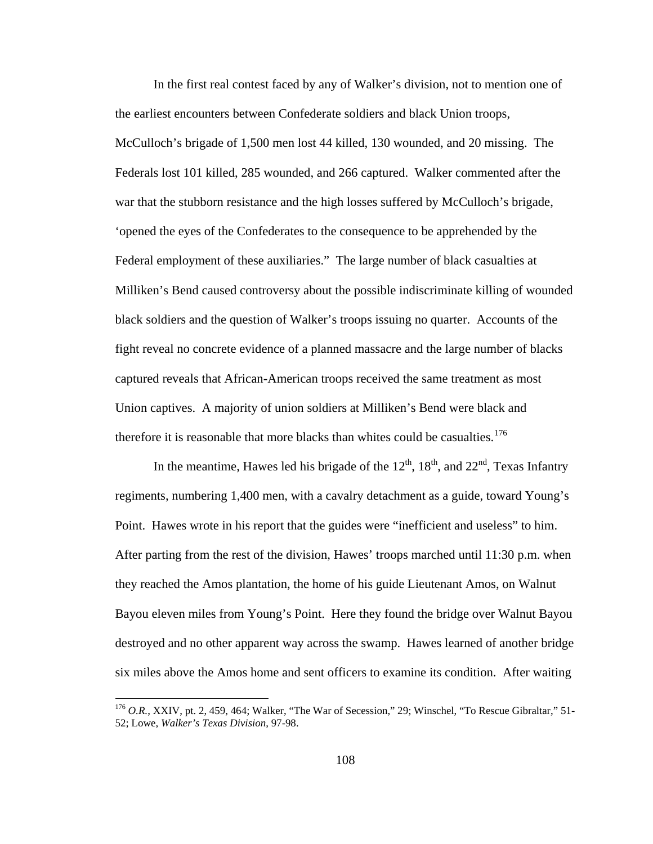In the first real contest faced by any of Walker's division, not to mention one of the earliest encounters between Confederate soldiers and black Union troops, McCulloch's brigade of 1,500 men lost 44 killed, 130 wounded, and 20 missing. The Federals lost 101 killed, 285 wounded, and 266 captured. Walker commented after the war that the stubborn resistance and the high losses suffered by McCulloch's brigade, 'opened the eyes of the Confederates to the consequence to be apprehended by the Federal employment of these auxiliaries." The large number of black casualties at Milliken's Bend caused controversy about the possible indiscriminate killing of wounded black soldiers and the question of Walker's troops issuing no quarter. Accounts of the fight reveal no concrete evidence of a planned massacre and the large number of blacks captured reveals that African-American troops received the same treatment as most Union captives. A majority of union soldiers at Milliken's Bend were black and therefore it is reasonable that more blacks than whites could be casualties.  $1/6$ 

In the meantime, Hawes led his brigade of the  $12<sup>th</sup>$ ,  $18<sup>th</sup>$ , and  $22<sup>nd</sup>$ , Texas Infantry regiments, numbering 1,400 men, with a cavalry detachment as a guide, toward Young's Point. Hawes wrote in his report that the guides were "inefficient and useless" to him. After parting from the rest of the division, Hawes' troops marched until 11:30 p.m. when they reached the Amos plantation, the home of his guide Lieutenant Amos, on Walnut Bayou eleven miles from Young's Point. Here they found the bridge over Walnut Bayou destroyed and no other apparent way across the swamp. Hawes learned of another bridge six miles above the Amos home and sent officers to examine its condition. After waiting

<span id="page-112-0"></span><sup>&</sup>lt;sup>176</sup> O.R., XXIV, pt. 2, 459, 464; Walker, "The War of Secession," 29; Winschel, "To Rescue Gibraltar," 51-52; Lowe, *Walker's Texas Division*, 97-98.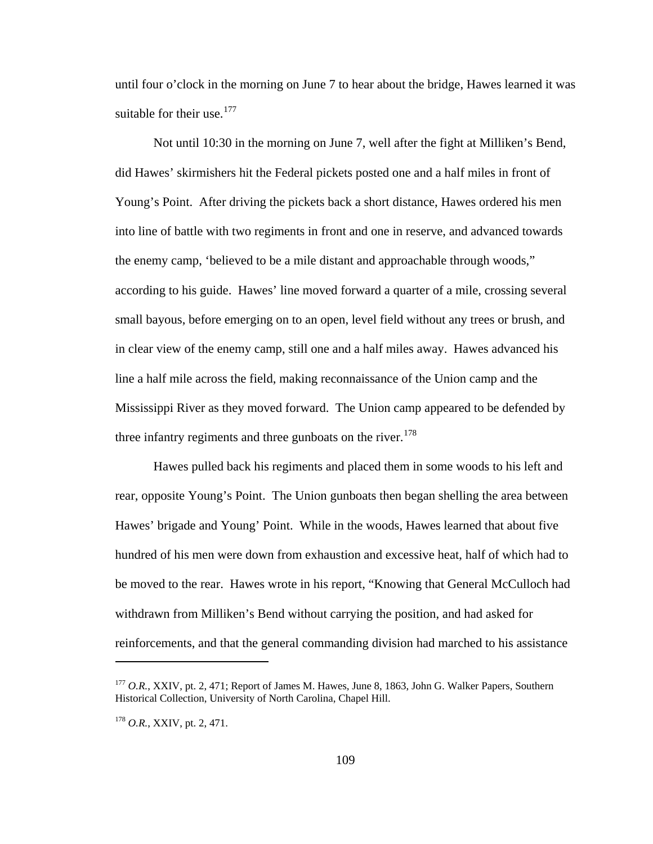until four o'clock in the morning on June 7 to hear about the bridge, Hawes learned it was suitable for their use.<sup>[177](#page-113-0)</sup>

Not until 10:30 in the morning on June 7, well after the fight at Milliken's Bend, did Hawes' skirmishers hit the Federal pickets posted one and a half miles in front of Young's Point. After driving the pickets back a short distance, Hawes ordered his men into line of battle with two regiments in front and one in reserve, and advanced towards the enemy camp, 'believed to be a mile distant and approachable through woods," according to his guide. Hawes' line moved forward a quarter of a mile, crossing several small bayous, before emerging on to an open, level field without any trees or brush, and in clear view of the enemy camp, still one and a half miles away. Hawes advanced his line a half mile across the field, making reconnaissance of the Union camp and the Mississippi River as they moved forward. The Union camp appeared to be defended by three infantry regiments and three gunboats on the river.<sup>[178](#page-113-1)</sup>

Hawes pulled back his regiments and placed them in some woods to his left and rear, opposite Young's Point. The Union gunboats then began shelling the area between Hawes' brigade and Young' Point. While in the woods, Hawes learned that about five hundred of his men were down from exhaustion and excessive heat, half of which had to be moved to the rear. Hawes wrote in his report, "Knowing that General McCulloch had withdrawn from Milliken's Bend without carrying the position, and had asked for reinforcements, and that the general commanding division had marched to his assistance

<span id="page-113-0"></span><sup>177</sup> *O.R.*, XXIV, pt. 2, 471; Report of James M. Hawes, June 8, 1863, John G. Walker Papers, Southern Historical Collection, University of North Carolina, Chapel Hill.

<span id="page-113-1"></span><sup>178</sup> *O.R.*, XXIV, pt. 2, 471.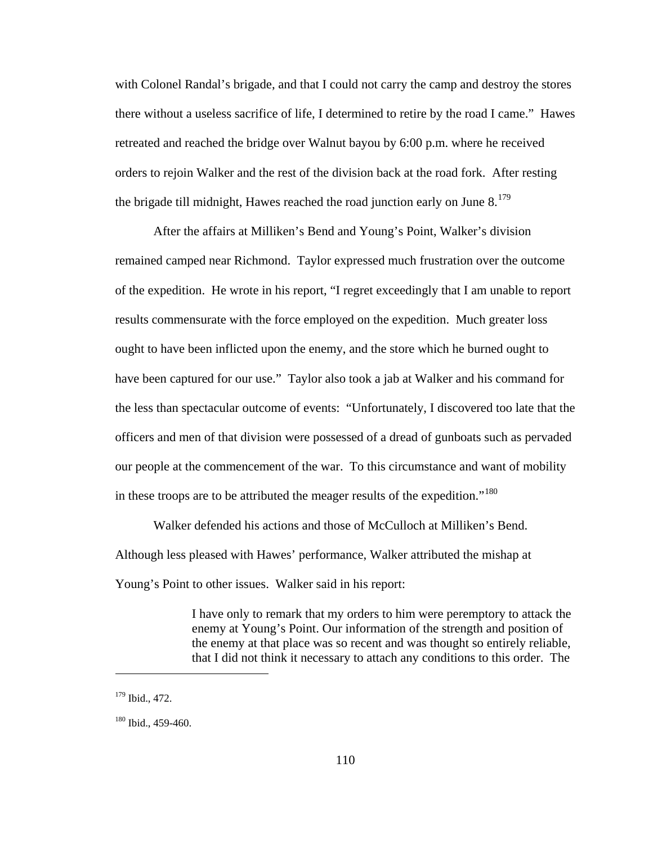with Colonel Randal's brigade, and that I could not carry the camp and destroy the stores there without a useless sacrifice of life, I determined to retire by the road I came." Hawes retreated and reached the bridge over Walnut bayou by 6:00 p.m. where he received orders to rejoin Walker and the rest of the division back at the road fork. After resting the brigade till midnight, Hawes reached the road junction early on June  $8^{179}$  $8^{179}$  $8^{179}$ 

After the affairs at Milliken's Bend and Young's Point, Walker's division remained camped near Richmond. Taylor expressed much frustration over the outcome of the expedition. He wrote in his report, "I regret exceedingly that I am unable to report results commensurate with the force employed on the expedition. Much greater loss ought to have been inflicted upon the enemy, and the store which he burned ought to have been captured for our use." Taylor also took a jab at Walker and his command for the less than spectacular outcome of events: "Unfortunately, I discovered too late that the officers and men of that division were possessed of a dread of gunboats such as pervaded our people at the commencement of the war. To this circumstance and want of mobility in these troops are to be attributed the meager results of the expedition."<sup>[180](#page-114-1)</sup>

Walker defended his actions and those of McCulloch at Milliken's Bend. Although less pleased with Hawes' performance, Walker attributed the mishap at Young's Point to other issues. Walker said in his report:

> I have only to remark that my orders to him were peremptory to attack the enemy at Young's Point. Our information of the strength and position of the enemy at that place was so recent and was thought so entirely reliable, that I did not think it necessary to attach any conditions to this order. The

<span id="page-114-0"></span><sup>179</sup> Ibid., 472.

<span id="page-114-1"></span><sup>180</sup> Ibid., 459-460.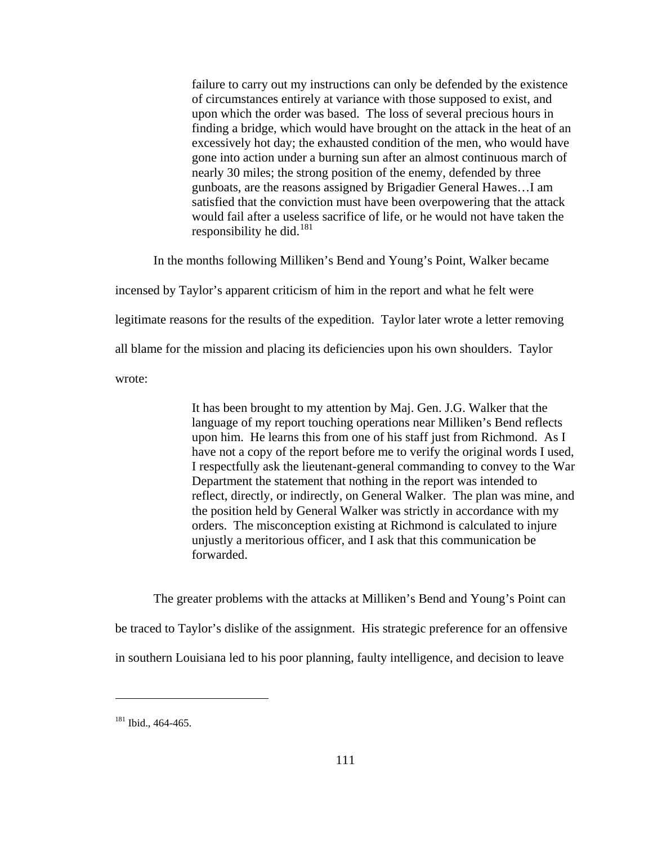failure to carry out my instructions can only be defended by the existence of circumstances entirely at variance with those supposed to exist, and upon which the order was based. The loss of several precious hours in finding a bridge, which would have brought on the attack in the heat of an excessively hot day; the exhausted condition of the men, who would have gone into action under a burning sun after an almost continuous march of nearly 30 miles; the strong position of the enemy, defended by three gunboats, are the reasons assigned by Brigadier General Hawes…I am satisfied that the conviction must have been overpowering that the attack would fail after a useless sacrifice of life, or he would not have taken the responsibility he did. $181$ 

 In the months following Milliken's Bend and Young's Point, Walker became incensed by Taylor's apparent criticism of him in the report and what he felt were legitimate reasons for the results of the expedition. Taylor later wrote a letter removing all blame for the mission and placing its deficiencies upon his own shoulders. Taylor wrote:

> It has been brought to my attention by Maj. Gen. J.G. Walker that the language of my report touching operations near Milliken's Bend reflects upon him. He learns this from one of his staff just from Richmond. As I have not a copy of the report before me to verify the original words I used, I respectfully ask the lieutenant-general commanding to convey to the War Department the statement that nothing in the report was intended to reflect, directly, or indirectly, on General Walker. The plan was mine, and the position held by General Walker was strictly in accordance with my orders. The misconception existing at Richmond is calculated to injure unjustly a meritorious officer, and I ask that this communication be forwarded.

 The greater problems with the attacks at Milliken's Bend and Young's Point can be traced to Taylor's dislike of the assignment. His strategic preference for an offensive in southern Louisiana led to his poor planning, faulty intelligence, and decision to leave

<span id="page-115-0"></span><sup>&</sup>lt;sup>181</sup> Ibid., 464-465.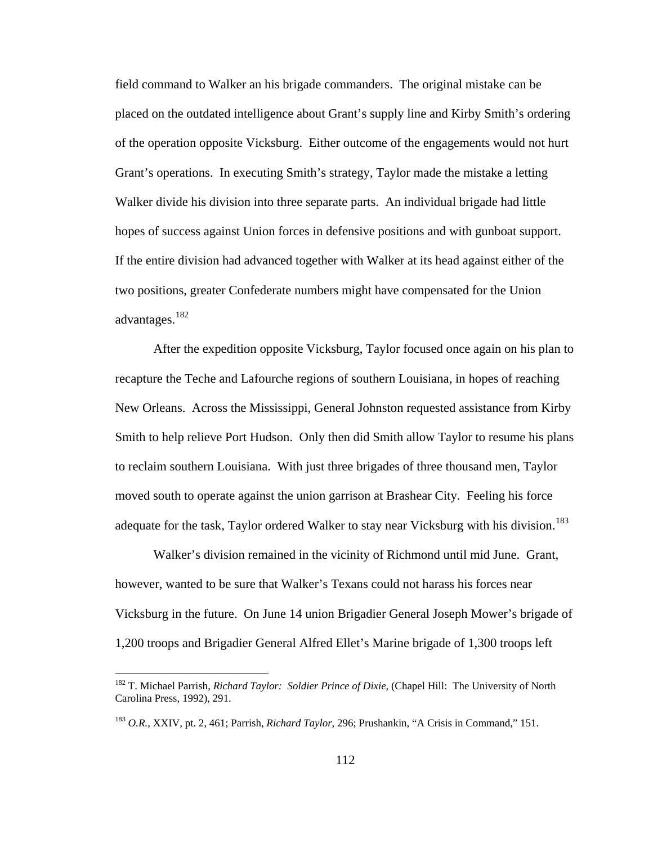field command to Walker an his brigade commanders. The original mistake can be placed on the outdated intelligence about Grant's supply line and Kirby Smith's ordering of the operation opposite Vicksburg. Either outcome of the engagements would not hurt Grant's operations. In executing Smith's strategy, Taylor made the mistake a letting Walker divide his division into three separate parts. An individual brigade had little hopes of success against Union forces in defensive positions and with gunboat support. If the entire division had advanced together with Walker at its head against either of the two positions, greater Confederate numbers might have compensated for the Union advantages.<sup>[182](#page-116-0)</sup>

 After the expedition opposite Vicksburg, Taylor focused once again on his plan to recapture the Teche and Lafourche regions of southern Louisiana, in hopes of reaching New Orleans. Across the Mississippi, General Johnston requested assistance from Kirby Smith to help relieve Port Hudson. Only then did Smith allow Taylor to resume his plans to reclaim southern Louisiana. With just three brigades of three thousand men, Taylor moved south to operate against the union garrison at Brashear City. Feeling his force adequate for the task, Taylor ordered Walker to stay near Vicksburg with his division.<sup>[183](#page-116-1)</sup>

 Walker's division remained in the vicinity of Richmond until mid June. Grant, however, wanted to be sure that Walker's Texans could not harass his forces near Vicksburg in the future. On June 14 union Brigadier General Joseph Mower's brigade of 1,200 troops and Brigadier General Alfred Ellet's Marine brigade of 1,300 troops left

<span id="page-116-0"></span><sup>182</sup> T. Michael Parrish, *Richard Taylor: Soldier Prince of Dixie*, (Chapel Hill: The University of North Carolina Press, 1992), 291.

<span id="page-116-1"></span><sup>183</sup> *O.R.*, XXIV, pt. 2, 461; Parrish, *Richard Taylor*, 296; Prushankin, "A Crisis in Command," 151.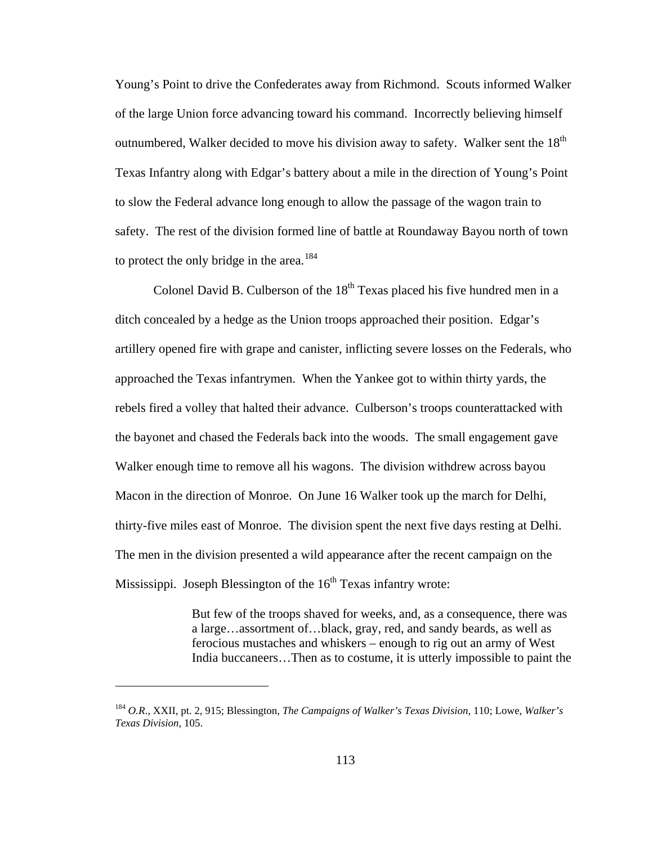Young's Point to drive the Confederates away from Richmond. Scouts informed Walker of the large Union force advancing toward his command. Incorrectly believing himself outnumbered, Walker decided to move his division away to safety. Walker sent the  $18<sup>th</sup>$ Texas Infantry along with Edgar's battery about a mile in the direction of Young's Point to slow the Federal advance long enough to allow the passage of the wagon train to safety. The rest of the division formed line of battle at Roundaway Bayou north of town to protect the only bridge in the area.<sup>[184](#page-117-0)</sup>

Colonel David B. Culberson of the  $18<sup>th</sup>$  Texas placed his five hundred men in a ditch concealed by a hedge as the Union troops approached their position. Edgar's artillery opened fire with grape and canister, inflicting severe losses on the Federals, who approached the Texas infantrymen. When the Yankee got to within thirty yards, the rebels fired a volley that halted their advance. Culberson's troops counterattacked with the bayonet and chased the Federals back into the woods. The small engagement gave Walker enough time to remove all his wagons. The division withdrew across bayou Macon in the direction of Monroe. On June 16 Walker took up the march for Delhi, thirty-five miles east of Monroe. The division spent the next five days resting at Delhi. The men in the division presented a wild appearance after the recent campaign on the Mississippi. Joseph Blessington of the  $16<sup>th</sup>$  Texas infantry wrote:

> But few of the troops shaved for weeks, and, as a consequence, there was a large…assortment of…black, gray, red, and sandy beards, as well as ferocious mustaches and whiskers – enough to rig out an army of West India buccaneers…Then as to costume, it is utterly impossible to paint the

<span id="page-117-0"></span><sup>184</sup> *O.R*., XXII, pt. 2, 915; Blessington, *The Campaigns of Walker's Texas Division*, 110; Lowe, *Walker's Texas Division*, 105.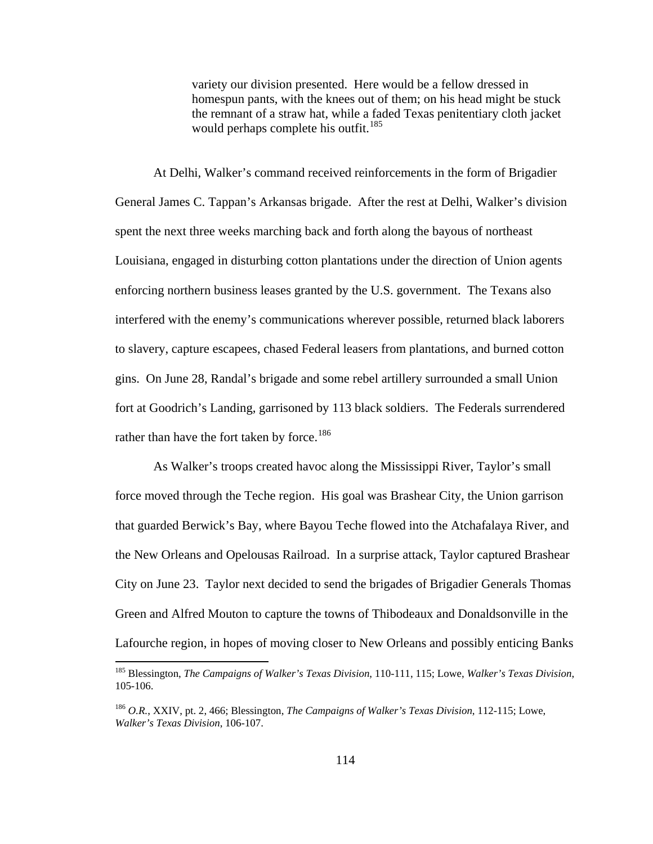variety our division presented. Here would be a fellow dressed in homespun pants, with the knees out of them; on his head might be stuck the remnant of a straw hat, while a faded Texas penitentiary cloth jacket would perhaps complete his outfit.<sup>[185](#page-118-0)</sup>

 At Delhi, Walker's command received reinforcements in the form of Brigadier General James C. Tappan's Arkansas brigade. After the rest at Delhi, Walker's division spent the next three weeks marching back and forth along the bayous of northeast Louisiana, engaged in disturbing cotton plantations under the direction of Union agents enforcing northern business leases granted by the U.S. government. The Texans also interfered with the enemy's communications wherever possible, returned black laborers to slavery, capture escapees, chased Federal leasers from plantations, and burned cotton gins. On June 28, Randal's brigade and some rebel artillery surrounded a small Union fort at Goodrich's Landing, garrisoned by 113 black soldiers. The Federals surrendered rather than have the fort taken by force.<sup>[186](#page-118-1)</sup>

 As Walker's troops created havoc along the Mississippi River, Taylor's small force moved through the Teche region. His goal was Brashear City, the Union garrison that guarded Berwick's Bay, where Bayou Teche flowed into the Atchafalaya River, and the New Orleans and Opelousas Railroad. In a surprise attack, Taylor captured Brashear City on June 23. Taylor next decided to send the brigades of Brigadier Generals Thomas Green and Alfred Mouton to capture the towns of Thibodeaux and Donaldsonville in the Lafourche region, in hopes of moving closer to New Orleans and possibly enticing Banks

<span id="page-118-0"></span><sup>185</sup> Blessington, *The Campaigns of Walker's Texas Division*, 110-111, 115; Lowe, *Walker's Texas Division*, 105-106.

<span id="page-118-1"></span><sup>186</sup> *O.R.*, XXIV, pt. 2, 466; Blessington, *The Campaigns of Walker's Texas Division*, 112-115; Lowe, *Walker's Texas Division*, 106-107.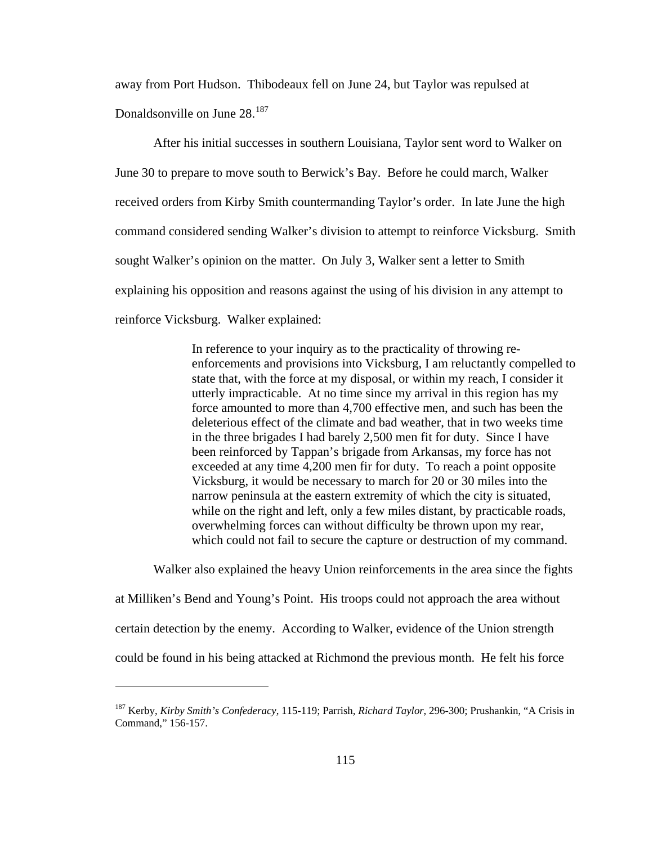away from Port Hudson. Thibodeaux fell on June 24, but Taylor was repulsed at Donaldsonville on June 28.<sup>[187](#page-119-0)</sup>

 After his initial successes in southern Louisiana, Taylor sent word to Walker on June 30 to prepare to move south to Berwick's Bay. Before he could march, Walker received orders from Kirby Smith countermanding Taylor's order. In late June the high command considered sending Walker's division to attempt to reinforce Vicksburg. Smith sought Walker's opinion on the matter. On July 3, Walker sent a letter to Smith explaining his opposition and reasons against the using of his division in any attempt to reinforce Vicksburg. Walker explained:

> In reference to your inquiry as to the practicality of throwing reenforcements and provisions into Vicksburg, I am reluctantly compelled to state that, with the force at my disposal, or within my reach, I consider it utterly impracticable. At no time since my arrival in this region has my force amounted to more than 4,700 effective men, and such has been the deleterious effect of the climate and bad weather, that in two weeks time in the three brigades I had barely 2,500 men fit for duty. Since I have been reinforced by Tappan's brigade from Arkansas, my force has not exceeded at any time 4,200 men fir for duty. To reach a point opposite Vicksburg, it would be necessary to march for 20 or 30 miles into the narrow peninsula at the eastern extremity of which the city is situated, while on the right and left, only a few miles distant, by practicable roads, overwhelming forces can without difficulty be thrown upon my rear, which could not fail to secure the capture or destruction of my command.

 Walker also explained the heavy Union reinforcements in the area since the fights at Milliken's Bend and Young's Point. His troops could not approach the area without certain detection by the enemy. According to Walker, evidence of the Union strength could be found in his being attacked at Richmond the previous month. He felt his force

<span id="page-119-0"></span><sup>187</sup> Kerby, *Kirby Smith's Confederacy*, 115-119; Parrish, *Richard Taylor*, 296-300; Prushankin, "A Crisis in Command," 156-157.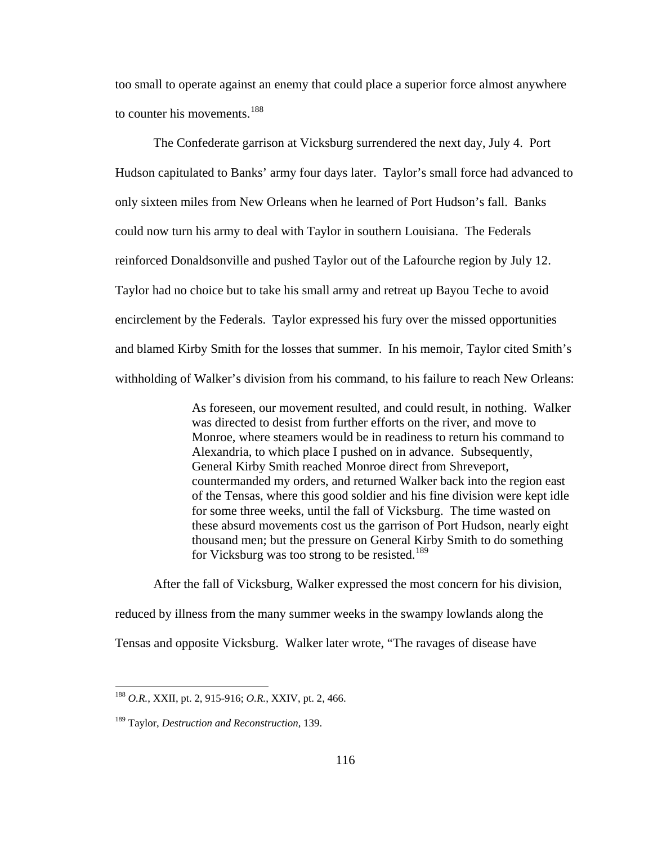too small to operate against an enemy that could place a superior force almost anywhere to counter his movements.<sup>[188](#page-120-0)</sup>

 The Confederate garrison at Vicksburg surrendered the next day, July 4. Port Hudson capitulated to Banks' army four days later. Taylor's small force had advanced to only sixteen miles from New Orleans when he learned of Port Hudson's fall. Banks could now turn his army to deal with Taylor in southern Louisiana. The Federals reinforced Donaldsonville and pushed Taylor out of the Lafourche region by July 12. Taylor had no choice but to take his small army and retreat up Bayou Teche to avoid encirclement by the Federals. Taylor expressed his fury over the missed opportunities and blamed Kirby Smith for the losses that summer. In his memoir, Taylor cited Smith's withholding of Walker's division from his command, to his failure to reach New Orleans:

> As foreseen, our movement resulted, and could result, in nothing. Walker was directed to desist from further efforts on the river, and move to Monroe, where steamers would be in readiness to return his command to Alexandria, to which place I pushed on in advance. Subsequently, General Kirby Smith reached Monroe direct from Shreveport, countermanded my orders, and returned Walker back into the region east of the Tensas, where this good soldier and his fine division were kept idle for some three weeks, until the fall of Vicksburg. The time wasted on these absurd movements cost us the garrison of Port Hudson, nearly eight thousand men; but the pressure on General Kirby Smith to do something for Vicksburg was too strong to be resisted.<sup>[189](#page-120-1)</sup>

After the fall of Vicksburg, Walker expressed the most concern for his division, reduced by illness from the many summer weeks in the swampy lowlands along the Tensas and opposite Vicksburg. Walker later wrote, "The ravages of disease have

<span id="page-120-0"></span><sup>188</sup> *O.R.*, XXII, pt. 2, 915-916; *O.R.*, XXIV, pt. 2, 466.

<span id="page-120-1"></span><sup>189</sup> Taylor, *Destruction and Reconstruction*, 139.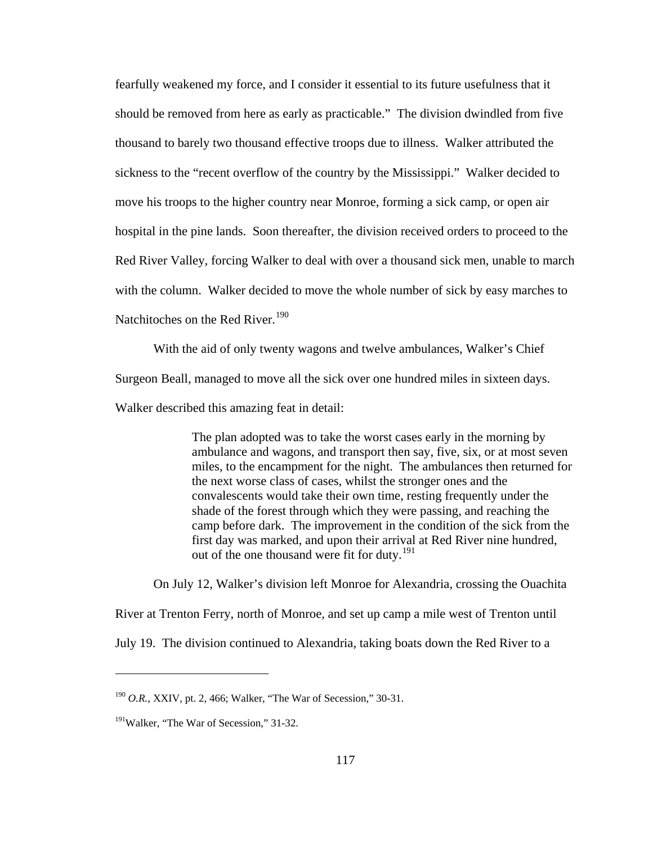fearfully weakened my force, and I consider it essential to its future usefulness that it should be removed from here as early as practicable." The division dwindled from five thousand to barely two thousand effective troops due to illness. Walker attributed the sickness to the "recent overflow of the country by the Mississippi." Walker decided to move his troops to the higher country near Monroe, forming a sick camp, or open air hospital in the pine lands. Soon thereafter, the division received orders to proceed to the Red River Valley, forcing Walker to deal with over a thousand sick men, unable to march with the column. Walker decided to move the whole number of sick by easy marches to Natchitoches on the Red River.<sup>[190](#page-121-0)</sup>

With the aid of only twenty wagons and twelve ambulances, Walker's Chief Surgeon Beall, managed to move all the sick over one hundred miles in sixteen days. Walker described this amazing feat in detail:

> The plan adopted was to take the worst cases early in the morning by ambulance and wagons, and transport then say, five, six, or at most seven miles, to the encampment for the night. The ambulances then returned for the next worse class of cases, whilst the stronger ones and the convalescents would take their own time, resting frequently under the shade of the forest through which they were passing, and reaching the camp before dark. The improvement in the condition of the sick from the first day was marked, and upon their arrival at Red River nine hundred, out of the one thousand were fit for duty.<sup>[191](#page-121-1)</sup>

On July 12, Walker's division left Monroe for Alexandria, crossing the Ouachita River at Trenton Ferry, north of Monroe, and set up camp a mile west of Trenton until July 19. The division continued to Alexandria, taking boats down the Red River to a

<span id="page-121-0"></span><sup>190</sup> *O.R.*, XXIV, pt. 2, 466; Walker, "The War of Secession," 30-31.

<span id="page-121-1"></span><sup>&</sup>lt;sup>191</sup>Walker, "The War of Secession," 31-32.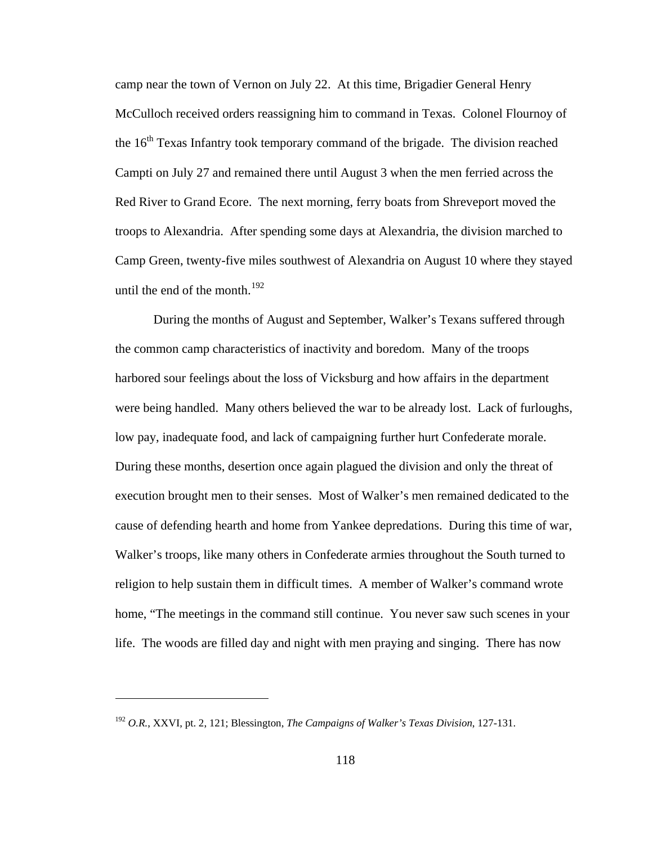camp near the town of Vernon on July 22. At this time, Brigadier General Henry McCulloch received orders reassigning him to command in Texas. Colonel Flournoy of the  $16<sup>th</sup>$  Texas Infantry took temporary command of the brigade. The division reached Campti on July 27 and remained there until August 3 when the men ferried across the Red River to Grand Ecore. The next morning, ferry boats from Shreveport moved the troops to Alexandria. After spending some days at Alexandria, the division marched to Camp Green, twenty-five miles southwest of Alexandria on August 10 where they stayed until the end of the month. $192$ 

 During the months of August and September, Walker's Texans suffered through the common camp characteristics of inactivity and boredom. Many of the troops harbored sour feelings about the loss of Vicksburg and how affairs in the department were being handled. Many others believed the war to be already lost. Lack of furloughs, low pay, inadequate food, and lack of campaigning further hurt Confederate morale. During these months, desertion once again plagued the division and only the threat of execution brought men to their senses. Most of Walker's men remained dedicated to the cause of defending hearth and home from Yankee depredations. During this time of war, Walker's troops, like many others in Confederate armies throughout the South turned to religion to help sustain them in difficult times. A member of Walker's command wrote home, "The meetings in the command still continue. You never saw such scenes in your life. The woods are filled day and night with men praying and singing. There has now

<span id="page-122-0"></span><sup>192</sup> *O.R.*, XXVI, pt. 2, 121; Blessington, *The Campaigns of Walker's Texas Division*, 127-131.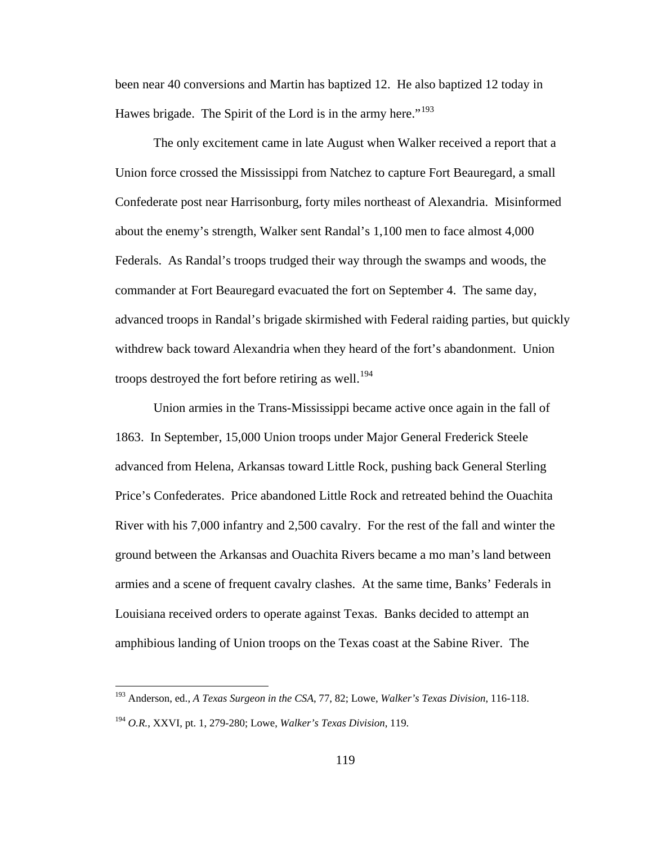been near 40 conversions and Martin has baptized 12. He also baptized 12 today in Hawes brigade. The Spirit of the Lord is in the army here."<sup>[193](#page-123-0)</sup>

 The only excitement came in late August when Walker received a report that a Union force crossed the Mississippi from Natchez to capture Fort Beauregard, a small Confederate post near Harrisonburg, forty miles northeast of Alexandria. Misinformed about the enemy's strength, Walker sent Randal's 1,100 men to face almost 4,000 Federals. As Randal's troops trudged their way through the swamps and woods, the commander at Fort Beauregard evacuated the fort on September 4. The same day, advanced troops in Randal's brigade skirmished with Federal raiding parties, but quickly withdrew back toward Alexandria when they heard of the fort's abandonment. Union troops destroyed the fort before retiring as well.<sup>[194](#page-123-1)</sup>

 Union armies in the Trans-Mississippi became active once again in the fall of 1863. In September, 15,000 Union troops under Major General Frederick Steele advanced from Helena, Arkansas toward Little Rock, pushing back General Sterling Price's Confederates. Price abandoned Little Rock and retreated behind the Ouachita River with his 7,000 infantry and 2,500 cavalry. For the rest of the fall and winter the ground between the Arkansas and Ouachita Rivers became a mo man's land between armies and a scene of frequent cavalry clashes. At the same time, Banks' Federals in Louisiana received orders to operate against Texas. Banks decided to attempt an amphibious landing of Union troops on the Texas coast at the Sabine River. The

<span id="page-123-0"></span><sup>193</sup> Anderson, ed., *A Texas Surgeon in the CSA*, 77, 82; Lowe, *Walker's Texas Division*, 116-118.

<span id="page-123-1"></span><sup>194</sup> *O.R.*, XXVI, pt. 1, 279-280; Lowe, *Walker's Texas Division*, 119.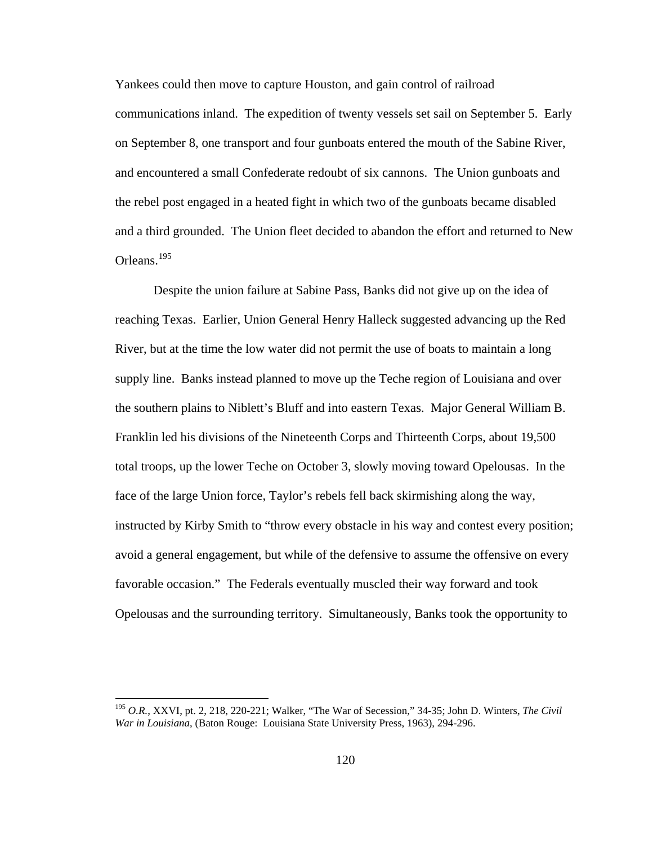Yankees could then move to capture Houston, and gain control of railroad communications inland. The expedition of twenty vessels set sail on September 5. Early on September 8, one transport and four gunboats entered the mouth of the Sabine River, and encountered a small Confederate redoubt of six cannons. The Union gunboats and the rebel post engaged in a heated fight in which two of the gunboats became disabled and a third grounded. The Union fleet decided to abandon the effort and returned to New Orleans.[195](#page-124-0)

 Despite the union failure at Sabine Pass, Banks did not give up on the idea of reaching Texas. Earlier, Union General Henry Halleck suggested advancing up the Red River, but at the time the low water did not permit the use of boats to maintain a long supply line. Banks instead planned to move up the Teche region of Louisiana and over the southern plains to Niblett's Bluff and into eastern Texas. Major General William B. Franklin led his divisions of the Nineteenth Corps and Thirteenth Corps, about 19,500 total troops, up the lower Teche on October 3, slowly moving toward Opelousas. In the face of the large Union force, Taylor's rebels fell back skirmishing along the way, instructed by Kirby Smith to "throw every obstacle in his way and contest every position; avoid a general engagement, but while of the defensive to assume the offensive on every favorable occasion." The Federals eventually muscled their way forward and took Opelousas and the surrounding territory. Simultaneously, Banks took the opportunity to

<span id="page-124-0"></span><sup>195</sup> *O.R.*, XXVI, pt. 2, 218, 220-221; Walker, "The War of Secession," 34-35; John D. Winters, *The Civil War in Louisiana*, (Baton Rouge: Louisiana State University Press, 1963), 294-296.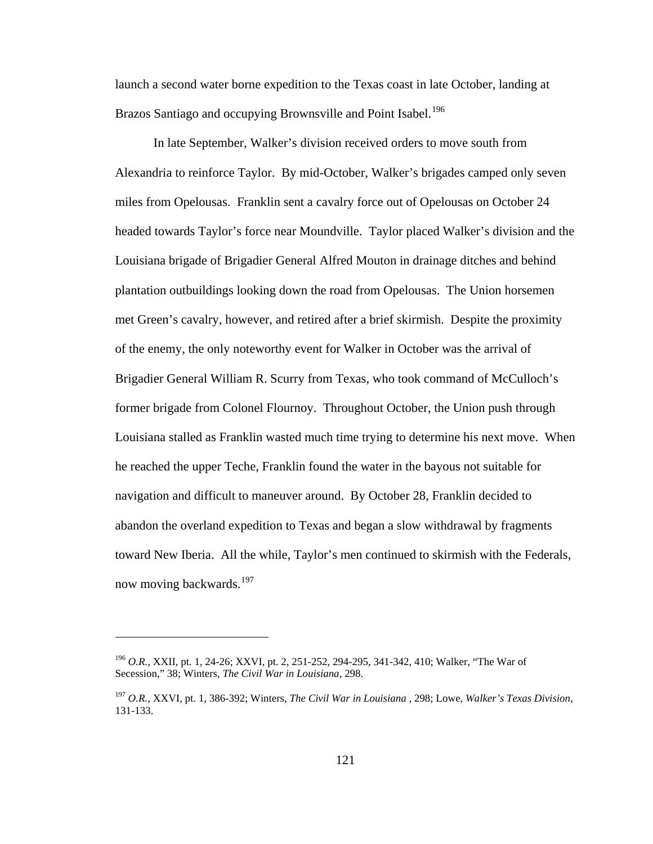launch a second water borne expedition to the Texas coast in late October, landing at Brazos Santiago and occupying Brownsville and Point Isabel.<sup>[196](#page-125-0)</sup>

 In late September, Walker's division received orders to move south from Alexandria to reinforce Taylor. By mid-October, Walker's brigades camped only seven miles from Opelousas. Franklin sent a cavalry force out of Opelousas on October 24 headed towards Taylor's force near Moundville. Taylor placed Walker's division and the Louisiana brigade of Brigadier General Alfred Mouton in drainage ditches and behind plantation outbuildings looking down the road from Opelousas. The Union horsemen met Green's cavalry, however, and retired after a brief skirmish. Despite the proximity of the enemy, the only noteworthy event for Walker in October was the arrival of Brigadier General William R. Scurry from Texas, who took command of McCulloch's former brigade from Colonel Flournoy. Throughout October, the Union push through Louisiana stalled as Franklin wasted much time trying to determine his next move. When he reached the upper Teche, Franklin found the water in the bayous not suitable for navigation and difficult to maneuver around. By October 28, Franklin decided to abandon the overland expedition to Texas and began a slow withdrawal by fragments toward New Iberia. All the while, Taylor's men continued to skirmish with the Federals, now moving backwards.<sup>[197](#page-125-1)</sup>

<span id="page-125-0"></span><sup>196</sup> *O.R.*, XXII, pt. 1, 24-26; XXVI, pt. 2, 251-252, 294-295, 341-342, 410; Walker, "The War of Secession," 38; Winters, *The Civil War in Louisiana*, 298.

<span id="page-125-1"></span><sup>197</sup> *O.R.*, XXVI, pt. 1, 386-392; Winters, *The Civil War in Louisiana* , 298; Lowe, *Walker's Texas Division*, 131-133.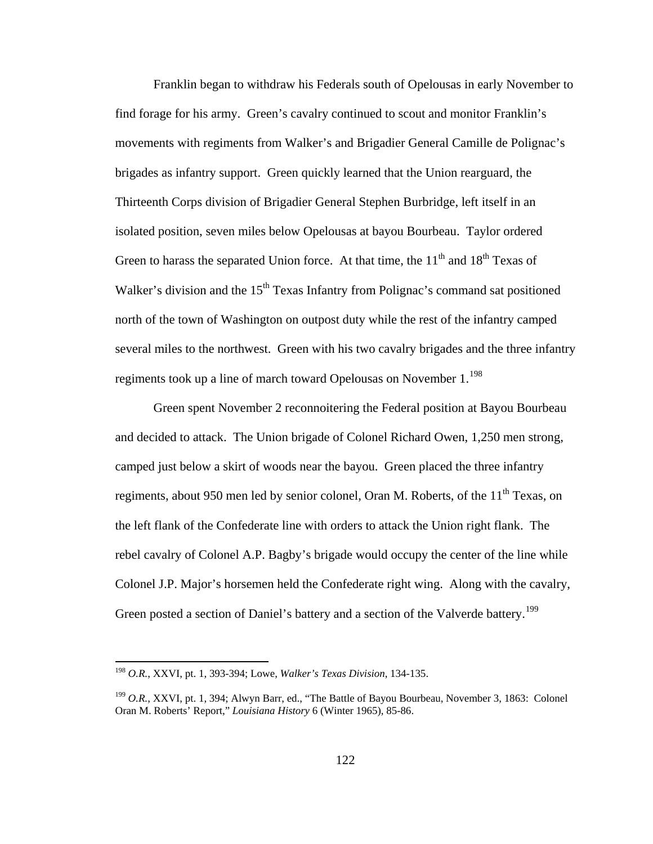Franklin began to withdraw his Federals south of Opelousas in early November to find forage for his army. Green's cavalry continued to scout and monitor Franklin's movements with regiments from Walker's and Brigadier General Camille de Polignac's brigades as infantry support. Green quickly learned that the Union rearguard, the Thirteenth Corps division of Brigadier General Stephen Burbridge, left itself in an isolated position, seven miles below Opelousas at bayou Bourbeau. Taylor ordered Green to harass the separated Union force. At that time, the  $11<sup>th</sup>$  and  $18<sup>th</sup>$  Texas of Walker's division and the  $15<sup>th</sup>$  Texas Infantry from Polignac's command sat positioned north of the town of Washington on outpost duty while the rest of the infantry camped several miles to the northwest. Green with his two cavalry brigades and the three infantry regiments took up a line of march toward Opelousas on November 1.<sup>[198](#page-126-0)</sup>

 Green spent November 2 reconnoitering the Federal position at Bayou Bourbeau and decided to attack. The Union brigade of Colonel Richard Owen, 1,250 men strong, camped just below a skirt of woods near the bayou. Green placed the three infantry regiments, about 950 men led by senior colonel, Oran M. Roberts, of the  $11<sup>th</sup>$  Texas, on the left flank of the Confederate line with orders to attack the Union right flank. The rebel cavalry of Colonel A.P. Bagby's brigade would occupy the center of the line while Colonel J.P. Major's horsemen held the Confederate right wing. Along with the cavalry, Green posted a section of Daniel's battery and a section of the Valverde battery.<sup>[199](#page-126-1)</sup>

<span id="page-126-0"></span><sup>198</sup> *O.R.*, XXVI, pt. 1, 393-394; Lowe, *Walker's Texas Division*, 134-135.

<span id="page-126-1"></span><sup>199</sup> *O.R.*, XXVI, pt. 1, 394; Alwyn Barr, ed., "The Battle of Bayou Bourbeau, November 3, 1863: Colonel Oran M. Roberts' Report," *Louisiana History* 6 (Winter 1965), 85-86.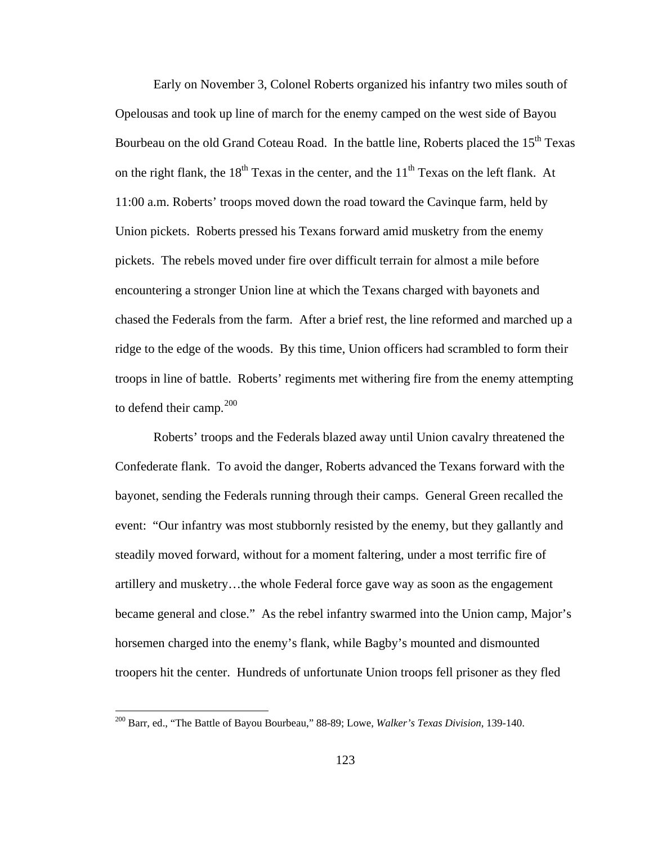Early on November 3, Colonel Roberts organized his infantry two miles south of Opelousas and took up line of march for the enemy camped on the west side of Bayou Bourbeau on the old Grand Coteau Road. In the battle line, Roberts placed the  $15<sup>th</sup>$  Texas on the right flank, the  $18<sup>th</sup>$  Texas in the center, and the  $11<sup>th</sup>$  Texas on the left flank. At 11:00 a.m. Roberts' troops moved down the road toward the Cavinque farm, held by Union pickets. Roberts pressed his Texans forward amid musketry from the enemy pickets. The rebels moved under fire over difficult terrain for almost a mile before encountering a stronger Union line at which the Texans charged with bayonets and chased the Federals from the farm. After a brief rest, the line reformed and marched up a ridge to the edge of the woods. By this time, Union officers had scrambled to form their troops in line of battle. Roberts' regiments met withering fire from the enemy attempting to defend their camp. $200$ 

 Roberts' troops and the Federals blazed away until Union cavalry threatened the Confederate flank. To avoid the danger, Roberts advanced the Texans forward with the bayonet, sending the Federals running through their camps. General Green recalled the event: "Our infantry was most stubbornly resisted by the enemy, but they gallantly and steadily moved forward, without for a moment faltering, under a most terrific fire of artillery and musketry…the whole Federal force gave way as soon as the engagement became general and close." As the rebel infantry swarmed into the Union camp, Major's horsemen charged into the enemy's flank, while Bagby's mounted and dismounted troopers hit the center. Hundreds of unfortunate Union troops fell prisoner as they fled

<span id="page-127-0"></span><sup>200</sup> Barr, ed., "The Battle of Bayou Bourbeau," 88-89; Lowe, *Walker's Texas Division*, 139-140.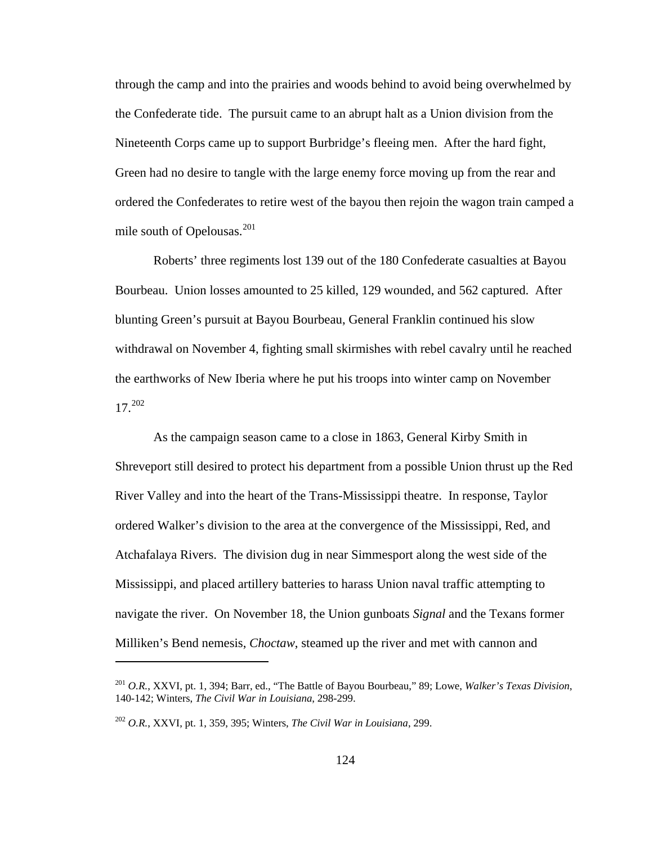through the camp and into the prairies and woods behind to avoid being overwhelmed by the Confederate tide. The pursuit came to an abrupt halt as a Union division from the Nineteenth Corps came up to support Burbridge's fleeing men. After the hard fight, Green had no desire to tangle with the large enemy force moving up from the rear and ordered the Confederates to retire west of the bayou then rejoin the wagon train camped a mile south of Opelousas.[201](#page-128-0)

 Roberts' three regiments lost 139 out of the 180 Confederate casualties at Bayou Bourbeau. Union losses amounted to 25 killed, 129 wounded, and 562 captured. After blunting Green's pursuit at Bayou Bourbeau, General Franklin continued his slow withdrawal on November 4, fighting small skirmishes with rebel cavalry until he reached the earthworks of New Iberia where he put his troops into winter camp on November 17.[202](#page-128-1)

 As the campaign season came to a close in 1863, General Kirby Smith in Shreveport still desired to protect his department from a possible Union thrust up the Red River Valley and into the heart of the Trans-Mississippi theatre. In response, Taylor ordered Walker's division to the area at the convergence of the Mississippi, Red, and Atchafalaya Rivers. The division dug in near Simmesport along the west side of the Mississippi, and placed artillery batteries to harass Union naval traffic attempting to navigate the river. On November 18, the Union gunboats *Signal* and the Texans former Milliken's Bend nemesis, *Choctaw*, steamed up the river and met with cannon and

<span id="page-128-0"></span><sup>201</sup> *O.R.*, XXVI, pt. 1, 394; Barr, ed., "The Battle of Bayou Bourbeau," 89; Lowe, *Walker's Texas Division*, 140-142; Winters, *The Civil War in Louisiana*, 298-299.

<span id="page-128-1"></span><sup>202</sup> *O.R.*, XXVI, pt. 1, 359, 395; Winters, *The Civil War in Louisiana*, 299.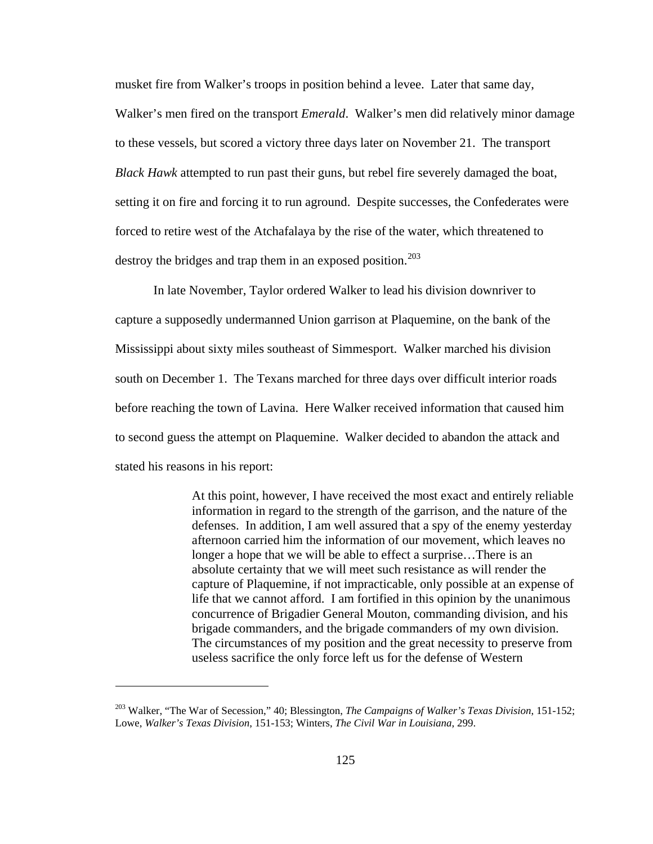musket fire from Walker's troops in position behind a levee. Later that same day, Walker's men fired on the transport *Emerald*. Walker's men did relatively minor damage to these vessels, but scored a victory three days later on November 21. The transport *Black Hawk* attempted to run past their guns, but rebel fire severely damaged the boat, setting it on fire and forcing it to run aground. Despite successes, the Confederates were forced to retire west of the Atchafalaya by the rise of the water, which threatened to destroy the bridges and trap them in an exposed position.<sup>[203](#page-129-0)</sup>

 In late November, Taylor ordered Walker to lead his division downriver to capture a supposedly undermanned Union garrison at Plaquemine, on the bank of the Mississippi about sixty miles southeast of Simmesport. Walker marched his division south on December 1. The Texans marched for three days over difficult interior roads before reaching the town of Lavina. Here Walker received information that caused him to second guess the attempt on Plaquemine. Walker decided to abandon the attack and stated his reasons in his report:

> At this point, however, I have received the most exact and entirely reliable information in regard to the strength of the garrison, and the nature of the defenses. In addition, I am well assured that a spy of the enemy yesterday afternoon carried him the information of our movement, which leaves no longer a hope that we will be able to effect a surprise…There is an absolute certainty that we will meet such resistance as will render the capture of Plaquemine, if not impracticable, only possible at an expense of life that we cannot afford. I am fortified in this opinion by the unanimous concurrence of Brigadier General Mouton, commanding division, and his brigade commanders, and the brigade commanders of my own division. The circumstances of my position and the great necessity to preserve from useless sacrifice the only force left us for the defense of Western

<span id="page-129-0"></span><sup>203</sup> Walker, "The War of Secession," 40; Blessington, *The Campaigns of Walker's Texas Division*, 151-152; Lowe, *Walker's Texas Division*, 151-153; Winters, *The Civil War in Louisiana*, 299.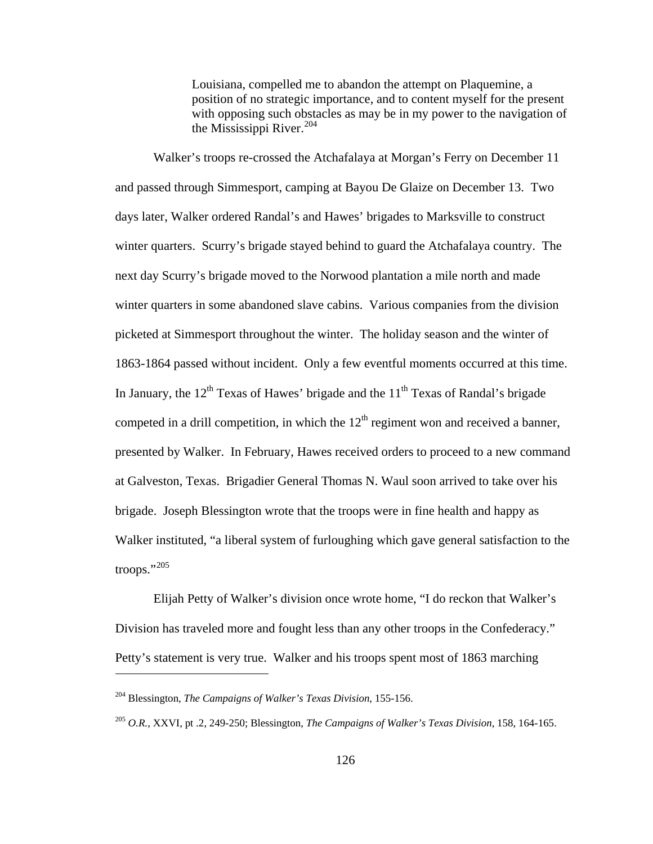Louisiana, compelled me to abandon the attempt on Plaquemine, a position of no strategic importance, and to content myself for the present with opposing such obstacles as may be in my power to the navigation of the Mississippi River. $^{204}$  $^{204}$  $^{204}$ 

 Walker's troops re-crossed the Atchafalaya at Morgan's Ferry on December 11 and passed through Simmesport, camping at Bayou De Glaize on December 13. Two days later, Walker ordered Randal's and Hawes' brigades to Marksville to construct winter quarters. Scurry's brigade stayed behind to guard the Atchafalaya country. The next day Scurry's brigade moved to the Norwood plantation a mile north and made winter quarters in some abandoned slave cabins. Various companies from the division picketed at Simmesport throughout the winter. The holiday season and the winter of 1863-1864 passed without incident. Only a few eventful moments occurred at this time. In January, the  $12<sup>th</sup>$  Texas of Hawes' brigade and the  $11<sup>th</sup>$  Texas of Randal's brigade competed in a drill competition, in which the  $12<sup>th</sup>$  regiment won and received a banner, presented by Walker. In February, Hawes received orders to proceed to a new command at Galveston, Texas. Brigadier General Thomas N. Waul soon arrived to take over his brigade. Joseph Blessington wrote that the troops were in fine health and happy as Walker instituted, "a liberal system of furloughing which gave general satisfaction to the  $t$ roops."<sup>[205](#page-130-1)</sup>

 Elijah Petty of Walker's division once wrote home, "I do reckon that Walker's Division has traveled more and fought less than any other troops in the Confederacy." Petty's statement is very true. Walker and his troops spent most of 1863 marching

<span id="page-130-0"></span><sup>204</sup> Blessington, *The Campaigns of Walker's Texas Division*, 155-156.

<span id="page-130-1"></span><sup>205</sup> *O.R.*, XXVI, pt .2, 249-250; Blessington, *The Campaigns of Walker's Texas Division*, 158, 164-165.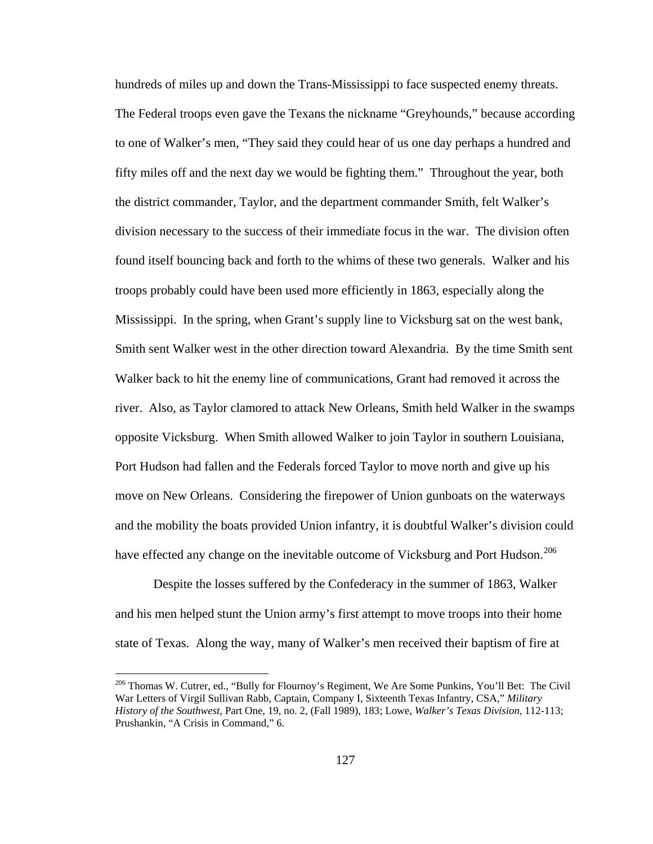hundreds of miles up and down the Trans-Mississippi to face suspected enemy threats. The Federal troops even gave the Texans the nickname "Greyhounds," because according to one of Walker's men, "They said they could hear of us one day perhaps a hundred and fifty miles off and the next day we would be fighting them." Throughout the year, both the district commander, Taylor, and the department commander Smith, felt Walker's division necessary to the success of their immediate focus in the war. The division often found itself bouncing back and forth to the whims of these two generals. Walker and his troops probably could have been used more efficiently in 1863, especially along the Mississippi. In the spring, when Grant's supply line to Vicksburg sat on the west bank, Smith sent Walker west in the other direction toward Alexandria. By the time Smith sent Walker back to hit the enemy line of communications, Grant had removed it across the river. Also, as Taylor clamored to attack New Orleans, Smith held Walker in the swamps opposite Vicksburg. When Smith allowed Walker to join Taylor in southern Louisiana, Port Hudson had fallen and the Federals forced Taylor to move north and give up his move on New Orleans. Considering the firepower of Union gunboats on the waterways and the mobility the boats provided Union infantry, it is doubtful Walker's division could have effected any change on the inevitable outcome of Vicksburg and Port Hudson.<sup>[206](#page-131-0)</sup>

 Despite the losses suffered by the Confederacy in the summer of 1863, Walker and his men helped stunt the Union army's first attempt to move troops into their home state of Texas. Along the way, many of Walker's men received their baptism of fire at

<span id="page-131-0"></span><sup>206</sup> Thomas W. Cutrer, ed., "Bully for Flournoy's Regiment, We Are Some Punkins, You'll Bet: The Civil War Letters of Virgil Sullivan Rabb, Captain, Company I, Sixteenth Texas Infantry, CSA," *Military History of the Southwest*, Part One, 19, no. 2, (Fall 1989), 183; Lowe, *Walker's Texas Division*, 112-113; Prushankin, "A Crisis in Command," 6.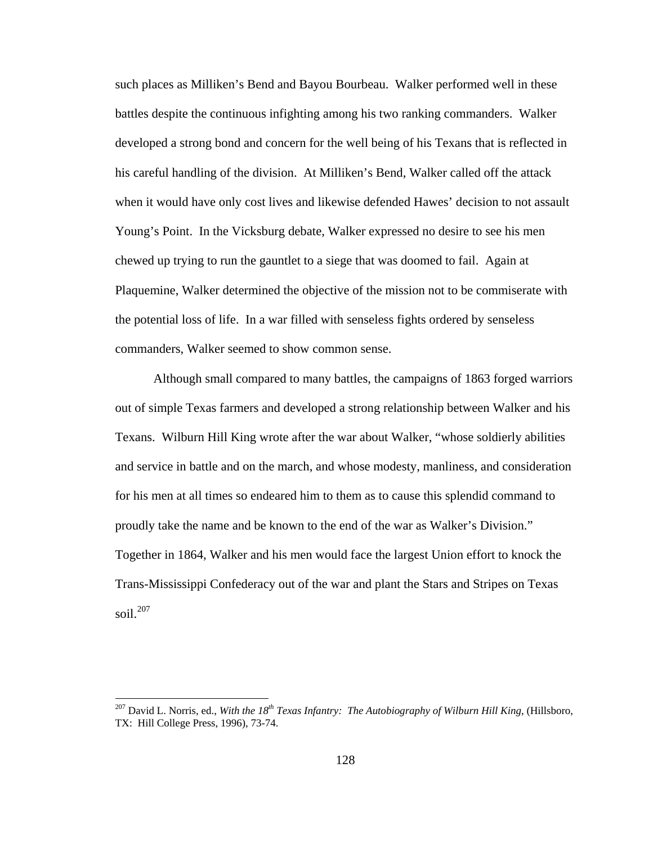such places as Milliken's Bend and Bayou Bourbeau. Walker performed well in these battles despite the continuous infighting among his two ranking commanders. Walker developed a strong bond and concern for the well being of his Texans that is reflected in his careful handling of the division. At Milliken's Bend, Walker called off the attack when it would have only cost lives and likewise defended Hawes' decision to not assault Young's Point. In the Vicksburg debate, Walker expressed no desire to see his men chewed up trying to run the gauntlet to a siege that was doomed to fail. Again at Plaquemine, Walker determined the objective of the mission not to be commiserate with the potential loss of life. In a war filled with senseless fights ordered by senseless commanders, Walker seemed to show common sense.

 Although small compared to many battles, the campaigns of 1863 forged warriors out of simple Texas farmers and developed a strong relationship between Walker and his Texans. Wilburn Hill King wrote after the war about Walker, "whose soldierly abilities and service in battle and on the march, and whose modesty, manliness, and consideration for his men at all times so endeared him to them as to cause this splendid command to proudly take the name and be known to the end of the war as Walker's Division." Together in 1864, Walker and his men would face the largest Union effort to knock the Trans-Mississippi Confederacy out of the war and plant the Stars and Stripes on Texas soil. $207$ 

<span id="page-132-0"></span><sup>&</sup>lt;sup>207</sup> David L. Norris, ed., *With the 18<sup>th</sup> Texas Infantry: The Autobiography of Wilburn Hill King*, (Hillsboro, TX: Hill College Press, 1996), 73-74.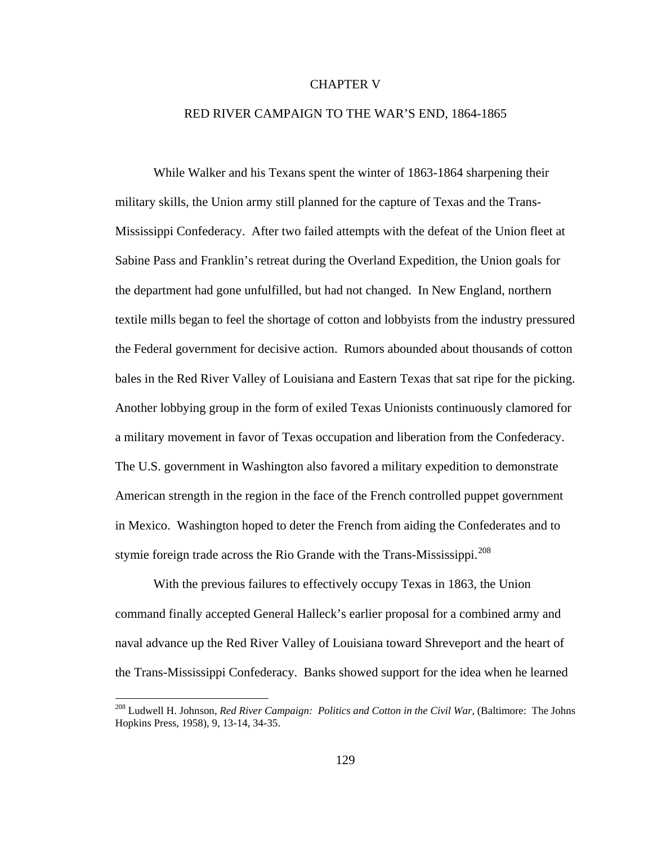## CHAPTER V

## RED RIVER CAMPAIGN TO THE WAR'S END, 1864-1865

While Walker and his Texans spent the winter of 1863-1864 sharpening their military skills, the Union army still planned for the capture of Texas and the Trans-Mississippi Confederacy. After two failed attempts with the defeat of the Union fleet at Sabine Pass and Franklin's retreat during the Overland Expedition, the Union goals for the department had gone unfulfilled, but had not changed. In New England, northern textile mills began to feel the shortage of cotton and lobbyists from the industry pressured the Federal government for decisive action. Rumors abounded about thousands of cotton bales in the Red River Valley of Louisiana and Eastern Texas that sat ripe for the picking. Another lobbying group in the form of exiled Texas Unionists continuously clamored for a military movement in favor of Texas occupation and liberation from the Confederacy. The U.S. government in Washington also favored a military expedition to demonstrate American strength in the region in the face of the French controlled puppet government in Mexico. Washington hoped to deter the French from aiding the Confederates and to stymie foreign trade across the Rio Grande with the Trans-Mississippi. $208$ 

 With the previous failures to effectively occupy Texas in 1863, the Union command finally accepted General Halleck's earlier proposal for a combined army and naval advance up the Red River Valley of Louisiana toward Shreveport and the heart of the Trans-Mississippi Confederacy. Banks showed support for the idea when he learned

<span id="page-133-0"></span><sup>208</sup> Ludwell H. Johnson, *Red River Campaign: Politics and Cotton in the Civil War*, (Baltimore: The Johns Hopkins Press, 1958), 9, 13-14, 34-35.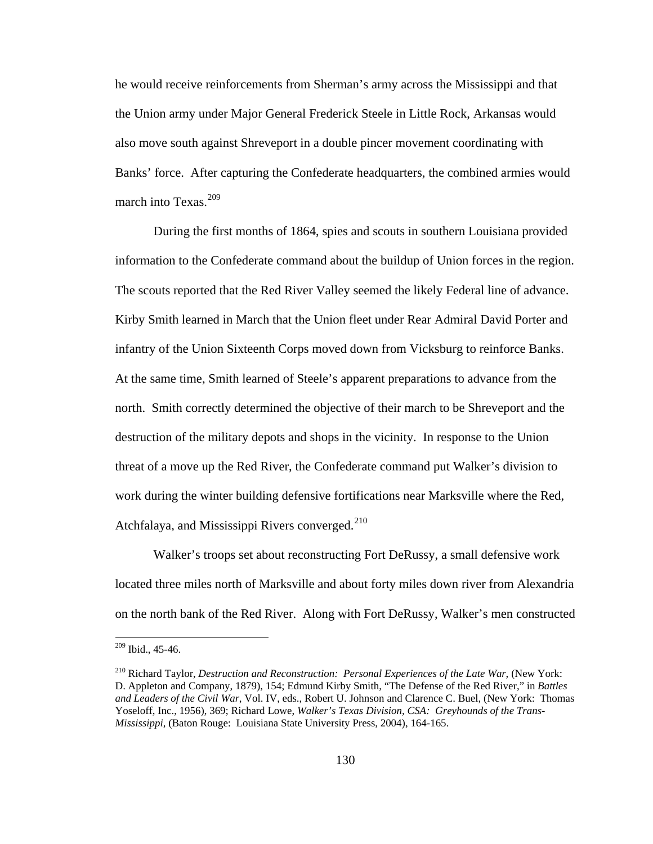he would receive reinforcements from Sherman's army across the Mississippi and that the Union army under Major General Frederick Steele in Little Rock, Arkansas would also move south against Shreveport in a double pincer movement coordinating with Banks' force. After capturing the Confederate headquarters, the combined armies would march into Texas.<sup>[209](#page-134-0)</sup>

 During the first months of 1864, spies and scouts in southern Louisiana provided information to the Confederate command about the buildup of Union forces in the region. The scouts reported that the Red River Valley seemed the likely Federal line of advance. Kirby Smith learned in March that the Union fleet under Rear Admiral David Porter and infantry of the Union Sixteenth Corps moved down from Vicksburg to reinforce Banks. At the same time, Smith learned of Steele's apparent preparations to advance from the north. Smith correctly determined the objective of their march to be Shreveport and the destruction of the military depots and shops in the vicinity. In response to the Union threat of a move up the Red River, the Confederate command put Walker's division to work during the winter building defensive fortifications near Marksville where the Red, Atchfalaya, and Mississippi Rivers converged. $210$ 

 Walker's troops set about reconstructing Fort DeRussy, a small defensive work located three miles north of Marksville and about forty miles down river from Alexandria on the north bank of the Red River. Along with Fort DeRussy, Walker's men constructed

<span id="page-134-0"></span> $209$  Ibid., 45-46.

<span id="page-134-1"></span><sup>210</sup> Richard Taylor, *Destruction and Reconstruction: Personal Experiences of the Late War*, (New York: D. Appleton and Company, 1879), 154; Edmund Kirby Smith, "The Defense of the Red River," in *Battles and Leaders of the Civil War*, Vol. IV, eds., Robert U. Johnson and Clarence C. Buel, (New York: Thomas Yoseloff, Inc., 1956), 369; Richard Lowe, *Walker's Texas Division, CSA: Greyhounds of the Trans-Mississippi*, (Baton Rouge: Louisiana State University Press, 2004), 164-165.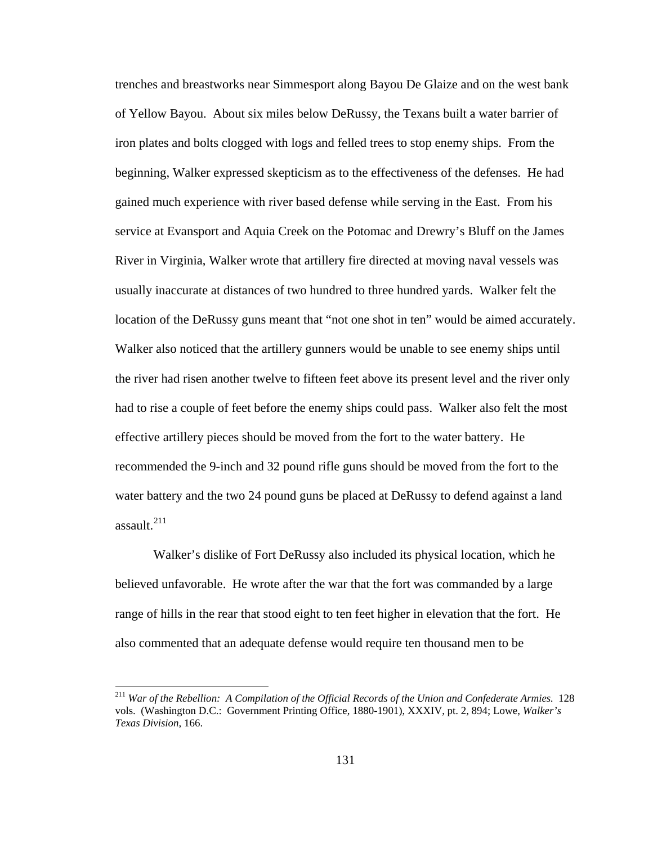trenches and breastworks near Simmesport along Bayou De Glaize and on the west bank of Yellow Bayou. About six miles below DeRussy, the Texans built a water barrier of iron plates and bolts clogged with logs and felled trees to stop enemy ships. From the beginning, Walker expressed skepticism as to the effectiveness of the defenses. He had gained much experience with river based defense while serving in the East. From his service at Evansport and Aquia Creek on the Potomac and Drewry's Bluff on the James River in Virginia, Walker wrote that artillery fire directed at moving naval vessels was usually inaccurate at distances of two hundred to three hundred yards. Walker felt the location of the DeRussy guns meant that "not one shot in ten" would be aimed accurately. Walker also noticed that the artillery gunners would be unable to see enemy ships until the river had risen another twelve to fifteen feet above its present level and the river only had to rise a couple of feet before the enemy ships could pass. Walker also felt the most effective artillery pieces should be moved from the fort to the water battery. He recommended the 9-inch and 32 pound rifle guns should be moved from the fort to the water battery and the two 24 pound guns be placed at DeRussy to defend against a land assault.<sup>[211](#page-135-0)</sup>

 Walker's dislike of Fort DeRussy also included its physical location, which he believed unfavorable. He wrote after the war that the fort was commanded by a large range of hills in the rear that stood eight to ten feet higher in elevation that the fort. He also commented that an adequate defense would require ten thousand men to be

<span id="page-135-0"></span><sup>211</sup> *War of the Rebellion: A Compilation of the Official Records of the Union and Confederate Armies*. 128 vols. (Washington D.C.: Government Printing Office, 1880-1901), XXXIV, pt. 2, 894; Lowe, *Walker's Texas Division*, 166.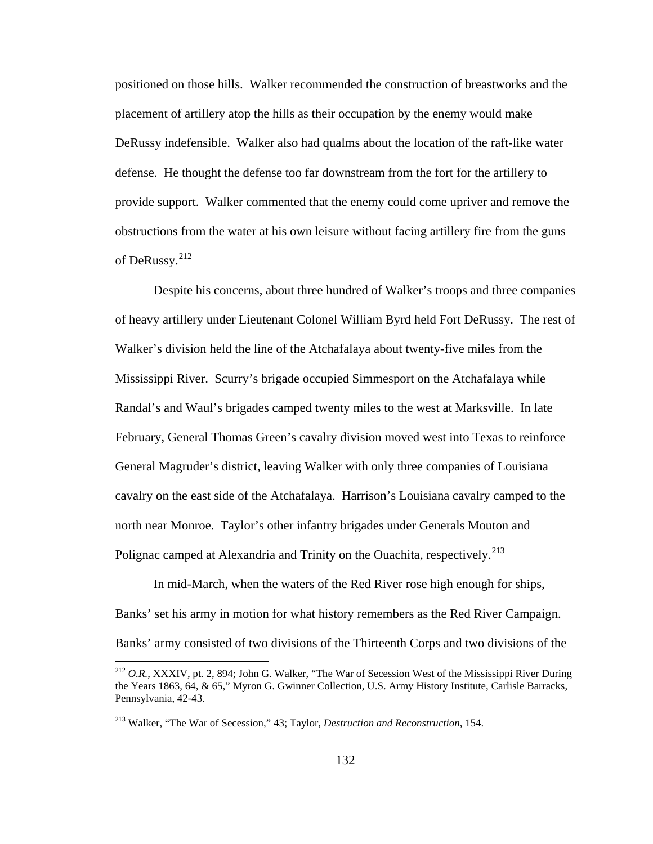positioned on those hills. Walker recommended the construction of breastworks and the placement of artillery atop the hills as their occupation by the enemy would make DeRussy indefensible. Walker also had qualms about the location of the raft-like water defense. He thought the defense too far downstream from the fort for the artillery to provide support. Walker commented that the enemy could come upriver and remove the obstructions from the water at his own leisure without facing artillery fire from the guns of DeRussy.<sup>[212](#page-136-0)</sup>

 Despite his concerns, about three hundred of Walker's troops and three companies of heavy artillery under Lieutenant Colonel William Byrd held Fort DeRussy. The rest of Walker's division held the line of the Atchafalaya about twenty-five miles from the Mississippi River. Scurry's brigade occupied Simmesport on the Atchafalaya while Randal's and Waul's brigades camped twenty miles to the west at Marksville. In late February, General Thomas Green's cavalry division moved west into Texas to reinforce General Magruder's district, leaving Walker with only three companies of Louisiana cavalry on the east side of the Atchafalaya. Harrison's Louisiana cavalry camped to the north near Monroe. Taylor's other infantry brigades under Generals Mouton and Polignac camped at Alexandria and Trinity on the Ouachita, respectively.<sup>[213](#page-136-1)</sup>

 In mid-March, when the waters of the Red River rose high enough for ships, Banks' set his army in motion for what history remembers as the Red River Campaign. Banks' army consisted of two divisions of the Thirteenth Corps and two divisions of the

<span id="page-136-0"></span><sup>&</sup>lt;sup>212</sup> O.R., XXXIV, pt. 2, 894; John G. Walker, "The War of Secession West of the Mississippi River During the Years 1863, 64, & 65," Myron G. Gwinner Collection, U.S. Army History Institute, Carlisle Barracks, Pennsylvania, 42-43.

<span id="page-136-1"></span><sup>213</sup> Walker, "The War of Secession," 43; Taylor, *Destruction and Reconstruction*, 154.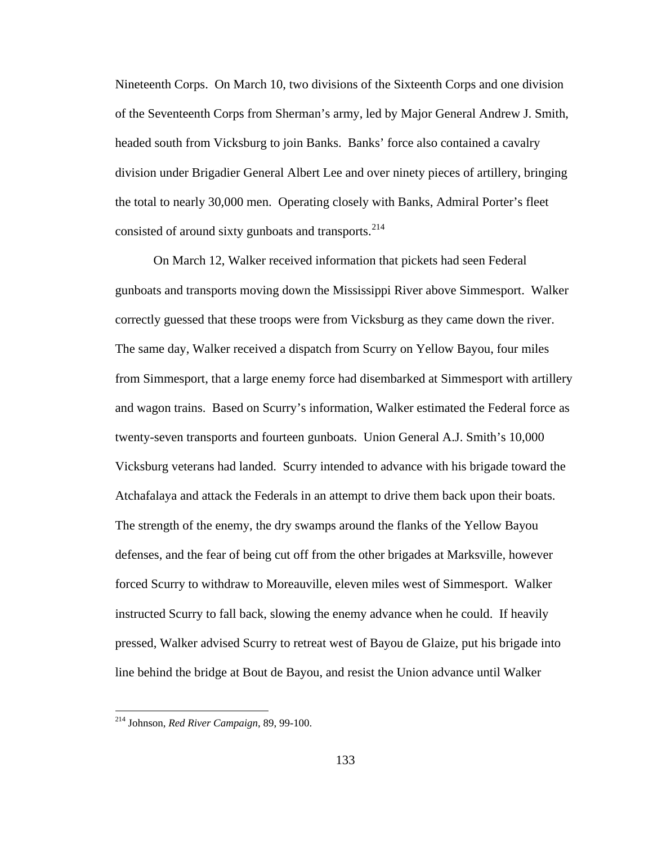Nineteenth Corps. On March 10, two divisions of the Sixteenth Corps and one division of the Seventeenth Corps from Sherman's army, led by Major General Andrew J. Smith, headed south from Vicksburg to join Banks. Banks' force also contained a cavalry division under Brigadier General Albert Lee and over ninety pieces of artillery, bringing the total to nearly 30,000 men. Operating closely with Banks, Admiral Porter's fleet consisted of around sixty gunboats and transports.<sup>[214](#page-137-0)</sup>

 On March 12, Walker received information that pickets had seen Federal gunboats and transports moving down the Mississippi River above Simmesport. Walker correctly guessed that these troops were from Vicksburg as they came down the river. The same day, Walker received a dispatch from Scurry on Yellow Bayou, four miles from Simmesport, that a large enemy force had disembarked at Simmesport with artillery and wagon trains. Based on Scurry's information, Walker estimated the Federal force as twenty-seven transports and fourteen gunboats. Union General A.J. Smith's 10,000 Vicksburg veterans had landed. Scurry intended to advance with his brigade toward the Atchafalaya and attack the Federals in an attempt to drive them back upon their boats. The strength of the enemy, the dry swamps around the flanks of the Yellow Bayou defenses, and the fear of being cut off from the other brigades at Marksville, however forced Scurry to withdraw to Moreauville, eleven miles west of Simmesport. Walker instructed Scurry to fall back, slowing the enemy advance when he could. If heavily pressed, Walker advised Scurry to retreat west of Bayou de Glaize, put his brigade into line behind the bridge at Bout de Bayou, and resist the Union advance until Walker

<span id="page-137-0"></span><sup>214</sup> Johnson, *Red River Campaign*, 89, 99-100.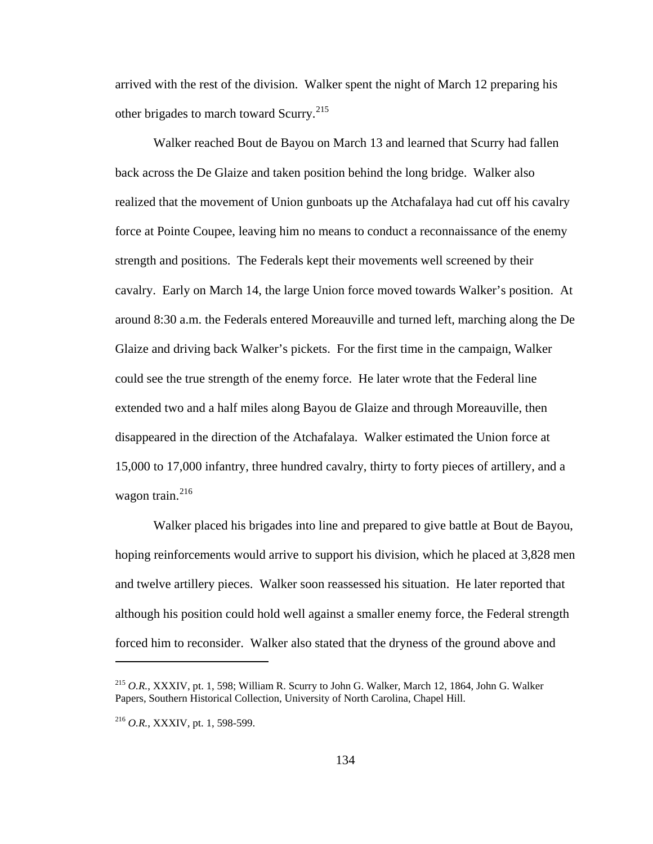arrived with the rest of the division. Walker spent the night of March 12 preparing his other brigades to march toward Scurry.<sup>[215](#page-138-0)</sup>

 Walker reached Bout de Bayou on March 13 and learned that Scurry had fallen back across the De Glaize and taken position behind the long bridge. Walker also realized that the movement of Union gunboats up the Atchafalaya had cut off his cavalry force at Pointe Coupee, leaving him no means to conduct a reconnaissance of the enemy strength and positions. The Federals kept their movements well screened by their cavalry. Early on March 14, the large Union force moved towards Walker's position. At around 8:30 a.m. the Federals entered Moreauville and turned left, marching along the De Glaize and driving back Walker's pickets. For the first time in the campaign, Walker could see the true strength of the enemy force. He later wrote that the Federal line extended two and a half miles along Bayou de Glaize and through Moreauville, then disappeared in the direction of the Atchafalaya. Walker estimated the Union force at 15,000 to 17,000 infantry, three hundred cavalry, thirty to forty pieces of artillery, and a wagon train. $^{216}$  $^{216}$  $^{216}$ 

 Walker placed his brigades into line and prepared to give battle at Bout de Bayou, hoping reinforcements would arrive to support his division, which he placed at 3,828 men and twelve artillery pieces. Walker soon reassessed his situation. He later reported that although his position could hold well against a smaller enemy force, the Federal strength forced him to reconsider. Walker also stated that the dryness of the ground above and

<span id="page-138-0"></span><sup>215</sup> *O.R.*, XXXIV, pt. 1, 598; William R. Scurry to John G. Walker, March 12, 1864, John G. Walker Papers, Southern Historical Collection, University of North Carolina, Chapel Hill.

<span id="page-138-1"></span><sup>216</sup> *O.R.*, XXXIV, pt. 1, 598-599.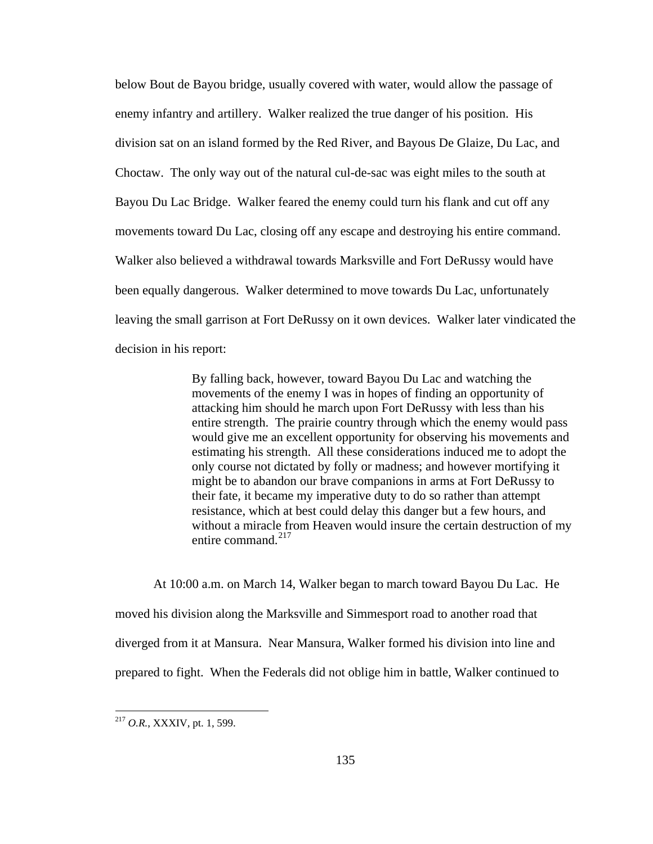below Bout de Bayou bridge, usually covered with water, would allow the passage of enemy infantry and artillery. Walker realized the true danger of his position. His division sat on an island formed by the Red River, and Bayous De Glaize, Du Lac, and Choctaw. The only way out of the natural cul-de-sac was eight miles to the south at Bayou Du Lac Bridge. Walker feared the enemy could turn his flank and cut off any movements toward Du Lac, closing off any escape and destroying his entire command. Walker also believed a withdrawal towards Marksville and Fort DeRussy would have been equally dangerous. Walker determined to move towards Du Lac, unfortunately leaving the small garrison at Fort DeRussy on it own devices. Walker later vindicated the decision in his report:

> By falling back, however, toward Bayou Du Lac and watching the movements of the enemy I was in hopes of finding an opportunity of attacking him should he march upon Fort DeRussy with less than his entire strength. The prairie country through which the enemy would pass would give me an excellent opportunity for observing his movements and estimating his strength. All these considerations induced me to adopt the only course not dictated by folly or madness; and however mortifying it might be to abandon our brave companions in arms at Fort DeRussy to their fate, it became my imperative duty to do so rather than attempt resistance, which at best could delay this danger but a few hours, and without a miracle from Heaven would insure the certain destruction of my entire command.<sup>[217](#page-139-0)</sup>

At 10:00 a.m. on March 14, Walker began to march toward Bayou Du Lac. He moved his division along the Marksville and Simmesport road to another road that diverged from it at Mansura. Near Mansura, Walker formed his division into line and prepared to fight. When the Federals did not oblige him in battle, Walker continued to

<span id="page-139-0"></span><sup>217</sup> *O.R.*, XXXIV, pt. 1, 599.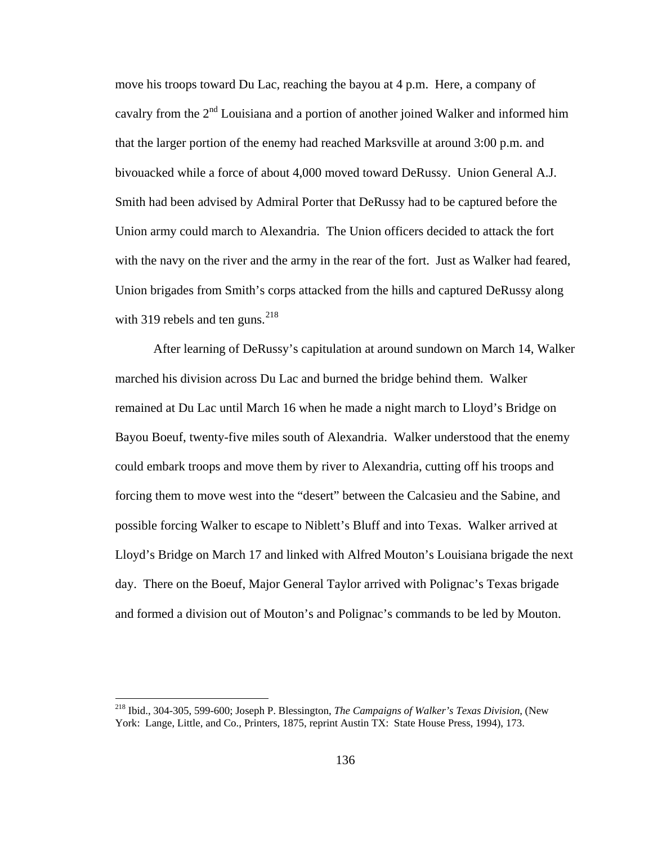move his troops toward Du Lac, reaching the bayou at 4 p.m. Here, a company of cavalry from the  $2<sup>nd</sup>$  Louisiana and a portion of another joined Walker and informed him that the larger portion of the enemy had reached Marksville at around 3:00 p.m. and bivouacked while a force of about 4,000 moved toward DeRussy. Union General A.J. Smith had been advised by Admiral Porter that DeRussy had to be captured before the Union army could march to Alexandria. The Union officers decided to attack the fort with the navy on the river and the army in the rear of the fort. Just as Walker had feared, Union brigades from Smith's corps attacked from the hills and captured DeRussy along with 319 rebels and ten guns.  $218$ 

After learning of DeRussy's capitulation at around sundown on March 14, Walker marched his division across Du Lac and burned the bridge behind them. Walker remained at Du Lac until March 16 when he made a night march to Lloyd's Bridge on Bayou Boeuf, twenty-five miles south of Alexandria. Walker understood that the enemy could embark troops and move them by river to Alexandria, cutting off his troops and forcing them to move west into the "desert" between the Calcasieu and the Sabine, and possible forcing Walker to escape to Niblett's Bluff and into Texas. Walker arrived at Lloyd's Bridge on March 17 and linked with Alfred Mouton's Louisiana brigade the next day. There on the Boeuf, Major General Taylor arrived with Polignac's Texas brigade and formed a division out of Mouton's and Polignac's commands to be led by Mouton.

<span id="page-140-0"></span><sup>218</sup> Ibid., 304-305, 599-600; Joseph P. Blessington, *The Campaigns of Walker's Texas Division*, (New York: Lange, Little, and Co., Printers, 1875, reprint Austin TX: State House Press, 1994), 173.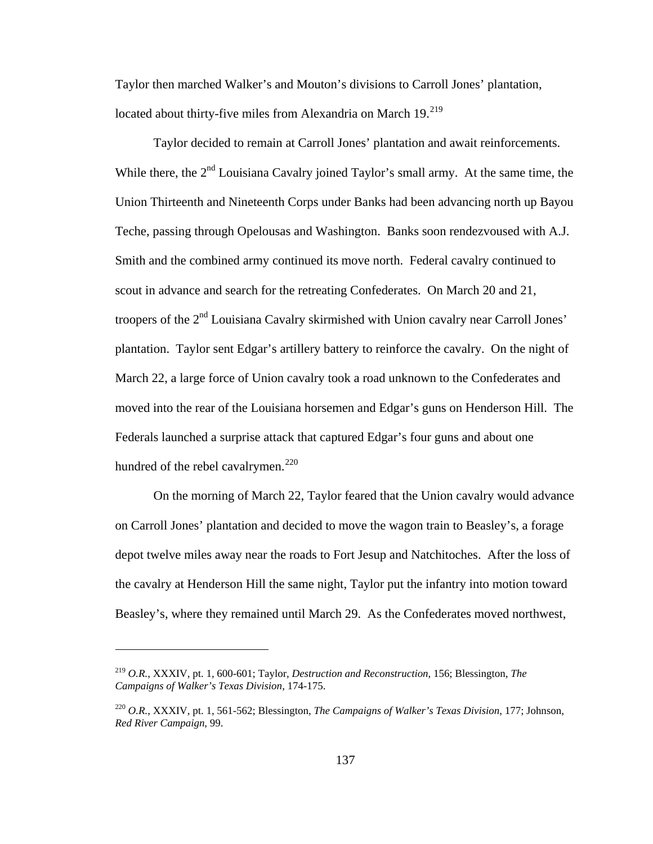Taylor then marched Walker's and Mouton's divisions to Carroll Jones' plantation, located about thirty-five miles from Alexandria on March 19.<sup>[219](#page-141-0)</sup>

Taylor decided to remain at Carroll Jones' plantation and await reinforcements. While there, the  $2<sup>nd</sup>$  Louisiana Cavalry joined Taylor's small army. At the same time, the Union Thirteenth and Nineteenth Corps under Banks had been advancing north up Bayou Teche, passing through Opelousas and Washington. Banks soon rendezvoused with A.J. Smith and the combined army continued its move north. Federal cavalry continued to scout in advance and search for the retreating Confederates. On March 20 and 21, troopers of the 2<sup>nd</sup> Louisiana Cavalry skirmished with Union cavalry near Carroll Jones' plantation. Taylor sent Edgar's artillery battery to reinforce the cavalry. On the night of March 22, a large force of Union cavalry took a road unknown to the Confederates and moved into the rear of the Louisiana horsemen and Edgar's guns on Henderson Hill. The Federals launched a surprise attack that captured Edgar's four guns and about one hundred of the rebel cavalrymen.<sup>[220](#page-141-1)</sup>

On the morning of March 22, Taylor feared that the Union cavalry would advance on Carroll Jones' plantation and decided to move the wagon train to Beasley's, a forage depot twelve miles away near the roads to Fort Jesup and Natchitoches. After the loss of the cavalry at Henderson Hill the same night, Taylor put the infantry into motion toward Beasley's, where they remained until March 29. As the Confederates moved northwest,

<span id="page-141-0"></span><sup>219</sup> *O.R.*, XXXIV, pt. 1, 600-601; Taylor, *Destruction and Reconstruction*, 156; Blessington, *The Campaigns of Walker's Texas Division*, 174-175.

<span id="page-141-1"></span><sup>220</sup> *O.R.*, XXXIV, pt. 1, 561-562; Blessington, *The Campaigns of Walker's Texas Division*, 177; Johnson, *Red River Campaign*, 99.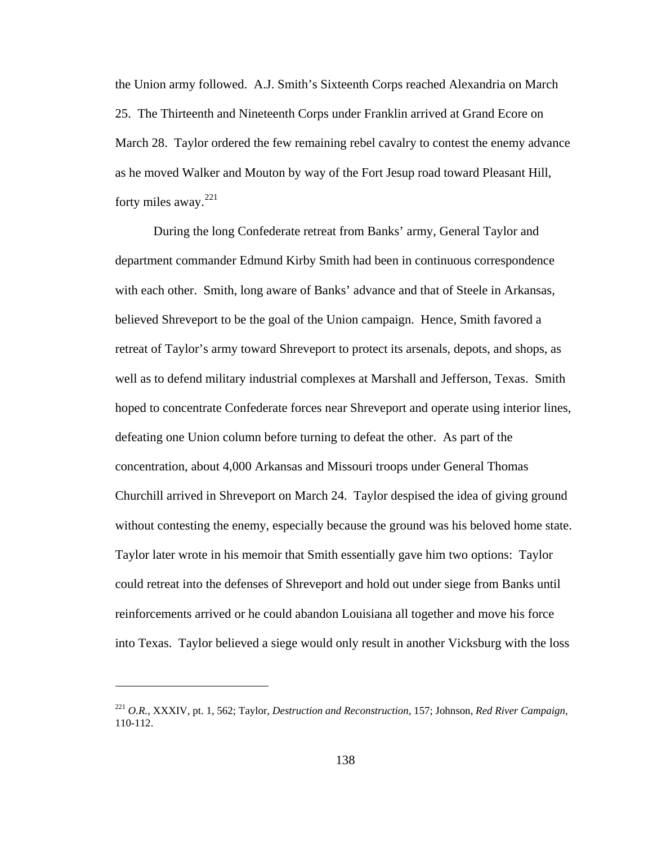the Union army followed. A.J. Smith's Sixteenth Corps reached Alexandria on March 25. The Thirteenth and Nineteenth Corps under Franklin arrived at Grand Ecore on March 28. Taylor ordered the few remaining rebel cavalry to contest the enemy advance as he moved Walker and Mouton by way of the Fort Jesup road toward Pleasant Hill, forty miles away. $221$ 

During the long Confederate retreat from Banks' army, General Taylor and department commander Edmund Kirby Smith had been in continuous correspondence with each other. Smith, long aware of Banks' advance and that of Steele in Arkansas, believed Shreveport to be the goal of the Union campaign. Hence, Smith favored a retreat of Taylor's army toward Shreveport to protect its arsenals, depots, and shops, as well as to defend military industrial complexes at Marshall and Jefferson, Texas. Smith hoped to concentrate Confederate forces near Shreveport and operate using interior lines, defeating one Union column before turning to defeat the other. As part of the concentration, about 4,000 Arkansas and Missouri troops under General Thomas Churchill arrived in Shreveport on March 24. Taylor despised the idea of giving ground without contesting the enemy, especially because the ground was his beloved home state. Taylor later wrote in his memoir that Smith essentially gave him two options: Taylor could retreat into the defenses of Shreveport and hold out under siege from Banks until reinforcements arrived or he could abandon Louisiana all together and move his force into Texas. Taylor believed a siege would only result in another Vicksburg with the loss

<span id="page-142-0"></span><sup>221</sup> *O.R.*, XXXIV, pt. 1, 562; Taylor, *Destruction and Reconstruction*, 157; Johnson, *Red River Campaign*, 110-112.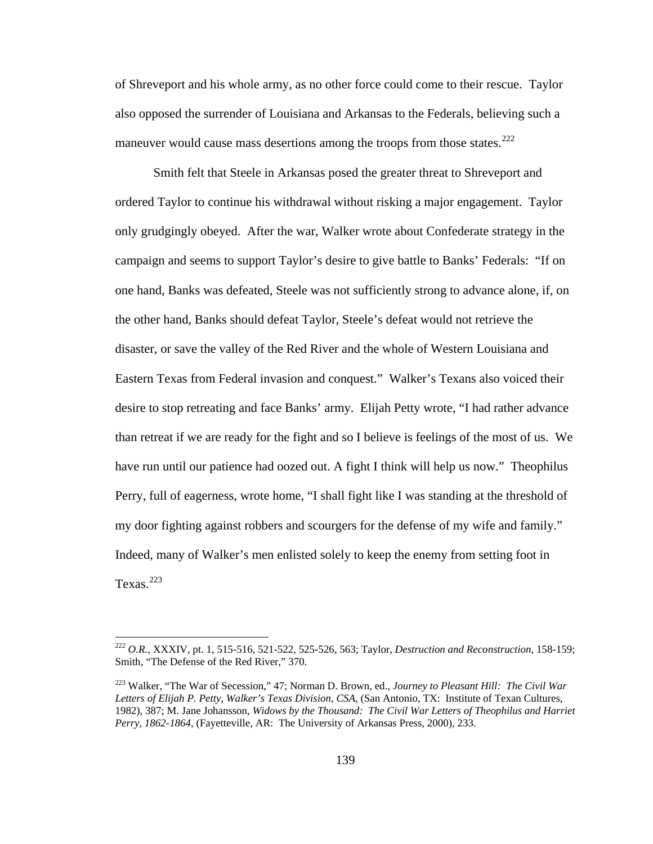of Shreveport and his whole army, as no other force could come to their rescue. Taylor also opposed the surrender of Louisiana and Arkansas to the Federals, believing such a maneuver would cause mass desertions among the troops from those states.<sup>[222](#page-143-0)</sup>

Smith felt that Steele in Arkansas posed the greater threat to Shreveport and ordered Taylor to continue his withdrawal without risking a major engagement. Taylor only grudgingly obeyed. After the war, Walker wrote about Confederate strategy in the campaign and seems to support Taylor's desire to give battle to Banks' Federals: "If on one hand, Banks was defeated, Steele was not sufficiently strong to advance alone, if, on the other hand, Banks should defeat Taylor, Steele's defeat would not retrieve the disaster, or save the valley of the Red River and the whole of Western Louisiana and Eastern Texas from Federal invasion and conquest." Walker's Texans also voiced their desire to stop retreating and face Banks' army. Elijah Petty wrote, "I had rather advance than retreat if we are ready for the fight and so I believe is feelings of the most of us. We have run until our patience had oozed out. A fight I think will help us now." Theophilus Perry, full of eagerness, wrote home, "I shall fight like I was standing at the threshold of my door fighting against robbers and scourgers for the defense of my wife and family." Indeed, many of Walker's men enlisted solely to keep the enemy from setting foot in Texas. $223$ 

<span id="page-143-0"></span><sup>222</sup> *O.R.*, XXXIV, pt. 1, 515-516, 521-522, 525-526, 563; Taylor, *Destruction and Reconstruction*, 158-159; Smith, "The Defense of the Red River," 370.

<span id="page-143-1"></span><sup>223</sup> Walker, "The War of Secession," 47; Norman D. Brown, ed., *Journey to Pleasant Hill: The Civil War Letters of Elijah P. Petty, Walker's Texas Division, CSA*, (San Antonio, TX: Institute of Texan Cultures, 1982), 387; M. Jane Johansson, *Widows by the Thousand: The Civil War Letters of Theophilus and Harriet Perry, 1862-1864*, (Fayetteville, AR: The University of Arkansas Press, 2000), 233.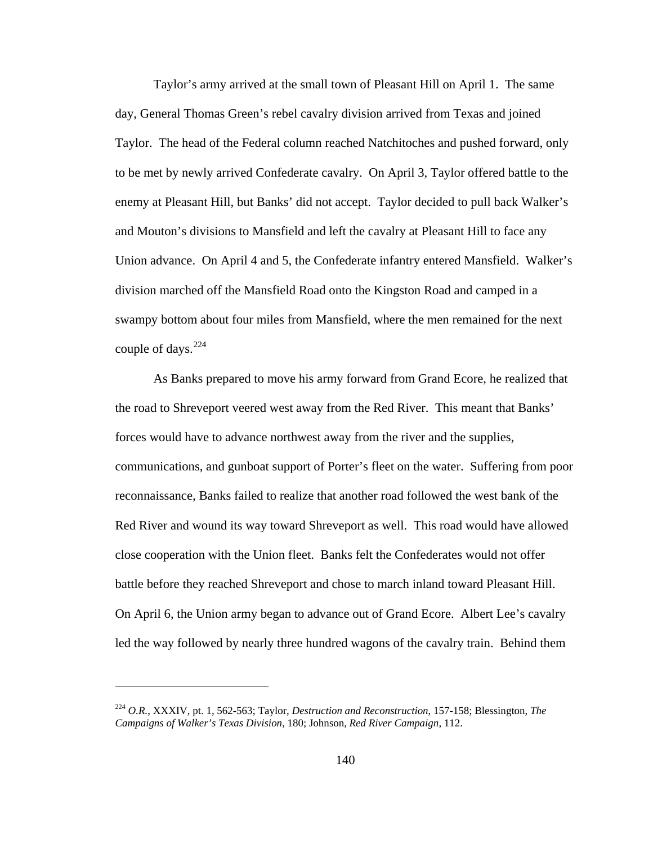Taylor's army arrived at the small town of Pleasant Hill on April 1. The same day, General Thomas Green's rebel cavalry division arrived from Texas and joined Taylor. The head of the Federal column reached Natchitoches and pushed forward, only to be met by newly arrived Confederate cavalry. On April 3, Taylor offered battle to the enemy at Pleasant Hill, but Banks' did not accept. Taylor decided to pull back Walker's and Mouton's divisions to Mansfield and left the cavalry at Pleasant Hill to face any Union advance. On April 4 and 5, the Confederate infantry entered Mansfield. Walker's division marched off the Mansfield Road onto the Kingston Road and camped in a swampy bottom about four miles from Mansfield, where the men remained for the next couple of days.  $224$ 

As Banks prepared to move his army forward from Grand Ecore, he realized that the road to Shreveport veered west away from the Red River. This meant that Banks' forces would have to advance northwest away from the river and the supplies, communications, and gunboat support of Porter's fleet on the water. Suffering from poor reconnaissance, Banks failed to realize that another road followed the west bank of the Red River and wound its way toward Shreveport as well. This road would have allowed close cooperation with the Union fleet. Banks felt the Confederates would not offer battle before they reached Shreveport and chose to march inland toward Pleasant Hill. On April 6, the Union army began to advance out of Grand Ecore. Albert Lee's cavalry led the way followed by nearly three hundred wagons of the cavalry train. Behind them

<span id="page-144-0"></span><sup>224</sup> *O.R.*, XXXIV, pt. 1, 562-563; Taylor, *Destruction and Reconstruction*, 157-158; Blessington, *The Campaigns of Walker's Texas Division*, 180; Johnson, *Red River Campaign*, 112.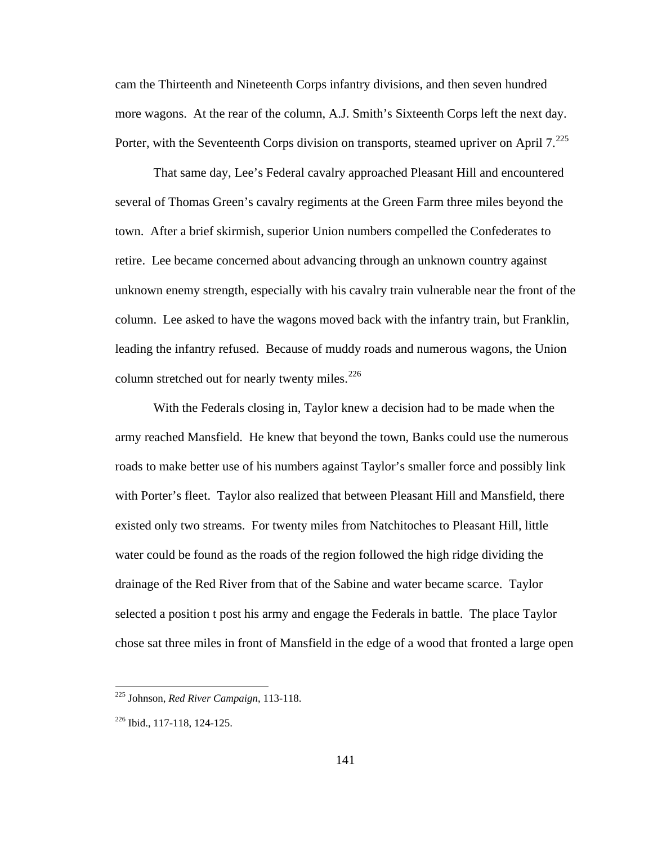cam the Thirteenth and Nineteenth Corps infantry divisions, and then seven hundred more wagons. At the rear of the column, A.J. Smith's Sixteenth Corps left the next day. Porter, with the Seventeenth Corps division on transports, steamed upriver on April  $7.^{225}$  $7.^{225}$  $7.^{225}$ 

That same day, Lee's Federal cavalry approached Pleasant Hill and encountered several of Thomas Green's cavalry regiments at the Green Farm three miles beyond the town. After a brief skirmish, superior Union numbers compelled the Confederates to retire. Lee became concerned about advancing through an unknown country against unknown enemy strength, especially with his cavalry train vulnerable near the front of the column. Lee asked to have the wagons moved back with the infantry train, but Franklin, leading the infantry refused. Because of muddy roads and numerous wagons, the Union column stretched out for nearly twenty miles.<sup>[226](#page-145-1)</sup>

With the Federals closing in, Taylor knew a decision had to be made when the army reached Mansfield. He knew that beyond the town, Banks could use the numerous roads to make better use of his numbers against Taylor's smaller force and possibly link with Porter's fleet. Taylor also realized that between Pleasant Hill and Mansfield, there existed only two streams. For twenty miles from Natchitoches to Pleasant Hill, little water could be found as the roads of the region followed the high ridge dividing the drainage of the Red River from that of the Sabine and water became scarce. Taylor selected a position t post his army and engage the Federals in battle. The place Taylor chose sat three miles in front of Mansfield in the edge of a wood that fronted a large open

<span id="page-145-0"></span><sup>225</sup> Johnson, *Red River Campaign*, 113-118.

<span id="page-145-1"></span><sup>226</sup> Ibid., 117-118, 124-125.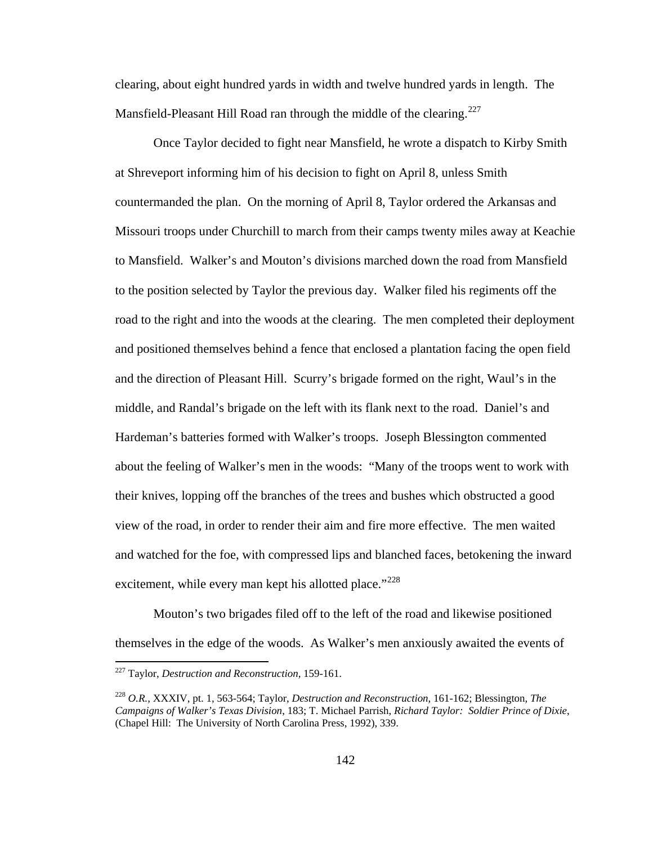clearing, about eight hundred yards in width and twelve hundred yards in length. The Mansfield-Pleasant Hill Road ran through the middle of the clearing.<sup>[227](#page-146-0)</sup>

Once Taylor decided to fight near Mansfield, he wrote a dispatch to Kirby Smith at Shreveport informing him of his decision to fight on April 8, unless Smith countermanded the plan. On the morning of April 8, Taylor ordered the Arkansas and Missouri troops under Churchill to march from their camps twenty miles away at Keachie to Mansfield. Walker's and Mouton's divisions marched down the road from Mansfield to the position selected by Taylor the previous day. Walker filed his regiments off the road to the right and into the woods at the clearing. The men completed their deployment and positioned themselves behind a fence that enclosed a plantation facing the open field and the direction of Pleasant Hill. Scurry's brigade formed on the right, Waul's in the middle, and Randal's brigade on the left with its flank next to the road. Daniel's and Hardeman's batteries formed with Walker's troops. Joseph Blessington commented about the feeling of Walker's men in the woods: "Many of the troops went to work with their knives, lopping off the branches of the trees and bushes which obstructed a good view of the road, in order to render their aim and fire more effective. The men waited and watched for the foe, with compressed lips and blanched faces, betokening the inward excitement, while every man kept his allotted place."<sup>[228](#page-146-1)</sup>

 Mouton's two brigades filed off to the left of the road and likewise positioned themselves in the edge of the woods. As Walker's men anxiously awaited the events of

<span id="page-146-0"></span><sup>227</sup> Taylor, *Destruction and Reconstruction*, 159-161.

<span id="page-146-1"></span><sup>228</sup> *O.R.*, XXXIV, pt. 1, 563-564; Taylor, *Destruction and Reconstruction*, 161-162; Blessington, *The Campaigns of Walker's Texas Division*, 183; T. Michael Parrish, *Richard Taylor: Soldier Prince of Dixie*, (Chapel Hill: The University of North Carolina Press, 1992), 339.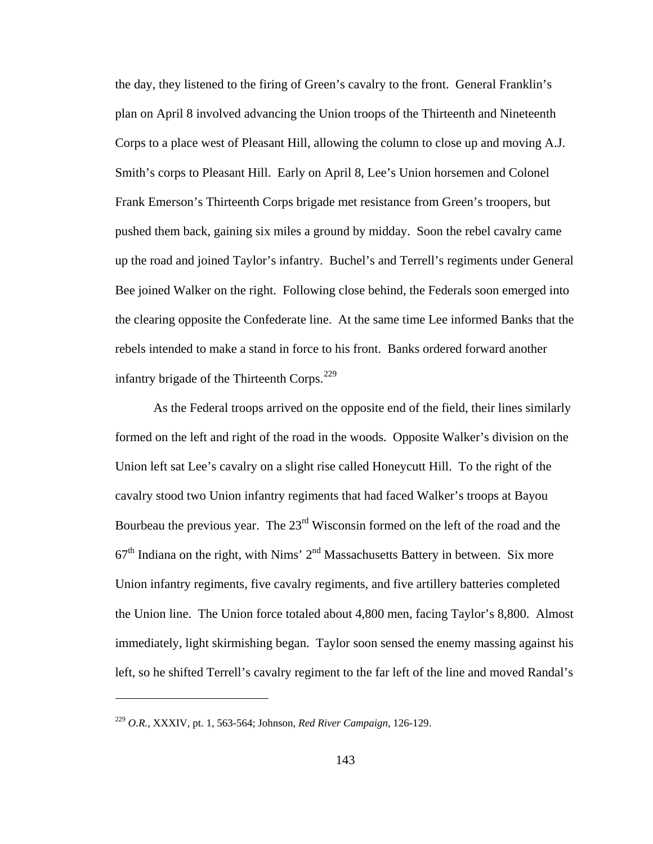the day, they listened to the firing of Green's cavalry to the front. General Franklin's plan on April 8 involved advancing the Union troops of the Thirteenth and Nineteenth Corps to a place west of Pleasant Hill, allowing the column to close up and moving A.J. Smith's corps to Pleasant Hill. Early on April 8, Lee's Union horsemen and Colonel Frank Emerson's Thirteenth Corps brigade met resistance from Green's troopers, but pushed them back, gaining six miles a ground by midday. Soon the rebel cavalry came up the road and joined Taylor's infantry. Buchel's and Terrell's regiments under General Bee joined Walker on the right. Following close behind, the Federals soon emerged into the clearing opposite the Confederate line. At the same time Lee informed Banks that the rebels intended to make a stand in force to his front. Banks ordered forward another infantry brigade of the Thirteenth Corps.<sup>[229](#page-147-0)</sup>

 As the Federal troops arrived on the opposite end of the field, their lines similarly formed on the left and right of the road in the woods. Opposite Walker's division on the Union left sat Lee's cavalry on a slight rise called Honeycutt Hill. To the right of the cavalry stood two Union infantry regiments that had faced Walker's troops at Bayou Bourbeau the previous year. The  $23<sup>rd</sup>$  Wisconsin formed on the left of the road and the  $67<sup>th</sup>$  Indiana on the right, with Nims'  $2<sup>nd</sup>$  Massachusetts Battery in between. Six more Union infantry regiments, five cavalry regiments, and five artillery batteries completed the Union line. The Union force totaled about 4,800 men, facing Taylor's 8,800. Almost immediately, light skirmishing began. Taylor soon sensed the enemy massing against his left, so he shifted Terrell's cavalry regiment to the far left of the line and moved Randal's

<span id="page-147-0"></span><sup>229</sup> *O.R.*, XXXIV, pt. 1, 563-564; Johnson, *Red River Campaign*, 126-129.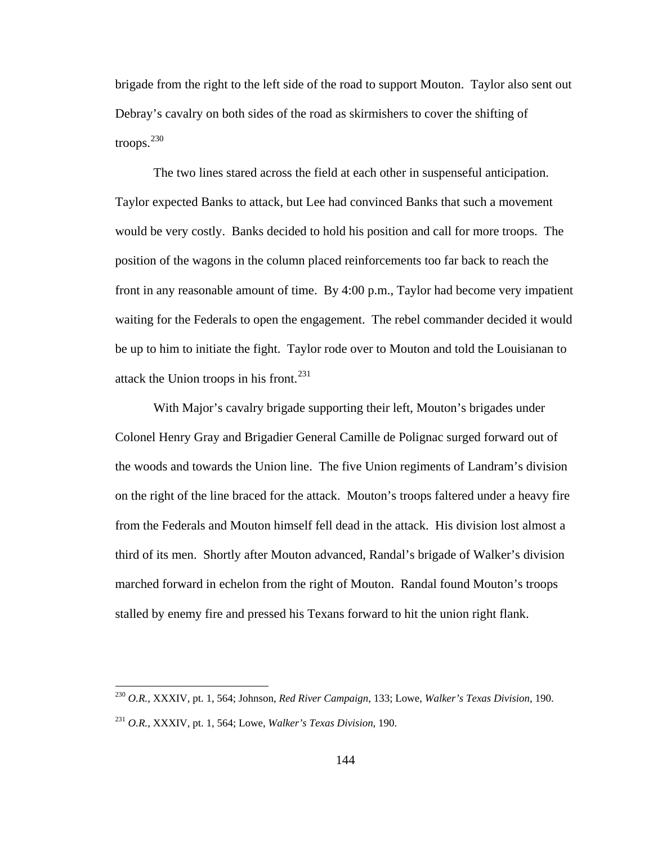brigade from the right to the left side of the road to support Mouton. Taylor also sent out Debray's cavalry on both sides of the road as skirmishers to cover the shifting of troops. $^{230}$  $^{230}$  $^{230}$ 

 The two lines stared across the field at each other in suspenseful anticipation. Taylor expected Banks to attack, but Lee had convinced Banks that such a movement would be very costly. Banks decided to hold his position and call for more troops. The position of the wagons in the column placed reinforcements too far back to reach the front in any reasonable amount of time. By 4:00 p.m., Taylor had become very impatient waiting for the Federals to open the engagement. The rebel commander decided it would be up to him to initiate the fight. Taylor rode over to Mouton and told the Louisianan to attack the Union troops in his front. $231$ 

 With Major's cavalry brigade supporting their left, Mouton's brigades under Colonel Henry Gray and Brigadier General Camille de Polignac surged forward out of the woods and towards the Union line. The five Union regiments of Landram's division on the right of the line braced for the attack. Mouton's troops faltered under a heavy fire from the Federals and Mouton himself fell dead in the attack. His division lost almost a third of its men. Shortly after Mouton advanced, Randal's brigade of Walker's division marched forward in echelon from the right of Mouton. Randal found Mouton's troops stalled by enemy fire and pressed his Texans forward to hit the union right flank.

<span id="page-148-0"></span><sup>230</sup> *O.R.*, XXXIV, pt. 1, 564; Johnson, *Red River Campaign*, 133; Lowe, *Walker's Texas Division*, 190.

<span id="page-148-1"></span><sup>231</sup> *O.R.*, XXXIV, pt. 1, 564; Lowe, *Walker's Texas Division*, 190.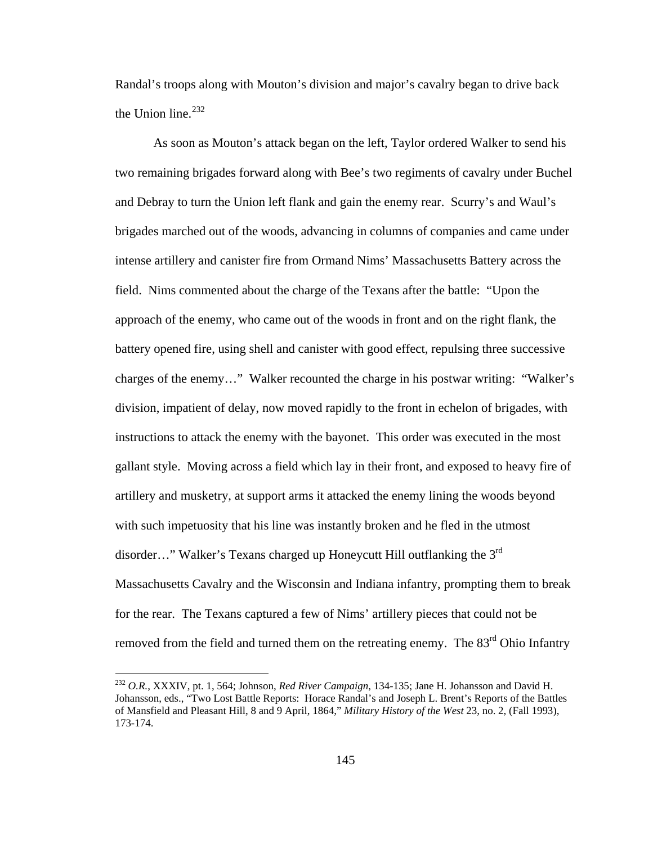Randal's troops along with Mouton's division and major's cavalry began to drive back the Union line.<sup>[232](#page-149-0)</sup>

 As soon as Mouton's attack began on the left, Taylor ordered Walker to send his two remaining brigades forward along with Bee's two regiments of cavalry under Buchel and Debray to turn the Union left flank and gain the enemy rear. Scurry's and Waul's brigades marched out of the woods, advancing in columns of companies and came under intense artillery and canister fire from Ormand Nims' Massachusetts Battery across the field. Nims commented about the charge of the Texans after the battle: "Upon the approach of the enemy, who came out of the woods in front and on the right flank, the battery opened fire, using shell and canister with good effect, repulsing three successive charges of the enemy…" Walker recounted the charge in his postwar writing: "Walker's division, impatient of delay, now moved rapidly to the front in echelon of brigades, with instructions to attack the enemy with the bayonet. This order was executed in the most gallant style. Moving across a field which lay in their front, and exposed to heavy fire of artillery and musketry, at support arms it attacked the enemy lining the woods beyond with such impetuosity that his line was instantly broken and he fled in the utmost disorder..." Walker's Texans charged up Honeycutt Hill outflanking the  $3<sup>rd</sup>$ Massachusetts Cavalry and the Wisconsin and Indiana infantry, prompting them to break for the rear. The Texans captured a few of Nims' artillery pieces that could not be removed from the field and turned them on the retreating enemy. The 83<sup>rd</sup> Ohio Infantry

<span id="page-149-0"></span><sup>232</sup> *O.R.*, XXXIV, pt. 1, 564; Johnson, *Red River Campaign*, 134-135; Jane H. Johansson and David H. Johansson, eds., "Two Lost Battle Reports: Horace Randal's and Joseph L. Brent's Reports of the Battles of Mansfield and Pleasant Hill, 8 and 9 April, 1864," *Military History of the West* 23, no. 2, (Fall 1993), 173-174.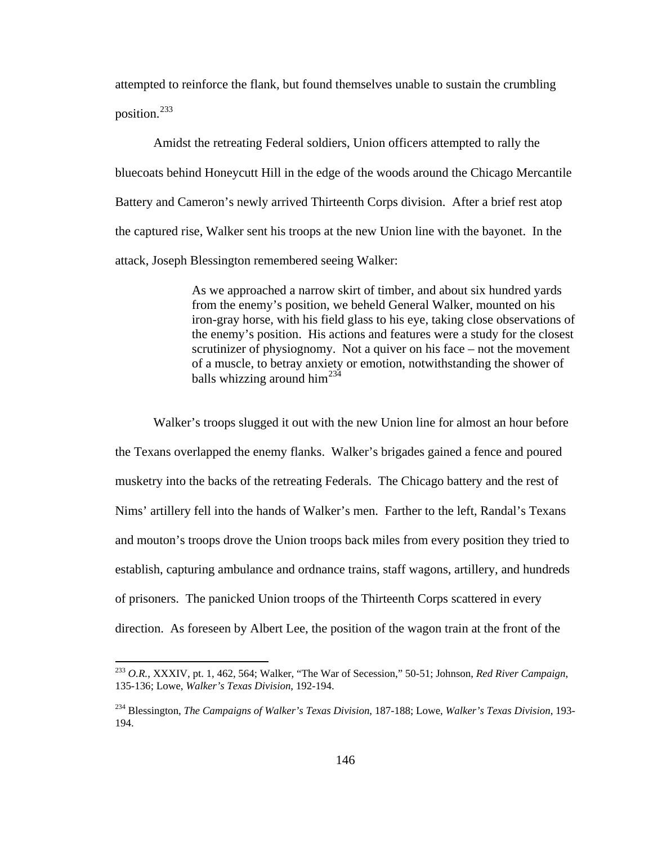attempted to reinforce the flank, but found themselves unable to sustain the crumbling position.<sup>[233](#page-150-0)</sup>

 Amidst the retreating Federal soldiers, Union officers attempted to rally the bluecoats behind Honeycutt Hill in the edge of the woods around the Chicago Mercantile Battery and Cameron's newly arrived Thirteenth Corps division. After a brief rest atop the captured rise, Walker sent his troops at the new Union line with the bayonet. In the attack, Joseph Blessington remembered seeing Walker:

> As we approached a narrow skirt of timber, and about six hundred yards from the enemy's position, we beheld General Walker, mounted on his iron-gray horse, with his field glass to his eye, taking close observations of the enemy's position. His actions and features were a study for the closest scrutinizer of physiognomy. Not a quiver on his face – not the movement of a muscle, to betray anxiety or emotion, notwithstanding the shower of balls whizzing around him<sup>[234](#page-150-1)</sup>

 Walker's troops slugged it out with the new Union line for almost an hour before the Texans overlapped the enemy flanks. Walker's brigades gained a fence and poured musketry into the backs of the retreating Federals. The Chicago battery and the rest of Nims' artillery fell into the hands of Walker's men. Farther to the left, Randal's Texans and mouton's troops drove the Union troops back miles from every position they tried to establish, capturing ambulance and ordnance trains, staff wagons, artillery, and hundreds of prisoners. The panicked Union troops of the Thirteenth Corps scattered in every direction. As foreseen by Albert Lee, the position of the wagon train at the front of the

<span id="page-150-0"></span><sup>233</sup> *O.R.*, XXXIV, pt. 1, 462, 564; Walker, "The War of Secession," 50-51; Johnson, *Red River Campaign*, 135-136; Lowe, *Walker's Texas Division*, 192-194.

<span id="page-150-1"></span><sup>234</sup> Blessington, *The Campaigns of Walker's Texas Division*, 187-188; Lowe, *Walker's Texas Division*, 193- 194.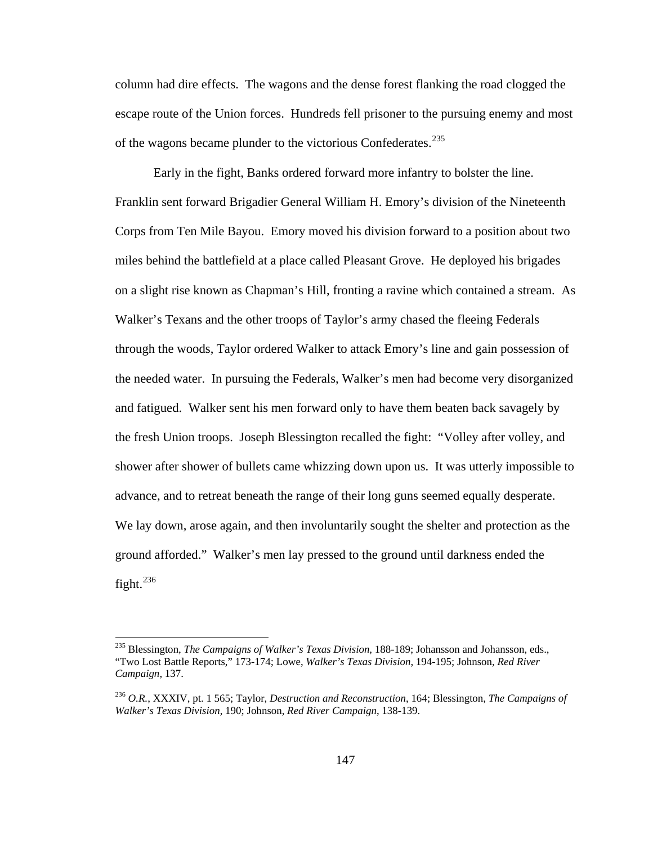column had dire effects. The wagons and the dense forest flanking the road clogged the escape route of the Union forces. Hundreds fell prisoner to the pursuing enemy and most of the wagons became plunder to the victorious Confederates.<sup>[235](#page-151-0)</sup>

 Early in the fight, Banks ordered forward more infantry to bolster the line. Franklin sent forward Brigadier General William H. Emory's division of the Nineteenth Corps from Ten Mile Bayou. Emory moved his division forward to a position about two miles behind the battlefield at a place called Pleasant Grove. He deployed his brigades on a slight rise known as Chapman's Hill, fronting a ravine which contained a stream. As Walker's Texans and the other troops of Taylor's army chased the fleeing Federals through the woods, Taylor ordered Walker to attack Emory's line and gain possession of the needed water. In pursuing the Federals, Walker's men had become very disorganized and fatigued. Walker sent his men forward only to have them beaten back savagely by the fresh Union troops. Joseph Blessington recalled the fight: "Volley after volley, and shower after shower of bullets came whizzing down upon us. It was utterly impossible to advance, and to retreat beneath the range of their long guns seemed equally desperate. We lay down, arose again, and then involuntarily sought the shelter and protection as the ground afforded." Walker's men lay pressed to the ground until darkness ended the fight. $^{236}$  $^{236}$  $^{236}$ 

<span id="page-151-0"></span><sup>235</sup> Blessington, *The Campaigns of Walker's Texas Division*, 188-189; Johansson and Johansson, eds., "Two Lost Battle Reports," 173-174; Lowe, *Walker's Texas Division*, 194-195; Johnson, *Red River Campaign*, 137.

<span id="page-151-1"></span><sup>236</sup> *O.R.*, XXXIV, pt. 1 565; Taylor, *Destruction and Reconstruction*, 164; Blessington, *The Campaigns of Walker's Texas Division*, 190; Johnson, *Red River Campaign*, 138-139.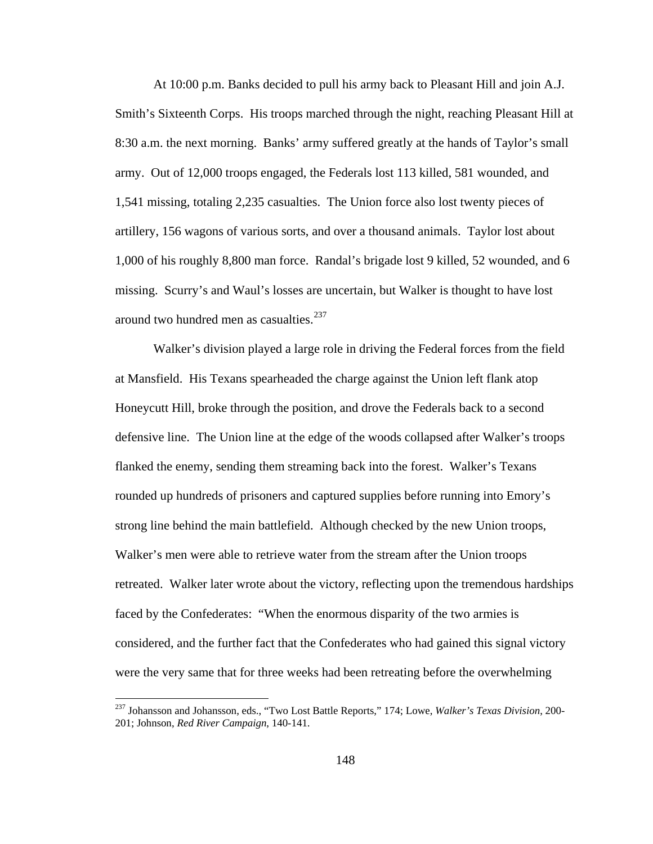At 10:00 p.m. Banks decided to pull his army back to Pleasant Hill and join A.J. Smith's Sixteenth Corps. His troops marched through the night, reaching Pleasant Hill at 8:30 a.m. the next morning. Banks' army suffered greatly at the hands of Taylor's small army. Out of 12,000 troops engaged, the Federals lost 113 killed, 581 wounded, and 1,541 missing, totaling 2,235 casualties. The Union force also lost twenty pieces of artillery, 156 wagons of various sorts, and over a thousand animals. Taylor lost about 1,000 of his roughly 8,800 man force. Randal's brigade lost 9 killed, 52 wounded, and 6 missing. Scurry's and Waul's losses are uncertain, but Walker is thought to have lost around two hundred men as casualties.<sup>[237](#page-152-0)</sup>

 Walker's division played a large role in driving the Federal forces from the field at Mansfield. His Texans spearheaded the charge against the Union left flank atop Honeycutt Hill, broke through the position, and drove the Federals back to a second defensive line. The Union line at the edge of the woods collapsed after Walker's troops flanked the enemy, sending them streaming back into the forest. Walker's Texans rounded up hundreds of prisoners and captured supplies before running into Emory's strong line behind the main battlefield. Although checked by the new Union troops, Walker's men were able to retrieve water from the stream after the Union troops retreated. Walker later wrote about the victory, reflecting upon the tremendous hardships faced by the Confederates: "When the enormous disparity of the two armies is considered, and the further fact that the Confederates who had gained this signal victory were the very same that for three weeks had been retreating before the overwhelming

<span id="page-152-0"></span><sup>237</sup> Johansson and Johansson, eds., "Two Lost Battle Reports," 174; Lowe, *Walker's Texas Division*, 200- 201; Johnson, *Red River Campaign*, 140-141.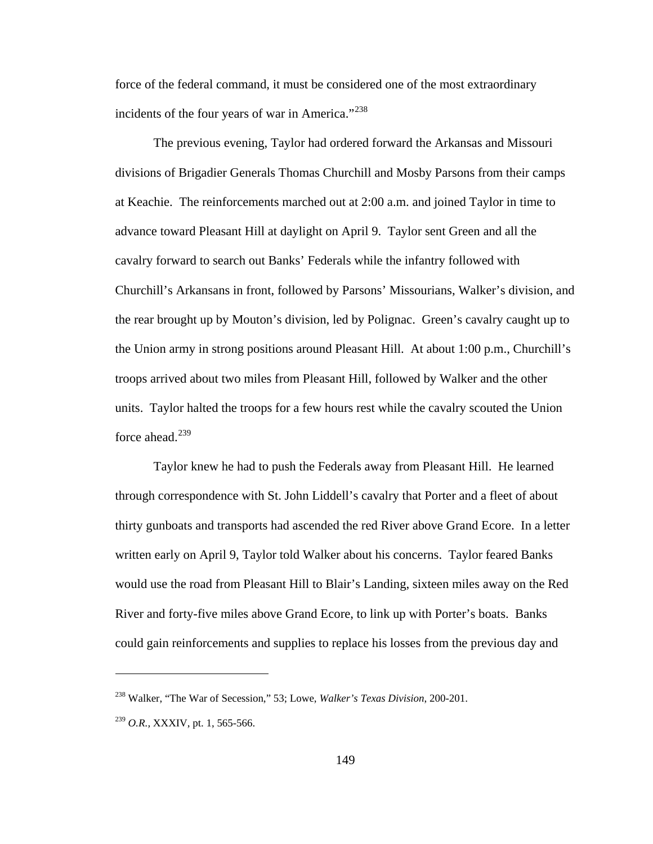force of the federal command, it must be considered one of the most extraordinary incidents of the four years of war in America."<sup>[238](#page-153-0)</sup>

 The previous evening, Taylor had ordered forward the Arkansas and Missouri divisions of Brigadier Generals Thomas Churchill and Mosby Parsons from their camps at Keachie. The reinforcements marched out at 2:00 a.m. and joined Taylor in time to advance toward Pleasant Hill at daylight on April 9. Taylor sent Green and all the cavalry forward to search out Banks' Federals while the infantry followed with Churchill's Arkansans in front, followed by Parsons' Missourians, Walker's division, and the rear brought up by Mouton's division, led by Polignac. Green's cavalry caught up to the Union army in strong positions around Pleasant Hill. At about 1:00 p.m., Churchill's troops arrived about two miles from Pleasant Hill, followed by Walker and the other units. Taylor halted the troops for a few hours rest while the cavalry scouted the Union force ahead. $239$ 

 Taylor knew he had to push the Federals away from Pleasant Hill. He learned through correspondence with St. John Liddell's cavalry that Porter and a fleet of about thirty gunboats and transports had ascended the red River above Grand Ecore. In a letter written early on April 9, Taylor told Walker about his concerns. Taylor feared Banks would use the road from Pleasant Hill to Blair's Landing, sixteen miles away on the Red River and forty-five miles above Grand Ecore, to link up with Porter's boats. Banks could gain reinforcements and supplies to replace his losses from the previous day and

<span id="page-153-0"></span><sup>238</sup> Walker, "The War of Secession," 53; Lowe, *Walker's Texas Division*, 200-201.

<span id="page-153-1"></span><sup>239</sup> *O.R.,* XXXIV, pt. 1, 565-566.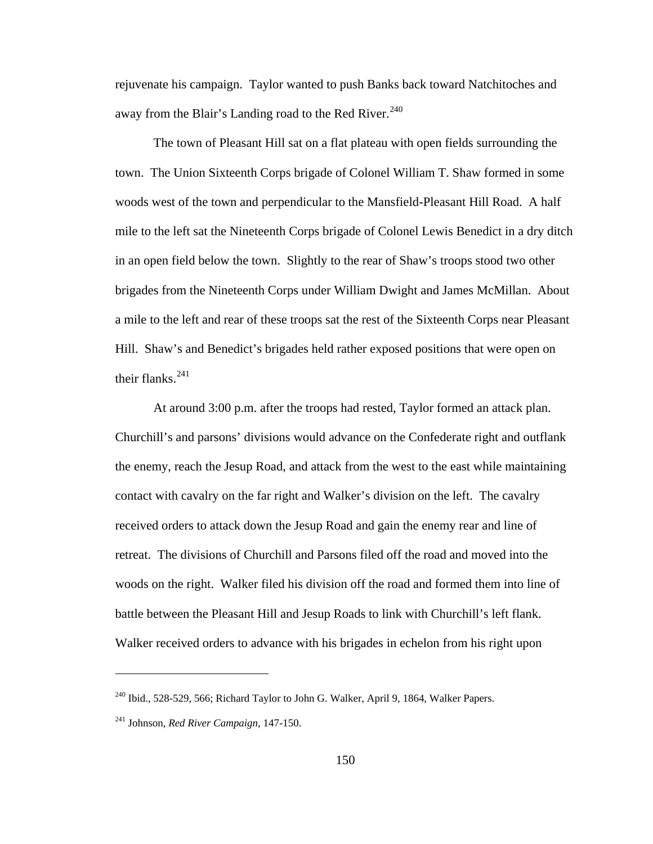rejuvenate his campaign. Taylor wanted to push Banks back toward Natchitoches and away from the Blair's Landing road to the Red River.<sup>[240](#page-154-0)</sup>

 The town of Pleasant Hill sat on a flat plateau with open fields surrounding the town. The Union Sixteenth Corps brigade of Colonel William T. Shaw formed in some woods west of the town and perpendicular to the Mansfield-Pleasant Hill Road. A half mile to the left sat the Nineteenth Corps brigade of Colonel Lewis Benedict in a dry ditch in an open field below the town. Slightly to the rear of Shaw's troops stood two other brigades from the Nineteenth Corps under William Dwight and James McMillan. About a mile to the left and rear of these troops sat the rest of the Sixteenth Corps near Pleasant Hill. Shaw's and Benedict's brigades held rather exposed positions that were open on their flanks.<sup>[241](#page-154-1)</sup>

 At around 3:00 p.m. after the troops had rested, Taylor formed an attack plan. Churchill's and parsons' divisions would advance on the Confederate right and outflank the enemy, reach the Jesup Road, and attack from the west to the east while maintaining contact with cavalry on the far right and Walker's division on the left. The cavalry received orders to attack down the Jesup Road and gain the enemy rear and line of retreat. The divisions of Churchill and Parsons filed off the road and moved into the woods on the right. Walker filed his division off the road and formed them into line of battle between the Pleasant Hill and Jesup Roads to link with Churchill's left flank. Walker received orders to advance with his brigades in echelon from his right upon

<span id="page-154-0"></span><sup>&</sup>lt;sup>240</sup> Ibid., 528-529, 566; Richard Taylor to John G. Walker, April 9, 1864, Walker Papers.

<span id="page-154-1"></span><sup>241</sup> Johnson, *Red River Campaign*, 147-150.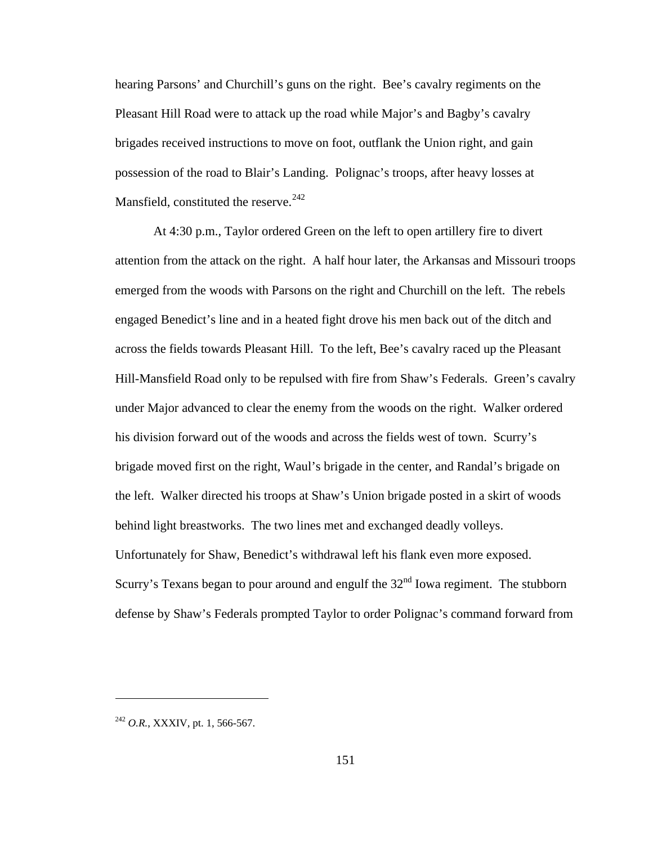hearing Parsons' and Churchill's guns on the right. Bee's cavalry regiments on the Pleasant Hill Road were to attack up the road while Major's and Bagby's cavalry brigades received instructions to move on foot, outflank the Union right, and gain possession of the road to Blair's Landing. Polignac's troops, after heavy losses at Mansfield, constituted the reserve.  $242$ 

 At 4:30 p.m., Taylor ordered Green on the left to open artillery fire to divert attention from the attack on the right. A half hour later, the Arkansas and Missouri troops emerged from the woods with Parsons on the right and Churchill on the left. The rebels engaged Benedict's line and in a heated fight drove his men back out of the ditch and across the fields towards Pleasant Hill. To the left, Bee's cavalry raced up the Pleasant Hill-Mansfield Road only to be repulsed with fire from Shaw's Federals. Green's cavalry under Major advanced to clear the enemy from the woods on the right. Walker ordered his division forward out of the woods and across the fields west of town. Scurry's brigade moved first on the right, Waul's brigade in the center, and Randal's brigade on the left. Walker directed his troops at Shaw's Union brigade posted in a skirt of woods behind light breastworks. The two lines met and exchanged deadly volleys. Unfortunately for Shaw, Benedict's withdrawal left his flank even more exposed. Scurry's Texans began to pour around and engulf the  $32<sup>nd</sup>$  Iowa regiment. The stubborn defense by Shaw's Federals prompted Taylor to order Polignac's command forward from

<span id="page-155-0"></span><sup>242</sup> *O.R.*, XXXIV, pt. 1, 566-567.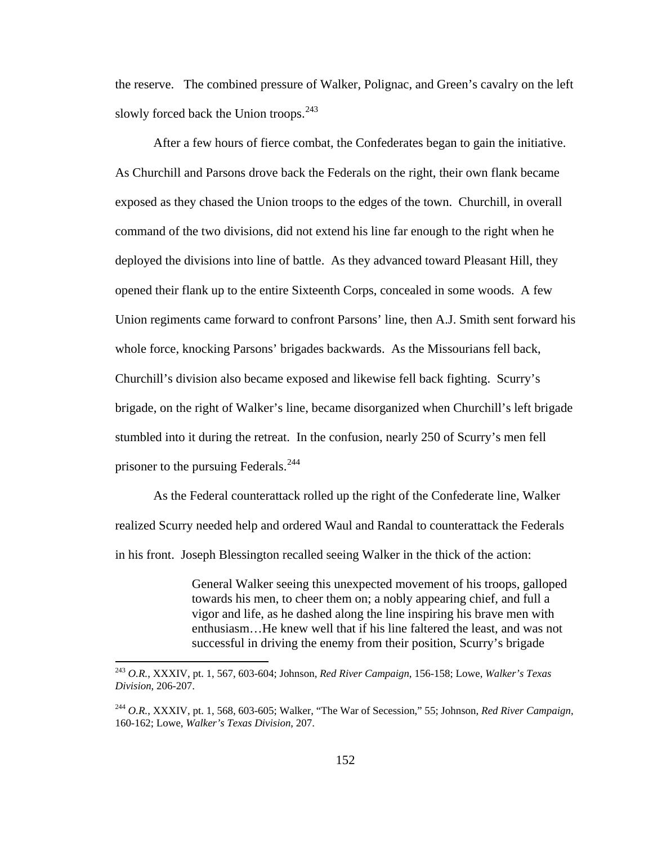the reserve. The combined pressure of Walker, Polignac, and Green's cavalry on the left slowly forced back the Union troops.<sup>[243](#page-156-0)</sup>

 After a few hours of fierce combat, the Confederates began to gain the initiative. As Churchill and Parsons drove back the Federals on the right, their own flank became exposed as they chased the Union troops to the edges of the town. Churchill, in overall command of the two divisions, did not extend his line far enough to the right when he deployed the divisions into line of battle. As they advanced toward Pleasant Hill, they opened their flank up to the entire Sixteenth Corps, concealed in some woods. A few Union regiments came forward to confront Parsons' line, then A.J. Smith sent forward his whole force, knocking Parsons' brigades backwards. As the Missourians fell back, Churchill's division also became exposed and likewise fell back fighting. Scurry's brigade, on the right of Walker's line, became disorganized when Churchill's left brigade stumbled into it during the retreat. In the confusion, nearly 250 of Scurry's men fell prisoner to the pursuing Federals.<sup>[244](#page-156-1)</sup>

 As the Federal counterattack rolled up the right of the Confederate line, Walker realized Scurry needed help and ordered Waul and Randal to counterattack the Federals in his front. Joseph Blessington recalled seeing Walker in the thick of the action:

> General Walker seeing this unexpected movement of his troops, galloped towards his men, to cheer them on; a nobly appearing chief, and full a vigor and life, as he dashed along the line inspiring his brave men with enthusiasm…He knew well that if his line faltered the least, and was not successful in driving the enemy from their position, Scurry's brigade

<span id="page-156-0"></span><sup>243</sup> *O.R.*, XXXIV, pt. 1, 567, 603-604; Johnson, *Red River Campaign*, 156-158; Lowe, *Walker's Texas Division*, 206-207.

<span id="page-156-1"></span><sup>244</sup> *O.R.*, XXXIV, pt. 1, 568, 603-605; Walker, "The War of Secession," 55; Johnson, *Red River Campaign*, 160-162; Lowe, *Walker's Texas Division*, 207.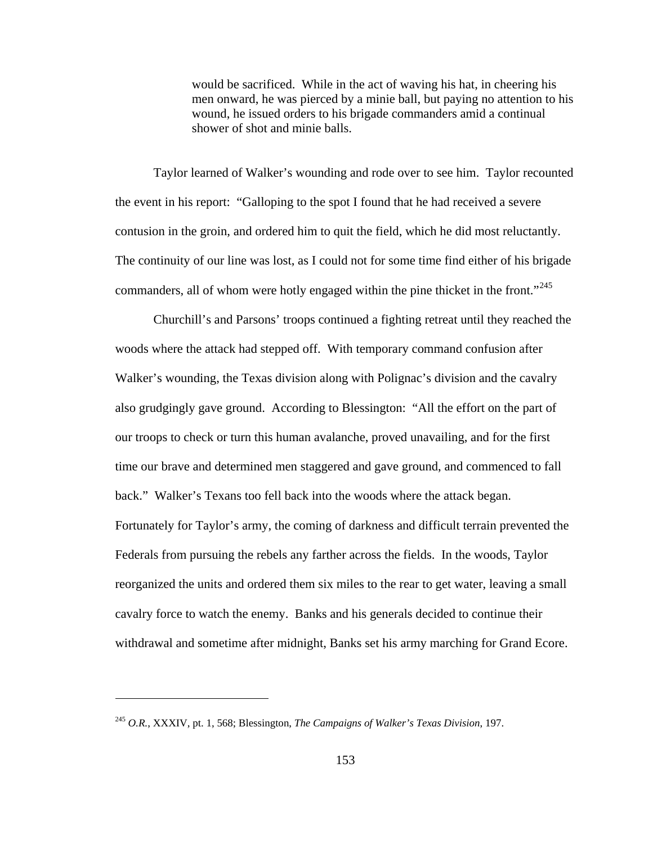would be sacrificed. While in the act of waving his hat, in cheering his men onward, he was pierced by a minie ball, but paying no attention to his wound, he issued orders to his brigade commanders amid a continual shower of shot and minie balls.

 Taylor learned of Walker's wounding and rode over to see him. Taylor recounted the event in his report: "Galloping to the spot I found that he had received a severe contusion in the groin, and ordered him to quit the field, which he did most reluctantly. The continuity of our line was lost, as I could not for some time find either of his brigade commanders, all of whom were hotly engaged within the pine thicket in the front."<sup>[245](#page-157-0)</sup>

 Churchill's and Parsons' troops continued a fighting retreat until they reached the woods where the attack had stepped off. With temporary command confusion after Walker's wounding, the Texas division along with Polignac's division and the cavalry also grudgingly gave ground. According to Blessington: "All the effort on the part of our troops to check or turn this human avalanche, proved unavailing, and for the first time our brave and determined men staggered and gave ground, and commenced to fall back." Walker's Texans too fell back into the woods where the attack began. Fortunately for Taylor's army, the coming of darkness and difficult terrain prevented the Federals from pursuing the rebels any farther across the fields. In the woods, Taylor reorganized the units and ordered them six miles to the rear to get water, leaving a small cavalry force to watch the enemy. Banks and his generals decided to continue their withdrawal and sometime after midnight, Banks set his army marching for Grand Ecore.

<span id="page-157-0"></span><sup>245</sup> *O.R.*, XXXIV, pt. 1, 568; Blessington, *The Campaigns of Walker's Texas Division*, 197.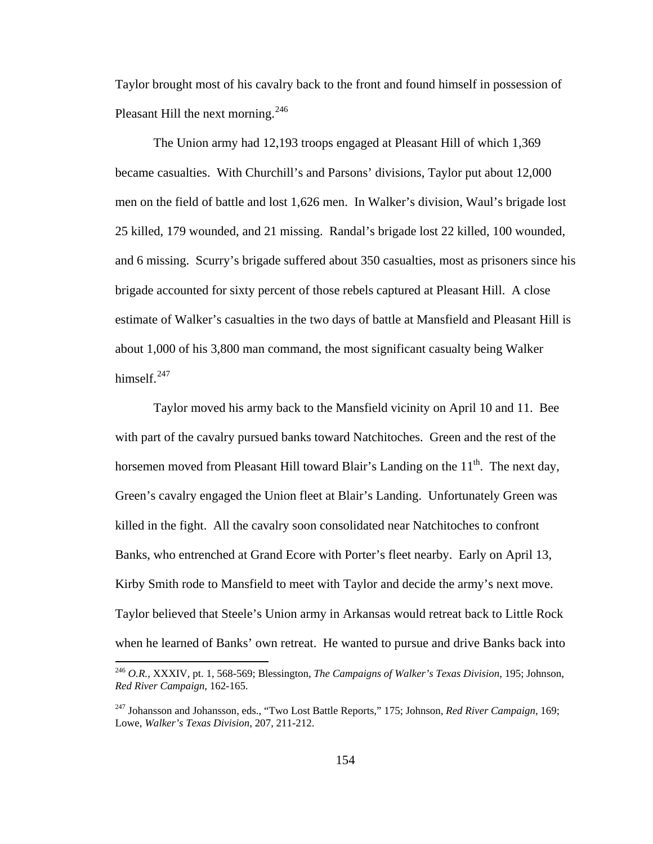Taylor brought most of his cavalry back to the front and found himself in possession of Pleasant Hill the next morning.<sup>[246](#page-158-0)</sup>

 The Union army had 12,193 troops engaged at Pleasant Hill of which 1,369 became casualties. With Churchill's and Parsons' divisions, Taylor put about 12,000 men on the field of battle and lost 1,626 men. In Walker's division, Waul's brigade lost 25 killed, 179 wounded, and 21 missing. Randal's brigade lost 22 killed, 100 wounded, and 6 missing. Scurry's brigade suffered about 350 casualties, most as prisoners since his brigade accounted for sixty percent of those rebels captured at Pleasant Hill. A close estimate of Walker's casualties in the two days of battle at Mansfield and Pleasant Hill is about 1,000 of his 3,800 man command, the most significant casualty being Walker himself.<sup>[247](#page-158-1)</sup>

 Taylor moved his army back to the Mansfield vicinity on April 10 and 11. Bee with part of the cavalry pursued banks toward Natchitoches. Green and the rest of the horsemen moved from Pleasant Hill toward Blair's Landing on the  $11<sup>th</sup>$ . The next day, Green's cavalry engaged the Union fleet at Blair's Landing. Unfortunately Green was killed in the fight. All the cavalry soon consolidated near Natchitoches to confront Banks, who entrenched at Grand Ecore with Porter's fleet nearby. Early on April 13, Kirby Smith rode to Mansfield to meet with Taylor and decide the army's next move. Taylor believed that Steele's Union army in Arkansas would retreat back to Little Rock when he learned of Banks' own retreat. He wanted to pursue and drive Banks back into

<span id="page-158-0"></span><sup>246</sup> *O.R.*, XXXIV, pt. 1, 568-569; Blessington, *The Campaigns of Walker's Texas Division*, 195; Johnson, *Red River Campaign*, 162-165.

<span id="page-158-1"></span><sup>247</sup> Johansson and Johansson, eds., "Two Lost Battle Reports," 175; Johnson, *Red River Campaign*, 169; Lowe, *Walker's Texas Division*, 207, 211-212.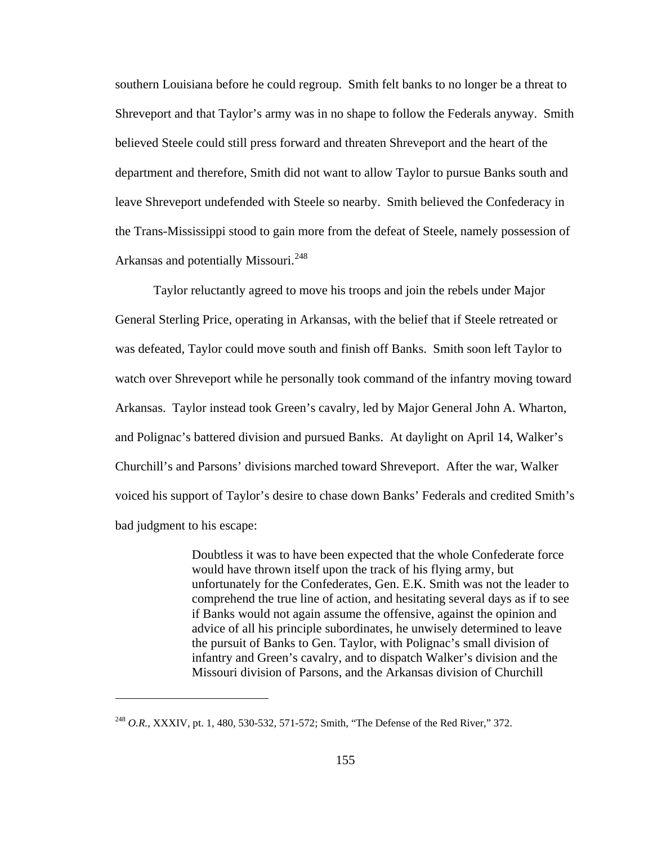southern Louisiana before he could regroup. Smith felt banks to no longer be a threat to Shreveport and that Taylor's army was in no shape to follow the Federals anyway. Smith believed Steele could still press forward and threaten Shreveport and the heart of the department and therefore, Smith did not want to allow Taylor to pursue Banks south and leave Shreveport undefended with Steele so nearby. Smith believed the Confederacy in the Trans-Mississippi stood to gain more from the defeat of Steele, namely possession of Arkansas and potentially Missouri.<sup>[248](#page-159-0)</sup>

 Taylor reluctantly agreed to move his troops and join the rebels under Major General Sterling Price, operating in Arkansas, with the belief that if Steele retreated or was defeated, Taylor could move south and finish off Banks. Smith soon left Taylor to watch over Shreveport while he personally took command of the infantry moving toward Arkansas. Taylor instead took Green's cavalry, led by Major General John A. Wharton, and Polignac's battered division and pursued Banks. At daylight on April 14, Walker's Churchill's and Parsons' divisions marched toward Shreveport. After the war, Walker voiced his support of Taylor's desire to chase down Banks' Federals and credited Smith's bad judgment to his escape:

> Doubtless it was to have been expected that the whole Confederate force would have thrown itself upon the track of his flying army, but unfortunately for the Confederates, Gen. E.K. Smith was not the leader to comprehend the true line of action, and hesitating several days as if to see if Banks would not again assume the offensive, against the opinion and advice of all his principle subordinates, he unwisely determined to leave the pursuit of Banks to Gen. Taylor, with Polignac's small division of infantry and Green's cavalry, and to dispatch Walker's division and the Missouri division of Parsons, and the Arkansas division of Churchill

<span id="page-159-0"></span><sup>248</sup> *O.R.*, XXXIV, pt. 1, 480, 530-532, 571-572; Smith, "The Defense of the Red River," 372.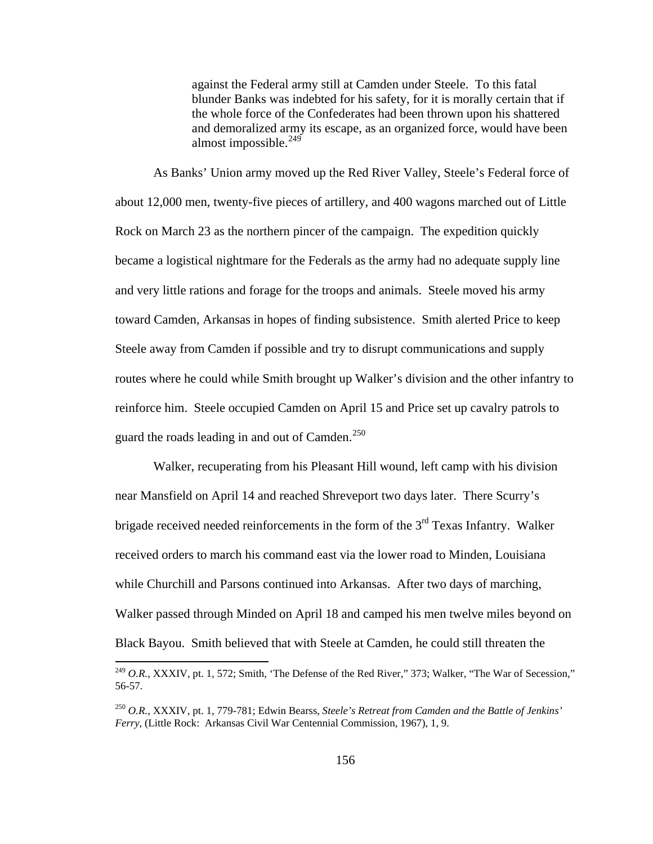against the Federal army still at Camden under Steele. To this fatal blunder Banks was indebted for his safety, for it is morally certain that if the whole force of the Confederates had been thrown upon his shattered and demoralized army its escape, as an organized force, would have been almost impossible.<sup>[249](#page-160-0)</sup>

 As Banks' Union army moved up the Red River Valley, Steele's Federal force of about 12,000 men, twenty-five pieces of artillery, and 400 wagons marched out of Little Rock on March 23 as the northern pincer of the campaign. The expedition quickly became a logistical nightmare for the Federals as the army had no adequate supply line and very little rations and forage for the troops and animals. Steele moved his army toward Camden, Arkansas in hopes of finding subsistence. Smith alerted Price to keep Steele away from Camden if possible and try to disrupt communications and supply routes where he could while Smith brought up Walker's division and the other infantry to reinforce him. Steele occupied Camden on April 15 and Price set up cavalry patrols to guard the roads leading in and out of Camden.<sup>[250](#page-160-1)</sup>

 Walker, recuperating from his Pleasant Hill wound, left camp with his division near Mansfield on April 14 and reached Shreveport two days later. There Scurry's brigade received needed reinforcements in the form of the  $3<sup>rd</sup>$  Texas Infantry. Walker received orders to march his command east via the lower road to Minden, Louisiana while Churchill and Parsons continued into Arkansas. After two days of marching, Walker passed through Minded on April 18 and camped his men twelve miles beyond on Black Bayou. Smith believed that with Steele at Camden, he could still threaten the

<span id="page-160-0"></span><sup>&</sup>lt;sup>249</sup> O.R., XXXIV, pt. 1, 572; Smith, 'The Defense of the Red River," 373; Walker, "The War of Secession," 56-57.

<span id="page-160-1"></span><sup>250</sup> *O.R.*, XXXIV, pt. 1, 779-781; Edwin Bearss, *Steele's Retreat from Camden and the Battle of Jenkins' Ferry*, (Little Rock: Arkansas Civil War Centennial Commission, 1967), 1, 9.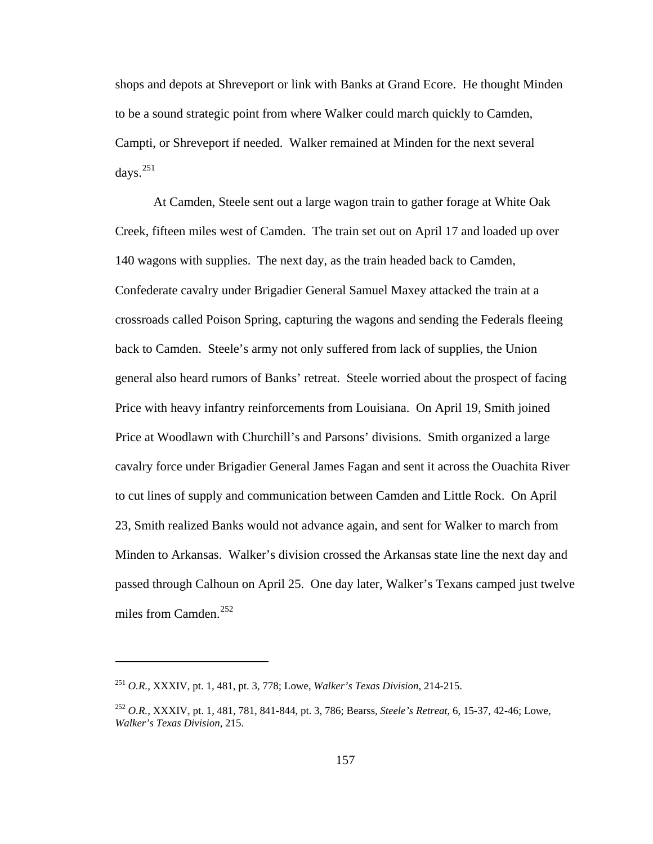shops and depots at Shreveport or link with Banks at Grand Ecore. He thought Minden to be a sound strategic point from where Walker could march quickly to Camden, Campti, or Shreveport if needed. Walker remained at Minden for the next several days.[251](#page-161-0)

 At Camden, Steele sent out a large wagon train to gather forage at White Oak Creek, fifteen miles west of Camden. The train set out on April 17 and loaded up over 140 wagons with supplies. The next day, as the train headed back to Camden, Confederate cavalry under Brigadier General Samuel Maxey attacked the train at a crossroads called Poison Spring, capturing the wagons and sending the Federals fleeing back to Camden. Steele's army not only suffered from lack of supplies, the Union general also heard rumors of Banks' retreat. Steele worried about the prospect of facing Price with heavy infantry reinforcements from Louisiana. On April 19, Smith joined Price at Woodlawn with Churchill's and Parsons' divisions. Smith organized a large cavalry force under Brigadier General James Fagan and sent it across the Ouachita River to cut lines of supply and communication between Camden and Little Rock. On April 23, Smith realized Banks would not advance again, and sent for Walker to march from Minden to Arkansas. Walker's division crossed the Arkansas state line the next day and passed through Calhoun on April 25. One day later, Walker's Texans camped just twelve miles from Camden. $^{252}$  $^{252}$  $^{252}$ 

<span id="page-161-0"></span><sup>251</sup> *O.R.*, XXXIV, pt. 1, 481, pt. 3, 778; Lowe, *Walker's Texas Division*, 214-215.

<span id="page-161-1"></span><sup>252</sup> *O.R.*, XXXIV, pt. 1, 481, 781, 841-844, pt. 3, 786; Bearss, *Steele's Retreat*, 6, 15-37, 42-46; Lowe, *Walker's Texas Division*, 215.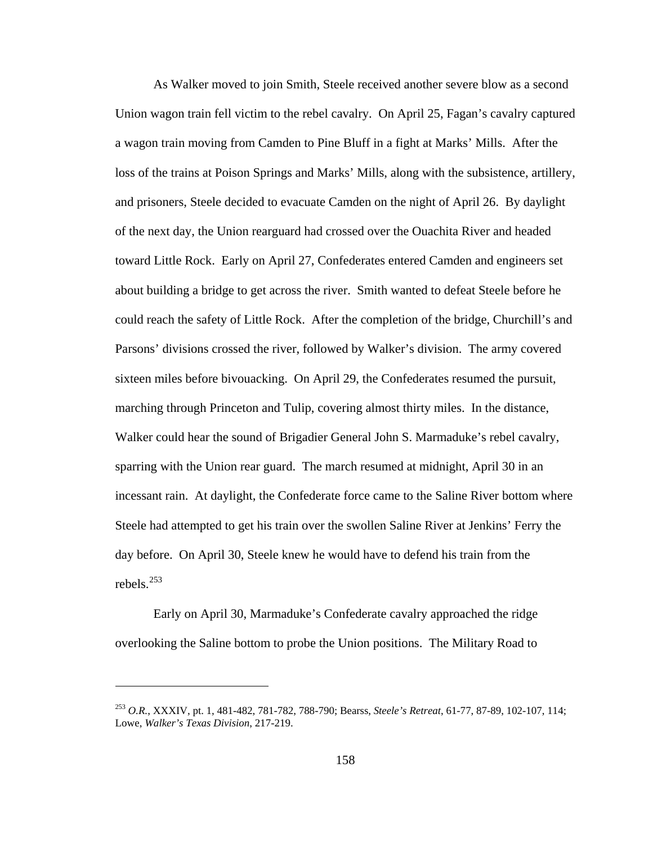As Walker moved to join Smith, Steele received another severe blow as a second Union wagon train fell victim to the rebel cavalry. On April 25, Fagan's cavalry captured a wagon train moving from Camden to Pine Bluff in a fight at Marks' Mills. After the loss of the trains at Poison Springs and Marks' Mills, along with the subsistence, artillery, and prisoners, Steele decided to evacuate Camden on the night of April 26. By daylight of the next day, the Union rearguard had crossed over the Ouachita River and headed toward Little Rock. Early on April 27, Confederates entered Camden and engineers set about building a bridge to get across the river. Smith wanted to defeat Steele before he could reach the safety of Little Rock. After the completion of the bridge, Churchill's and Parsons' divisions crossed the river, followed by Walker's division. The army covered sixteen miles before bivouacking. On April 29, the Confederates resumed the pursuit, marching through Princeton and Tulip, covering almost thirty miles. In the distance, Walker could hear the sound of Brigadier General John S. Marmaduke's rebel cavalry, sparring with the Union rear guard. The march resumed at midnight, April 30 in an incessant rain. At daylight, the Confederate force came to the Saline River bottom where Steele had attempted to get his train over the swollen Saline River at Jenkins' Ferry the day before. On April 30, Steele knew he would have to defend his train from the rebels.[253](#page-162-0)

 Early on April 30, Marmaduke's Confederate cavalry approached the ridge overlooking the Saline bottom to probe the Union positions. The Military Road to

<span id="page-162-0"></span><sup>253</sup> *O.R.*, XXXIV, pt. 1, 481-482, 781-782, 788-790; Bearss, *Steele's Retreat*, 61-77, 87-89, 102-107, 114; Lowe, *Walker's Texas Division*, 217-219.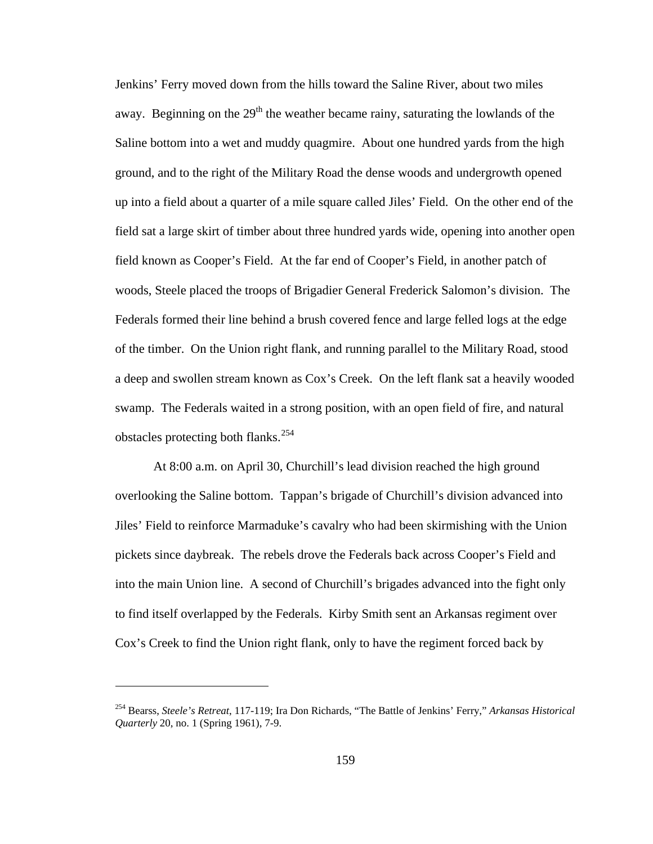Jenkins' Ferry moved down from the hills toward the Saline River, about two miles away. Beginning on the  $29<sup>th</sup>$  the weather became rainy, saturating the lowlands of the Saline bottom into a wet and muddy quagmire. About one hundred yards from the high ground, and to the right of the Military Road the dense woods and undergrowth opened up into a field about a quarter of a mile square called Jiles' Field. On the other end of the field sat a large skirt of timber about three hundred yards wide, opening into another open field known as Cooper's Field. At the far end of Cooper's Field, in another patch of woods, Steele placed the troops of Brigadier General Frederick Salomon's division. The Federals formed their line behind a brush covered fence and large felled logs at the edge of the timber. On the Union right flank, and running parallel to the Military Road, stood a deep and swollen stream known as Cox's Creek. On the left flank sat a heavily wooded swamp. The Federals waited in a strong position, with an open field of fire, and natural obstacles protecting both flanks.[254](#page-163-0)

 At 8:00 a.m. on April 30, Churchill's lead division reached the high ground overlooking the Saline bottom. Tappan's brigade of Churchill's division advanced into Jiles' Field to reinforce Marmaduke's cavalry who had been skirmishing with the Union pickets since daybreak. The rebels drove the Federals back across Cooper's Field and into the main Union line. A second of Churchill's brigades advanced into the fight only to find itself overlapped by the Federals. Kirby Smith sent an Arkansas regiment over Cox's Creek to find the Union right flank, only to have the regiment forced back by

<span id="page-163-0"></span><sup>254</sup> Bearss, *Steele's Retreat*, 117-119; Ira Don Richards, "The Battle of Jenkins' Ferry," *Arkansas Historical Quarterly* 20, no. 1 (Spring 1961), 7-9.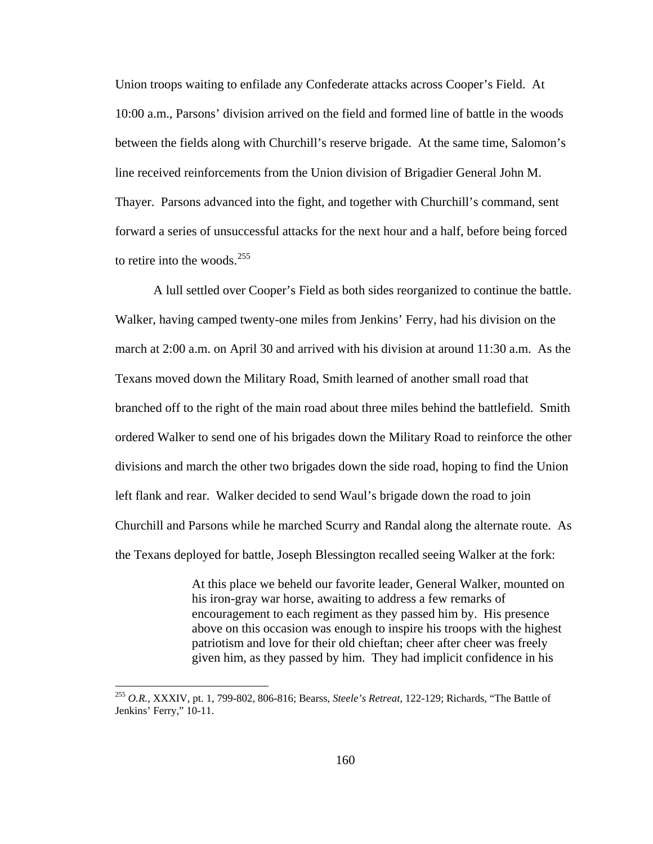Union troops waiting to enfilade any Confederate attacks across Cooper's Field. At 10:00 a.m., Parsons' division arrived on the field and formed line of battle in the woods between the fields along with Churchill's reserve brigade. At the same time, Salomon's line received reinforcements from the Union division of Brigadier General John M. Thayer. Parsons advanced into the fight, and together with Churchill's command, sent forward a series of unsuccessful attacks for the next hour and a half, before being forced to retire into the woods. $255$ 

 A lull settled over Cooper's Field as both sides reorganized to continue the battle. Walker, having camped twenty-one miles from Jenkins' Ferry, had his division on the march at 2:00 a.m. on April 30 and arrived with his division at around 11:30 a.m. As the Texans moved down the Military Road, Smith learned of another small road that branched off to the right of the main road about three miles behind the battlefield. Smith ordered Walker to send one of his brigades down the Military Road to reinforce the other divisions and march the other two brigades down the side road, hoping to find the Union left flank and rear. Walker decided to send Waul's brigade down the road to join Churchill and Parsons while he marched Scurry and Randal along the alternate route. As the Texans deployed for battle, Joseph Blessington recalled seeing Walker at the fork:

> At this place we beheld our favorite leader, General Walker, mounted on his iron-gray war horse, awaiting to address a few remarks of encouragement to each regiment as they passed him by. His presence above on this occasion was enough to inspire his troops with the highest patriotism and love for their old chieftan; cheer after cheer was freely given him, as they passed by him. They had implicit confidence in his

<span id="page-164-0"></span><sup>255</sup> *O.R.*, XXXIV, pt. 1, 799-802, 806-816; Bearss, *Steele's Retreat*, 122-129; Richards, "The Battle of Jenkins' Ferry," 10-11.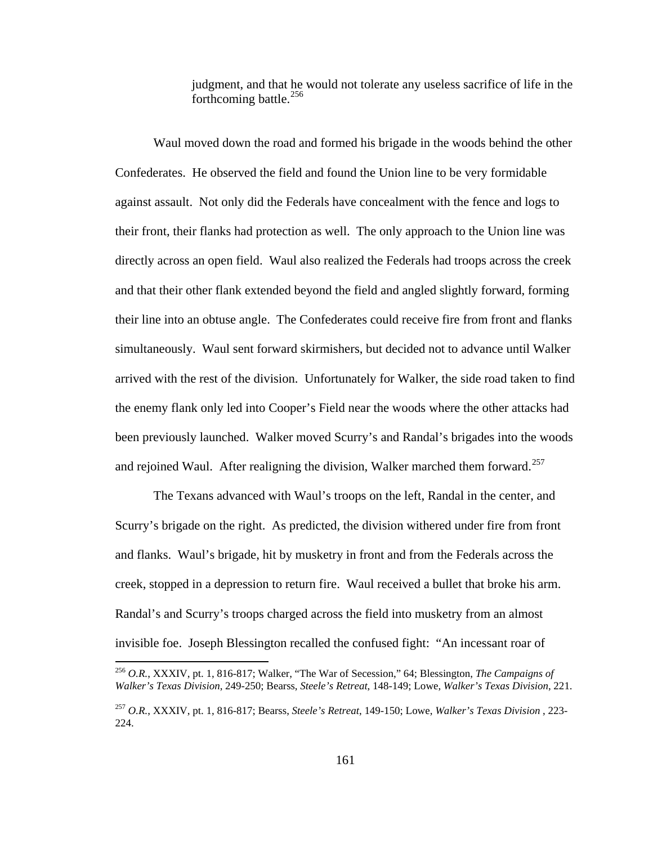judgment, and that he would not tolerate any useless sacrifice of life in the forthcoming battle. $256$ 

 Waul moved down the road and formed his brigade in the woods behind the other Confederates. He observed the field and found the Union line to be very formidable against assault. Not only did the Federals have concealment with the fence and logs to their front, their flanks had protection as well. The only approach to the Union line was directly across an open field. Waul also realized the Federals had troops across the creek and that their other flank extended beyond the field and angled slightly forward, forming their line into an obtuse angle. The Confederates could receive fire from front and flanks simultaneously. Waul sent forward skirmishers, but decided not to advance until Walker arrived with the rest of the division. Unfortunately for Walker, the side road taken to find the enemy flank only led into Cooper's Field near the woods where the other attacks had been previously launched. Walker moved Scurry's and Randal's brigades into the woods and rejoined Waul. After realigning the division, Walker marched them forward.<sup>[257](#page-165-1)</sup>

 The Texans advanced with Waul's troops on the left, Randal in the center, and Scurry's brigade on the right. As predicted, the division withered under fire from front and flanks. Waul's brigade, hit by musketry in front and from the Federals across the creek, stopped in a depression to return fire. Waul received a bullet that broke his arm. Randal's and Scurry's troops charged across the field into musketry from an almost invisible foe. Joseph Blessington recalled the confused fight: "An incessant roar of

<span id="page-165-0"></span><sup>256</sup> *O.R.*, XXXIV, pt. 1, 816-817; Walker, "The War of Secession," 64; Blessington, *The Campaigns of Walker's Texas Division*, 249-250; Bearss, *Steele's Retreat*, 148-149; Lowe, *Walker's Texas Division*, 221.

<span id="page-165-1"></span><sup>257</sup> *O.R.*, XXXIV, pt. 1, 816-817; Bearss, *Steele's Retreat*, 149-150; Lowe, *Walker's Texas Division* , 223- 224.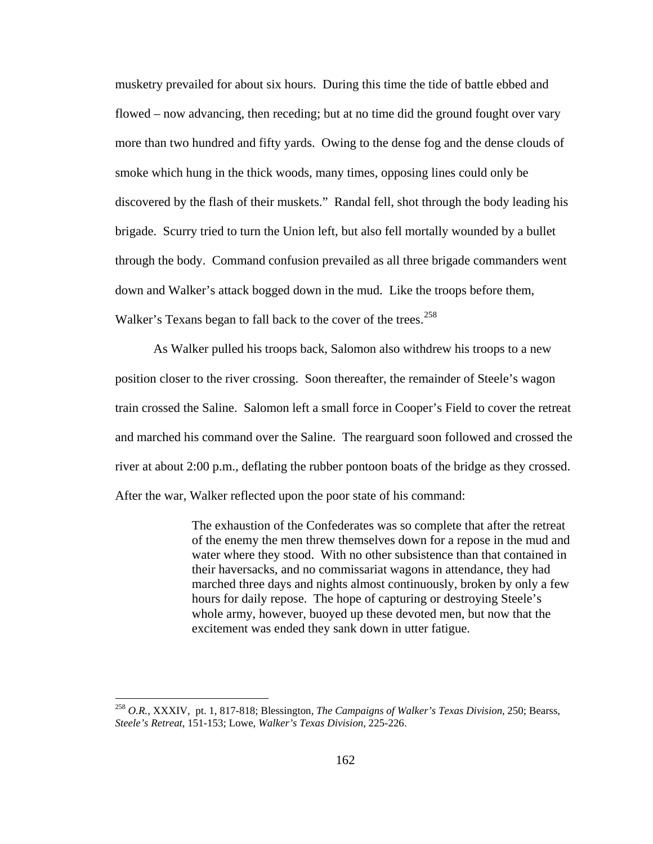musketry prevailed for about six hours. During this time the tide of battle ebbed and flowed – now advancing, then receding; but at no time did the ground fought over vary more than two hundred and fifty yards. Owing to the dense fog and the dense clouds of smoke which hung in the thick woods, many times, opposing lines could only be discovered by the flash of their muskets." Randal fell, shot through the body leading his brigade. Scurry tried to turn the Union left, but also fell mortally wounded by a bullet through the body. Command confusion prevailed as all three brigade commanders went down and Walker's attack bogged down in the mud. Like the troops before them, Walker's Texans began to fall back to the cover of the trees.<sup>[258](#page-166-0)</sup>

 As Walker pulled his troops back, Salomon also withdrew his troops to a new position closer to the river crossing. Soon thereafter, the remainder of Steele's wagon train crossed the Saline. Salomon left a small force in Cooper's Field to cover the retreat and marched his command over the Saline. The rearguard soon followed and crossed the river at about 2:00 p.m., deflating the rubber pontoon boats of the bridge as they crossed. After the war, Walker reflected upon the poor state of his command:

> The exhaustion of the Confederates was so complete that after the retreat of the enemy the men threw themselves down for a repose in the mud and water where they stood. With no other subsistence than that contained in their haversacks, and no commissariat wagons in attendance, they had marched three days and nights almost continuously, broken by only a few hours for daily repose. The hope of capturing or destroying Steele's whole army, however, buoyed up these devoted men, but now that the excitement was ended they sank down in utter fatigue.

<span id="page-166-0"></span><sup>258</sup> *O.R.*, XXXIV, pt. 1, 817-818; Blessington, *The Campaigns of Walker's Texas Division*, 250; Bearss, *Steele's Retreat*, 151-153; Lowe, *Walker's Texas Division*, 225-226.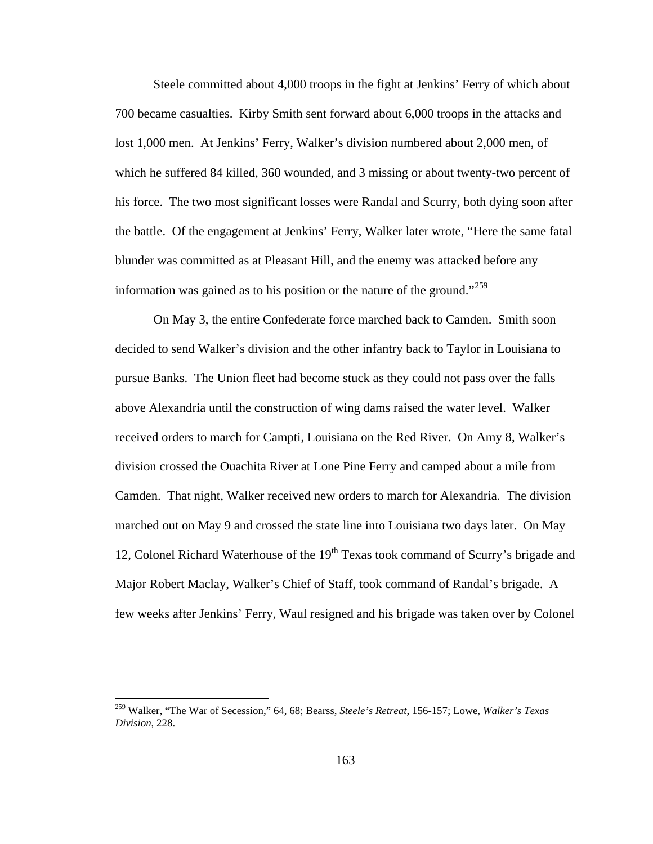Steele committed about 4,000 troops in the fight at Jenkins' Ferry of which about 700 became casualties. Kirby Smith sent forward about 6,000 troops in the attacks and lost 1,000 men. At Jenkins' Ferry, Walker's division numbered about 2,000 men, of which he suffered 84 killed, 360 wounded, and 3 missing or about twenty-two percent of his force. The two most significant losses were Randal and Scurry, both dying soon after the battle. Of the engagement at Jenkins' Ferry, Walker later wrote, "Here the same fatal blunder was committed as at Pleasant Hill, and the enemy was attacked before any information was gained as to his position or the nature of the ground."<sup>[259](#page-167-0)</sup>

 On May 3, the entire Confederate force marched back to Camden. Smith soon decided to send Walker's division and the other infantry back to Taylor in Louisiana to pursue Banks. The Union fleet had become stuck as they could not pass over the falls above Alexandria until the construction of wing dams raised the water level. Walker received orders to march for Campti, Louisiana on the Red River. On Amy 8, Walker's division crossed the Ouachita River at Lone Pine Ferry and camped about a mile from Camden. That night, Walker received new orders to march for Alexandria. The division marched out on May 9 and crossed the state line into Louisiana two days later. On May 12, Colonel Richard Waterhouse of the  $19<sup>th</sup>$  Texas took command of Scurry's brigade and Major Robert Maclay, Walker's Chief of Staff, took command of Randal's brigade. A few weeks after Jenkins' Ferry, Waul resigned and his brigade was taken over by Colonel

<span id="page-167-0"></span><sup>259</sup> Walker, "The War of Secession," 64, 68; Bearss, *Steele's Retreat*, 156-157; Lowe, *Walker's Texas Division*, 228.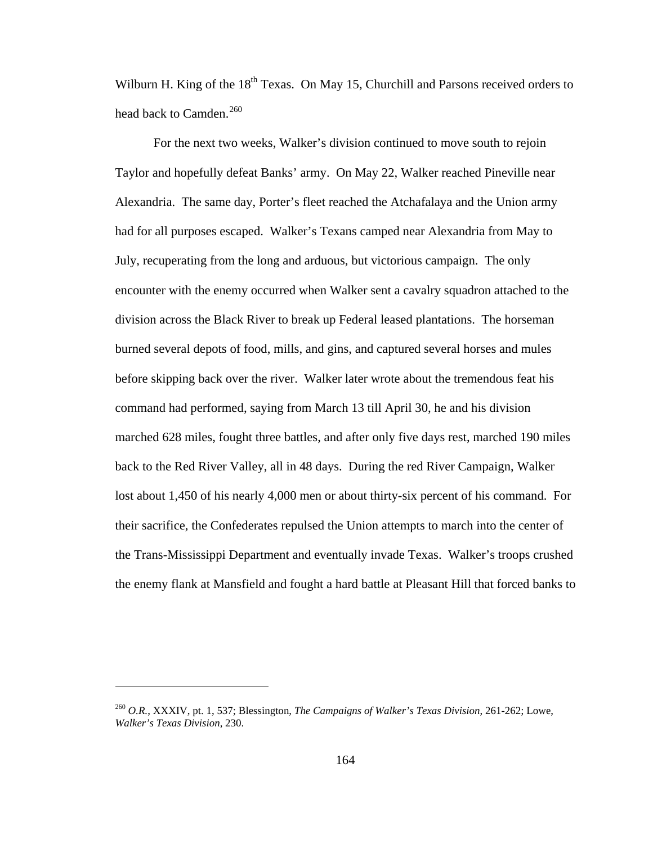Wilburn H. King of the  $18<sup>th</sup>$  Texas. On May 15, Churchill and Parsons received orders to head back to Camden.<sup>[260](#page-168-0)</sup>

 For the next two weeks, Walker's division continued to move south to rejoin Taylor and hopefully defeat Banks' army. On May 22, Walker reached Pineville near Alexandria. The same day, Porter's fleet reached the Atchafalaya and the Union army had for all purposes escaped. Walker's Texans camped near Alexandria from May to July, recuperating from the long and arduous, but victorious campaign. The only encounter with the enemy occurred when Walker sent a cavalry squadron attached to the division across the Black River to break up Federal leased plantations. The horseman burned several depots of food, mills, and gins, and captured several horses and mules before skipping back over the river. Walker later wrote about the tremendous feat his command had performed, saying from March 13 till April 30, he and his division marched 628 miles, fought three battles, and after only five days rest, marched 190 miles back to the Red River Valley, all in 48 days. During the red River Campaign, Walker lost about 1,450 of his nearly 4,000 men or about thirty-six percent of his command. For their sacrifice, the Confederates repulsed the Union attempts to march into the center of the Trans-Mississippi Department and eventually invade Texas. Walker's troops crushed the enemy flank at Mansfield and fought a hard battle at Pleasant Hill that forced banks to

<span id="page-168-0"></span><sup>260</sup> *O.R.*, XXXIV, pt. 1, 537; Blessington, *The Campaigns of Walker's Texas Division*, 261-262; Lowe, *Walker's Texas Division*, 230.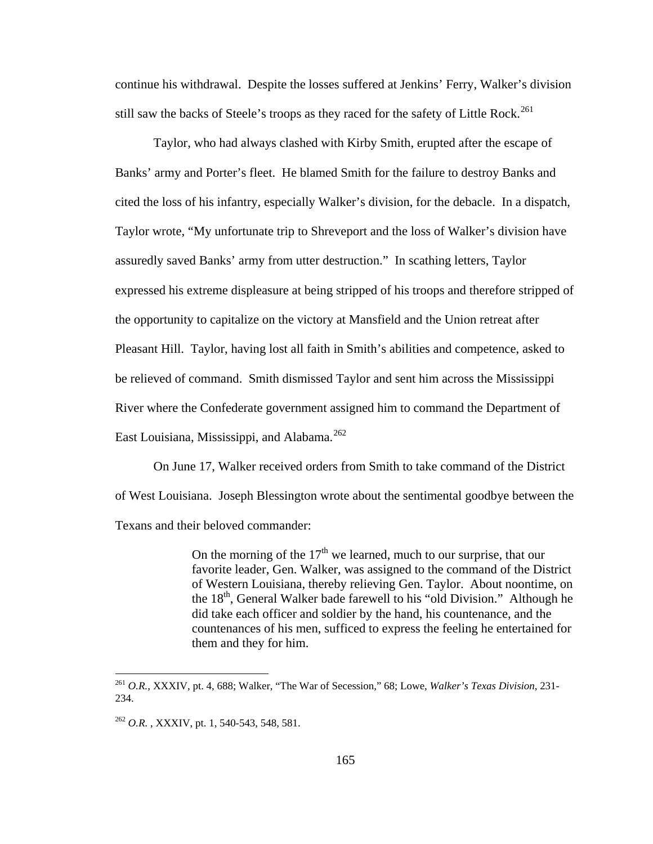continue his withdrawal. Despite the losses suffered at Jenkins' Ferry, Walker's division still saw the backs of Steele's troops as they raced for the safety of Little Rock.<sup>[261](#page-169-0)</sup>

 Taylor, who had always clashed with Kirby Smith, erupted after the escape of Banks' army and Porter's fleet. He blamed Smith for the failure to destroy Banks and cited the loss of his infantry, especially Walker's division, for the debacle. In a dispatch, Taylor wrote, "My unfortunate trip to Shreveport and the loss of Walker's division have assuredly saved Banks' army from utter destruction." In scathing letters, Taylor expressed his extreme displeasure at being stripped of his troops and therefore stripped of the opportunity to capitalize on the victory at Mansfield and the Union retreat after Pleasant Hill. Taylor, having lost all faith in Smith's abilities and competence, asked to be relieved of command. Smith dismissed Taylor and sent him across the Mississippi River where the Confederate government assigned him to command the Department of East Louisiana, Mississippi, and Alabama.<sup>[262](#page-169-1)</sup>

 On June 17, Walker received orders from Smith to take command of the District of West Louisiana. Joseph Blessington wrote about the sentimental goodbye between the Texans and their beloved commander:

> On the morning of the  $17<sup>th</sup>$  we learned, much to our surprise, that our favorite leader, Gen. Walker, was assigned to the command of the District of Western Louisiana, thereby relieving Gen. Taylor. About noontime, on the 18<sup>th</sup>, General Walker bade farewell to his "old Division." Although he did take each officer and soldier by the hand, his countenance, and the countenances of his men, sufficed to express the feeling he entertained for them and they for him.

<span id="page-169-0"></span><sup>261</sup> *O.R.*, XXXIV, pt. 4, 688; Walker, "The War of Secession," 68; Lowe, *Walker's Texas Division*, 231- 234.

<span id="page-169-1"></span><sup>262</sup> *O.R.* , XXXIV, pt. 1, 540-543, 548, 581.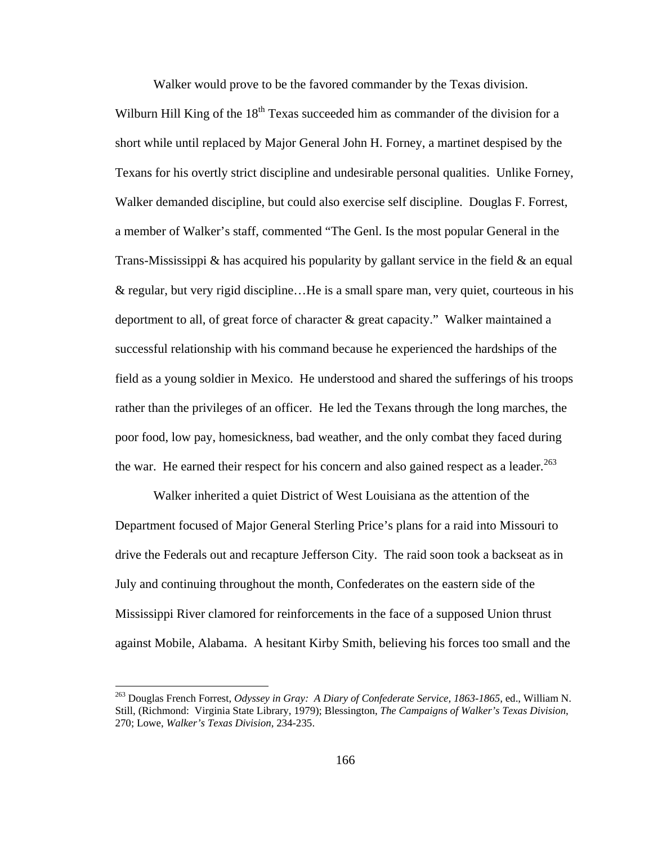Walker would prove to be the favored commander by the Texas division.

Wilburn Hill King of the  $18<sup>th</sup>$  Texas succeeded him as commander of the division for a short while until replaced by Major General John H. Forney, a martinet despised by the Texans for his overtly strict discipline and undesirable personal qualities. Unlike Forney, Walker demanded discipline, but could also exercise self discipline. Douglas F. Forrest, a member of Walker's staff, commented "The Genl. Is the most popular General in the Trans-Mississippi  $\&$  has acquired his popularity by gallant service in the field  $\&$  an equal & regular, but very rigid discipline…He is a small spare man, very quiet, courteous in his deportment to all, of great force of character & great capacity." Walker maintained a successful relationship with his command because he experienced the hardships of the field as a young soldier in Mexico. He understood and shared the sufferings of his troops rather than the privileges of an officer. He led the Texans through the long marches, the poor food, low pay, homesickness, bad weather, and the only combat they faced during the war. He earned their respect for his concern and also gained respect as a leader.<sup>[263](#page-170-0)</sup>

 Walker inherited a quiet District of West Louisiana as the attention of the Department focused of Major General Sterling Price's plans for a raid into Missouri to drive the Federals out and recapture Jefferson City. The raid soon took a backseat as in July and continuing throughout the month, Confederates on the eastern side of the Mississippi River clamored for reinforcements in the face of a supposed Union thrust against Mobile, Alabama. A hesitant Kirby Smith, believing his forces too small and the

<span id="page-170-0"></span><sup>263</sup> Douglas French Forrest, *Odyssey in Gray: A Diary of Confederate Service, 1863-1865*, ed., William N. Still, (Richmond: Virginia State Library, 1979); Blessington, *The Campaigns of Walker's Texas Division*, 270; Lowe, *Walker's Texas Division*, 234-235.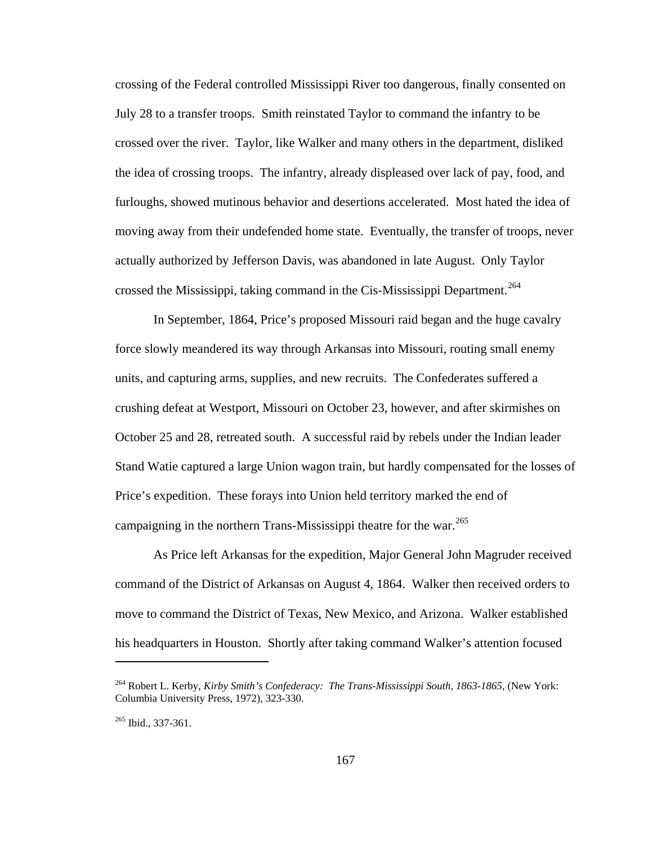crossing of the Federal controlled Mississippi River too dangerous, finally consented on July 28 to a transfer troops. Smith reinstated Taylor to command the infantry to be crossed over the river. Taylor, like Walker and many others in the department, disliked the idea of crossing troops. The infantry, already displeased over lack of pay, food, and furloughs, showed mutinous behavior and desertions accelerated. Most hated the idea of moving away from their undefended home state. Eventually, the transfer of troops, never actually authorized by Jefferson Davis, was abandoned in late August. Only Taylor crossed the Mississippi, taking command in the Cis-Mississippi Department.<sup>[264](#page-171-0)</sup>

 In September, 1864, Price's proposed Missouri raid began and the huge cavalry force slowly meandered its way through Arkansas into Missouri, routing small enemy units, and capturing arms, supplies, and new recruits. The Confederates suffered a crushing defeat at Westport, Missouri on October 23, however, and after skirmishes on October 25 and 28, retreated south. A successful raid by rebels under the Indian leader Stand Watie captured a large Union wagon train, but hardly compensated for the losses of Price's expedition. These forays into Union held territory marked the end of campaigning in the northern Trans-Mississippi theatre for the war.<sup>[265](#page-171-1)</sup>

 As Price left Arkansas for the expedition, Major General John Magruder received command of the District of Arkansas on August 4, 1864. Walker then received orders to move to command the District of Texas, New Mexico, and Arizona. Walker established his headquarters in Houston. Shortly after taking command Walker's attention focused

<span id="page-171-0"></span><sup>264</sup> Robert L. Kerby, *Kirby Smith's Confederacy: The Trans-Mississippi South, 1863-1865*, (New York: Columbia University Press, 1972), 323-330.

<span id="page-171-1"></span><sup>&</sup>lt;sup>265</sup> Ibid., 337-361.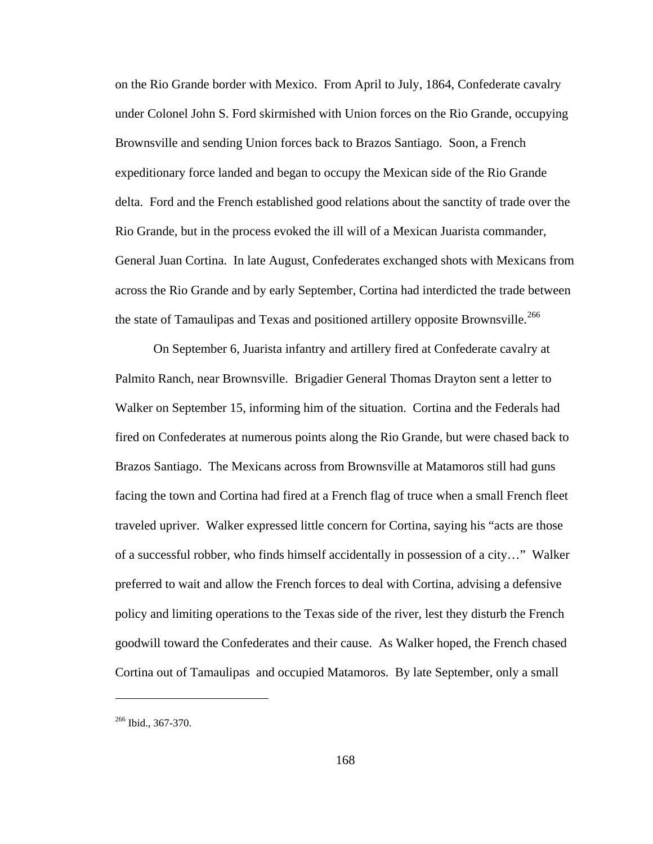on the Rio Grande border with Mexico. From April to July, 1864, Confederate cavalry under Colonel John S. Ford skirmished with Union forces on the Rio Grande, occupying Brownsville and sending Union forces back to Brazos Santiago. Soon, a French expeditionary force landed and began to occupy the Mexican side of the Rio Grande delta. Ford and the French established good relations about the sanctity of trade over the Rio Grande, but in the process evoked the ill will of a Mexican Juarista commander, General Juan Cortina. In late August, Confederates exchanged shots with Mexicans from across the Rio Grande and by early September, Cortina had interdicted the trade between the state of Tamaulipas and Texas and positioned artillery opposite Brownsville.<sup>[266](#page-172-0)</sup>

 On September 6, Juarista infantry and artillery fired at Confederate cavalry at Palmito Ranch, near Brownsville. Brigadier General Thomas Drayton sent a letter to Walker on September 15, informing him of the situation. Cortina and the Federals had fired on Confederates at numerous points along the Rio Grande, but were chased back to Brazos Santiago. The Mexicans across from Brownsville at Matamoros still had guns facing the town and Cortina had fired at a French flag of truce when a small French fleet traveled upriver. Walker expressed little concern for Cortina, saying his "acts are those of a successful robber, who finds himself accidentally in possession of a city…" Walker preferred to wait and allow the French forces to deal with Cortina, advising a defensive policy and limiting operations to the Texas side of the river, lest they disturb the French goodwill toward the Confederates and their cause. As Walker hoped, the French chased Cortina out of Tamaulipas and occupied Matamoros. By late September, only a small

<span id="page-172-0"></span><sup>&</sup>lt;sup>266</sup> Ibid., 367-370.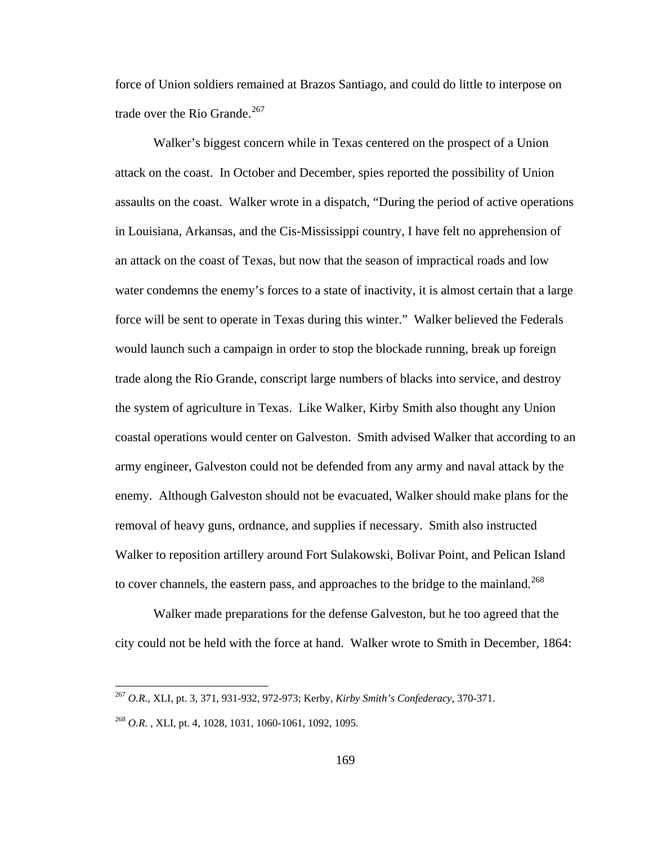force of Union soldiers remained at Brazos Santiago, and could do little to interpose on trade over the Rio Grande. $267$ 

 Walker's biggest concern while in Texas centered on the prospect of a Union attack on the coast. In October and December, spies reported the possibility of Union assaults on the coast. Walker wrote in a dispatch, "During the period of active operations in Louisiana, Arkansas, and the Cis-Mississippi country, I have felt no apprehension of an attack on the coast of Texas, but now that the season of impractical roads and low water condemns the enemy's forces to a state of inactivity, it is almost certain that a large force will be sent to operate in Texas during this winter." Walker believed the Federals would launch such a campaign in order to stop the blockade running, break up foreign trade along the Rio Grande, conscript large numbers of blacks into service, and destroy the system of agriculture in Texas. Like Walker, Kirby Smith also thought any Union coastal operations would center on Galveston. Smith advised Walker that according to an army engineer, Galveston could not be defended from any army and naval attack by the enemy. Although Galveston should not be evacuated, Walker should make plans for the removal of heavy guns, ordnance, and supplies if necessary. Smith also instructed Walker to reposition artillery around Fort Sulakowski, Bolivar Point, and Pelican Island to cover channels, the eastern pass, and approaches to the bridge to the mainland.<sup>[268](#page-173-1)</sup>

 Walker made preparations for the defense Galveston, but he too agreed that the city could not be held with the force at hand. Walker wrote to Smith in December, 1864:

<span id="page-173-0"></span><sup>267</sup> *O.R.*, XLI, pt. 3, 371, 931-932, 972-973; Kerby, *Kirby Smith's Confederacy*, 370-371.

<span id="page-173-1"></span><sup>268</sup> *O.R.* , XLI, pt. 4, 1028, 1031, 1060-1061, 1092, 1095.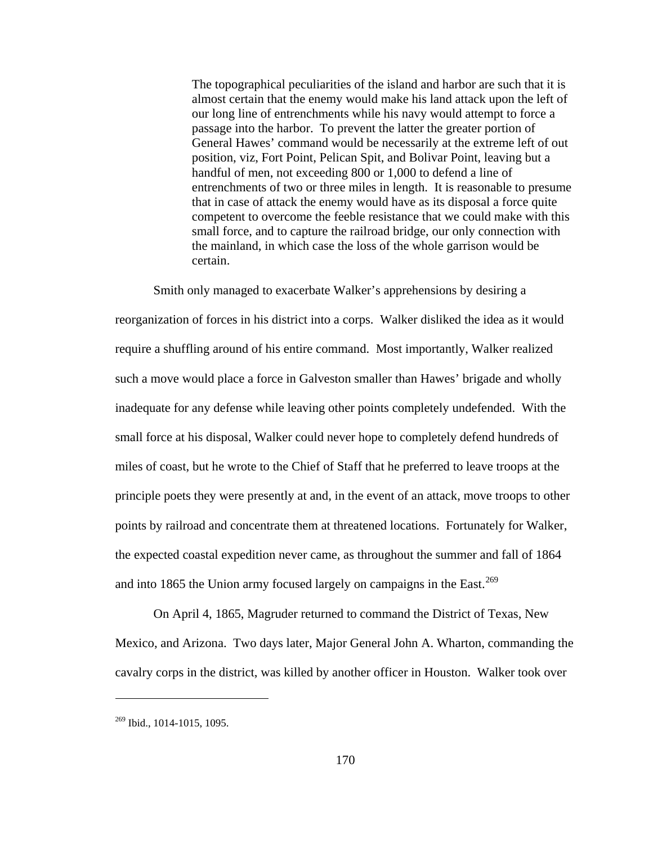The topographical peculiarities of the island and harbor are such that it is almost certain that the enemy would make his land attack upon the left of our long line of entrenchments while his navy would attempt to force a passage into the harbor. To prevent the latter the greater portion of General Hawes' command would be necessarily at the extreme left of out position, viz, Fort Point, Pelican Spit, and Bolivar Point, leaving but a handful of men, not exceeding 800 or 1,000 to defend a line of entrenchments of two or three miles in length. It is reasonable to presume that in case of attack the enemy would have as its disposal a force quite competent to overcome the feeble resistance that we could make with this small force, and to capture the railroad bridge, our only connection with the mainland, in which case the loss of the whole garrison would be certain.

 Smith only managed to exacerbate Walker's apprehensions by desiring a reorganization of forces in his district into a corps. Walker disliked the idea as it would require a shuffling around of his entire command. Most importantly, Walker realized such a move would place a force in Galveston smaller than Hawes' brigade and wholly inadequate for any defense while leaving other points completely undefended. With the small force at his disposal, Walker could never hope to completely defend hundreds of miles of coast, but he wrote to the Chief of Staff that he preferred to leave troops at the principle poets they were presently at and, in the event of an attack, move troops to other points by railroad and concentrate them at threatened locations. Fortunately for Walker, the expected coastal expedition never came, as throughout the summer and fall of 1864 and into 1865 the Union army focused largely on campaigns in the East.<sup>[269](#page-174-0)</sup>

 On April 4, 1865, Magruder returned to command the District of Texas, New Mexico, and Arizona. Two days later, Major General John A. Wharton, commanding the cavalry corps in the district, was killed by another officer in Houston. Walker took over

<span id="page-174-0"></span><sup>269</sup> Ibid., 1014-1015, 1095.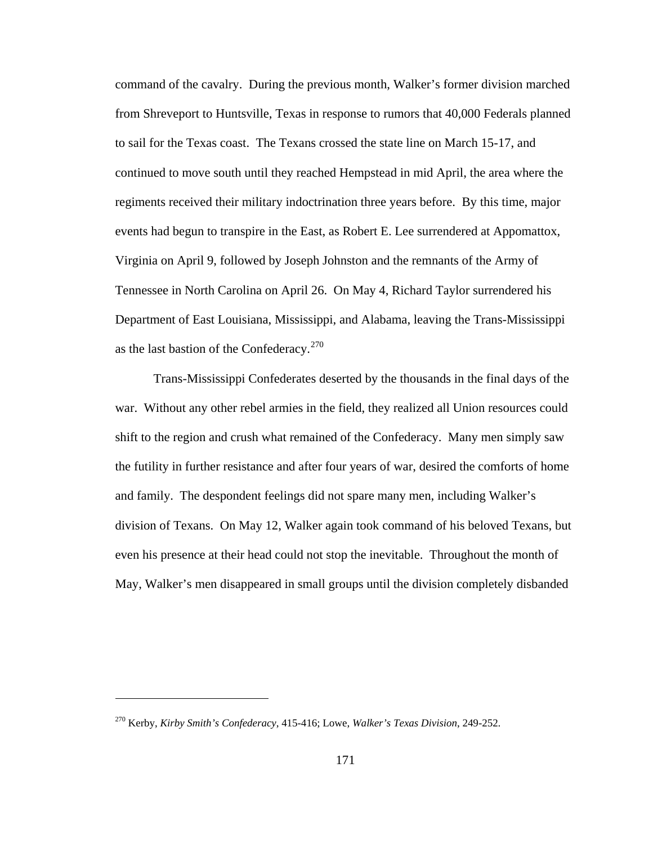command of the cavalry. During the previous month, Walker's former division marched from Shreveport to Huntsville, Texas in response to rumors that 40,000 Federals planned to sail for the Texas coast. The Texans crossed the state line on March 15-17, and continued to move south until they reached Hempstead in mid April, the area where the regiments received their military indoctrination three years before. By this time, major events had begun to transpire in the East, as Robert E. Lee surrendered at Appomattox, Virginia on April 9, followed by Joseph Johnston and the remnants of the Army of Tennessee in North Carolina on April 26. On May 4, Richard Taylor surrendered his Department of East Louisiana, Mississippi, and Alabama, leaving the Trans-Mississippi as the last bastion of the Confederacy.<sup>[270](#page-175-0)</sup>

 Trans-Mississippi Confederates deserted by the thousands in the final days of the war. Without any other rebel armies in the field, they realized all Union resources could shift to the region and crush what remained of the Confederacy. Many men simply saw the futility in further resistance and after four years of war, desired the comforts of home and family. The despondent feelings did not spare many men, including Walker's division of Texans. On May 12, Walker again took command of his beloved Texans, but even his presence at their head could not stop the inevitable. Throughout the month of May, Walker's men disappeared in small groups until the division completely disbanded

<span id="page-175-0"></span><sup>270</sup> Kerby, *Kirby Smith's Confederacy*, 415-416; Lowe, *Walker's Texas Division*, 249-252.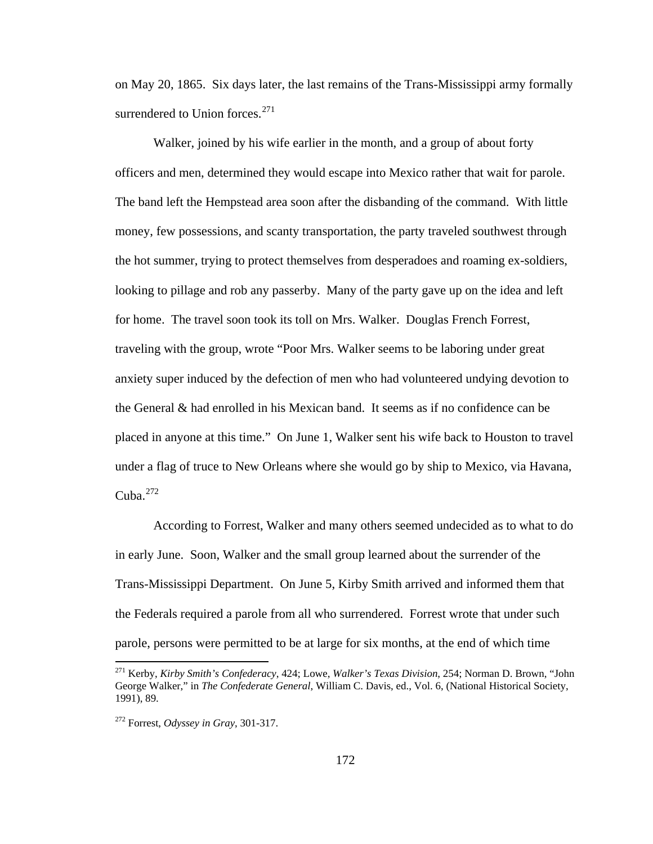on May 20, 1865. Six days later, the last remains of the Trans-Mississippi army formally surrendered to Union forces.<sup>[271](#page-176-0)</sup>

 Walker, joined by his wife earlier in the month, and a group of about forty officers and men, determined they would escape into Mexico rather that wait for parole. The band left the Hempstead area soon after the disbanding of the command. With little money, few possessions, and scanty transportation, the party traveled southwest through the hot summer, trying to protect themselves from desperadoes and roaming ex-soldiers, looking to pillage and rob any passerby. Many of the party gave up on the idea and left for home. The travel soon took its toll on Mrs. Walker. Douglas French Forrest, traveling with the group, wrote "Poor Mrs. Walker seems to be laboring under great anxiety super induced by the defection of men who had volunteered undying devotion to the General & had enrolled in his Mexican band. It seems as if no confidence can be placed in anyone at this time." On June 1, Walker sent his wife back to Houston to travel under a flag of truce to New Orleans where she would go by ship to Mexico, via Havana, Cuba.<sup>[272](#page-176-1)</sup>

 According to Forrest, Walker and many others seemed undecided as to what to do in early June. Soon, Walker and the small group learned about the surrender of the Trans-Mississippi Department. On June 5, Kirby Smith arrived and informed them that the Federals required a parole from all who surrendered. Forrest wrote that under such parole, persons were permitted to be at large for six months, at the end of which time

<span id="page-176-0"></span><sup>271</sup> Kerby, *Kirby Smith's Confederacy*, 424; Lowe, *Walker's Texas Division*, 254; Norman D. Brown, "John George Walker," in *The Confederate General*, William C. Davis, ed., Vol. 6, (National Historical Society, 1991), 89.

<span id="page-176-1"></span><sup>272</sup> Forrest, *Odyssey in Gray*, 301-317.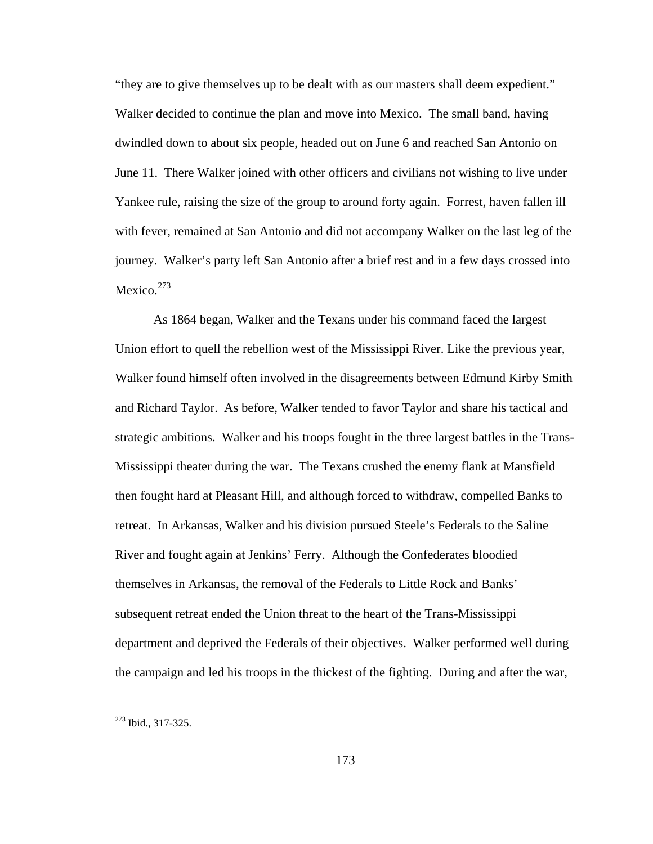"they are to give themselves up to be dealt with as our masters shall deem expedient." Walker decided to continue the plan and move into Mexico. The small band, having dwindled down to about six people, headed out on June 6 and reached San Antonio on June 11. There Walker joined with other officers and civilians not wishing to live under Yankee rule, raising the size of the group to around forty again. Forrest, haven fallen ill with fever, remained at San Antonio and did not accompany Walker on the last leg of the journey. Walker's party left San Antonio after a brief rest and in a few days crossed into Mexico. $273$ 

 As 1864 began, Walker and the Texans under his command faced the largest Union effort to quell the rebellion west of the Mississippi River. Like the previous year, Walker found himself often involved in the disagreements between Edmund Kirby Smith and Richard Taylor. As before, Walker tended to favor Taylor and share his tactical and strategic ambitions. Walker and his troops fought in the three largest battles in the Trans-Mississippi theater during the war. The Texans crushed the enemy flank at Mansfield then fought hard at Pleasant Hill, and although forced to withdraw, compelled Banks to retreat. In Arkansas, Walker and his division pursued Steele's Federals to the Saline River and fought again at Jenkins' Ferry. Although the Confederates bloodied themselves in Arkansas, the removal of the Federals to Little Rock and Banks' subsequent retreat ended the Union threat to the heart of the Trans-Mississippi department and deprived the Federals of their objectives. Walker performed well during the campaign and led his troops in the thickest of the fighting. During and after the war,

<span id="page-177-0"></span><sup>&</sup>lt;sup>273</sup> Ibid., 317-325.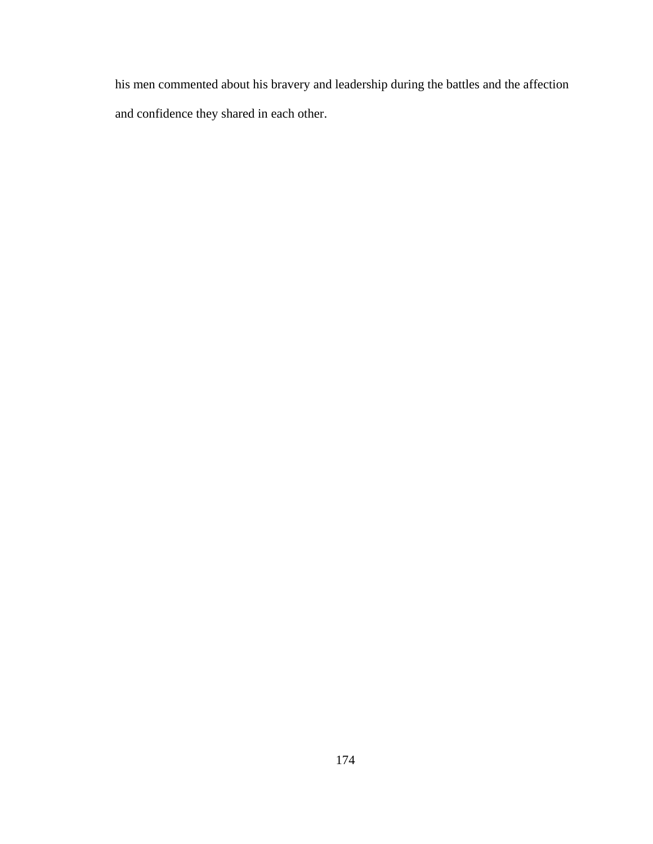his men commented about his bravery and leadership during the battles and the affection and confidence they shared in each other.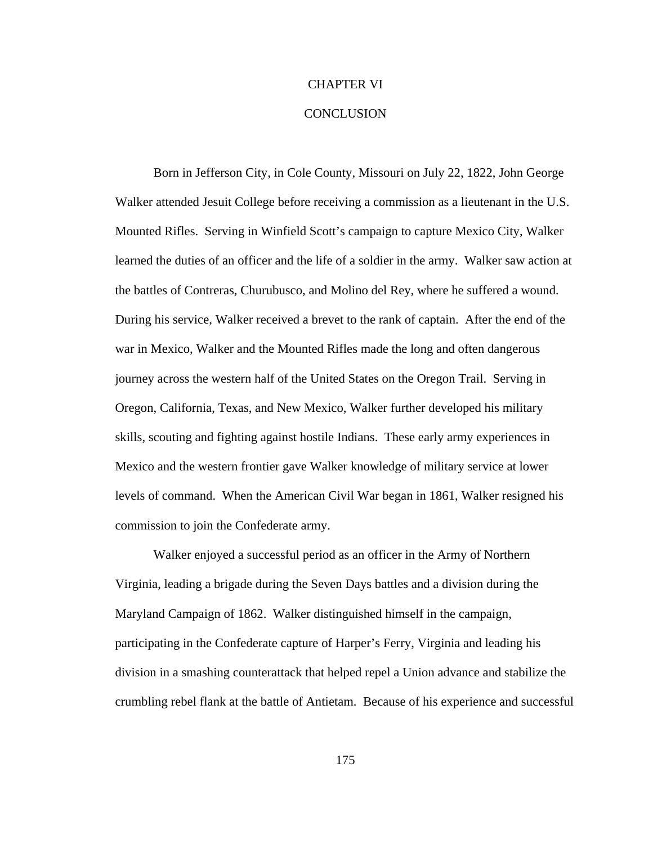## CHAPTER VI

## **CONCLUSION**

Born in Jefferson City, in Cole County, Missouri on July 22, 1822, John George Walker attended Jesuit College before receiving a commission as a lieutenant in the U.S. Mounted Rifles. Serving in Winfield Scott's campaign to capture Mexico City, Walker learned the duties of an officer and the life of a soldier in the army. Walker saw action at the battles of Contreras, Churubusco, and Molino del Rey, where he suffered a wound. During his service, Walker received a brevet to the rank of captain. After the end of the war in Mexico, Walker and the Mounted Rifles made the long and often dangerous journey across the western half of the United States on the Oregon Trail. Serving in Oregon, California, Texas, and New Mexico, Walker further developed his military skills, scouting and fighting against hostile Indians. These early army experiences in Mexico and the western frontier gave Walker knowledge of military service at lower levels of command. When the American Civil War began in 1861, Walker resigned his commission to join the Confederate army.

 Walker enjoyed a successful period as an officer in the Army of Northern Virginia, leading a brigade during the Seven Days battles and a division during the Maryland Campaign of 1862. Walker distinguished himself in the campaign, participating in the Confederate capture of Harper's Ferry, Virginia and leading his division in a smashing counterattack that helped repel a Union advance and stabilize the crumbling rebel flank at the battle of Antietam. Because of his experience and successful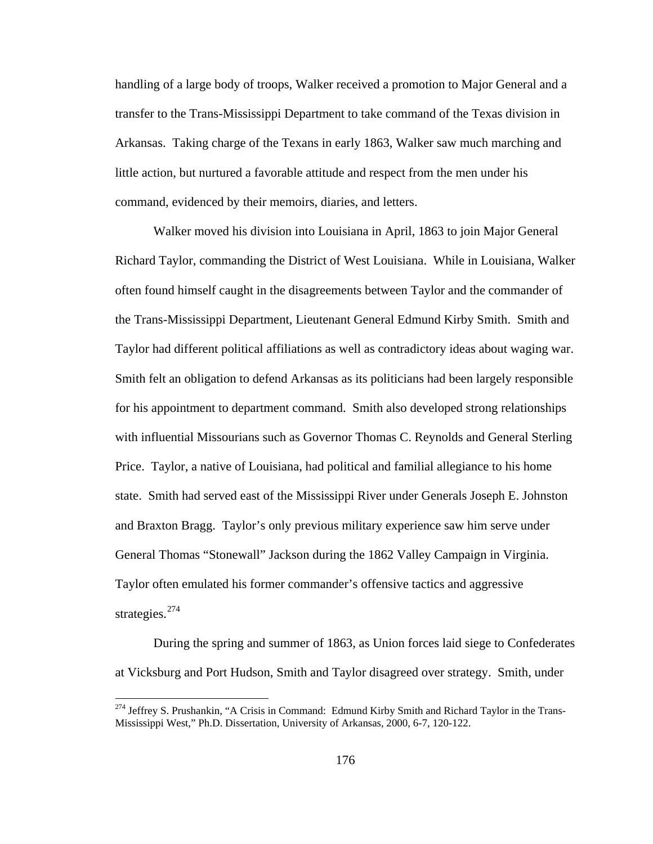handling of a large body of troops, Walker received a promotion to Major General and a transfer to the Trans-Mississippi Department to take command of the Texas division in Arkansas. Taking charge of the Texans in early 1863, Walker saw much marching and little action, but nurtured a favorable attitude and respect from the men under his command, evidenced by their memoirs, diaries, and letters.

 Walker moved his division into Louisiana in April, 1863 to join Major General Richard Taylor, commanding the District of West Louisiana. While in Louisiana, Walker often found himself caught in the disagreements between Taylor and the commander of the Trans-Mississippi Department, Lieutenant General Edmund Kirby Smith. Smith and Taylor had different political affiliations as well as contradictory ideas about waging war. Smith felt an obligation to defend Arkansas as its politicians had been largely responsible for his appointment to department command. Smith also developed strong relationships with influential Missourians such as Governor Thomas C. Reynolds and General Sterling Price. Taylor, a native of Louisiana, had political and familial allegiance to his home state. Smith had served east of the Mississippi River under Generals Joseph E. Johnston and Braxton Bragg. Taylor's only previous military experience saw him serve under General Thomas "Stonewall" Jackson during the 1862 Valley Campaign in Virginia. Taylor often emulated his former commander's offensive tactics and aggressive strategies. $274$ 

 During the spring and summer of 1863, as Union forces laid siege to Confederates at Vicksburg and Port Hudson, Smith and Taylor disagreed over strategy. Smith, under

 $\overline{a}$ 

<span id="page-180-0"></span><sup>&</sup>lt;sup>274</sup> Jeffrey S. Prushankin, "A Crisis in Command: Edmund Kirby Smith and Richard Taylor in the Trans-Mississippi West," Ph.D. Dissertation, University of Arkansas, 2000, 6-7, 120-122.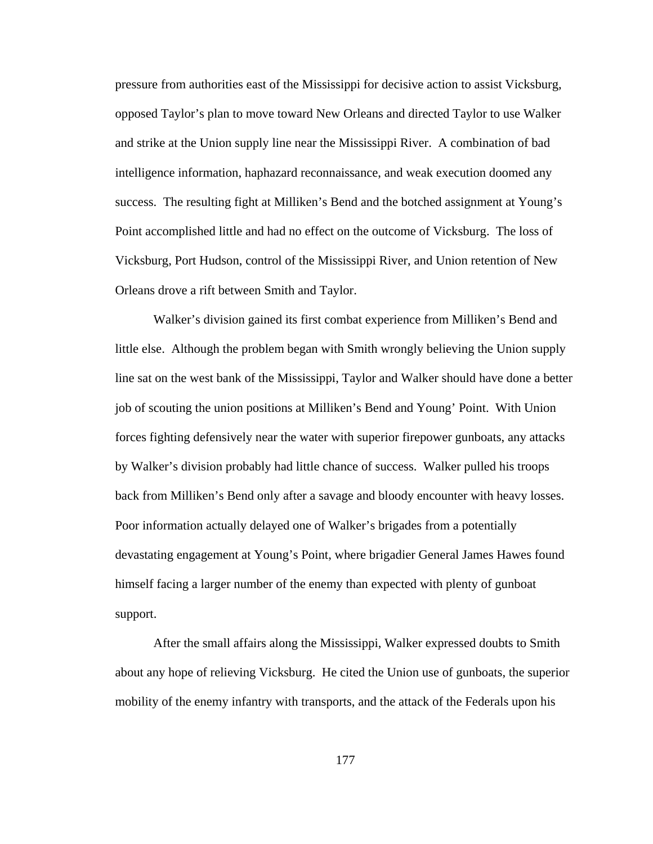pressure from authorities east of the Mississippi for decisive action to assist Vicksburg, opposed Taylor's plan to move toward New Orleans and directed Taylor to use Walker and strike at the Union supply line near the Mississippi River. A combination of bad intelligence information, haphazard reconnaissance, and weak execution doomed any success. The resulting fight at Milliken's Bend and the botched assignment at Young's Point accomplished little and had no effect on the outcome of Vicksburg. The loss of Vicksburg, Port Hudson, control of the Mississippi River, and Union retention of New Orleans drove a rift between Smith and Taylor.

 Walker's division gained its first combat experience from Milliken's Bend and little else. Although the problem began with Smith wrongly believing the Union supply line sat on the west bank of the Mississippi, Taylor and Walker should have done a better job of scouting the union positions at Milliken's Bend and Young' Point. With Union forces fighting defensively near the water with superior firepower gunboats, any attacks by Walker's division probably had little chance of success. Walker pulled his troops back from Milliken's Bend only after a savage and bloody encounter with heavy losses. Poor information actually delayed one of Walker's brigades from a potentially devastating engagement at Young's Point, where brigadier General James Hawes found himself facing a larger number of the enemy than expected with plenty of gunboat support.

 After the small affairs along the Mississippi, Walker expressed doubts to Smith about any hope of relieving Vicksburg. He cited the Union use of gunboats, the superior mobility of the enemy infantry with transports, and the attack of the Federals upon his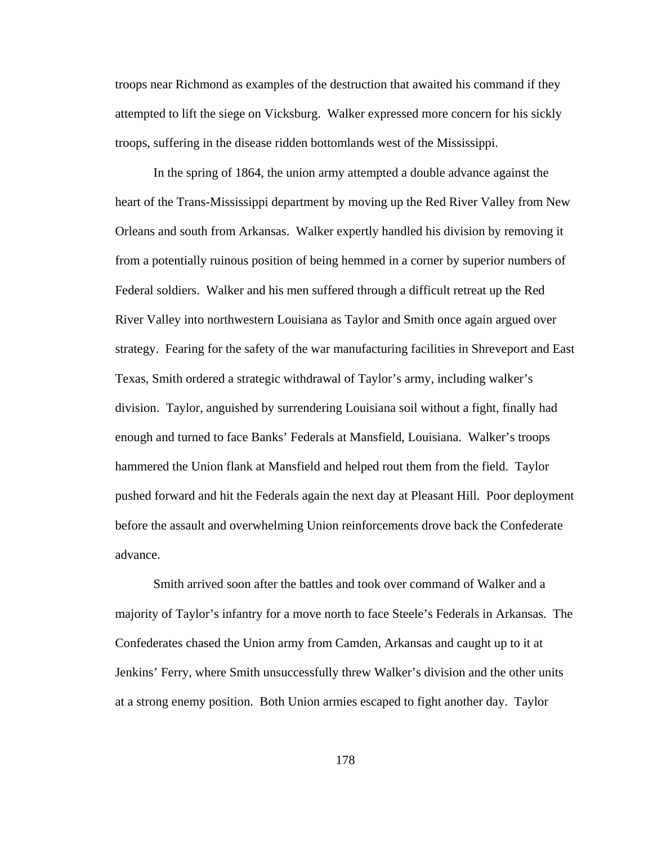troops near Richmond as examples of the destruction that awaited his command if they attempted to lift the siege on Vicksburg. Walker expressed more concern for his sickly troops, suffering in the disease ridden bottomlands west of the Mississippi.

 In the spring of 1864, the union army attempted a double advance against the heart of the Trans-Mississippi department by moving up the Red River Valley from New Orleans and south from Arkansas. Walker expertly handled his division by removing it from a potentially ruinous position of being hemmed in a corner by superior numbers of Federal soldiers. Walker and his men suffered through a difficult retreat up the Red River Valley into northwestern Louisiana as Taylor and Smith once again argued over strategy. Fearing for the safety of the war manufacturing facilities in Shreveport and East Texas, Smith ordered a strategic withdrawal of Taylor's army, including walker's division. Taylor, anguished by surrendering Louisiana soil without a fight, finally had enough and turned to face Banks' Federals at Mansfield, Louisiana. Walker's troops hammered the Union flank at Mansfield and helped rout them from the field. Taylor pushed forward and hit the Federals again the next day at Pleasant Hill. Poor deployment before the assault and overwhelming Union reinforcements drove back the Confederate advance.

 Smith arrived soon after the battles and took over command of Walker and a majority of Taylor's infantry for a move north to face Steele's Federals in Arkansas. The Confederates chased the Union army from Camden, Arkansas and caught up to it at Jenkins' Ferry, where Smith unsuccessfully threw Walker's division and the other units at a strong enemy position. Both Union armies escaped to fight another day. Taylor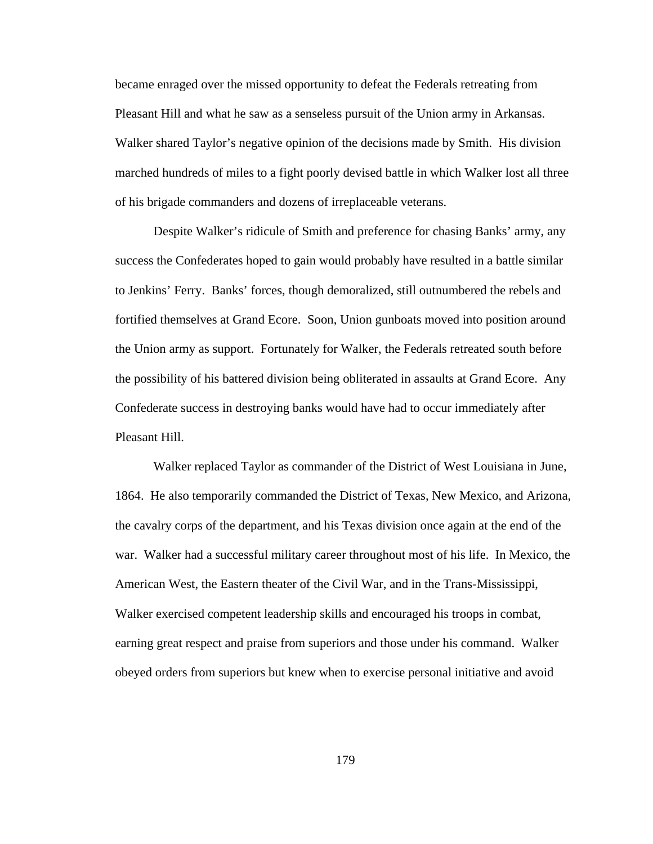became enraged over the missed opportunity to defeat the Federals retreating from Pleasant Hill and what he saw as a senseless pursuit of the Union army in Arkansas. Walker shared Taylor's negative opinion of the decisions made by Smith. His division marched hundreds of miles to a fight poorly devised battle in which Walker lost all three of his brigade commanders and dozens of irreplaceable veterans.

 Despite Walker's ridicule of Smith and preference for chasing Banks' army, any success the Confederates hoped to gain would probably have resulted in a battle similar to Jenkins' Ferry. Banks' forces, though demoralized, still outnumbered the rebels and fortified themselves at Grand Ecore. Soon, Union gunboats moved into position around the Union army as support. Fortunately for Walker, the Federals retreated south before the possibility of his battered division being obliterated in assaults at Grand Ecore. Any Confederate success in destroying banks would have had to occur immediately after Pleasant Hill.

 Walker replaced Taylor as commander of the District of West Louisiana in June, 1864. He also temporarily commanded the District of Texas, New Mexico, and Arizona, the cavalry corps of the department, and his Texas division once again at the end of the war. Walker had a successful military career throughout most of his life. In Mexico, the American West, the Eastern theater of the Civil War, and in the Trans-Mississippi, Walker exercised competent leadership skills and encouraged his troops in combat, earning great respect and praise from superiors and those under his command. Walker obeyed orders from superiors but knew when to exercise personal initiative and avoid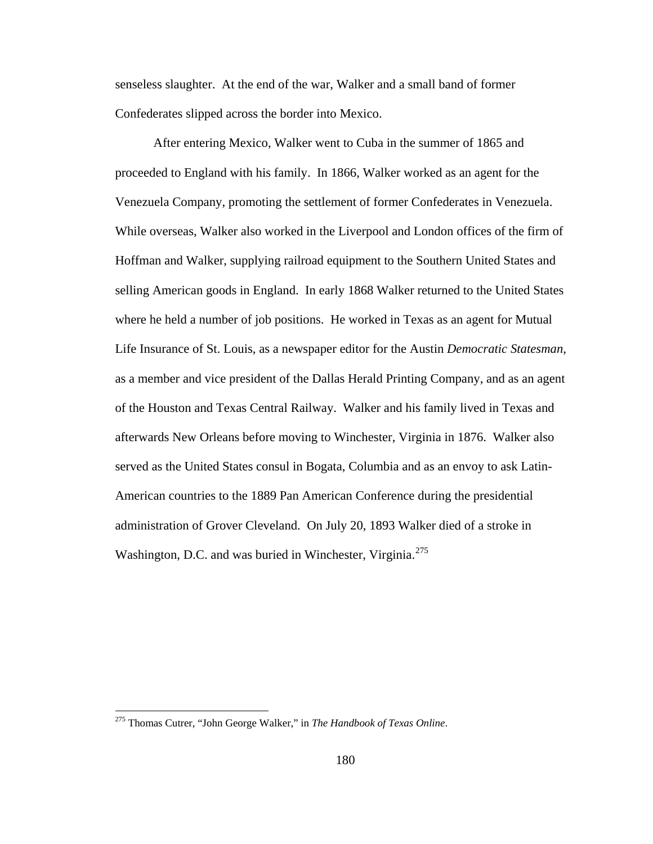senseless slaughter. At the end of the war, Walker and a small band of former Confederates slipped across the border into Mexico.

 After entering Mexico, Walker went to Cuba in the summer of 1865 and proceeded to England with his family. In 1866, Walker worked as an agent for the Venezuela Company, promoting the settlement of former Confederates in Venezuela. While overseas, Walker also worked in the Liverpool and London offices of the firm of Hoffman and Walker, supplying railroad equipment to the Southern United States and selling American goods in England. In early 1868 Walker returned to the United States where he held a number of job positions. He worked in Texas as an agent for Mutual Life Insurance of St. Louis, as a newspaper editor for the Austin *Democratic Statesman*, as a member and vice president of the Dallas Herald Printing Company, and as an agent of the Houston and Texas Central Railway. Walker and his family lived in Texas and afterwards New Orleans before moving to Winchester, Virginia in 1876. Walker also served as the United States consul in Bogata, Columbia and as an envoy to ask Latin-American countries to the 1889 Pan American Conference during the presidential administration of Grover Cleveland. On July 20, 1893 Walker died of a stroke in Washington, D.C. and was buried in Winchester, Virginia.<sup>[275](#page-184-0)</sup>

 $\overline{a}$ 

<span id="page-184-0"></span><sup>275</sup> Thomas Cutrer, "John George Walker," in *The Handbook of Texas Online*.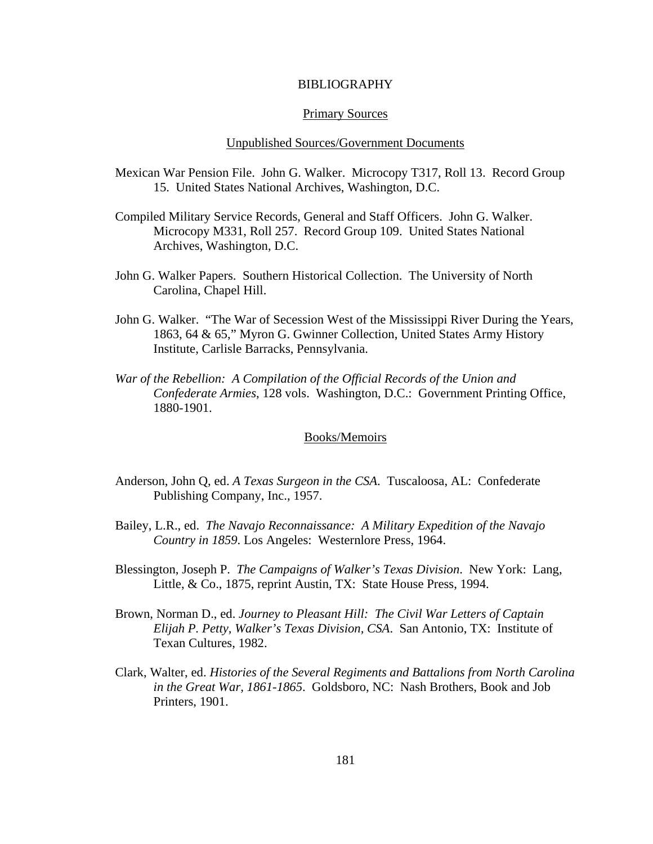# BIBLIOGRAPHY

#### Primary Sources

# Unpublished Sources/Government Documents

- Mexican War Pension File. John G. Walker. Microcopy T317, Roll 13. Record Group 15. United States National Archives, Washington, D.C.
- Compiled Military Service Records, General and Staff Officers. John G. Walker. Microcopy M331, Roll 257. Record Group 109. United States National Archives, Washington, D.C.
- John G. Walker Papers. Southern Historical Collection. The University of North Carolina, Chapel Hill.
- John G. Walker. "The War of Secession West of the Mississippi River During the Years, 1863, 64 & 65," Myron G. Gwinner Collection, United States Army History Institute, Carlisle Barracks, Pennsylvania.
- *War of the Rebellion: A Compilation of the Official Records of the Union and Confederate Armies*, 128 vols. Washington, D.C.: Government Printing Office, 1880-1901.

# Books/Memoirs

- Anderson, John Q, ed. *A Texas Surgeon in the CSA*. Tuscaloosa, AL: Confederate Publishing Company, Inc., 1957.
- Bailey, L.R., ed. *The Navajo Reconnaissance: A Military Expedition of the Navajo Country in 1859*. Los Angeles: Westernlore Press, 1964.
- Blessington, Joseph P. *The Campaigns of Walker's Texas Division*. New York: Lang, Little, & Co., 1875, reprint Austin, TX: State House Press, 1994.
- Brown, Norman D., ed. *Journey to Pleasant Hill: The Civil War Letters of Captain Elijah P. Petty, Walker's Texas Division, CSA*. San Antonio, TX: Institute of Texan Cultures, 1982.
- Clark, Walter, ed. *Histories of the Several Regiments and Battalions from North Carolina in the Great War, 1861-1865*. Goldsboro, NC: Nash Brothers, Book and Job Printers, 1901.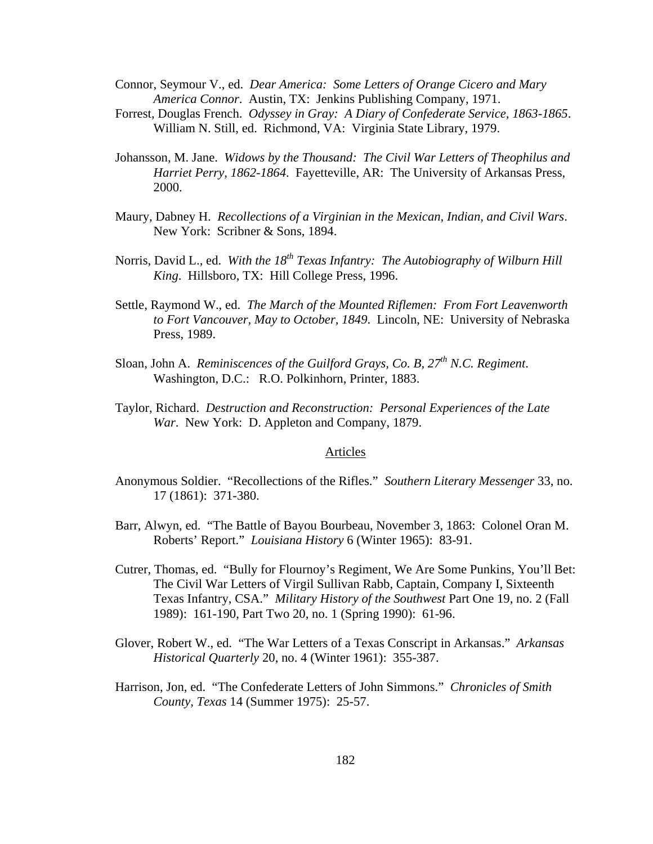Connor, Seymour V., ed. *Dear America: Some Letters of Orange Cicero and Mary America Connor*. Austin, TX: Jenkins Publishing Company, 1971.

- Forrest, Douglas French. *Odyssey in Gray: A Diary of Confederate Service, 1863-1865*. William N. Still, ed. Richmond, VA: Virginia State Library, 1979.
- Johansson, M. Jane. *Widows by the Thousand: The Civil War Letters of Theophilus and Harriet Perry, 1862-1864*. Fayetteville, AR: The University of Arkansas Press, 2000.
- Maury, Dabney H. *Recollections of a Virginian in the Mexican, Indian, and Civil Wars*. New York: Scribner & Sons, 1894.
- Norris, David L., ed. *With the 18<sup>th</sup> Texas Infantry: The Autobiography of Wilburn Hill King*. Hillsboro, TX: Hill College Press, 1996.
- Settle, Raymond W., ed. *The March of the Mounted Riflemen: From Fort Leavenworth to Fort Vancouver, May to October, 1849*. Lincoln, NE: University of Nebraska Press, 1989.
- Sloan, John A. *Reminiscences of the Guilford Grays, Co. B, 27th N.C. Regiment*. Washington, D.C.: R.O. Polkinhorn, Printer, 1883.
- Taylor, Richard. *Destruction and Reconstruction: Personal Experiences of the Late War*. New York: D. Appleton and Company, 1879.

# Articles

- Anonymous Soldier. "Recollections of the Rifles." *Southern Literary Messenger* 33, no. 17 (1861): 371-380.
- Barr, Alwyn, ed. "The Battle of Bayou Bourbeau, November 3, 1863: Colonel Oran M. Roberts' Report." *Louisiana History* 6 (Winter 1965): 83-91.
- Cutrer, Thomas, ed. "Bully for Flournoy's Regiment, We Are Some Punkins, You'll Bet: The Civil War Letters of Virgil Sullivan Rabb, Captain, Company I, Sixteenth Texas Infantry, CSA." *Military History of the Southwest* Part One 19, no. 2 (Fall 1989): 161-190, Part Two 20, no. 1 (Spring 1990): 61-96.
- Glover, Robert W., ed. "The War Letters of a Texas Conscript in Arkansas." *Arkansas Historical Quarterly* 20, no. 4 (Winter 1961): 355-387.
- Harrison, Jon, ed. "The Confederate Letters of John Simmons." *Chronicles of Smith County, Texas* 14 (Summer 1975): 25-57.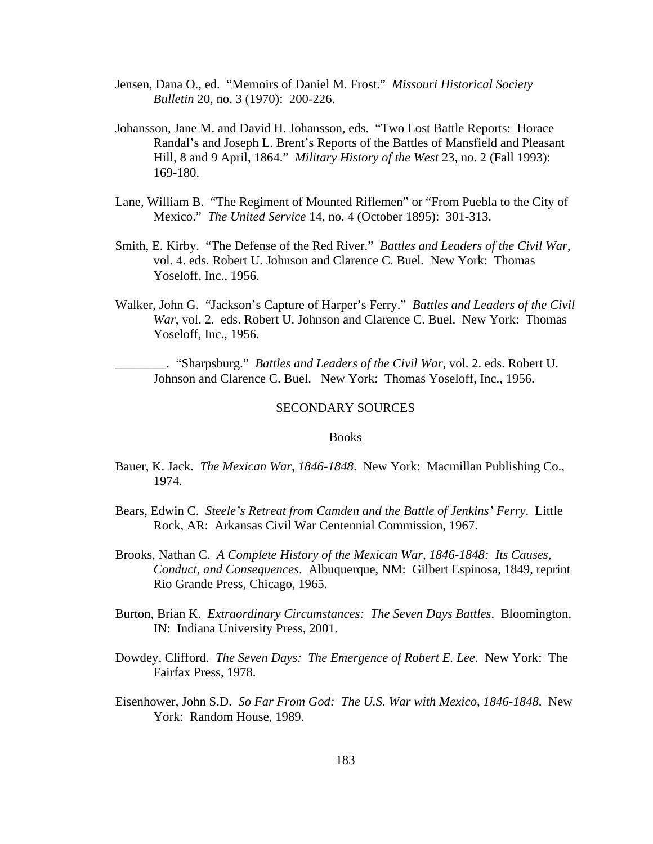- Jensen, Dana O., ed. "Memoirs of Daniel M. Frost." *Missouri Historical Society Bulletin* 20, no. 3 (1970): 200-226.
- Johansson, Jane M. and David H. Johansson, eds. "Two Lost Battle Reports: Horace Randal's and Joseph L. Brent's Reports of the Battles of Mansfield and Pleasant Hill, 8 and 9 April, 1864." *Military History of the West* 23, no. 2 (Fall 1993): 169-180.
- Lane, William B. "The Regiment of Mounted Riflemen" or "From Puebla to the City of Mexico." *The United Service* 14, no. 4 (October 1895): 301-313.
- Smith, E. Kirby. "The Defense of the Red River." *Battles and Leaders of the Civil War*, vol. 4. eds. Robert U. Johnson and Clarence C. Buel. New York: Thomas Yoseloff, Inc., 1956.
- Walker, John G. "Jackson's Capture of Harper's Ferry." *Battles and Leaders of the Civil War*, vol. 2. eds. Robert U. Johnson and Clarence C. Buel. New York: Thomas Yoseloff, Inc., 1956.

\_\_\_\_\_\_\_\_. "Sharpsburg." *Battles and Leaders of the Civil War*, vol. 2. eds. Robert U. Johnson and Clarence C. Buel. New York: Thomas Yoseloff, Inc., 1956.

#### SECONDARY SOURCES

## Books

- Bauer, K. Jack. *The Mexican War, 1846-1848*. New York: Macmillan Publishing Co., 1974.
- Bears, Edwin C. *Steele's Retreat from Camden and the Battle of Jenkins' Ferry*. Little Rock, AR: Arkansas Civil War Centennial Commission, 1967.
- Brooks, Nathan C. *A Complete History of the Mexican War, 1846-1848: Its Causes, Conduct, and Consequences*. Albuquerque, NM: Gilbert Espinosa, 1849, reprint Rio Grande Press, Chicago, 1965.
- Burton, Brian K. *Extraordinary Circumstances: The Seven Days Battles*. Bloomington, IN: Indiana University Press, 2001.
- Dowdey, Clifford. *The Seven Days: The Emergence of Robert E. Lee*. New York: The Fairfax Press, 1978.
- Eisenhower, John S.D. *So Far From God: The U.S. War with Mexico, 1846-1848*. New York: Random House, 1989.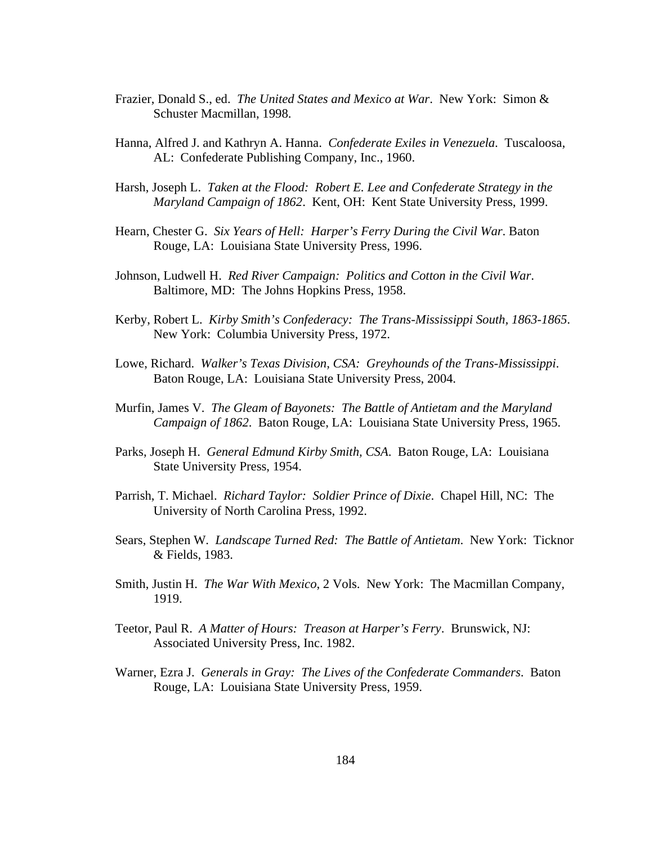- Frazier, Donald S., ed. *The United States and Mexico at War*. New York: Simon & Schuster Macmillan, 1998.
- Hanna, Alfred J. and Kathryn A. Hanna. *Confederate Exiles in Venezuela*. Tuscaloosa, AL: Confederate Publishing Company, Inc., 1960.
- Harsh, Joseph L. *Taken at the Flood: Robert E. Lee and Confederate Strategy in the Maryland Campaign of 1862*. Kent, OH: Kent State University Press, 1999.
- Hearn, Chester G. *Six Years of Hell: Harper's Ferry During the Civil War*. Baton Rouge, LA: Louisiana State University Press, 1996.
- Johnson, Ludwell H. *Red River Campaign: Politics and Cotton in the Civil War*. Baltimore, MD: The Johns Hopkins Press, 1958.
- Kerby, Robert L. *Kirby Smith's Confederacy: The Trans-Mississippi South, 1863-1865*. New York: Columbia University Press, 1972.
- Lowe, Richard. *Walker's Texas Division, CSA: Greyhounds of the Trans-Mississippi*. Baton Rouge, LA: Louisiana State University Press, 2004.
- Murfin, James V. *The Gleam of Bayonets: The Battle of Antietam and the Maryland Campaign of 1862*. Baton Rouge, LA: Louisiana State University Press, 1965.
- Parks, Joseph H. *General Edmund Kirby Smith, CSA*. Baton Rouge, LA: Louisiana State University Press, 1954.
- Parrish, T. Michael. *Richard Taylor: Soldier Prince of Dixie*. Chapel Hill, NC: The University of North Carolina Press, 1992.
- Sears, Stephen W. *Landscape Turned Red: The Battle of Antietam*. New York: Ticknor & Fields, 1983.
- Smith, Justin H. *The War With Mexico*, 2 Vols. New York: The Macmillan Company, 1919.
- Teetor, Paul R. *A Matter of Hours: Treason at Harper's Ferry*. Brunswick, NJ: Associated University Press, Inc. 1982.
- Warner, Ezra J. *Generals in Gray: The Lives of the Confederate Commanders*. Baton Rouge, LA: Louisiana State University Press, 1959.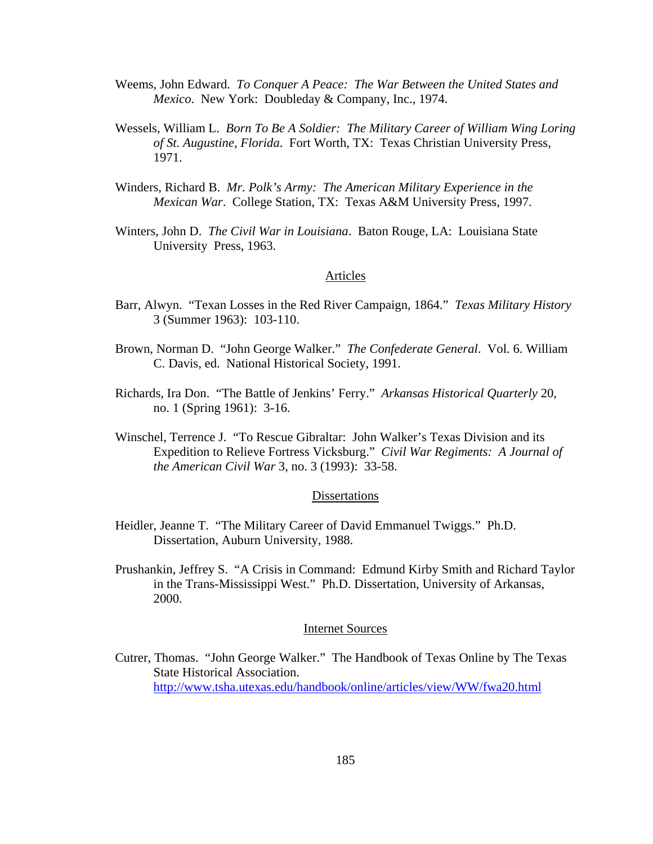- Weems, John Edward. *To Conquer A Peace: The War Between the United States and Mexico*. New York: Doubleday & Company, Inc., 1974.
- Wessels, William L. *Born To Be A Soldier: The Military Career of William Wing Loring of St. Augustine, Florida*. Fort Worth, TX: Texas Christian University Press, 1971.
- Winders, Richard B. *Mr. Polk's Army: The American Military Experience in the Mexican War*. College Station, TX: Texas A&M University Press, 1997.
- Winters, John D. *The Civil War in Louisiana*. Baton Rouge, LA: Louisiana State University Press, 1963.

# Articles

- Barr, Alwyn. "Texan Losses in the Red River Campaign, 1864." *Texas Military History* 3 (Summer 1963): 103-110.
- Brown, Norman D. "John George Walker." *The Confederate General*. Vol. 6. William C. Davis, ed. National Historical Society, 1991.
- Richards, Ira Don. "The Battle of Jenkins' Ferry." *Arkansas Historical Quarterly* 20, no. 1 (Spring 1961): 3-16.
- Winschel, Terrence J. "To Rescue Gibraltar: John Walker's Texas Division and its Expedition to Relieve Fortress Vicksburg." *Civil War Regiments: A Journal of the American Civil War* 3, no. 3 (1993): 33-58.

# Dissertations

- Heidler, Jeanne T. "The Military Career of David Emmanuel Twiggs." Ph.D. Dissertation, Auburn University, 1988.
- Prushankin, Jeffrey S. "A Crisis in Command: Edmund Kirby Smith and Richard Taylor in the Trans-Mississippi West." Ph.D. Dissertation, University of Arkansas, 2000.

# Internet Sources

Cutrer, Thomas. "John George Walker." The Handbook of Texas Online by The Texas State Historical Association. <http://www.tsha.utexas.edu/handbook/online/articles/view/WW/fwa20.html>